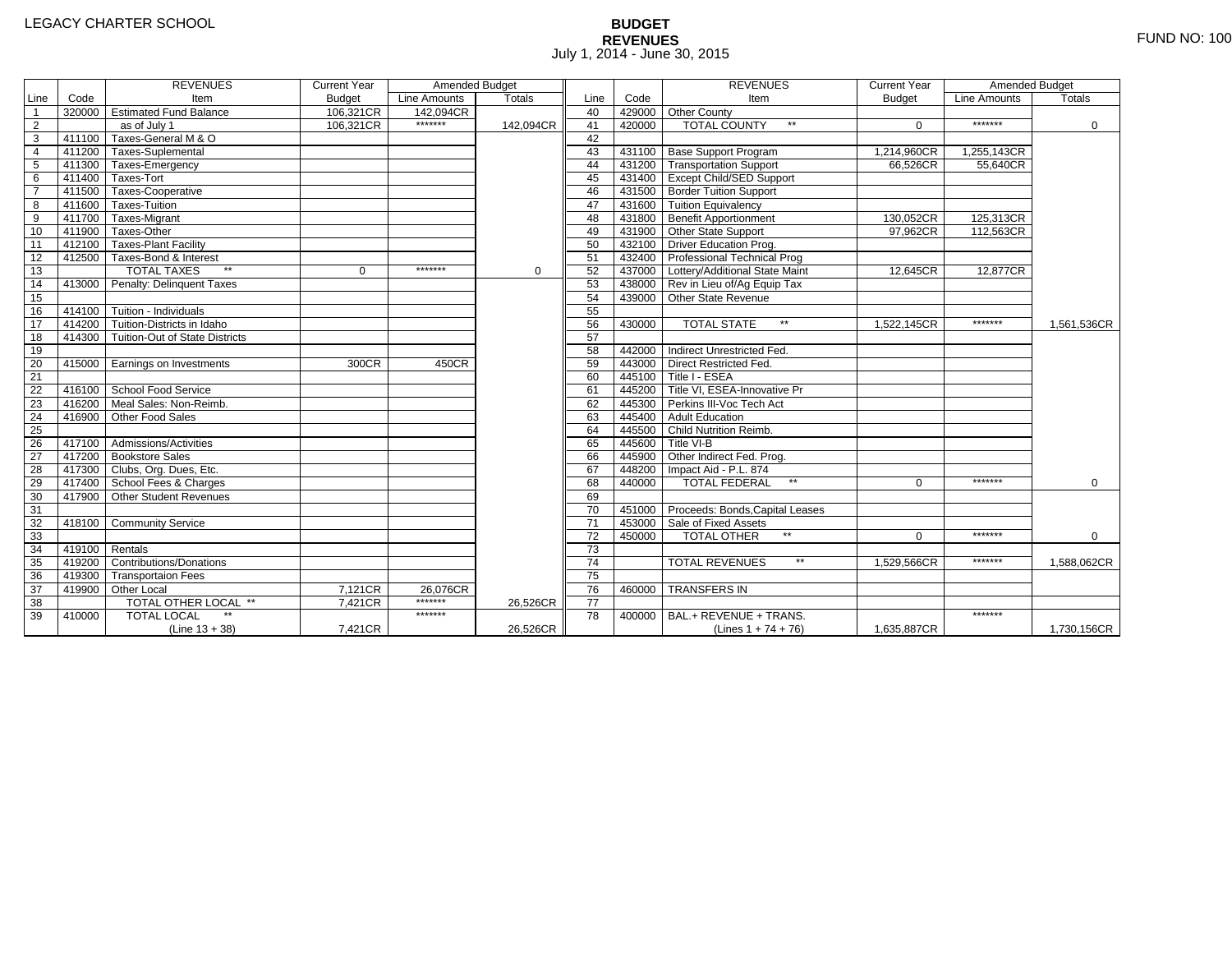# **BUDGET REVENUES** FUND NO: 100 July 1, 2014 - June 30, 2015

|                         |                | <b>REVENUES</b>                         | <b>Current Year</b> | Amended Budget |               |                 |        | <b>REVENUES</b>                        | <b>Current Year</b> | Amended Budget |             |
|-------------------------|----------------|-----------------------------------------|---------------------|----------------|---------------|-----------------|--------|----------------------------------------|---------------------|----------------|-------------|
| Line                    | Code           | Item                                    | <b>Budget</b>       | Line Amounts   | <b>Totals</b> | Line            | Code   | Item                                   | <b>Budget</b>       | Line Amounts   | Totals      |
| $\overline{1}$          |                | 320000 Estimated Fund Balance           | 106,321CR           | 142.094CR      |               | 40              |        | 429000 Other County                    |                     |                |             |
| $\overline{2}$          |                | as of July 1                            | 106.321CR           | *******        | 142.094CR     | 41              | 420000 | <b>TOTAL COUNTY</b><br>**              | $\Omega$            | *******        | $\mathbf 0$ |
| $\overline{\mathbf{3}}$ |                | 411100 Taxes-General M & O              |                     |                |               | 42              |        |                                        |                     |                |             |
| $\overline{4}$          |                | 411200 Taxes-Suplemental                |                     |                |               | 43              |        | 431100 Base Support Program            | 1,214,960CR         | 1,255,143CR    |             |
| 5                       |                | 411300 Taxes-Emergency                  |                     |                |               | 44              |        | 431200   Transportation Support        | 66,526CR            | 55,640CR       |             |
| 6                       |                | 411400 Taxes-Tort                       |                     |                |               | 45              |        | 431400 Except Child/SED Support        |                     |                |             |
|                         |                | 411500 Taxes-Cooperative                |                     |                |               | 46              |        | 431500 Border Tuition Support          |                     |                |             |
| 8                       |                | 411600 Taxes-Tuition                    |                     |                |               | 47              |        | 431600 Tuition Equivalency             |                     |                |             |
| 9                       |                | 411700 Taxes-Migrant                    |                     |                |               | 48              |        | 431800 Benefit Apportionment           | 130,052CR           | 125,313CR      |             |
| 10                      |                | 411900 Taxes-Other                      |                     |                |               | 49              |        | 431900 Other State Support             | 97.962CR            | 112,563CR      |             |
| 11                      |                | 412100 Taxes-Plant Facility             |                     |                |               | 50              |        | 432100 Driver Education Prog.          |                     |                |             |
| 12                      |                | 412500 Taxes-Bond & Interest            |                     |                |               | 51              |        | 432400 Professional Technical Prog     |                     |                |             |
| 13                      |                | <b>TOTAL TAXES</b><br>$\star\star$      | 0                   | *******        | 0             | 52              |        | 437000 Lottery/Additional State Maint  | 12.645CR            | 12.877CR       |             |
| 14                      |                | 413000 Penalty: Delinquent Taxes        |                     |                |               | 53              |        | 438000 Rev in Lieu of/Ag Equip Tax     |                     |                |             |
| 15                      |                |                                         |                     |                |               | 54              |        | 439000 Other State Revenue             |                     |                |             |
| 16                      |                | $414100$ Tuition - Individuals          |                     |                |               | 55              |        |                                        |                     |                |             |
| 17                      |                | 414200 Tuition-Districts in Idaho       |                     |                |               | 56              | 430000 | $\star\star$<br><b>TOTAL STATE</b>     | 1.522.145CR         | *******        | 1,561,536CR |
| 18                      |                | 414300   Tuition-Out of State Districts |                     |                |               | 57              |        |                                        |                     |                |             |
| 19                      |                |                                         |                     |                |               | 58              | 442000 | Indirect Unrestricted Fed.             |                     |                |             |
| 20                      |                | 415000 Earnings on Investments          | 300CR               | 450CR          |               | 59              |        | 443000 Direct Restricted Fed.          |                     |                |             |
| 21                      |                |                                         |                     |                |               | 60              |        | 445100 Title I - ESEA                  |                     |                |             |
| 22                      |                | 416100 School Food Service              |                     |                |               | 61              |        | 445200 Title VI, ESEA-Innovative Pr    |                     |                |             |
| 23                      |                | 416200 Meal Sales: Non-Reimb.           |                     |                |               | 62              |        | 445300 Perkins III-Voc Tech Act        |                     |                |             |
| $\overline{24}$         |                | 416900 Other Food Sales                 |                     |                |               | 63              |        | 445400 Adult Education                 |                     |                |             |
| $\overline{25}$         |                |                                         |                     |                |               | 64              |        | 445500 Child Nutrition Reimb.          |                     |                |             |
| 26                      |                | 417100 Admissions/Activities            |                     |                |               | 65              |        | 445600 Title VI-B                      |                     |                |             |
| 27                      |                | 417200 Bookstore Sales                  |                     |                |               | 66              |        | 445900 Other Indirect Fed. Prog.       |                     |                |             |
| 28                      |                | 417300 Clubs, Org. Dues, Etc.           |                     |                |               | 67              |        | 448200   Impact Aid - P.L. 874         |                     |                |             |
| 29                      |                | 417400 School Fees & Charges            |                     |                |               | 68              | 440000 | $**$<br><b>TOTAL FEDERAL</b>           | $\Omega$            | *******        | $\Omega$    |
| 30                      |                | 417900 Other Student Revenues           |                     |                |               | 69              |        |                                        |                     |                |             |
| 31                      |                |                                         |                     |                |               | $\overline{70}$ |        | 451000 Proceeds: Bonds, Capital Leases |                     |                |             |
| 32                      |                | 418100 Community Service                |                     |                |               | $\overline{71}$ |        | 453000 Sale of Fixed Assets            |                     |                |             |
| 33                      |                |                                         |                     |                |               | 72              | 450000 | <b>TOTAL OTHER</b>                     | $\Omega$            | *******        | 0           |
| 34                      | 419100 Rentals |                                         |                     |                |               | $\overline{73}$ |        |                                        |                     |                |             |
| 35                      |                | 419200 Contributions/Donations          |                     |                |               | 74              |        | $**$<br><b>TOTAL REVENUES</b>          | 1,529,566CR         | *******        | 1,588,062CR |
| 36                      |                | 419300 Transportaion Fees               |                     |                |               | 75              |        |                                        |                     |                |             |
| 37                      |                | 419900 Other Local                      | 7,121CR             | 26,076CR       |               | 76              | 460000 | <b>TRANSFERS IN</b>                    |                     |                |             |
| 38                      |                | <b>TOTAL OTHER LOCAL **</b>             | 7,421CR             | *******        | 26,526CR      | 77              |        |                                        |                     |                |             |
| 39                      | 410000         | <b>TOTAL LOCAL</b>                      |                     | *******        |               | 78              | 400000 | BAL.+ REVENUE + TRANS.                 |                     | *******        |             |
|                         |                | $(Line 13 + 38)$                        | 7,421CR             |                | 26,526CR      |                 |        | (Lines $1 + 74 + 76$ )                 | 1,635,887CR         |                | 1,730,156CR |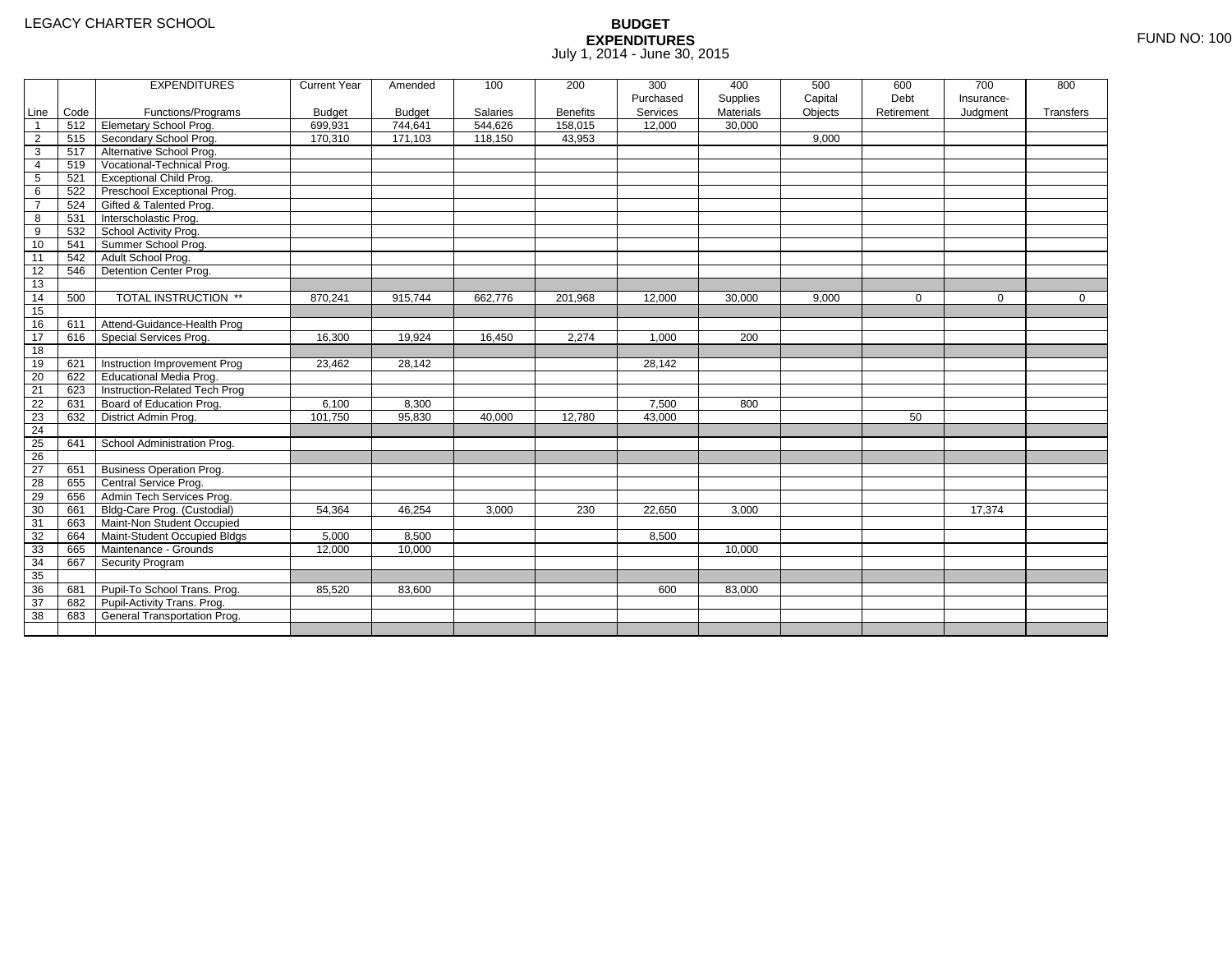|                 |      | <b>EXPENDITURES</b>             | <b>Current Year</b> | Amended       | 100             | 200             | 300       | 400       | 500     | 600         | 700        | 800         |
|-----------------|------|---------------------------------|---------------------|---------------|-----------------|-----------------|-----------|-----------|---------|-------------|------------|-------------|
|                 |      |                                 |                     |               |                 |                 | Purchased | Supplies  | Capital | Debt        | Insurance- |             |
| Line            | Code | Functions/Programs              | <b>Budget</b>       | <b>Budget</b> | <b>Salaries</b> | <b>Benefits</b> | Services  | Materials | Objects | Retirement  | Judgment   | Transfers   |
| $\overline{1}$  | 512  | <b>Elemetary School Prog.</b>   | 699,931             | 744,641       | 544,626         | 158,015         | 12,000    | 30,000    |         |             |            |             |
| $\overline{2}$  | 515  | Secondary School Prog.          | 170,310             | 171,103       | 118,150         | 43,953          |           |           | 9,000   |             |            |             |
| 3               | 517  | Alternative School Prog.        |                     |               |                 |                 |           |           |         |             |            |             |
| 4               | 519  | Vocational-Technical Prog.      |                     |               |                 |                 |           |           |         |             |            |             |
| 5               | 521  | <b>Exceptional Child Prog.</b>  |                     |               |                 |                 |           |           |         |             |            |             |
| 6               | 522  | Preschool Exceptional Prog.     |                     |               |                 |                 |           |           |         |             |            |             |
| $\overline{7}$  | 524  | Gifted & Talented Prog.         |                     |               |                 |                 |           |           |         |             |            |             |
| 8               | 531  | Interscholastic Prog.           |                     |               |                 |                 |           |           |         |             |            |             |
| 9               | 532  | School Activity Prog.           |                     |               |                 |                 |           |           |         |             |            |             |
| 10              | 541  | Summer School Prog.             |                     |               |                 |                 |           |           |         |             |            |             |
| 11              | 542  | Adult School Prog.              |                     |               |                 |                 |           |           |         |             |            |             |
| $\overline{12}$ | 546  | Detention Center Prog.          |                     |               |                 |                 |           |           |         |             |            |             |
| $\overline{13}$ |      |                                 |                     |               |                 |                 |           |           |         |             |            |             |
| 14              | 500  | TOTAL INSTRUCTION **            | 870,241             | 915,744       | 662,776         | 201,968         | 12.000    | 30,000    | 9.000   | $\mathbf 0$ | 0          | $\mathbf 0$ |
| 15              |      |                                 |                     |               |                 |                 |           |           |         |             |            |             |
| 16              | 611  | Attend-Guidance-Health Prog     |                     |               |                 |                 |           |           |         |             |            |             |
| $\overline{17}$ | 616  | Special Services Prog.          | 16,300              | 19.924        | 16,450          | 2,274           | 1.000     | 200       |         |             |            |             |
| 18              |      |                                 |                     |               |                 |                 |           |           |         |             |            |             |
| 19              | 621  | Instruction Improvement Prog    | 23,462              | 28,142        |                 |                 | 28,142    |           |         |             |            |             |
| $\overline{20}$ | 622  | <b>Educational Media Prog.</b>  |                     |               |                 |                 |           |           |         |             |            |             |
| 21              | 623  | Instruction-Related Tech Prog   |                     |               |                 |                 |           |           |         |             |            |             |
| $\overline{22}$ | 631  | Board of Education Prog.        | 6,100               | 8,300         |                 |                 | 7,500     | 800       |         |             |            |             |
| $\overline{23}$ | 632  | District Admin Prog.            | 101,750             | 95,830        | 40,000          | 12,780          | 43,000    |           |         | 50          |            |             |
| $\overline{24}$ |      |                                 |                     |               |                 |                 |           |           |         |             |            |             |
| 25              | 641  | School Administration Prog.     |                     |               |                 |                 |           |           |         |             |            |             |
| 26              |      |                                 |                     |               |                 |                 |           |           |         |             |            |             |
| $\overline{27}$ | 651  | <b>Business Operation Prog.</b> |                     |               |                 |                 |           |           |         |             |            |             |
| 28              | 655  | Central Service Prog.           |                     |               |                 |                 |           |           |         |             |            |             |
| 29              | 656  | Admin Tech Services Prog.       |                     |               |                 |                 |           |           |         |             |            |             |
| 30              | 661  | Bldg-Care Prog. (Custodial)     | 54,364              | 46,254        | 3,000           | 230             | 22,650    | 3,000     |         |             | 17,374     |             |
| 31              | 663  | Maint-Non Student Occupied      |                     |               |                 |                 |           |           |         |             |            |             |
| 32              | 664  | Maint-Student Occupied Bldgs    | 5,000               | 8,500         |                 |                 | 8,500     |           |         |             |            |             |
| 33              | 665  | Maintenance - Grounds           | 12,000              | 10,000        |                 |                 |           | 10,000    |         |             |            |             |
| 34              | 667  | <b>Security Program</b>         |                     |               |                 |                 |           |           |         |             |            |             |
| 35              |      |                                 |                     |               |                 |                 |           |           |         |             |            |             |
| 36              | 681  | Pupil-To School Trans. Prog.    | 85,520              | 83,600        |                 |                 | 600       | 83,000    |         |             |            |             |
| $\overline{37}$ | 682  | Pupil-Activity Trans. Prog.     |                     |               |                 |                 |           |           |         |             |            |             |
| $\overline{38}$ | 683  | General Transportation Prog.    |                     |               |                 |                 |           |           |         |             |            |             |
|                 |      |                                 |                     |               |                 |                 |           |           |         |             |            |             |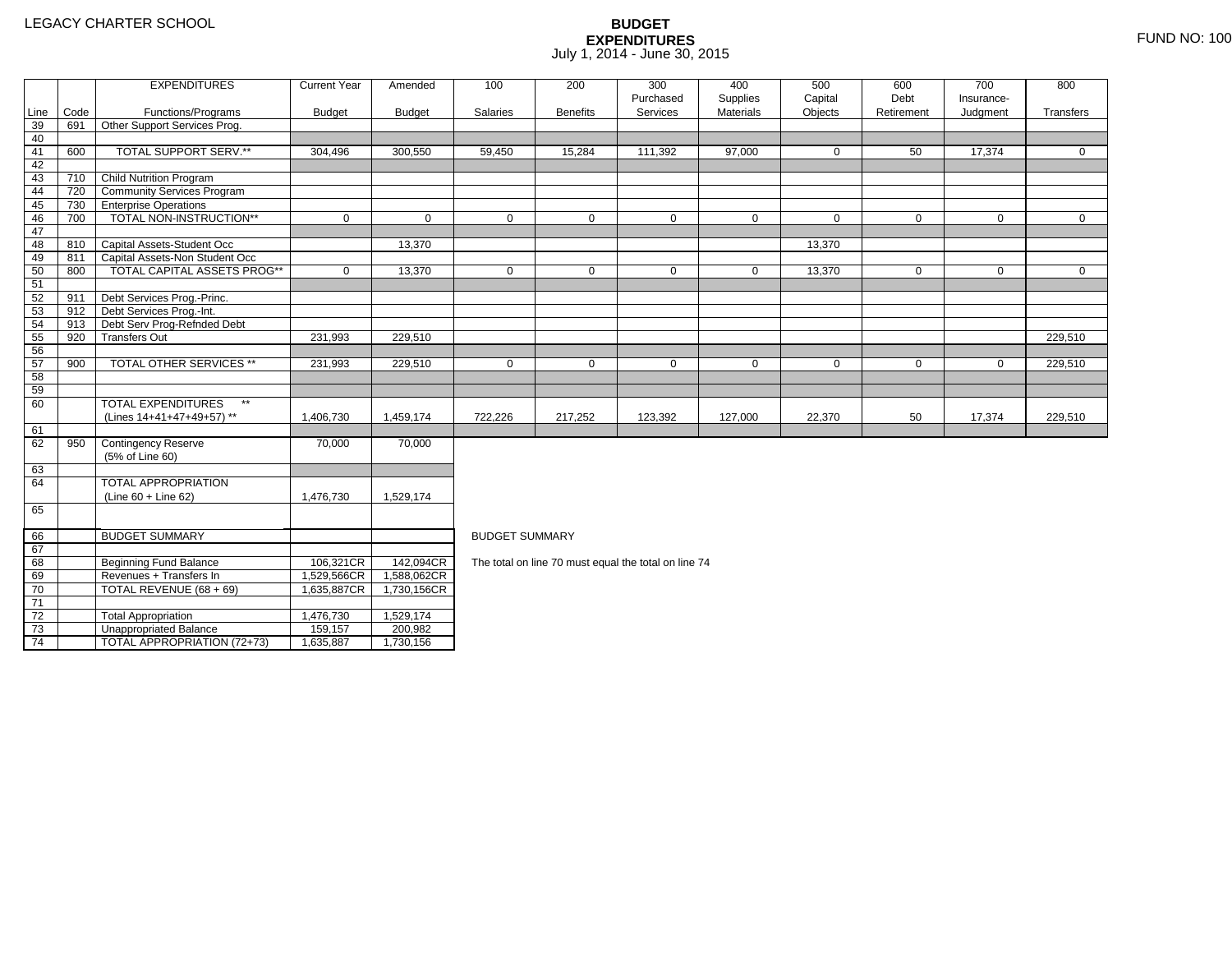2 Total Appropriation 1,476,730 1,529,174

3 | Unappropriated Balance | 159,157 | 200,982

TOTAL APPROPRIATION (72+73) 1,635,887 1,730,156

73

74

|                 |      | <b>EXPENDITURES</b>                       | <b>Current Year</b> | Amended       | 100                   | 200             | 300                                                  | 400              | 500          | 600          | 700          | 800         |  |  |  |
|-----------------|------|-------------------------------------------|---------------------|---------------|-----------------------|-----------------|------------------------------------------------------|------------------|--------------|--------------|--------------|-------------|--|--|--|
|                 |      |                                           |                     |               |                       |                 | Purchased                                            | Supplies         | Capital      | Debt         | Insurance-   |             |  |  |  |
| Line            | Code | Functions/Programs                        | <b>Budget</b>       | <b>Budget</b> | Salaries              | <b>Benefits</b> | Services                                             | <b>Materials</b> | Objects      | Retirement   | Judgment     | Transfers   |  |  |  |
| 39              | 691  | Other Support Services Prog.              |                     |               |                       |                 |                                                      |                  |              |              |              |             |  |  |  |
| 40              |      |                                           |                     |               |                       |                 |                                                      |                  |              |              |              |             |  |  |  |
| 41              | 600  | TOTAL SUPPORT SERV.**                     | 304,496             | 300,550       | 59,450                | 15,284          | 111,392                                              | 97,000           | $\mathbf{0}$ | 50           | 17,374       | $\Omega$    |  |  |  |
| 42              |      |                                           |                     |               |                       |                 |                                                      |                  |              |              |              |             |  |  |  |
| 43              | 710  | Child Nutrition Program                   |                     |               |                       |                 |                                                      |                  |              |              |              |             |  |  |  |
| 44              | 720  | Community Services Program                |                     |               |                       |                 |                                                      |                  |              |              |              |             |  |  |  |
| 45              | 730  | <b>Enterprise Operations</b>              |                     |               |                       |                 |                                                      |                  |              |              |              |             |  |  |  |
| 46              | 700  | TOTAL NON-INSTRUCTION**                   | $\mathbf 0$         | $\mathbf 0$   | $\mathbf 0$           | $\mathbf 0$     | $\mathbf 0$                                          | $\mathbf 0$      | $\mathbf 0$  | $\Omega$     | $\mathbf{0}$ | $\mathbf 0$ |  |  |  |
| 47              |      |                                           |                     |               |                       |                 |                                                      |                  |              |              |              |             |  |  |  |
| 48              | 810  | Capital Assets-Student Occ                |                     | 13,370        |                       |                 |                                                      |                  | 13,370       |              |              |             |  |  |  |
| 49              | 811  | Capital Assets-Non Student Occ            |                     |               |                       |                 |                                                      |                  |              |              |              |             |  |  |  |
| 50              | 800  | TOTAL CAPITAL ASSETS PROG**               | $\mathbf 0$         | 13,370        | $\mathbf{0}$          | $\mathbf{0}$    | $\mathbf 0$                                          | $\mathbf 0$      | 13,370       | $\mathbf{0}$ | $\mathbf 0$  | $\mathbf 0$ |  |  |  |
| 51              |      |                                           |                     |               |                       |                 |                                                      |                  |              |              |              |             |  |  |  |
| 52              | 911  | Debt Services Prog.-Princ.                |                     |               |                       |                 |                                                      |                  |              |              |              |             |  |  |  |
| 53              | 912  | Debt Services Prog.-Int.                  |                     |               |                       |                 |                                                      |                  |              |              |              |             |  |  |  |
| 54              | 913  | Debt Serv Prog-Refnded Debt               |                     |               |                       |                 |                                                      |                  |              |              |              |             |  |  |  |
| 55              | 920  | <b>Transfers Out</b>                      | 231,993             | 229,510       |                       |                 |                                                      |                  |              |              |              | 229,510     |  |  |  |
| 56              |      |                                           |                     |               |                       |                 |                                                      |                  |              |              |              |             |  |  |  |
| 57              | 900  | <b>TOTAL OTHER SERVICES **</b>            | 231,993             | 229,510       | $\mathbf 0$           | $\mathbf{0}$    | 0                                                    | $\mathbf 0$      | 0            | $\mathbf 0$  | 0            | 229,510     |  |  |  |
| 58              |      |                                           |                     |               |                       |                 |                                                      |                  |              |              |              |             |  |  |  |
| 59              |      |                                           |                     |               |                       |                 |                                                      |                  |              |              |              |             |  |  |  |
| 60              |      | <b>TOTAL EXPENDITURES</b><br>$\star\star$ |                     |               |                       |                 |                                                      |                  |              |              |              |             |  |  |  |
|                 |      | (Lines 14+41+47+49+57) **                 | 1,406,730           | 1,459,174     | 722,226               | 217,252         | 123,392                                              | 127,000          | 22,370       | 50           | 17,374       | 229,510     |  |  |  |
| 61              |      |                                           |                     |               |                       |                 |                                                      |                  |              |              |              |             |  |  |  |
| 62              | 950  | <b>Contingency Reserve</b>                | 70,000              | 70,000        |                       |                 |                                                      |                  |              |              |              |             |  |  |  |
|                 |      | (5% of Line 60)                           |                     |               |                       |                 |                                                      |                  |              |              |              |             |  |  |  |
| 63              |      |                                           |                     |               |                       |                 |                                                      |                  |              |              |              |             |  |  |  |
| 64              |      | <b>TOTAL APPROPRIATION</b>                |                     |               |                       |                 |                                                      |                  |              |              |              |             |  |  |  |
|                 |      | (Line 60 + Line 62)                       | 1,476,730           | 1,529,174     |                       |                 |                                                      |                  |              |              |              |             |  |  |  |
| 65              |      |                                           |                     |               |                       |                 |                                                      |                  |              |              |              |             |  |  |  |
|                 |      |                                           |                     |               |                       |                 |                                                      |                  |              |              |              |             |  |  |  |
| 66              |      | <b>BUDGET SUMMARY</b>                     |                     |               | <b>BUDGET SUMMARY</b> |                 |                                                      |                  |              |              |              |             |  |  |  |
| 67              |      |                                           |                     |               |                       |                 |                                                      |                  |              |              |              |             |  |  |  |
| 68              |      | <b>Beginning Fund Balance</b>             | 106,321CR           | 142,094CR     |                       |                 | The total on line 70 must equal the total on line 74 |                  |              |              |              |             |  |  |  |
| 69              |      | Revenues + Transfers In                   | 1,529,566CR         | 1,588,062CR   |                       |                 |                                                      |                  |              |              |              |             |  |  |  |
| 70              |      | TOTAL REVENUE (68 + 69)                   | 1,635,887CR         | 1,730,156CR   |                       |                 |                                                      |                  |              |              |              |             |  |  |  |
| $\overline{71}$ |      |                                           |                     |               |                       |                 |                                                      |                  |              |              |              |             |  |  |  |
| $\overline{72}$ |      | <b>Total Appropriation</b>                | 1.476.730           | 1.529.174     |                       |                 |                                                      |                  |              |              |              |             |  |  |  |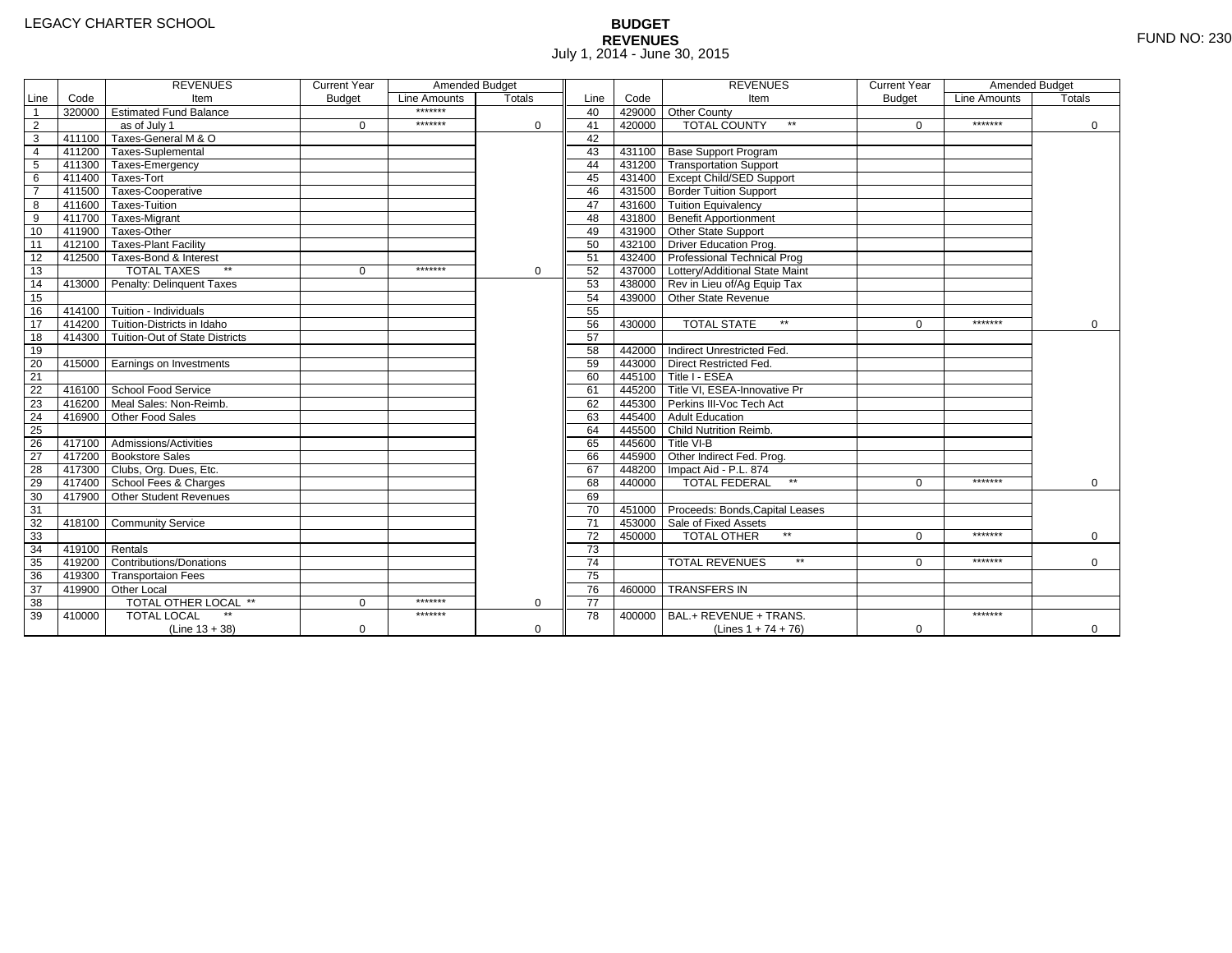# **BUDGET REVENUES** FUND NO: 230 July 1, 2014 - June 30, 2015

|                 |                | <b>REVENUES</b>                         | <b>Current Year</b> | Amended Budget |               |                 |        | <b>REVENUES</b>                        | <b>Current Year</b> | Amended Budget |               |
|-----------------|----------------|-----------------------------------------|---------------------|----------------|---------------|-----------------|--------|----------------------------------------|---------------------|----------------|---------------|
| Line            | Code           | Item                                    | <b>Budget</b>       | Line Amounts   | <b>Totals</b> | Line            | Code   | Item                                   | <b>Budget</b>       | Line Amounts   | <b>Totals</b> |
| $\overline{1}$  |                | 320000 Estimated Fund Balance           |                     | *******        |               | 40              |        | 429000 Other County                    |                     |                |               |
| $\overline{2}$  |                | as of July 1                            | $\Omega$            | *******        | $\Omega$      | 41              | 420000 | <b>TOTAL COUNTY</b><br>$**$            | $\Omega$            | *******        | 0             |
| $\overline{3}$  |                | 411100 Taxes-General M & O              |                     |                |               | 42              |        |                                        |                     |                |               |
| $\overline{4}$  |                | 411200 Taxes-Suplemental                |                     |                |               | 43              |        | 431100 Base Support Program            |                     |                |               |
| 5               |                | 411300 Taxes-Emergency                  |                     |                |               | 44              |        | 431200 Transportation Support          |                     |                |               |
| $6\overline{6}$ |                | 411400 Taxes-Tort                       |                     |                |               | 45              |        | 431400 Except Child/SED Support        |                     |                |               |
| $\overline{7}$  |                | 411500 Taxes-Cooperative                |                     |                |               | 46              |        | 431500 Border Tuition Support          |                     |                |               |
| 8               |                | 411600 Taxes-Tuition                    |                     |                |               | 47              |        | 431600 Tuition Equivalency             |                     |                |               |
| $\overline{9}$  |                | 411700 Taxes-Migrant                    |                     |                |               | 48              |        | 431800 Benefit Apportionment           |                     |                |               |
| 10              |                | 411900 Taxes-Other                      |                     |                |               | 49              |        | 431900 Other State Support             |                     |                |               |
| $\overline{11}$ |                | 412100 Taxes-Plant Facility             |                     |                |               | 50              |        | 432100 Driver Education Prog.          |                     |                |               |
| 12              |                | 412500 Taxes-Bond & Interest            |                     |                |               | 51              |        | 432400 Professional Technical Prog     |                     |                |               |
| 13              |                | $**$<br><b>TOTAL TAXES</b>              | $\mathbf 0$         | *******        | $\mathbf 0$   | 52              |        | 437000 Lottery/Additional State Maint  |                     |                |               |
| 14              |                | 413000 Penalty: Delinquent Taxes        |                     |                |               | 53              |        | 438000 Rev in Lieu of/Ag Equip Tax     |                     |                |               |
| 15              |                |                                         |                     |                |               | 54              |        | 439000 Other State Revenue             |                     |                |               |
| 16              |                | 414100 Tuition - Individuals            |                     |                |               | 55              |        |                                        |                     |                |               |
| 17              |                | 414200 Tuition-Districts in Idaho       |                     |                |               | 56              | 430000 | <b>TOTAL STATE</b><br>$\star\star$     | $\Omega$            | *******        | $\Omega$      |
| 18              |                | 414300   Tuition-Out of State Districts |                     |                |               | 57              |        |                                        |                     |                |               |
| 19              |                |                                         |                     |                |               | 58              |        | 442000 Indirect Unrestricted Fed.      |                     |                |               |
| 20              |                | 415000 Earnings on Investments          |                     |                |               | 59              |        | 443000 Direct Restricted Fed.          |                     |                |               |
| $\overline{21}$ |                |                                         |                     |                |               | 60              |        | 445100 Title I - ESEA                  |                     |                |               |
| 22              |                | 416100 School Food Service              |                     |                |               | 61              |        | 445200 Title VI, ESEA-Innovative Pr    |                     |                |               |
| 23              |                | 416200 Meal Sales: Non-Reimb.           |                     |                |               | 62              |        | 445300 Perkins III-Voc Tech Act        |                     |                |               |
| 24              |                | 416900 Other Food Sales                 |                     |                |               | 63              |        | 445400 Adult Education                 |                     |                |               |
| $\overline{25}$ |                |                                         |                     |                |               | 64              |        | 445500 Child Nutrition Reimb.          |                     |                |               |
| 26              |                | 417100 Admissions/Activities            |                     |                |               | 65              |        | 445600 Title VI-B                      |                     |                |               |
| $\overline{27}$ |                | 417200 Bookstore Sales                  |                     |                |               | 66              |        | 445900 Other Indirect Fed. Prog.       |                     |                |               |
| 28              |                | 417300 Clubs, Org. Dues, Etc.           |                     |                |               | 67              |        | 448200   Impact Aid - P.L. 874         |                     |                |               |
| 29              |                | 417400 School Fees & Charges            |                     |                |               | 68              | 440000 | <b>TOTAL FEDERAL</b><br>$\star\star$   | $\Omega$            | *******        | $\Omega$      |
| 30              |                | 417900 Other Student Revenues           |                     |                |               | 69              |        |                                        |                     |                |               |
| 31              |                |                                         |                     |                |               | 70              |        | 451000 Proceeds: Bonds, Capital Leases |                     |                |               |
| 32              |                | 418100 Community Service                |                     |                |               | $\overline{71}$ |        | 453000 Sale of Fixed Assets            |                     |                |               |
| 33              |                |                                         |                     |                |               | 72              | 450000 | <b>TOTAL OTHER</b>                     | $\Omega$            | *******        | $\Omega$      |
| 34              | 419100 Rentals |                                         |                     |                |               | 73              |        |                                        |                     |                |               |
| 35              | 419200         | <b>Contributions/Donations</b>          |                     |                |               | 74              |        | <b>TOTAL REVENUES</b><br>$\star\star$  | U                   | *******        | $\mathbf 0$   |
| 36              | 419300         | <b>Transportaion Fees</b>               |                     |                |               | 75              |        |                                        |                     |                |               |
| 37              |                | 419900 Other Local                      |                     |                |               | 76              |        | 460000 TRANSFERS IN                    |                     |                |               |
| 38              |                | TOTAL OTHER LOCAL **                    | $\Omega$            | *******        | $\mathbf 0$   | 77              |        |                                        |                     |                |               |
| 39              | 410000         | <b>TOTAL LOCAL</b>                      |                     | *******        |               | 78              | 400000 | BAL.+ REVENUE + TRANS.                 |                     | *******        |               |
|                 |                | $(Line 13 + 38)$                        | $\mathbf 0$         |                | $\mathbf 0$   |                 |        | (Lines $1 + 74 + 76$ )                 | $\mathbf 0$         |                | 0             |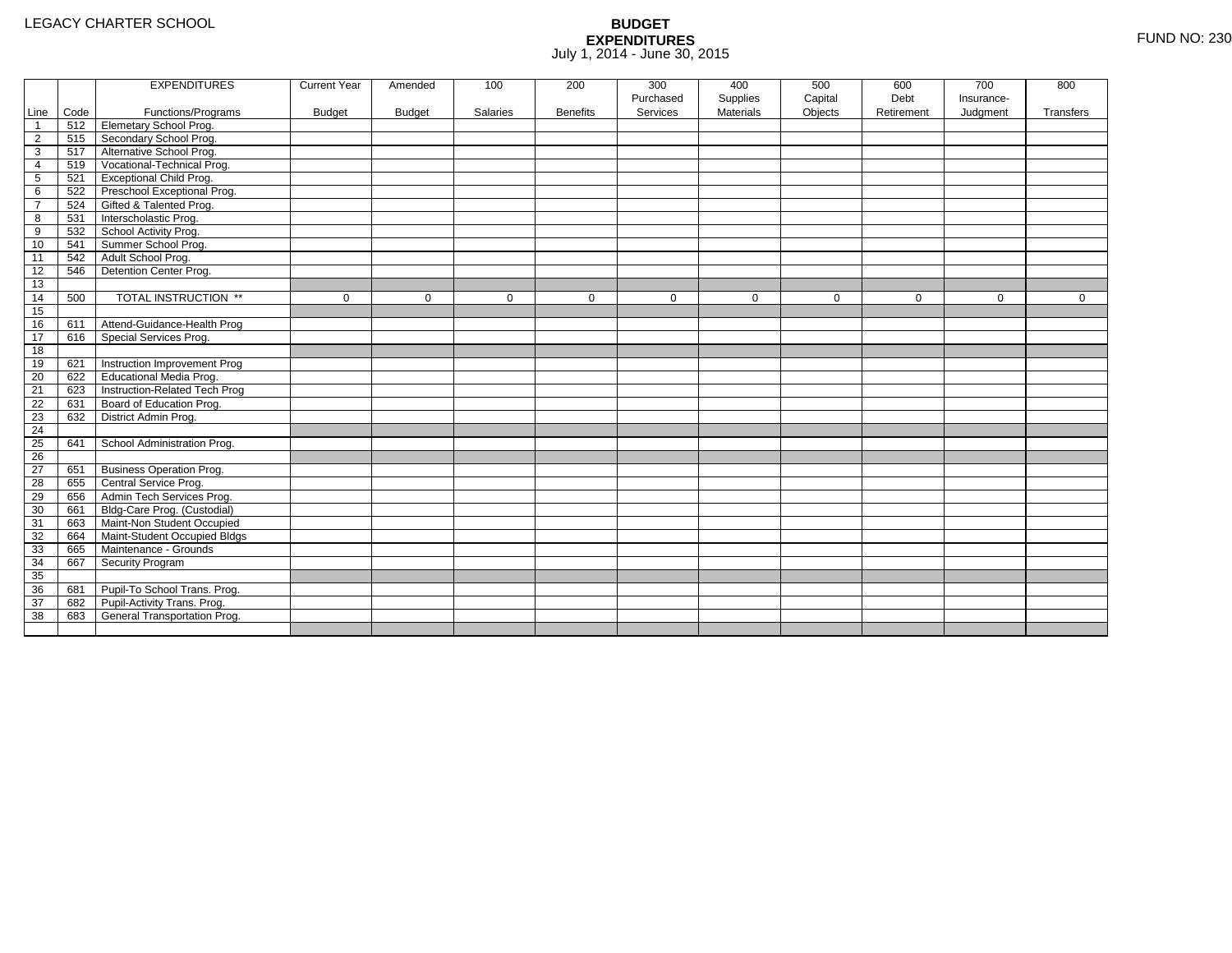|                |      | <b>EXPENDITURES</b>             | <b>Current Year</b> | Amended       | 100      | 200             | 300       | 400              | 500         | 600         | 700        | 800         |
|----------------|------|---------------------------------|---------------------|---------------|----------|-----------------|-----------|------------------|-------------|-------------|------------|-------------|
|                |      |                                 |                     |               |          |                 | Purchased | Supplies         | Capital     | Debt        | Insurance- |             |
| Line           | Code | Functions/Programs              | <b>Budget</b>       | <b>Budget</b> | Salaries | <b>Benefits</b> | Services  | <b>Materials</b> | Objects     | Retirement  | Judgment   | Transfers   |
| -1             | 512  | <b>Elemetary School Prog.</b>   |                     |               |          |                 |           |                  |             |             |            |             |
| $\overline{2}$ | 515  | Secondary School Prog.          |                     |               |          |                 |           |                  |             |             |            |             |
| 3              | 517  | Alternative School Prog.        |                     |               |          |                 |           |                  |             |             |            |             |
| 4              | 519  | Vocational-Technical Prog.      |                     |               |          |                 |           |                  |             |             |            |             |
| 5              | 521  | <b>Exceptional Child Prog.</b>  |                     |               |          |                 |           |                  |             |             |            |             |
| 6              | 522  | Preschool Exceptional Prog.     |                     |               |          |                 |           |                  |             |             |            |             |
| $\overline{7}$ | 524  | Gifted & Talented Prog.         |                     |               |          |                 |           |                  |             |             |            |             |
| 8              | 531  | Interscholastic Prog.           |                     |               |          |                 |           |                  |             |             |            |             |
| 9              | 532  | School Activity Prog.           |                     |               |          |                 |           |                  |             |             |            |             |
| 10             | 541  | Summer School Prog.             |                     |               |          |                 |           |                  |             |             |            |             |
| 11             | 542  | Adult School Prog.              |                     |               |          |                 |           |                  |             |             |            |             |
| 12             | 546  | Detention Center Prog.          |                     |               |          |                 |           |                  |             |             |            |             |
| 13             |      |                                 |                     |               |          |                 |           |                  |             |             |            |             |
| 14             | 500  | TOTAL INSTRUCTION **            | $\mathbf 0$         | $\Omega$      | $\Omega$ | $\mathbf 0$     | $\Omega$  | $\mathbf{0}$     | $\mathbf 0$ | $\mathbf 0$ | $\Omega$   | $\mathbf 0$ |
| 15             |      |                                 |                     |               |          |                 |           |                  |             |             |            |             |
| 16             | 611  | Attend-Guidance-Health Prog     |                     |               |          |                 |           |                  |             |             |            |             |
| 17             | 616  | Special Services Prog.          |                     |               |          |                 |           |                  |             |             |            |             |
| 18             |      |                                 |                     |               |          |                 |           |                  |             |             |            |             |
| 19             | 621  | Instruction Improvement Prog    |                     |               |          |                 |           |                  |             |             |            |             |
| 20             | 622  | <b>Educational Media Prog.</b>  |                     |               |          |                 |           |                  |             |             |            |             |
| 21             | 623  | Instruction-Related Tech Prog   |                     |               |          |                 |           |                  |             |             |            |             |
| 22             | 631  | Board of Education Prog.        |                     |               |          |                 |           |                  |             |             |            |             |
| 23             | 632  | District Admin Prog.            |                     |               |          |                 |           |                  |             |             |            |             |
| 24             |      |                                 |                     |               |          |                 |           |                  |             |             |            |             |
| 25             | 641  | School Administration Prog.     |                     |               |          |                 |           |                  |             |             |            |             |
| 26             |      |                                 |                     |               |          |                 |           |                  |             |             |            |             |
| 27             | 651  | <b>Business Operation Prog.</b> |                     |               |          |                 |           |                  |             |             |            |             |
| 28             | 655  | Central Service Prog.           |                     |               |          |                 |           |                  |             |             |            |             |
| 29             | 656  | Admin Tech Services Prog.       |                     |               |          |                 |           |                  |             |             |            |             |
| 30             | 661  | Bldg-Care Prog. (Custodial)     |                     |               |          |                 |           |                  |             |             |            |             |
| 31             | 663  | Maint-Non Student Occupied      |                     |               |          |                 |           |                  |             |             |            |             |
| 32             | 664  | Maint-Student Occupied Bldgs    |                     |               |          |                 |           |                  |             |             |            |             |
| 33             | 665  | Maintenance - Grounds           |                     |               |          |                 |           |                  |             |             |            |             |
| 34             | 667  | Security Program                |                     |               |          |                 |           |                  |             |             |            |             |
| 35             |      |                                 |                     |               |          |                 |           |                  |             |             |            |             |
| 36             | 681  | Pupil-To School Trans. Prog.    |                     |               |          |                 |           |                  |             |             |            |             |
| 37             | 682  | Pupil-Activity Trans. Prog.     |                     |               |          |                 |           |                  |             |             |            |             |
| 38             | 683  | General Transportation Prog.    |                     |               |          |                 |           |                  |             |             |            |             |
|                |      |                                 |                     |               |          |                 |           |                  |             |             |            |             |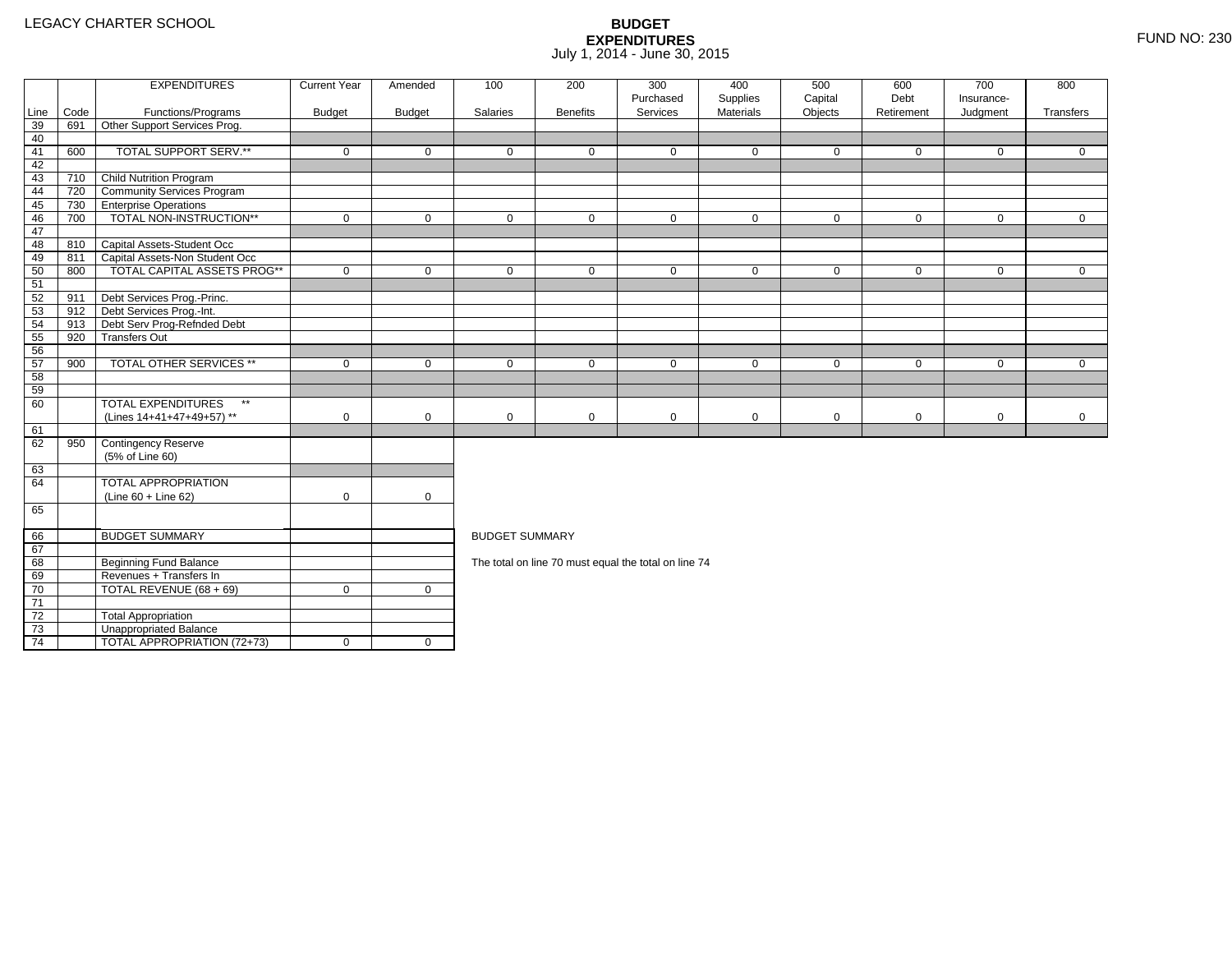4 | TOTAL APPROPRIATION (72+73) | 0 | 0

|                 |      | <b>EXPENDITURES</b>                       | <b>Current Year</b> | Amended       | 100                   | 200             | 300<br>Purchased                                     | 400<br>Supplies | 500<br>Capital | 600<br>Debt | 700<br>Insurance- | 800          |
|-----------------|------|-------------------------------------------|---------------------|---------------|-----------------------|-----------------|------------------------------------------------------|-----------------|----------------|-------------|-------------------|--------------|
| Line            | Code | Functions/Programs                        | <b>Budget</b>       | <b>Budget</b> | Salaries              | <b>Benefits</b> | Services                                             | Materials       | Objects        | Retirement  | Judgment          | Transfers    |
| 39              | 691  | Other Support Services Prog.              |                     |               |                       |                 |                                                      |                 |                |             |                   |              |
| 40              |      |                                           |                     |               |                       |                 |                                                      |                 |                |             |                   |              |
| 41              | 600  | TOTAL SUPPORT SERV.**                     | $\mathbf 0$         | $\mathbf 0$   | $\mathbf 0$           | $\mathbf{0}$    | $\mathbf 0$                                          | $\mathbf 0$     | $\mathbf 0$    | $\mathbf 0$ | $\mathbf 0$       | $\mathbf{0}$ |
| 42              |      |                                           |                     |               |                       |                 |                                                      |                 |                |             |                   |              |
| 43              | 710  | Child Nutrition Program                   |                     |               |                       |                 |                                                      |                 |                |             |                   |              |
| 44              | 720  | <b>Community Services Program</b>         |                     |               |                       |                 |                                                      |                 |                |             |                   |              |
| 45              | 730  | <b>TEnterprise Operations</b>             |                     |               |                       |                 |                                                      |                 |                |             |                   |              |
| 46              | 700  | TOTAL NON-INSTRUCTION**                   | $\mathbf 0$         | $\mathbf 0$   | $\mathbf 0$           | $\mathbf 0$     | $\mathbf 0$                                          | $\mathbf 0$     | $\mathbf 0$    | $\mathbf 0$ | $\mathbf{0}$      | $\mathbf{0}$ |
| 47              |      |                                           |                     |               |                       |                 |                                                      |                 |                |             |                   |              |
| 48              |      | 810 Capital Assets-Student Occ            |                     |               |                       |                 |                                                      |                 |                |             |                   |              |
| 49              | 811  | Capital Assets-Non Student Occ            |                     |               |                       |                 |                                                      |                 |                |             |                   |              |
| 50              | 800  | <b>TOTAL CAPITAL ASSETS PROG**</b>        | $\mathbf 0$         | $\mathbf 0$   | $\mathbf 0$           | $\mathbf 0$     | $\mathbf 0$                                          | $\mathbf 0$     | $\mathbf 0$    | $\mathbf 0$ | $\mathbf 0$       | $\mathbf{0}$ |
| 51              |      |                                           |                     |               |                       |                 |                                                      |                 |                |             |                   |              |
| 52              | 911  | Debt Services Prog.-Princ.                |                     |               |                       |                 |                                                      |                 |                |             |                   |              |
| 53              |      | 912 Debt Services Prog.-Int.              |                     |               |                       |                 |                                                      |                 |                |             |                   |              |
| 54              | 913  | Debt Serv Prog-Refnded Debt               |                     |               |                       |                 |                                                      |                 |                |             |                   |              |
| 55              | 920  | <b>Transfers Out</b>                      |                     |               |                       |                 |                                                      |                 |                |             |                   |              |
| 56              |      |                                           |                     |               |                       |                 |                                                      |                 |                |             |                   |              |
| 57              | 900  | <b>TOTAL OTHER SERVICES **</b>            | $\mathbf 0$         | $\mathbf 0$   | $\mathbf 0$           | $\mathbf{0}$    | $\mathbf 0$                                          | $\mathbf 0$     | $\mathbf 0$    | $\mathbf 0$ | $\mathbf 0$       | $\Omega$     |
| 58              |      |                                           |                     |               |                       |                 |                                                      |                 |                |             |                   |              |
| 59              |      |                                           |                     |               |                       |                 |                                                      |                 |                |             |                   |              |
| 60              |      | <b>TOTAL EXPENDITURES</b><br>$\star\star$ |                     |               |                       |                 |                                                      |                 |                |             |                   |              |
|                 |      | (Lines 14+41+47+49+57) **                 | $\mathbf 0$         | $\mathbf 0$   | $\mathbf 0$           | $\mathbf 0$     | $\mathbf 0$                                          | $\mathbf 0$     | $\mathbf 0$    | $\mathbf 0$ | $\mathbf 0$       | $\mathbf 0$  |
| 61              |      |                                           |                     |               |                       |                 |                                                      |                 |                |             |                   |              |
| 62              | 950  | Contingency Reserve                       |                     |               |                       |                 |                                                      |                 |                |             |                   |              |
|                 |      | (5% of Line 60)                           |                     |               |                       |                 |                                                      |                 |                |             |                   |              |
| 63              |      |                                           |                     |               |                       |                 |                                                      |                 |                |             |                   |              |
| 64              |      | <b>TOTAL APPROPRIATION</b>                |                     |               |                       |                 |                                                      |                 |                |             |                   |              |
|                 |      | $(Line 60 + Line 62)$                     | $\mathbf 0$         | $\mathbf 0$   |                       |                 |                                                      |                 |                |             |                   |              |
| 65              |      |                                           |                     |               |                       |                 |                                                      |                 |                |             |                   |              |
| 66              |      | <b>BUDGET SUMMARY</b>                     |                     |               | <b>BUDGET SUMMARY</b> |                 |                                                      |                 |                |             |                   |              |
| 67              |      |                                           |                     |               |                       |                 |                                                      |                 |                |             |                   |              |
| 68              |      | <b>Beginning Fund Balance</b>             |                     |               |                       |                 | The total on line 70 must equal the total on line 74 |                 |                |             |                   |              |
| 69              |      | Revenues + Transfers In                   |                     |               |                       |                 |                                                      |                 |                |             |                   |              |
| 70              |      | TOTAL REVENUE (68 + 69)                   | $\mathbf 0$         | $\mathbf 0$   |                       |                 |                                                      |                 |                |             |                   |              |
| $\overline{71}$ |      |                                           |                     |               |                       |                 |                                                      |                 |                |             |                   |              |
| 72              |      | <b>Total Appropriation</b>                |                     |               |                       |                 |                                                      |                 |                |             |                   |              |
| 73              |      | Unappropriated Balance                    |                     |               |                       |                 |                                                      |                 |                |             |                   |              |
|                 |      |                                           |                     |               |                       |                 |                                                      |                 |                |             |                   |              |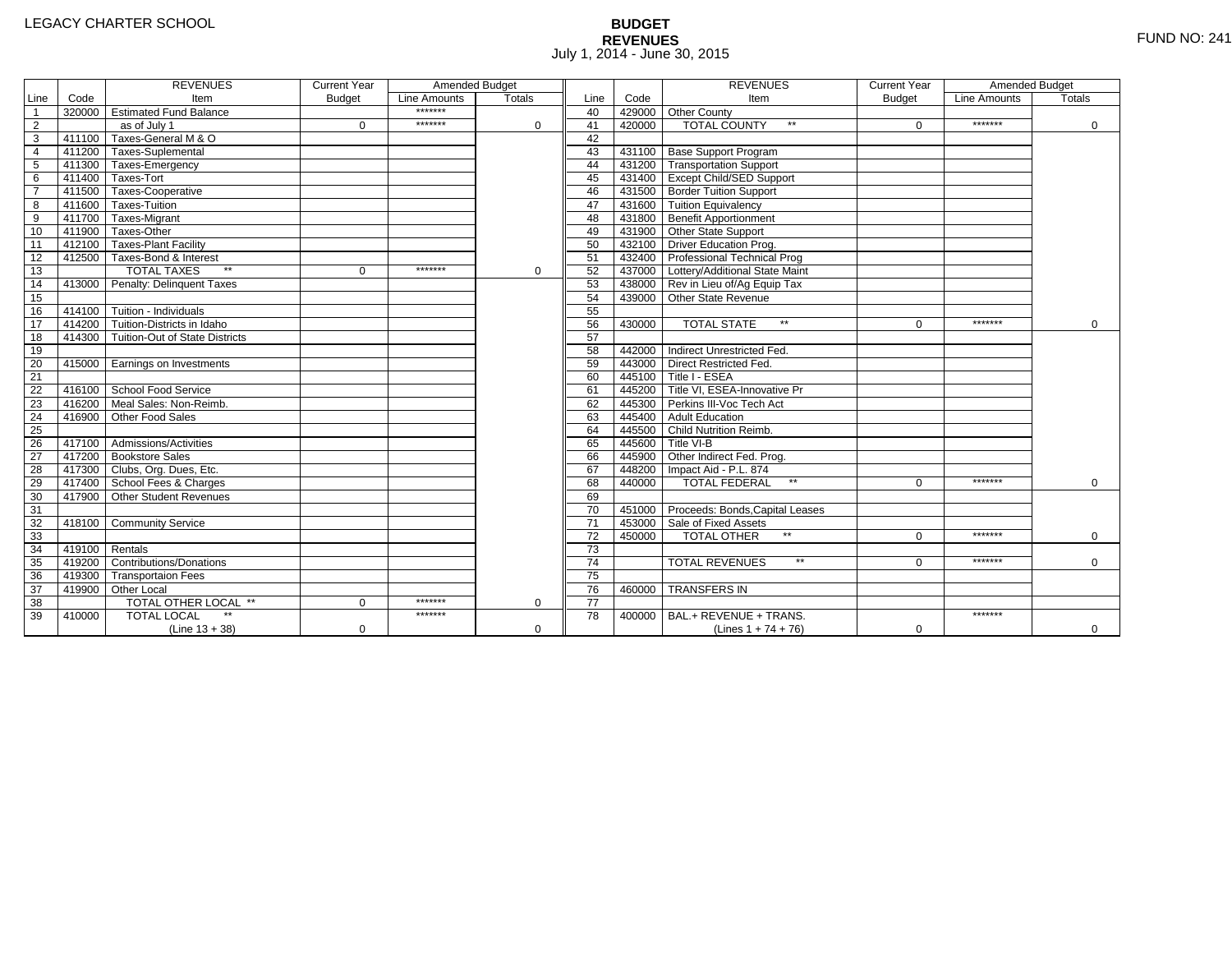# **BUDGET REVENUES** FUND NO: 241 July 1, 2014 - June 30, 2015

|                 |        | <b>REVENUES</b>                       | <b>Current Year</b> | Amended Budget |               |                 |        | <b>REVENUES</b>                        | <b>Current Year</b> | Amended Budget |               |
|-----------------|--------|---------------------------------------|---------------------|----------------|---------------|-----------------|--------|----------------------------------------|---------------------|----------------|---------------|
| Line            | Code   | Item                                  | <b>Budget</b>       | Line Amounts   | <b>Totals</b> | Line            | Code   | Item                                   | <b>Budget</b>       | Line Amounts   | <b>Totals</b> |
| $\overline{1}$  |        | 320000 Estimated Fund Balance         |                     | *******        |               | 40              |        | 429000 Other County                    |                     |                |               |
| $\overline{2}$  |        | as of July 1                          | $\Omega$            | *******        | $\Omega$      | 41              | 420000 | <b>TOTAL COUNTY</b><br>$\star\star$    | $\Omega$            | *******        | 0             |
| $\overline{3}$  |        | 411100 Taxes-General M & O            |                     |                |               | 42              |        |                                        |                     |                |               |
| $\overline{4}$  |        | 411200 Taxes-Suplemental              |                     |                |               | 43              |        | 431100 Base Support Program            |                     |                |               |
| 5               |        | 411300 Taxes-Emergency                |                     |                |               | 44              |        | 431200 Transportation Support          |                     |                |               |
| 6               |        | 411400 Taxes-Tort                     |                     |                |               | 45              |        | 431400 Except Child/SED Support        |                     |                |               |
| $\overline{7}$  |        | 411500 Taxes-Cooperative              |                     |                |               | 46              |        | 431500 Border Tuition Support          |                     |                |               |
| 8               |        | 411600 Taxes-Tuition                  |                     |                |               | 47              |        | 431600 Tuition Equivalency             |                     |                |               |
| $\overline{9}$  |        | 411700 Taxes-Migrant                  |                     |                |               | 48              |        | 431800 Benefit Apportionment           |                     |                |               |
| 10              |        | 411900 Taxes-Other                    |                     |                |               | 49              |        | 431900 Other State Support             |                     |                |               |
| 11              |        | 412100 Taxes-Plant Facility           |                     |                |               | 50              |        | 432100 Driver Education Prog.          |                     |                |               |
| 12              |        | 412500 Taxes-Bond & Interest          |                     |                |               | 51              |        | 432400 Professional Technical Prog     |                     |                |               |
| 13              |        | $**$<br><b>TOTAL TAXES</b>            | $\mathbf{0}$        | *******        | $\mathbf 0$   | 52              |        | 437000 Lottery/Additional State Maint  |                     |                |               |
| 14              |        | 413000 Penalty: Delinquent Taxes      |                     |                |               | 53              |        | 438000 Rev in Lieu of/Ag Equip Tax     |                     |                |               |
| 15              |        |                                       |                     |                |               | 54              |        | 439000 Other State Revenue             |                     |                |               |
| 16              |        | 414100 Tuition - Individuals          |                     |                |               | 55              |        |                                        |                     |                |               |
| 17              |        | 414200 Tuition-Districts in Idaho     |                     |                |               | 56              | 430000 | <b>TOTAL STATE</b><br>$**$             | $\Omega$            | *******        | $\Omega$      |
| 18              |        | 414300 Tuition-Out of State Districts |                     |                |               | 57              |        |                                        |                     |                |               |
| 19              |        |                                       |                     |                |               | 58              |        | 442000 Indirect Unrestricted Fed.      |                     |                |               |
| 20              |        | 415000 Earnings on Investments        |                     |                |               | 59              |        | 443000 Direct Restricted Fed.          |                     |                |               |
| $\overline{21}$ |        |                                       |                     |                |               | 60              |        | 445100 Title I - ESEA                  |                     |                |               |
| 22              |        | 416100 School Food Service            |                     |                |               | 61              |        | 445200 Title VI. ESEA-Innovative Pr    |                     |                |               |
| 23              | 416200 | Meal Sales: Non-Reimb.                |                     |                |               | 62              |        | 445300 Perkins III-Voc Tech Act        |                     |                |               |
| 24              | 416900 | Other Food Sales                      |                     |                |               | 63              |        | 445400 Adult Education                 |                     |                |               |
| 25              |        |                                       |                     |                |               | 64              |        | 445500 Child Nutrition Reimb.          |                     |                |               |
| 26              |        | 417100 Admissions/Activities          |                     |                |               | 65              |        | 445600 Title VI-B                      |                     |                |               |
| $\overline{27}$ |        | 417200 Bookstore Sales                |                     |                |               | 66              |        | 445900 Other Indirect Fed. Prog.       |                     |                |               |
| 28              |        | 417300 Clubs, Org. Dues, Etc.         |                     |                |               | 67              |        | 448200   Impact Aid - P.L. 874         |                     |                |               |
| 29              |        | 417400 School Fees & Charges          |                     |                |               | 68              | 440000 | <b>TOTAL FEDERAL</b><br>$\star\star$   | $\Omega$            | *******        | $\Omega$      |
| 30              |        | 417900 Other Student Revenues         |                     |                |               | 69              |        |                                        |                     |                |               |
| 31              |        |                                       |                     |                |               | 70              |        | 451000 Proceeds: Bonds, Capital Leases |                     |                |               |
| $\overline{32}$ |        | 418100 Community Service              |                     |                |               | $\overline{71}$ |        | 453000 Sale of Fixed Assets            |                     |                |               |
| 33              |        |                                       |                     |                |               | 72              | 450000 | TOTAL OTHER                            | $\Omega$            | *******        | $\Omega$      |
| 34              | 419100 | Rentals                               |                     |                |               | $\overline{73}$ |        |                                        |                     |                |               |
| 35              | 419200 | <b>Contributions/Donations</b>        |                     |                |               | $\overline{74}$ |        | <b>TOTAL REVENUES</b><br>$\star\star$  | U                   | *******        | $\mathbf 0$   |
| 36              |        | 419300 Transportaion Fees             |                     |                |               | 75              |        |                                        |                     |                |               |
| 37              |        | 419900 Other Local                    |                     |                |               | 76              | 460000 | <b>TRANSFERS IN</b>                    |                     |                |               |
| $\overline{38}$ |        | TOTAL OTHER LOCAL **                  | $\Omega$            | *******        | $\Omega$      | $\overline{77}$ |        |                                        |                     |                |               |
| 39              | 410000 | <b>TOTAL LOCAL</b>                    |                     | *******        |               | 78              | 400000 | BAL.+ REVENUE + TRANS.                 |                     | *******        |               |
|                 |        | $(Line 13 + 38)$                      | 0                   |                | $\Omega$      |                 |        | (Lines $1 + 74 + 76$ )                 | 0                   |                | $\mathbf{0}$  |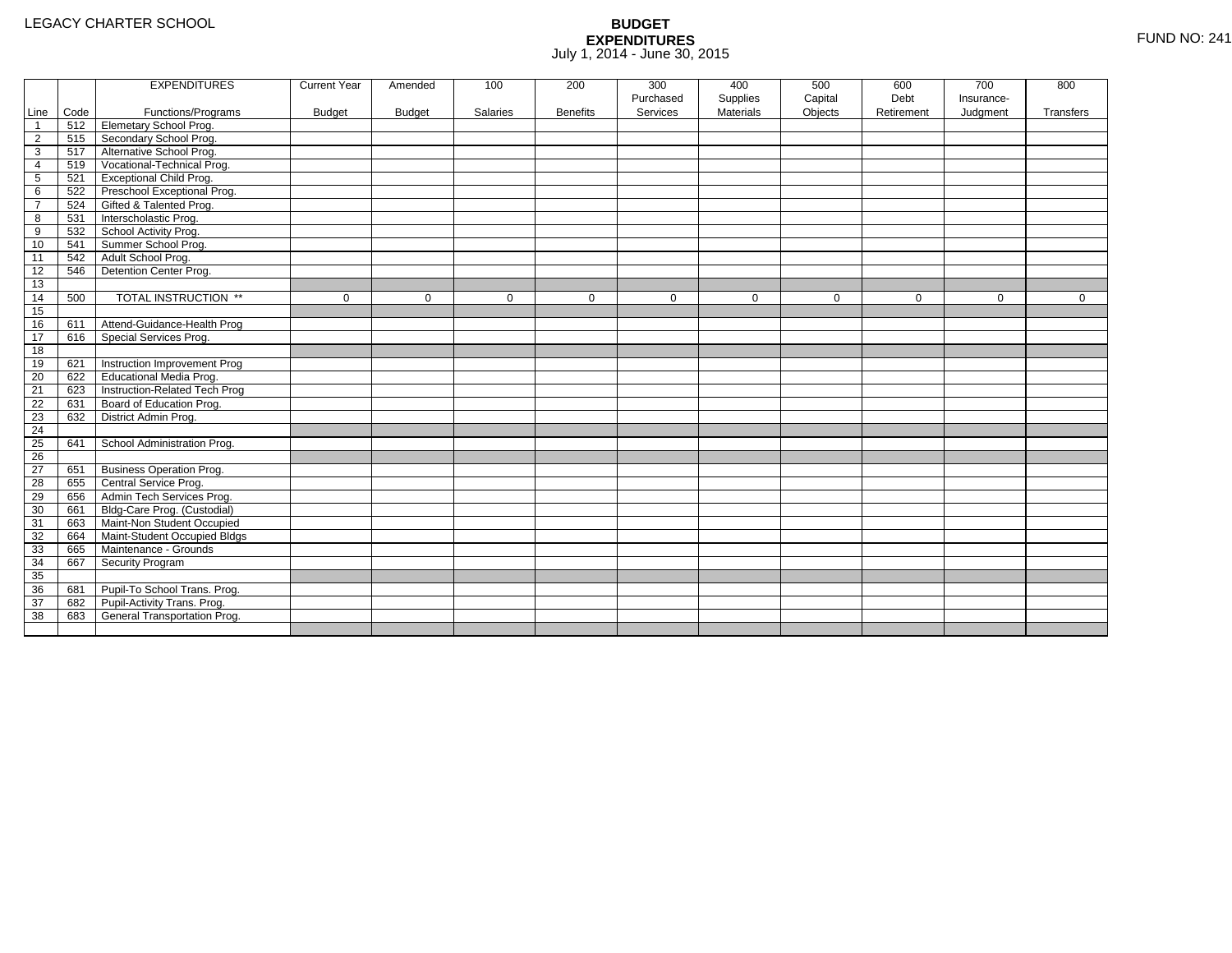|                 |      | <b>EXPENDITURES</b>             | <b>Current Year</b> | Amended       | 100         | 200             | 300         | 400              | 500         | 600         | 700         | 800          |
|-----------------|------|---------------------------------|---------------------|---------------|-------------|-----------------|-------------|------------------|-------------|-------------|-------------|--------------|
|                 |      |                                 |                     |               |             |                 | Purchased   | Supplies         | Capital     | Debt        | Insurance-  |              |
| Line            | Code | Functions/Programs              | <b>Budget</b>       | <b>Budget</b> | Salaries    | <b>Benefits</b> | Services    | <b>Materials</b> | Objects     | Retirement  | Judgment    | Transfers    |
| $\overline{1}$  | 512  | <b>Elemetary School Prog.</b>   |                     |               |             |                 |             |                  |             |             |             |              |
| $\overline{2}$  | 515  | Secondary School Prog.          |                     |               |             |                 |             |                  |             |             |             |              |
| 3               | 517  | Alternative School Prog.        |                     |               |             |                 |             |                  |             |             |             |              |
| 4               | 519  | Vocational-Technical Prog.      |                     |               |             |                 |             |                  |             |             |             |              |
| 5               | 521  | <b>Exceptional Child Prog.</b>  |                     |               |             |                 |             |                  |             |             |             |              |
| 6               | 522  | Preschool Exceptional Prog.     |                     |               |             |                 |             |                  |             |             |             |              |
| $\overline{7}$  | 524  | Gifted & Talented Prog.         |                     |               |             |                 |             |                  |             |             |             |              |
| 8               | 531  | Interscholastic Prog.           |                     |               |             |                 |             |                  |             |             |             |              |
| 9               | 532  | School Activity Prog.           |                     |               |             |                 |             |                  |             |             |             |              |
| 10              | 541  | Summer School Prog.             |                     |               |             |                 |             |                  |             |             |             |              |
| 11              | 542  | Adult School Prog.              |                     |               |             |                 |             |                  |             |             |             |              |
| 12              | 546  | Detention Center Prog.          |                     |               |             |                 |             |                  |             |             |             |              |
| 13              |      |                                 |                     |               |             |                 |             |                  |             |             |             |              |
| 14              | 500  | TOTAL INSTRUCTION **            | $\mathbf 0$         | $\Omega$      | $\mathbf 0$ | $\mathbf 0$     | $\mathbf 0$ | $\mathbf 0$      | $\mathbf 0$ | $\mathbf 0$ | $\mathbf 0$ | $\mathbf{0}$ |
| 15              |      |                                 |                     |               |             |                 |             |                  |             |             |             |              |
| 16              | 611  | Attend-Guidance-Health Prog     |                     |               |             |                 |             |                  |             |             |             |              |
| 17              | 616  | Special Services Prog.          |                     |               |             |                 |             |                  |             |             |             |              |
| 18              |      |                                 |                     |               |             |                 |             |                  |             |             |             |              |
| 19              | 621  | Instruction Improvement Prog    |                     |               |             |                 |             |                  |             |             |             |              |
| 20              | 622  | Educational Media Prog.         |                     |               |             |                 |             |                  |             |             |             |              |
| 21              | 623  | Instruction-Related Tech Prog   |                     |               |             |                 |             |                  |             |             |             |              |
| 22              | 631  | Board of Education Prog.        |                     |               |             |                 |             |                  |             |             |             |              |
| 23              | 632  | District Admin Prog.            |                     |               |             |                 |             |                  |             |             |             |              |
| 24              |      |                                 |                     |               |             |                 |             |                  |             |             |             |              |
| 25              | 641  | School Administration Prog.     |                     |               |             |                 |             |                  |             |             |             |              |
| $\overline{26}$ |      |                                 |                     |               |             |                 |             |                  |             |             |             |              |
| 27              | 651  | <b>Business Operation Prog.</b> |                     |               |             |                 |             |                  |             |             |             |              |
| 28              | 655  | Central Service Prog.           |                     |               |             |                 |             |                  |             |             |             |              |
| 29              | 656  | Admin Tech Services Prog.       |                     |               |             |                 |             |                  |             |             |             |              |
| 30              | 661  | Bldg-Care Prog. (Custodial)     |                     |               |             |                 |             |                  |             |             |             |              |
| 31              | 663  | Maint-Non Student Occupied      |                     |               |             |                 |             |                  |             |             |             |              |
| 32              | 664  | Maint-Student Occupied Bldgs    |                     |               |             |                 |             |                  |             |             |             |              |
| 33              | 665  | Maintenance - Grounds           |                     |               |             |                 |             |                  |             |             |             |              |
| 34              | 667  | Security Program                |                     |               |             |                 |             |                  |             |             |             |              |
| 35              |      |                                 |                     |               |             |                 |             |                  |             |             |             |              |
| 36              | 681  | Pupil-To School Trans. Prog.    |                     |               |             |                 |             |                  |             |             |             |              |
| 37              | 682  | Pupil-Activity Trans. Prog.     |                     |               |             |                 |             |                  |             |             |             |              |
| 38              | 683  | General Transportation Prog.    |                     |               |             |                 |             |                  |             |             |             |              |
|                 |      |                                 |                     |               |             |                 |             |                  |             |             |             |              |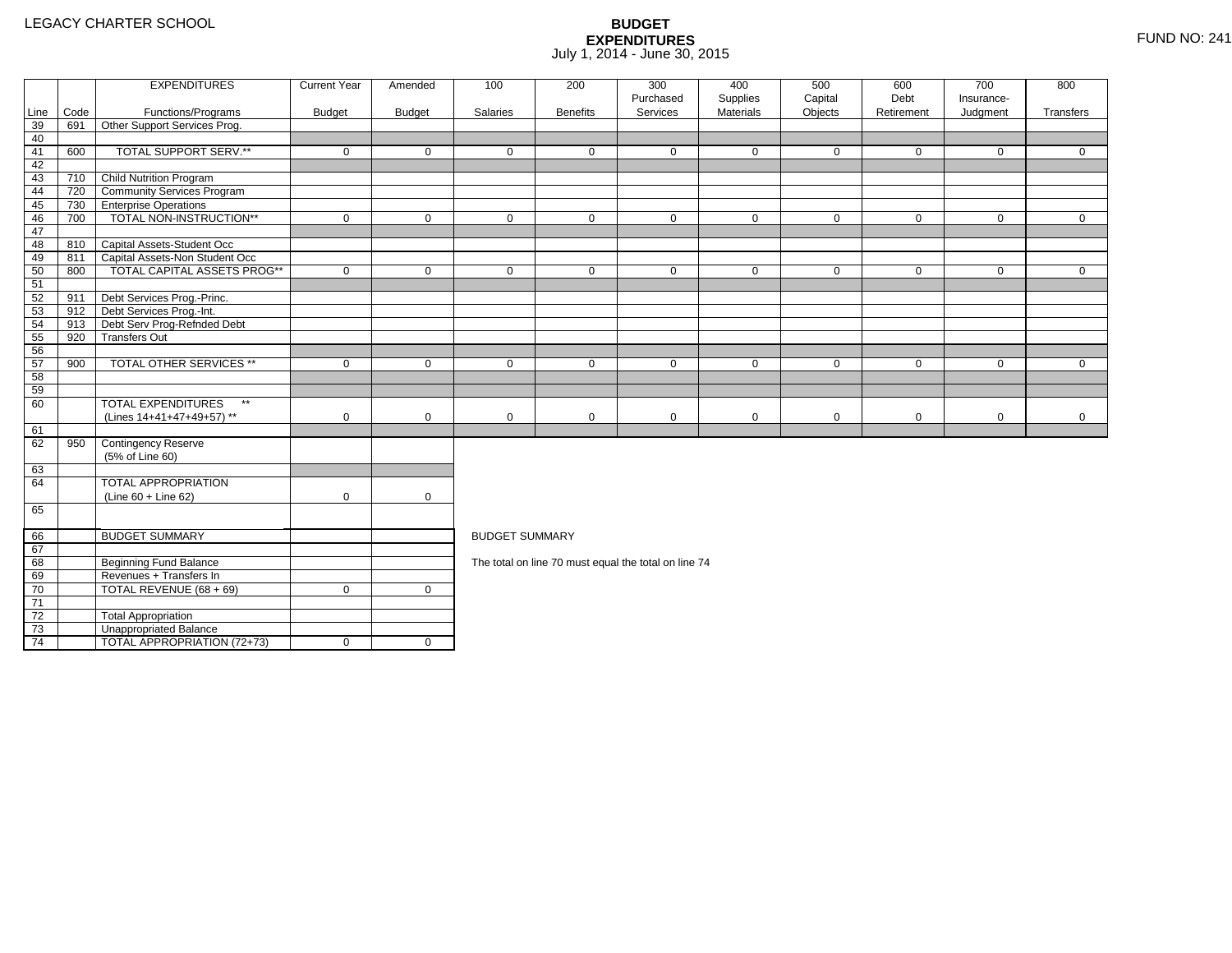4 | TOTAL APPROPRIATION (72+73) | 0 | 0

|                 |      | <b>EXPENDITURES</b>                       | <b>Current Year</b> | Amended       | 100                   | 200             | 300<br>Purchased                                     | 400<br>Supplies | 500<br>Capital | 600<br>Debt | 700<br>Insurance- | 800          |
|-----------------|------|-------------------------------------------|---------------------|---------------|-----------------------|-----------------|------------------------------------------------------|-----------------|----------------|-------------|-------------------|--------------|
| Line            | Code | Functions/Programs                        | <b>Budget</b>       | <b>Budget</b> | Salaries              | <b>Benefits</b> | Services                                             | Materials       | Objects        | Retirement  | Judgment          | Transfers    |
| 39              | 691  | Other Support Services Prog.              |                     |               |                       |                 |                                                      |                 |                |             |                   |              |
| 40              |      |                                           |                     |               |                       |                 |                                                      |                 |                |             |                   |              |
| 41              | 600  | TOTAL SUPPORT SERV.**                     | $\mathbf 0$         | $\mathbf 0$   | $\mathbf 0$           | $\mathbf{0}$    | $\mathbf 0$                                          | $\mathbf 0$     | $\mathbf 0$    | $\mathbf 0$ | $\mathbf 0$       | $\mathbf{0}$ |
| 42              |      |                                           |                     |               |                       |                 |                                                      |                 |                |             |                   |              |
| 43              | 710  | Child Nutrition Program                   |                     |               |                       |                 |                                                      |                 |                |             |                   |              |
| 44              | 720  | <b>Community Services Program</b>         |                     |               |                       |                 |                                                      |                 |                |             |                   |              |
| 45              | 730  | <b>TEnterprise Operations</b>             |                     |               |                       |                 |                                                      |                 |                |             |                   |              |
| 46              | 700  | TOTAL NON-INSTRUCTION**                   | $\mathbf 0$         | $\mathbf 0$   | $\mathbf 0$           | $\mathbf 0$     | $\mathbf 0$                                          | $\mathbf 0$     | $\mathbf 0$    | $\mathbf 0$ | $\mathbf{0}$      | $\mathbf{0}$ |
| 47              |      |                                           |                     |               |                       |                 |                                                      |                 |                |             |                   |              |
| 48              |      | 810 Capital Assets-Student Occ            |                     |               |                       |                 |                                                      |                 |                |             |                   |              |
| 49              | 811  | Capital Assets-Non Student Occ            |                     |               |                       |                 |                                                      |                 |                |             |                   |              |
| 50              | 800  | <b>TOTAL CAPITAL ASSETS PROG**</b>        | $\mathbf 0$         | $\mathbf 0$   | $\mathbf 0$           | $\mathbf 0$     | $\mathbf 0$                                          | $\mathbf 0$     | $\mathbf 0$    | $\mathbf 0$ | $\mathbf 0$       | $\mathbf{0}$ |
| 51              |      |                                           |                     |               |                       |                 |                                                      |                 |                |             |                   |              |
| 52              | 911  | Debt Services Prog.-Princ.                |                     |               |                       |                 |                                                      |                 |                |             |                   |              |
| 53              |      | 912 Debt Services Prog.-Int.              |                     |               |                       |                 |                                                      |                 |                |             |                   |              |
| 54              | 913  | Debt Serv Prog-Refnded Debt               |                     |               |                       |                 |                                                      |                 |                |             |                   |              |
| 55              | 920  | <b>Transfers Out</b>                      |                     |               |                       |                 |                                                      |                 |                |             |                   |              |
| 56              |      |                                           |                     |               |                       |                 |                                                      |                 |                |             |                   |              |
| 57              | 900  | <b>TOTAL OTHER SERVICES **</b>            | $\mathbf 0$         | $\mathbf 0$   | $\mathbf 0$           | $\mathbf{0}$    | $\mathbf 0$                                          | $\mathbf 0$     | $\mathbf 0$    | $\mathbf 0$ | $\mathbf 0$       | $\Omega$     |
| 58              |      |                                           |                     |               |                       |                 |                                                      |                 |                |             |                   |              |
| 59              |      |                                           |                     |               |                       |                 |                                                      |                 |                |             |                   |              |
| 60              |      | <b>TOTAL EXPENDITURES</b><br>$\star\star$ |                     |               |                       |                 |                                                      |                 |                |             |                   |              |
|                 |      | (Lines 14+41+47+49+57) **                 | $\mathbf 0$         | $\mathbf 0$   | $\mathbf 0$           | $\mathbf 0$     | $\mathbf 0$                                          | $\mathbf 0$     | $\mathbf 0$    | $\mathbf 0$ | $\mathbf 0$       | $\mathbf 0$  |
| 61              |      |                                           |                     |               |                       |                 |                                                      |                 |                |             |                   |              |
| 62              | 950  | Contingency Reserve                       |                     |               |                       |                 |                                                      |                 |                |             |                   |              |
|                 |      | (5% of Line 60)                           |                     |               |                       |                 |                                                      |                 |                |             |                   |              |
| 63              |      |                                           |                     |               |                       |                 |                                                      |                 |                |             |                   |              |
| 64              |      | <b>TOTAL APPROPRIATION</b>                |                     |               |                       |                 |                                                      |                 |                |             |                   |              |
|                 |      | $(Line 60 + Line 62)$                     | $\mathbf 0$         | $\mathbf 0$   |                       |                 |                                                      |                 |                |             |                   |              |
| 65              |      |                                           |                     |               |                       |                 |                                                      |                 |                |             |                   |              |
| 66              |      | <b>BUDGET SUMMARY</b>                     |                     |               | <b>BUDGET SUMMARY</b> |                 |                                                      |                 |                |             |                   |              |
| 67              |      |                                           |                     |               |                       |                 |                                                      |                 |                |             |                   |              |
| 68              |      | <b>Beginning Fund Balance</b>             |                     |               |                       |                 | The total on line 70 must equal the total on line 74 |                 |                |             |                   |              |
| 69              |      | Revenues + Transfers In                   |                     |               |                       |                 |                                                      |                 |                |             |                   |              |
| 70              |      | TOTAL REVENUE (68 + 69)                   | $\mathbf 0$         | $\mathbf 0$   |                       |                 |                                                      |                 |                |             |                   |              |
| $\overline{71}$ |      |                                           |                     |               |                       |                 |                                                      |                 |                |             |                   |              |
| 72              |      | <b>Total Appropriation</b>                |                     |               |                       |                 |                                                      |                 |                |             |                   |              |
| 73              |      | Unappropriated Balance                    |                     |               |                       |                 |                                                      |                 |                |             |                   |              |
|                 |      |                                           |                     |               |                       |                 |                                                      |                 |                |             |                   |              |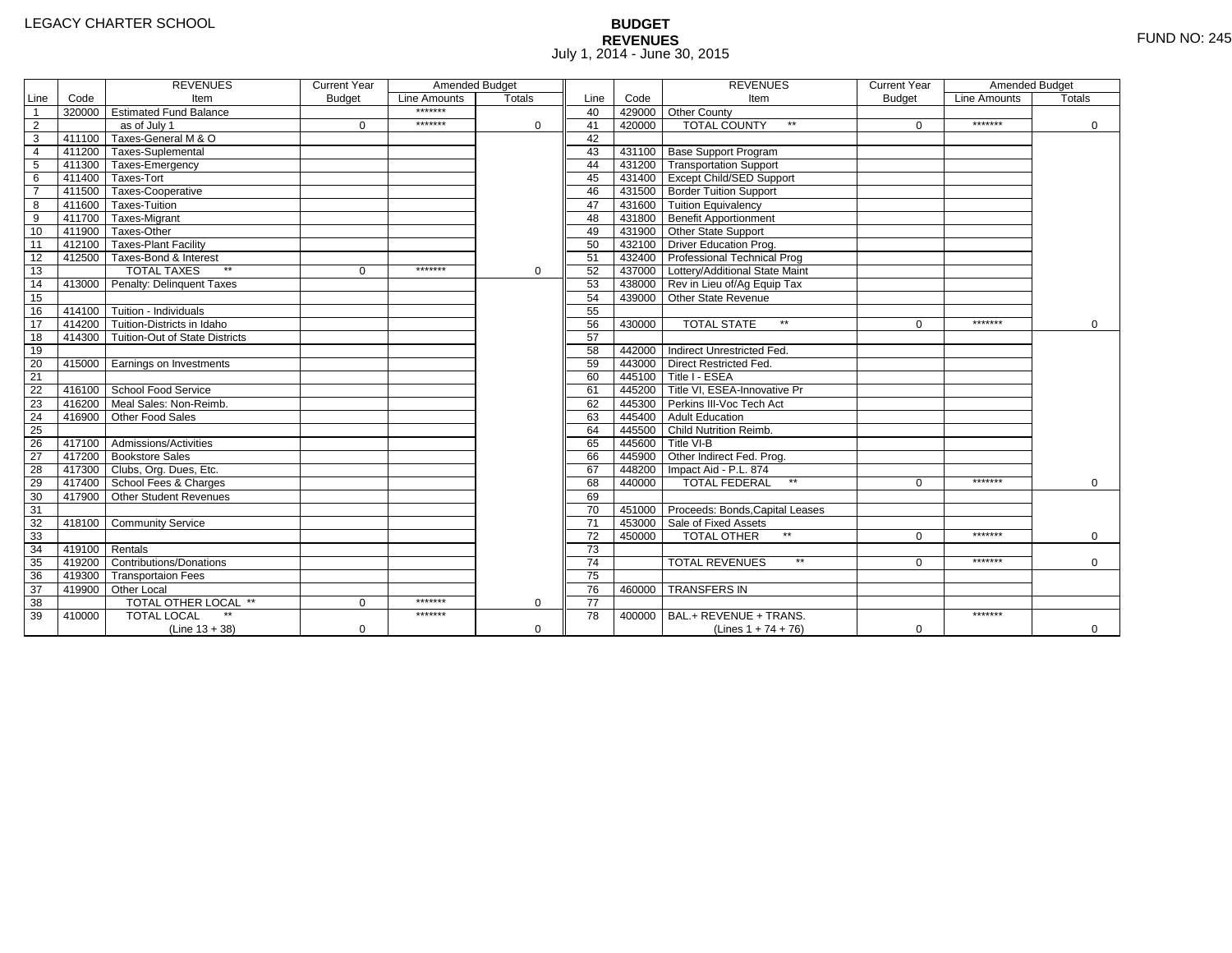# **BUDGET REVENUES** FUND NO: 245 July 1, 2014 - June 30, 2015

|                 |        | <b>REVENUES</b>                       | <b>Current Year</b> | Amended Budget |               |                 |        | <b>REVENUES</b>                        | <b>Current Year</b> | Amended Budget |               |
|-----------------|--------|---------------------------------------|---------------------|----------------|---------------|-----------------|--------|----------------------------------------|---------------------|----------------|---------------|
| Line            | Code   | Item                                  | <b>Budget</b>       | Line Amounts   | <b>Totals</b> | Line            | Code   | Item                                   | <b>Budget</b>       | Line Amounts   | <b>Totals</b> |
| $\overline{1}$  |        | 320000 Estimated Fund Balance         |                     | *******        |               | 40              |        | 429000 Other County                    |                     |                |               |
| $\overline{2}$  |        | as of July 1                          | $\Omega$            | *******        | $\Omega$      | 41              | 420000 | <b>TOTAL COUNTY</b><br>$\star\star$    | $\Omega$            | *******        | 0             |
| $\overline{3}$  |        | 411100 Taxes-General M & O            |                     |                |               | 42              |        |                                        |                     |                |               |
| $\overline{4}$  |        | 411200 Taxes-Suplemental              |                     |                |               | 43              |        | 431100 Base Support Program            |                     |                |               |
| 5               |        | 411300 Taxes-Emergency                |                     |                |               | 44              |        | 431200 Transportation Support          |                     |                |               |
| 6               |        | 411400 Taxes-Tort                     |                     |                |               | 45              |        | 431400 Except Child/SED Support        |                     |                |               |
| $\overline{7}$  |        | 411500 Taxes-Cooperative              |                     |                |               | 46              |        | 431500 Border Tuition Support          |                     |                |               |
| 8               |        | 411600 Taxes-Tuition                  |                     |                |               | 47              |        | 431600 Tuition Equivalency             |                     |                |               |
| $\overline{9}$  |        | 411700 Taxes-Migrant                  |                     |                |               | 48              |        | 431800 Benefit Apportionment           |                     |                |               |
| 10              |        | 411900 Taxes-Other                    |                     |                |               | 49              |        | 431900 Other State Support             |                     |                |               |
| 11              |        | 412100 Taxes-Plant Facility           |                     |                |               | 50              |        | 432100 Driver Education Prog.          |                     |                |               |
| 12              |        | 412500 Taxes-Bond & Interest          |                     |                |               | 51              |        | 432400 Professional Technical Prog     |                     |                |               |
| 13              |        | $**$<br><b>TOTAL TAXES</b>            | $\mathbf{0}$        | *******        | $\mathbf 0$   | 52              |        | 437000 Lottery/Additional State Maint  |                     |                |               |
| 14              |        | 413000 Penalty: Delinquent Taxes      |                     |                |               | 53              |        | 438000 Rev in Lieu of/Ag Equip Tax     |                     |                |               |
| 15              |        |                                       |                     |                |               | 54              |        | 439000 Other State Revenue             |                     |                |               |
| 16              |        | 414100 Tuition - Individuals          |                     |                |               | 55              |        |                                        |                     |                |               |
| 17              |        | 414200 Tuition-Districts in Idaho     |                     |                |               | 56              | 430000 | <b>TOTAL STATE</b><br>$**$             | $\Omega$            | *******        | $\Omega$      |
| 18              |        | 414300 Tuition-Out of State Districts |                     |                |               | 57              |        |                                        |                     |                |               |
| 19              |        |                                       |                     |                |               | 58              |        | 442000 Indirect Unrestricted Fed.      |                     |                |               |
| 20              |        | 415000 Earnings on Investments        |                     |                |               | 59              |        | 443000 Direct Restricted Fed.          |                     |                |               |
| $\overline{21}$ |        |                                       |                     |                |               | 60              |        | 445100 Title I - ESEA                  |                     |                |               |
| 22              |        | 416100 School Food Service            |                     |                |               | 61              |        | 445200 Title VI. ESEA-Innovative Pr    |                     |                |               |
| 23              | 416200 | Meal Sales: Non-Reimb.                |                     |                |               | 62              |        | 445300 Perkins III-Voc Tech Act        |                     |                |               |
| 24              | 416900 | Other Food Sales                      |                     |                |               | 63              |        | 445400 Adult Education                 |                     |                |               |
| 25              |        |                                       |                     |                |               | 64              |        | 445500 Child Nutrition Reimb.          |                     |                |               |
| 26              |        | 417100 Admissions/Activities          |                     |                |               | 65              |        | 445600 Title VI-B                      |                     |                |               |
| $\overline{27}$ |        | 417200 Bookstore Sales                |                     |                |               | 66              |        | 445900 Other Indirect Fed. Prog.       |                     |                |               |
| 28              |        | 417300 Clubs, Org. Dues, Etc.         |                     |                |               | 67              |        | 448200   Impact Aid - P.L. 874         |                     |                |               |
| 29              |        | 417400 School Fees & Charges          |                     |                |               | 68              | 440000 | <b>TOTAL FEDERAL</b><br>$\star\star$   | $\Omega$            | *******        | $\Omega$      |
| 30              |        | 417900 Other Student Revenues         |                     |                |               | 69              |        |                                        |                     |                |               |
| 31              |        |                                       |                     |                |               | 70              |        | 451000 Proceeds: Bonds, Capital Leases |                     |                |               |
| $\overline{32}$ |        | 418100 Community Service              |                     |                |               | $\overline{71}$ |        | 453000 Sale of Fixed Assets            |                     |                |               |
| 33              |        |                                       |                     |                |               | 72              | 450000 | TOTAL OTHER                            | $\Omega$            | *******        | $\Omega$      |
| 34              | 419100 | Rentals                               |                     |                |               | $\overline{73}$ |        |                                        |                     |                |               |
| 35              | 419200 | <b>Contributions/Donations</b>        |                     |                |               | $\overline{74}$ |        | <b>TOTAL REVENUES</b><br>$\star\star$  | U                   | *******        | $\mathbf 0$   |
| 36              |        | 419300 Transportaion Fees             |                     |                |               | 75              |        |                                        |                     |                |               |
| 37              |        | 419900 Other Local                    |                     |                |               | 76              | 460000 | <b>TRANSFERS IN</b>                    |                     |                |               |
| $\overline{38}$ |        | TOTAL OTHER LOCAL **                  | $\Omega$            | *******        | $\Omega$      | $\overline{77}$ |        |                                        |                     |                |               |
| 39              | 410000 | <b>TOTAL LOCAL</b>                    |                     | *******        |               | 78              | 400000 | BAL.+ REVENUE + TRANS.                 |                     | *******        |               |
|                 |        | $(Line 13 + 38)$                      | 0                   |                | $\Omega$      |                 |        | (Lines $1 + 74 + 76$ )                 | 0                   |                | $\mathbf{0}$  |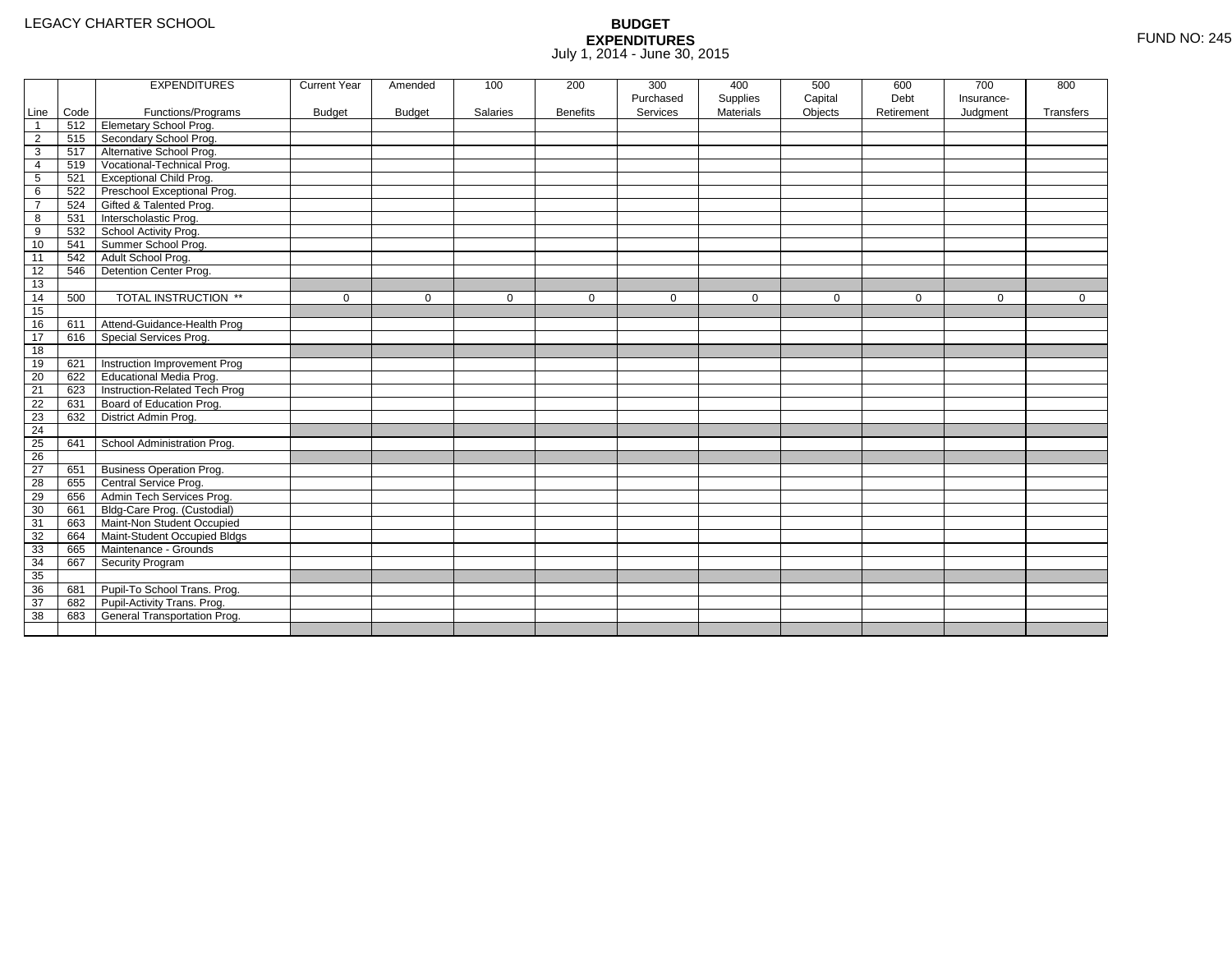|                 |      | <b>EXPENDITURES</b>             | <b>Current Year</b> | Amended       | 100         | 200             | 300         | 400              | 500         | 600         | 700         | 800          |
|-----------------|------|---------------------------------|---------------------|---------------|-------------|-----------------|-------------|------------------|-------------|-------------|-------------|--------------|
|                 |      |                                 |                     |               |             |                 | Purchased   | Supplies         | Capital     | Debt        | Insurance-  |              |
| Line            | Code | Functions/Programs              | <b>Budget</b>       | <b>Budget</b> | Salaries    | <b>Benefits</b> | Services    | <b>Materials</b> | Objects     | Retirement  | Judgment    | Transfers    |
| $\overline{1}$  | 512  | <b>Elemetary School Prog.</b>   |                     |               |             |                 |             |                  |             |             |             |              |
| $\overline{2}$  | 515  | Secondary School Prog.          |                     |               |             |                 |             |                  |             |             |             |              |
| 3               | 517  | Alternative School Prog.        |                     |               |             |                 |             |                  |             |             |             |              |
| 4               | 519  | Vocational-Technical Prog.      |                     |               |             |                 |             |                  |             |             |             |              |
| 5               | 521  | <b>Exceptional Child Prog.</b>  |                     |               |             |                 |             |                  |             |             |             |              |
| 6               | 522  | Preschool Exceptional Prog.     |                     |               |             |                 |             |                  |             |             |             |              |
| $\overline{7}$  | 524  | Gifted & Talented Prog.         |                     |               |             |                 |             |                  |             |             |             |              |
| 8               | 531  | Interscholastic Prog.           |                     |               |             |                 |             |                  |             |             |             |              |
| 9               | 532  | School Activity Prog.           |                     |               |             |                 |             |                  |             |             |             |              |
| 10              | 541  | Summer School Prog.             |                     |               |             |                 |             |                  |             |             |             |              |
| 11              | 542  | Adult School Prog.              |                     |               |             |                 |             |                  |             |             |             |              |
| 12              | 546  | Detention Center Prog.          |                     |               |             |                 |             |                  |             |             |             |              |
| 13              |      |                                 |                     |               |             |                 |             |                  |             |             |             |              |
| 14              | 500  | TOTAL INSTRUCTION **            | $\mathbf 0$         | $\Omega$      | $\mathbf 0$ | $\mathbf 0$     | $\mathbf 0$ | $\mathbf 0$      | $\mathbf 0$ | $\mathbf 0$ | $\mathbf 0$ | $\mathbf{0}$ |
| 15              |      |                                 |                     |               |             |                 |             |                  |             |             |             |              |
| 16              | 611  | Attend-Guidance-Health Prog     |                     |               |             |                 |             |                  |             |             |             |              |
| 17              | 616  | Special Services Prog.          |                     |               |             |                 |             |                  |             |             |             |              |
| 18              |      |                                 |                     |               |             |                 |             |                  |             |             |             |              |
| 19              | 621  | Instruction Improvement Prog    |                     |               |             |                 |             |                  |             |             |             |              |
| 20              | 622  | Educational Media Prog.         |                     |               |             |                 |             |                  |             |             |             |              |
| 21              | 623  | Instruction-Related Tech Prog   |                     |               |             |                 |             |                  |             |             |             |              |
| 22              | 631  | Board of Education Prog.        |                     |               |             |                 |             |                  |             |             |             |              |
| 23              | 632  | District Admin Prog.            |                     |               |             |                 |             |                  |             |             |             |              |
| 24              |      |                                 |                     |               |             |                 |             |                  |             |             |             |              |
| 25              | 641  | School Administration Prog.     |                     |               |             |                 |             |                  |             |             |             |              |
| $\overline{26}$ |      |                                 |                     |               |             |                 |             |                  |             |             |             |              |
| 27              | 651  | <b>Business Operation Prog.</b> |                     |               |             |                 |             |                  |             |             |             |              |
| 28              | 655  | Central Service Prog.           |                     |               |             |                 |             |                  |             |             |             |              |
| 29              | 656  | Admin Tech Services Prog.       |                     |               |             |                 |             |                  |             |             |             |              |
| 30              | 661  | Bldg-Care Prog. (Custodial)     |                     |               |             |                 |             |                  |             |             |             |              |
| 31              | 663  | Maint-Non Student Occupied      |                     |               |             |                 |             |                  |             |             |             |              |
| 32              | 664  | Maint-Student Occupied Bldgs    |                     |               |             |                 |             |                  |             |             |             |              |
| 33              | 665  | Maintenance - Grounds           |                     |               |             |                 |             |                  |             |             |             |              |
| 34              | 667  | Security Program                |                     |               |             |                 |             |                  |             |             |             |              |
| 35              |      |                                 |                     |               |             |                 |             |                  |             |             |             |              |
| 36              | 681  | Pupil-To School Trans. Prog.    |                     |               |             |                 |             |                  |             |             |             |              |
| 37              | 682  | Pupil-Activity Trans. Prog.     |                     |               |             |                 |             |                  |             |             |             |              |
| 38              | 683  | General Transportation Prog.    |                     |               |             |                 |             |                  |             |             |             |              |
|                 |      |                                 |                     |               |             |                 |             |                  |             |             |             |              |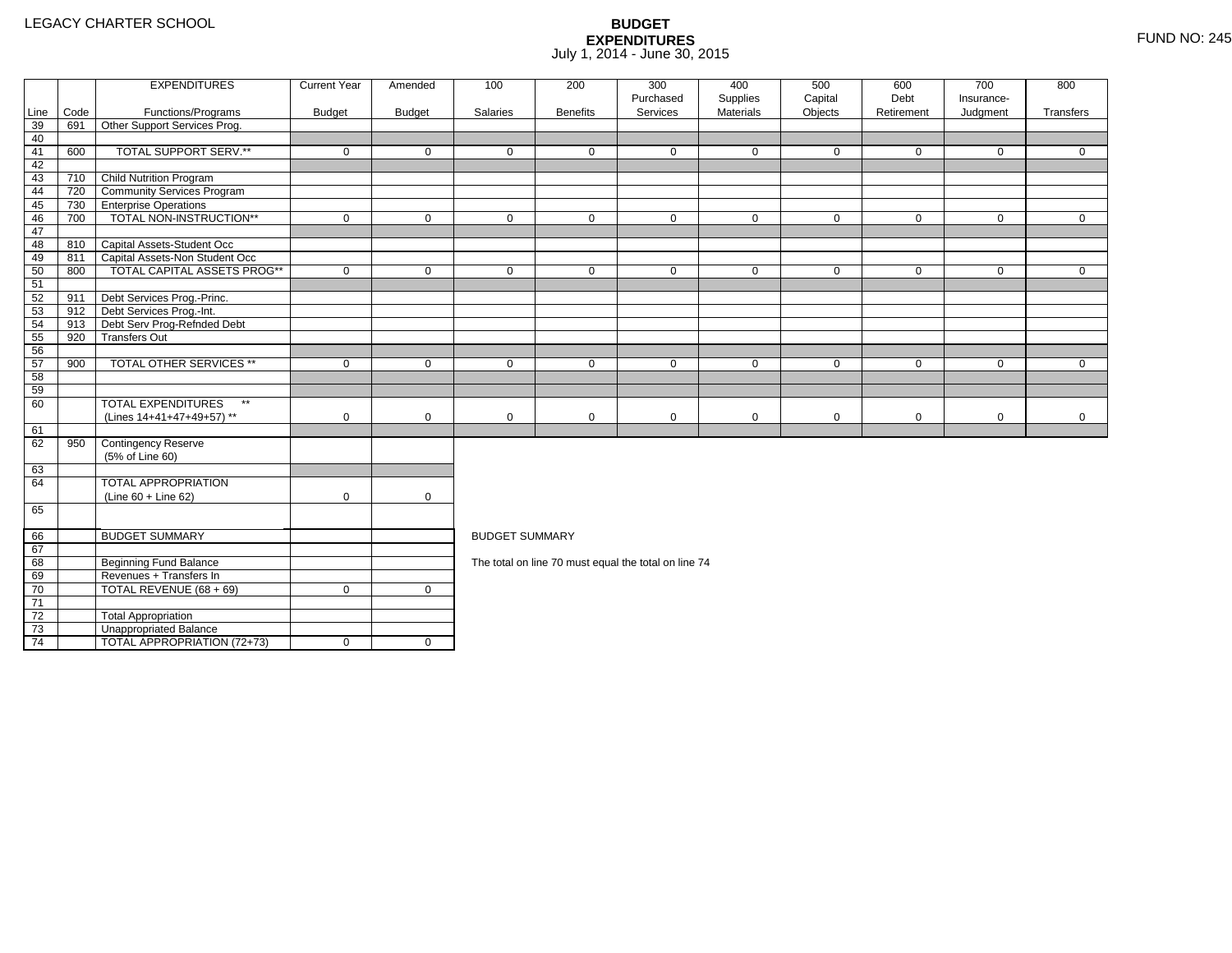4 | TOTAL APPROPRIATION (72+73) | 0 | 0

|                 |      | <b>EXPENDITURES</b>                       | <b>Current Year</b> | Amended       | 100                   | 200             | 300<br>Purchased                                     | 400<br>Supplies | 500<br>Capital | 600<br>Debt | 700<br>Insurance- | 800          |
|-----------------|------|-------------------------------------------|---------------------|---------------|-----------------------|-----------------|------------------------------------------------------|-----------------|----------------|-------------|-------------------|--------------|
| Line            | Code | Functions/Programs                        | <b>Budget</b>       | <b>Budget</b> | Salaries              | <b>Benefits</b> | Services                                             | Materials       | Objects        | Retirement  | Judgment          | Transfers    |
| 39              | 691  | Other Support Services Prog.              |                     |               |                       |                 |                                                      |                 |                |             |                   |              |
| 40              |      |                                           |                     |               |                       |                 |                                                      |                 |                |             |                   |              |
| 41              | 600  | TOTAL SUPPORT SERV.**                     | $\mathbf 0$         | $\mathbf 0$   | $\mathbf 0$           | $\mathbf{0}$    | $\mathbf 0$                                          | $\mathbf 0$     | $\mathbf 0$    | $\mathbf 0$ | $\mathbf 0$       | $\mathbf{0}$ |
| 42              |      |                                           |                     |               |                       |                 |                                                      |                 |                |             |                   |              |
| 43              | 710  | Child Nutrition Program                   |                     |               |                       |                 |                                                      |                 |                |             |                   |              |
| 44              | 720  | <b>Community Services Program</b>         |                     |               |                       |                 |                                                      |                 |                |             |                   |              |
| 45              | 730  | <b>TEnterprise Operations</b>             |                     |               |                       |                 |                                                      |                 |                |             |                   |              |
| 46              | 700  | TOTAL NON-INSTRUCTION**                   | $\mathbf 0$         | $\mathbf 0$   | $\mathbf 0$           | $\mathbf 0$     | $\mathbf 0$                                          | $\mathbf 0$     | $\mathbf 0$    | $\mathbf 0$ | $\overline{0}$    | $\mathbf{0}$ |
| 47              |      |                                           |                     |               |                       |                 |                                                      |                 |                |             |                   |              |
| 48              |      | 810 Capital Assets-Student Occ            |                     |               |                       |                 |                                                      |                 |                |             |                   |              |
| 49              | 811  | Capital Assets-Non Student Occ            |                     |               |                       |                 |                                                      |                 |                |             |                   |              |
| 50              | 800  | <b>TOTAL CAPITAL ASSETS PROG**</b>        | $\mathbf 0$         | $\mathbf 0$   | $\mathbf 0$           | $\mathbf 0$     | $\mathbf 0$                                          | $\mathbf 0$     | $\mathbf 0$    | $\mathbf 0$ | $\mathbf 0$       | $\mathbf{0}$ |
| 51              |      |                                           |                     |               |                       |                 |                                                      |                 |                |             |                   |              |
| 52              | 911  | Debt Services Prog.-Princ.                |                     |               |                       |                 |                                                      |                 |                |             |                   |              |
| 53              |      | 912 Debt Services Prog.-Int.              |                     |               |                       |                 |                                                      |                 |                |             |                   |              |
| 54              | 913  | Debt Serv Prog-Refnded Debt               |                     |               |                       |                 |                                                      |                 |                |             |                   |              |
| 55              | 920  | <b>Transfers Out</b>                      |                     |               |                       |                 |                                                      |                 |                |             |                   |              |
| 56              |      |                                           |                     |               |                       |                 |                                                      |                 |                |             |                   |              |
| 57              | 900  | <b>TOTAL OTHER SERVICES **</b>            | $\mathbf 0$         | $\mathbf 0$   | $\mathbf 0$           | $\mathbf{0}$    | $\mathbf 0$                                          | $\mathbf 0$     | $\mathbf 0$    | $\mathbf 0$ | $\mathbf 0$       | $\Omega$     |
| 58              |      |                                           |                     |               |                       |                 |                                                      |                 |                |             |                   |              |
| 59              |      |                                           |                     |               |                       |                 |                                                      |                 |                |             |                   |              |
| 60              |      | <b>TOTAL EXPENDITURES</b><br>$\star\star$ |                     |               |                       |                 |                                                      |                 |                |             |                   |              |
|                 |      | (Lines 14+41+47+49+57) **                 | $\mathbf 0$         | $\mathbf 0$   | $\mathbf 0$           | $\mathbf 0$     | $\mathbf 0$                                          | $\mathbf 0$     | $\mathbf 0$    | $\mathbf 0$ | $\mathbf 0$       | $\mathbf 0$  |
| 61              |      |                                           |                     |               |                       |                 |                                                      |                 |                |             |                   |              |
| 62              | 950  | Contingency Reserve                       |                     |               |                       |                 |                                                      |                 |                |             |                   |              |
|                 |      | (5% of Line 60)                           |                     |               |                       |                 |                                                      |                 |                |             |                   |              |
| 63              |      |                                           |                     |               |                       |                 |                                                      |                 |                |             |                   |              |
| 64              |      | <b>TOTAL APPROPRIATION</b>                |                     |               |                       |                 |                                                      |                 |                |             |                   |              |
|                 |      | $(Line 60 + Line 62)$                     | $\mathbf 0$         | $\mathbf 0$   |                       |                 |                                                      |                 |                |             |                   |              |
| 65              |      |                                           |                     |               |                       |                 |                                                      |                 |                |             |                   |              |
| 66              |      | <b>BUDGET SUMMARY</b>                     |                     |               | <b>BUDGET SUMMARY</b> |                 |                                                      |                 |                |             |                   |              |
| 67              |      |                                           |                     |               |                       |                 |                                                      |                 |                |             |                   |              |
| 68              |      | <b>Beginning Fund Balance</b>             |                     |               |                       |                 | The total on line 70 must equal the total on line 74 |                 |                |             |                   |              |
| 69              |      | Revenues + Transfers In                   |                     |               |                       |                 |                                                      |                 |                |             |                   |              |
| 70              |      | TOTAL REVENUE (68 + 69)                   | $\mathbf 0$         | $\mathbf 0$   |                       |                 |                                                      |                 |                |             |                   |              |
| $\overline{71}$ |      |                                           |                     |               |                       |                 |                                                      |                 |                |             |                   |              |
| 72              |      | <b>Total Appropriation</b>                |                     |               |                       |                 |                                                      |                 |                |             |                   |              |
| 73              |      | Unappropriated Balance                    |                     |               |                       |                 |                                                      |                 |                |             |                   |              |
|                 |      |                                           |                     |               |                       |                 |                                                      |                 |                |             |                   |              |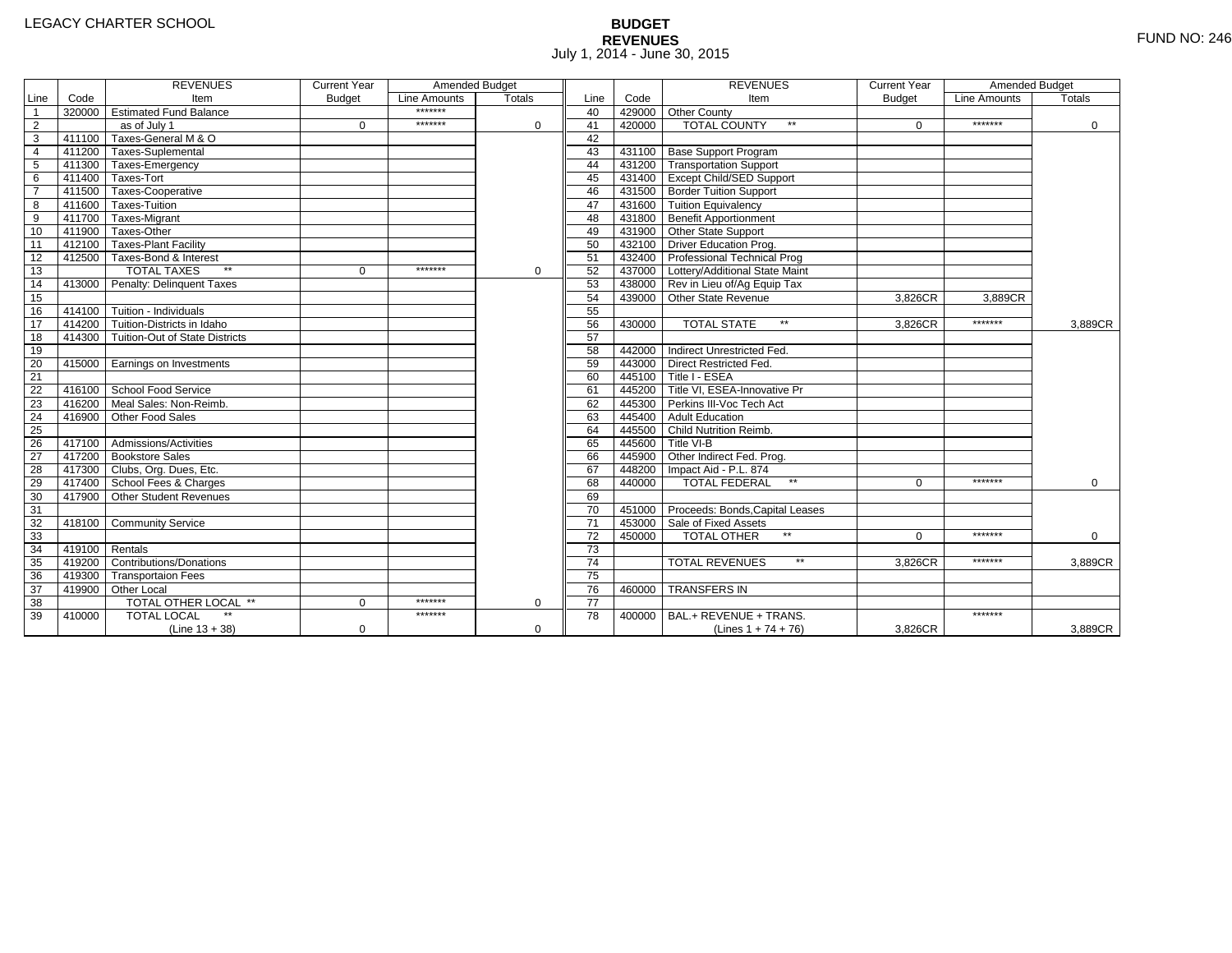# **BUDGET REVENUES** FUND NO: 246 July 1, 2014 - June 30, 2015

|                 |        | <b>REVENUES</b>                       | <b>Current Year</b> | Amended Budget |             |                 |        | <b>REVENUES</b>                        | <b>Current Year</b> | Amended Budget |               |
|-----------------|--------|---------------------------------------|---------------------|----------------|-------------|-----------------|--------|----------------------------------------|---------------------|----------------|---------------|
| Line            | Code   | Item                                  | <b>Budget</b>       | Line Amounts   | Totals      | Line            | Code   | Item                                   | <b>Budget</b>       | Line Amounts   | <b>Totals</b> |
| $\mathbf{1}$    |        | 320000 Estimated Fund Balance         |                     | *******        |             | 40              |        | 429000 Other County                    |                     |                |               |
| $\overline{2}$  |        | as of July 1                          | $\mathbf 0$         | *******        | 0           | 41              | 420000 | <b>TOTAL COUNTY</b><br>$\star\star$    | $\Omega$            | *******        | $\mathbf 0$   |
| $\overline{3}$  | 411100 | Taxes-General M & O                   |                     |                |             | 42              |        |                                        |                     |                |               |
| $\overline{4}$  |        | 411200 Taxes-Suplemental              |                     |                |             | 43              |        | 431100 Base Support Program            |                     |                |               |
| 5               |        | 411300 Taxes-Emergency                |                     |                |             | 44              |        | 431200 Transportation Support          |                     |                |               |
| 6               |        | 411400 Taxes-Tort                     |                     |                |             | 45              |        | 431400 Except Child/SED Support        |                     |                |               |
| $\overline{7}$  |        | 411500 Taxes-Cooperative              |                     |                |             | 46              |        | 431500 Border Tuition Support          |                     |                |               |
| 8               |        | 411600 Taxes-Tuition                  |                     |                |             | 47              |        | 431600 Tuition Equivalency             |                     |                |               |
| $\overline{9}$  |        | 411700 Taxes-Migrant                  |                     |                |             | 48              |        | 431800 Benefit Apportionment           |                     |                |               |
| 10              |        | 411900 Taxes-Other                    |                     |                |             | 49              |        | 431900 Other State Support             |                     |                |               |
| $\overline{11}$ |        | 412100 Taxes-Plant Facility           |                     |                |             | 50              |        | 432100   Driver Education Prog.        |                     |                |               |
| 12              |        | 412500 Taxes-Bond & Interest          |                     |                |             | 51              |        | 432400 Professional Technical Prog     |                     |                |               |
| 13              |        | <b>TOTAL TAXES</b><br>$**$            | $\Omega$            | *******        | $\Omega$    | 52              |        | 437000 Lottery/Additional State Maint  |                     |                |               |
| 14              |        | 413000 Penalty: Delinquent Taxes      |                     |                |             | 53              |        | 438000 Rev in Lieu of/Ag Equip Tax     |                     |                |               |
| 15              |        |                                       |                     |                |             | 54              |        | 439000 Other State Revenue             | 3,826CR             | 3,889CR        |               |
| 16              |        | $414100$ Tuition - Individuals        |                     |                |             | 55              |        |                                        |                     |                |               |
| 17              |        | 414200 Tuition-Districts in Idaho     |                     |                |             | 56              | 430000 | $\star\star$<br><b>TOTAL STATE</b>     | 3,826CR             | *******        | 3.889CR       |
| 18              |        | 414300 Tuition-Out of State Districts |                     |                |             | 57              |        |                                        |                     |                |               |
| 19              |        |                                       |                     |                |             | 58              |        | 442000 Indirect Unrestricted Fed.      |                     |                |               |
| 20              |        | 415000 Earnings on Investments        |                     |                |             | 59              |        | 443000 Direct Restricted Fed.          |                     |                |               |
| 21              |        |                                       |                     |                |             | 60              |        | 445100 Title I - ESEA                  |                     |                |               |
| 22              |        | 416100 School Food Service            |                     |                |             | 61              |        | 445200 Title VI, ESEA-Innovative Pr    |                     |                |               |
| 23              | 416200 | Meal Sales: Non-Reimb.                |                     |                |             | 62              |        | 445300 Perkins III-Voc Tech Act        |                     |                |               |
| 24              | 416900 | Other Food Sales                      |                     |                |             | 63              |        | 445400 Adult Education                 |                     |                |               |
| 25              |        |                                       |                     |                |             | 64              |        | 445500 Child Nutrition Reimb.          |                     |                |               |
| 26              |        | 417100 Admissions/Activities          |                     |                |             | 65              |        | 445600 Title VI-B                      |                     |                |               |
| $\overline{27}$ |        | 417200 Bookstore Sales                |                     |                |             | 66              |        | 445900 Other Indirect Fed. Prog.       |                     |                |               |
| 28              |        | 417300 Clubs, Org. Dues, Etc.         |                     |                |             | 67              |        | 448200   Impact Aid - P.L. 874         |                     |                |               |
| 29              |        | 417400 School Fees & Charges          |                     |                |             | 68              | 440000 | <b>TOTAL FEDERAL</b>                   | $\Omega$            | *******        | $\Omega$      |
| 30              | 417900 | Other Student Revenues                |                     |                |             | 69              |        |                                        |                     |                |               |
| 31              |        |                                       |                     |                |             | 70              |        | 451000 Proceeds: Bonds, Capital Leases |                     |                |               |
| 32              |        | 418100 Community Service              |                     |                |             | $\overline{71}$ |        | 453000 Sale of Fixed Assets            |                     |                |               |
| 33              |        |                                       |                     |                |             | 72              | 450000 | TOTAL OTHER                            | $\Omega$            | *******        | 0             |
| 34              | 419100 | Rentals                               |                     |                |             | 73              |        |                                        |                     |                |               |
| $\overline{35}$ | 419200 | <b>Contributions/Donations</b>        |                     |                |             | $\overline{74}$ |        | $\star\star$<br><b>TOTAL REVENUES</b>  | 3,826CR             | *******        | 3,889CR       |
| 36              |        | 419300 Transportaion Fees             |                     |                |             | $\overline{75}$ |        |                                        |                     |                |               |
| 37              |        | 419900 Other Local                    |                     |                |             | 76              | 460000 | <b>TRANSFERS IN</b>                    |                     |                |               |
| 38              |        | <b>TOTAL OTHER LOCAL **</b>           | $\Omega$            | *******        | 0           | $\overline{77}$ |        |                                        |                     |                |               |
| 39              | 410000 | <b>TOTAL LOCAL</b>                    |                     | *******        |             | 78              | 400000 | BAL.+ REVENUE + TRANS.                 |                     | *******        |               |
|                 |        | $(Line 13 + 38)$                      | 0                   |                | $\mathbf 0$ |                 |        | (Lines $1 + 74 + 76$ )                 | 3,826CR             |                | 3,889CR       |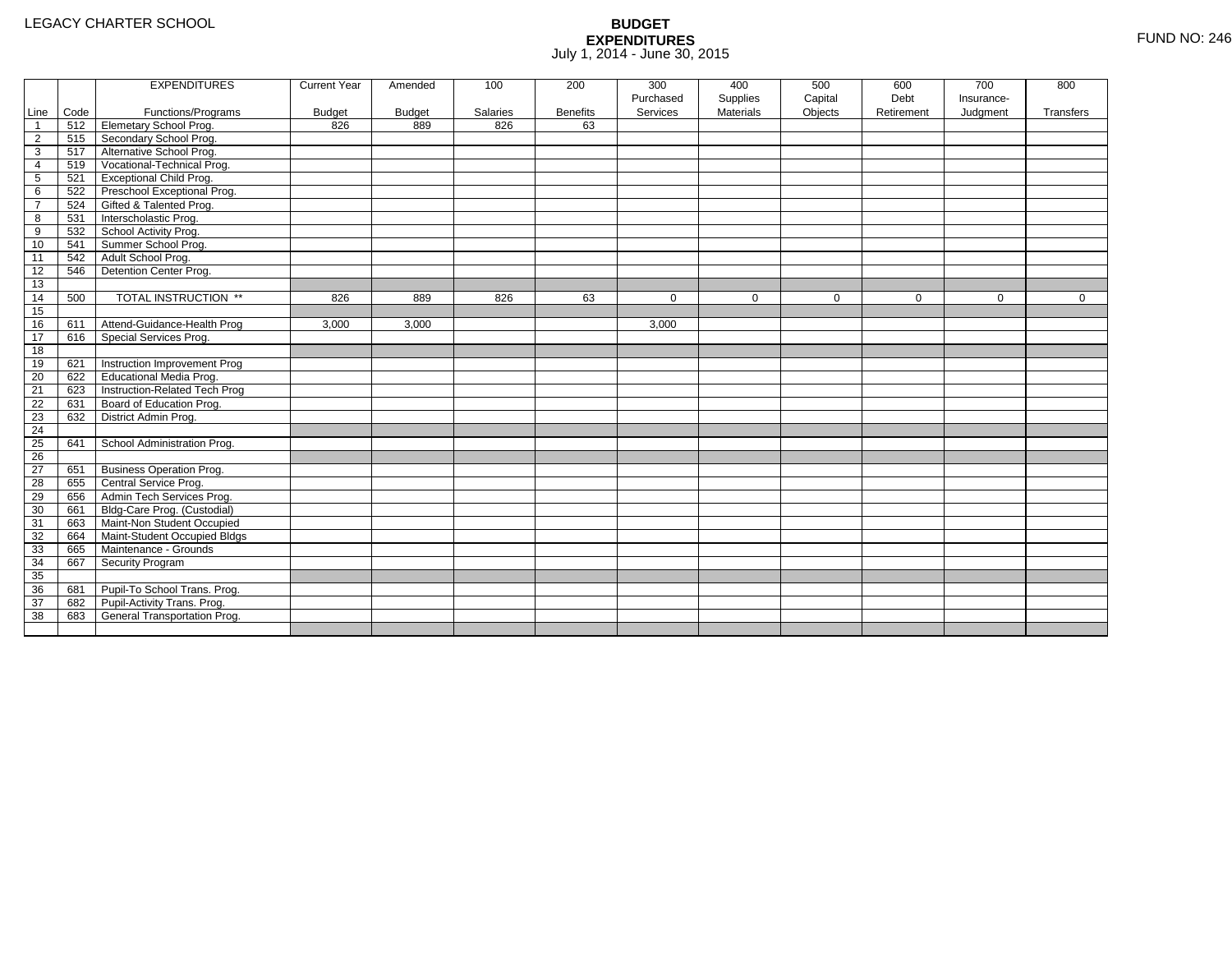|                 |      | <b>EXPENDITURES</b>             | <b>Current Year</b> | Amended       | 100      | 200             | 300       | 400              | 500         | 600         | 700         | 800          |
|-----------------|------|---------------------------------|---------------------|---------------|----------|-----------------|-----------|------------------|-------------|-------------|-------------|--------------|
|                 |      |                                 |                     |               |          |                 | Purchased | Supplies         | Capital     | Debt        | Insurance-  |              |
| Line            | Code | Functions/Programs              | <b>Budget</b>       | <b>Budget</b> | Salaries | <b>Benefits</b> | Services  | <b>Materials</b> | Objects     | Retirement  | Judgment    | Transfers    |
| -1              | 512  | Elemetary School Prog.          | 826                 | 889           | 826      | 63              |           |                  |             |             |             |              |
| $\overline{2}$  | 515  | Secondary School Prog.          |                     |               |          |                 |           |                  |             |             |             |              |
| 3               | 517  | Alternative School Prog.        |                     |               |          |                 |           |                  |             |             |             |              |
| 4               | 519  | Vocational-Technical Prog.      |                     |               |          |                 |           |                  |             |             |             |              |
| 5               | 521  | <b>Exceptional Child Prog.</b>  |                     |               |          |                 |           |                  |             |             |             |              |
| 6               | 522  | Preschool Exceptional Prog.     |                     |               |          |                 |           |                  |             |             |             |              |
| $\overline{7}$  | 524  | Gifted & Talented Prog.         |                     |               |          |                 |           |                  |             |             |             |              |
| 8               | 531  | Interscholastic Prog.           |                     |               |          |                 |           |                  |             |             |             |              |
| 9               | 532  | School Activity Prog.           |                     |               |          |                 |           |                  |             |             |             |              |
| 10              | 541  | Summer School Prog.             |                     |               |          |                 |           |                  |             |             |             |              |
| 11              | 542  | Adult School Prog.              |                     |               |          |                 |           |                  |             |             |             |              |
| 12              | 546  | Detention Center Prog.          |                     |               |          |                 |           |                  |             |             |             |              |
| 13              |      |                                 |                     |               |          |                 |           |                  |             |             |             |              |
| 14              | 500  | TOTAL INSTRUCTION **            | 826                 | 889           | 826      | 63              | $\Omega$  | $\mathbf 0$      | $\mathbf 0$ | $\mathbf 0$ | $\mathbf 0$ | $\mathbf{0}$ |
| 15              |      |                                 |                     |               |          |                 |           |                  |             |             |             |              |
| 16              | 611  | Attend-Guidance-Health Prog     | 3,000               | 3,000         |          |                 | 3,000     |                  |             |             |             |              |
| 17              | 616  | Special Services Prog.          |                     |               |          |                 |           |                  |             |             |             |              |
| 18              |      |                                 |                     |               |          |                 |           |                  |             |             |             |              |
| 19              | 621  | Instruction Improvement Prog    |                     |               |          |                 |           |                  |             |             |             |              |
| 20              | 622  | Educational Media Prog.         |                     |               |          |                 |           |                  |             |             |             |              |
| 21              | 623  | Instruction-Related Tech Prog   |                     |               |          |                 |           |                  |             |             |             |              |
| 22              | 631  | Board of Education Prog.        |                     |               |          |                 |           |                  |             |             |             |              |
| 23              | 632  | District Admin Prog.            |                     |               |          |                 |           |                  |             |             |             |              |
| 24              |      |                                 |                     |               |          |                 |           |                  |             |             |             |              |
| 25              | 641  | School Administration Prog.     |                     |               |          |                 |           |                  |             |             |             |              |
| $\overline{26}$ |      |                                 |                     |               |          |                 |           |                  |             |             |             |              |
| 27              | 651  | <b>Business Operation Prog.</b> |                     |               |          |                 |           |                  |             |             |             |              |
| 28              | 655  | Central Service Prog.           |                     |               |          |                 |           |                  |             |             |             |              |
| 29              | 656  | Admin Tech Services Prog.       |                     |               |          |                 |           |                  |             |             |             |              |
| 30              | 661  | Bldg-Care Prog. (Custodial)     |                     |               |          |                 |           |                  |             |             |             |              |
| 31              | 663  | Maint-Non Student Occupied      |                     |               |          |                 |           |                  |             |             |             |              |
| 32              | 664  | Maint-Student Occupied Bldgs    |                     |               |          |                 |           |                  |             |             |             |              |
| 33              | 665  | Maintenance - Grounds           |                     |               |          |                 |           |                  |             |             |             |              |
| 34              | 667  | Security Program                |                     |               |          |                 |           |                  |             |             |             |              |
| 35              |      |                                 |                     |               |          |                 |           |                  |             |             |             |              |
| 36              | 681  | Pupil-To School Trans. Prog.    |                     |               |          |                 |           |                  |             |             |             |              |
| 37              | 682  | Pupil-Activity Trans. Prog.     |                     |               |          |                 |           |                  |             |             |             |              |
| 38              | 683  | General Transportation Prog.    |                     |               |          |                 |           |                  |             |             |             |              |
|                 |      |                                 |                     |               |          |                 |           |                  |             |             |             |              |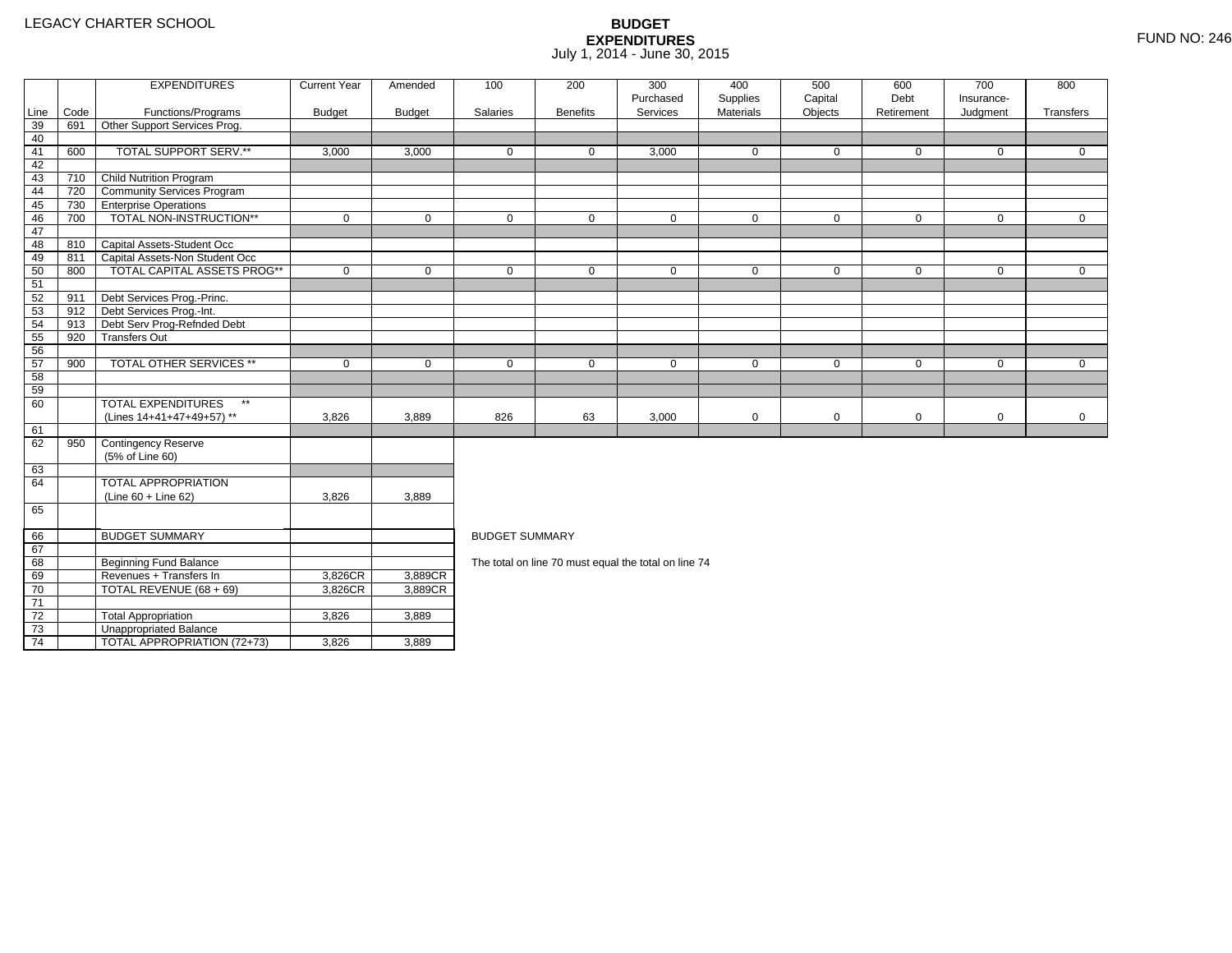71 72

73

74

TOTAL REVENUE (68 + 69) 3,826CR

3 **Unappropriated Balance** 

2 Total Appropriation 1 3,826 3,889

 $\overline{1}$ TOTAL APPROPRIATION (72+73)  $\overline{3}$ ,826  $\overline{1}$  3,889

3,889CR

|      |      | <b>EXPENDITURES</b>                       | <b>Current Year</b> | Amended                     | 100                                                  | 200             | 300                   | 400                          | 500                | 600<br>Debt  | 700                    | 800          |  |  |  |
|------|------|-------------------------------------------|---------------------|-----------------------------|------------------------------------------------------|-----------------|-----------------------|------------------------------|--------------------|--------------|------------------------|--------------|--|--|--|
| Line | Code | Functions/Programs                        | <b>Budget</b>       | <b>Budget</b>               | Salaries                                             | <b>Benefits</b> | Purchased<br>Services | Supplies<br><b>Materials</b> | Capital<br>Objects | Retirement   | Insurance-<br>Judgment | Transfers    |  |  |  |
| 39   | 691  | Other Support Services Prog.              |                     |                             |                                                      |                 |                       |                              |                    |              |                        |              |  |  |  |
| 40   |      |                                           |                     |                             |                                                      |                 |                       |                              |                    |              |                        |              |  |  |  |
| 41   | 600  | TOTAL SUPPORT SERV.**                     | 3,000               | 3,000                       | $\mathbf{0}$                                         | 0               | 3,000                 | 0                            | $\Omega$           | $\mathbf 0$  | $\mathbf{0}$           | $\mathbf{0}$ |  |  |  |
| 42   |      |                                           |                     |                             |                                                      |                 |                       |                              |                    |              |                        |              |  |  |  |
| 43   | 710  | <b>Child Nutrition Program</b>            |                     |                             |                                                      |                 |                       |                              |                    |              |                        |              |  |  |  |
| 44   |      | 720 Community Services Program            |                     |                             |                                                      |                 |                       |                              |                    |              |                        |              |  |  |  |
| 45   | 730  | <b>Enterprise Operations</b>              |                     |                             |                                                      |                 |                       |                              |                    |              |                        |              |  |  |  |
| 46   | 700  | TOTAL NON-INSTRUCTION**                   | $\mathbf 0$         | 0                           | $\mathbf 0$                                          | $\mathbf 0$     | $\mathbf 0$           | $\mathbf 0$                  | $\mathbf 0$        | $\mathbf 0$  | $\mathbf 0$            | $\mathbf 0$  |  |  |  |
| 47   |      |                                           |                     |                             |                                                      |                 |                       |                              |                    |              |                        |              |  |  |  |
| 48   | 810  | Capital Assets-Student Occ                |                     |                             |                                                      |                 |                       |                              |                    |              |                        |              |  |  |  |
| 49   | 811  | Capital Assets-Non Student Occ            |                     |                             |                                                      |                 |                       |                              |                    |              |                        |              |  |  |  |
| 50   | 800  | <b>TOTAL CAPITAL ASSETS PROG**</b>        | $\mathbf 0$         | $\mathbf 0$                 | $\mathbf 0$                                          | $\mathbf 0$     | $\mathbf 0$           | $\mathbf 0$                  | $\mathbf 0$        | $\mathbf{0}$ | $\mathbf{0}$           | $\mathbf 0$  |  |  |  |
| 51   |      |                                           |                     |                             |                                                      |                 |                       |                              |                    |              |                        |              |  |  |  |
| 52   | 911  | Debt Services Prog.-Princ.                |                     |                             |                                                      |                 |                       |                              |                    |              |                        |              |  |  |  |
| 53   | 912  | Debt Services Prog.-Int.                  |                     |                             |                                                      |                 |                       |                              |                    |              |                        |              |  |  |  |
| 54   | 913  | Debt Serv Prog-Refnded Debt               |                     |                             |                                                      |                 |                       |                              |                    |              |                        |              |  |  |  |
| 55   | 920  | <b>Transfers Out</b>                      |                     |                             |                                                      |                 |                       |                              |                    |              |                        |              |  |  |  |
| 56   |      |                                           |                     |                             |                                                      |                 |                       |                              |                    |              |                        |              |  |  |  |
| 57   | 900  | <b>TOTAL OTHER SERVICES **</b>            | $\mathbf 0$         | $\mathbf 0$                 | $\mathbf 0$                                          | $\mathbf 0$     | $\mathbf 0$           | $\mathbf 0$                  | $\mathbf 0$        | $\mathbf 0$  | $\mathbf 0$            | $\mathbf 0$  |  |  |  |
| 58   |      |                                           |                     |                             |                                                      |                 |                       |                              |                    |              |                        |              |  |  |  |
| 59   |      |                                           |                     |                             |                                                      |                 |                       |                              |                    |              |                        |              |  |  |  |
| 60   |      | <b>TOTAL EXPENDITURES</b><br>$\star\star$ |                     |                             |                                                      |                 |                       |                              |                    |              |                        |              |  |  |  |
|      |      | (Lines 14+41+47+49+57) **                 | 3,826               | 3,889                       | 826                                                  | 63              | 3,000                 | 0                            | $\mathbf 0$        | $\mathbf 0$  | $\mathbf 0$            | $\mathbf 0$  |  |  |  |
| 61   |      |                                           |                     |                             |                                                      |                 |                       |                              |                    |              |                        |              |  |  |  |
| 62   | 950  | Contingency Reserve                       |                     |                             |                                                      |                 |                       |                              |                    |              |                        |              |  |  |  |
|      |      | (5% of Line 60)                           |                     |                             |                                                      |                 |                       |                              |                    |              |                        |              |  |  |  |
| 63   |      |                                           |                     |                             |                                                      |                 |                       |                              |                    |              |                        |              |  |  |  |
| 64   |      | TOTAL APPROPRIATION                       |                     |                             |                                                      |                 |                       |                              |                    |              |                        |              |  |  |  |
|      |      | $(Line 60 + Line 62)$                     | 3,826               | 3,889                       |                                                      |                 |                       |                              |                    |              |                        |              |  |  |  |
| 65   |      |                                           |                     |                             |                                                      |                 |                       |                              |                    |              |                        |              |  |  |  |
| 66   |      | <b>BUDGET SUMMARY</b>                     |                     |                             | <b>BUDGET SUMMARY</b>                                |                 |                       |                              |                    |              |                        |              |  |  |  |
| 67   |      |                                           |                     |                             |                                                      |                 |                       |                              |                    |              |                        |              |  |  |  |
| 68   |      | <b>Beginning Fund Balance</b>             |                     |                             | The total on line 70 must equal the total on line 74 |                 |                       |                              |                    |              |                        |              |  |  |  |
| 69   |      | Revenues + Transfers In                   | $3,826CR$           | 3,889CR                     |                                                      |                 |                       |                              |                    |              |                        |              |  |  |  |
|      |      | $-0 - 1$ $-1 - 1$                         |                     | $\sim$ $\sim$ $\sim$ $\sim$ |                                                      |                 |                       |                              |                    |              |                        |              |  |  |  |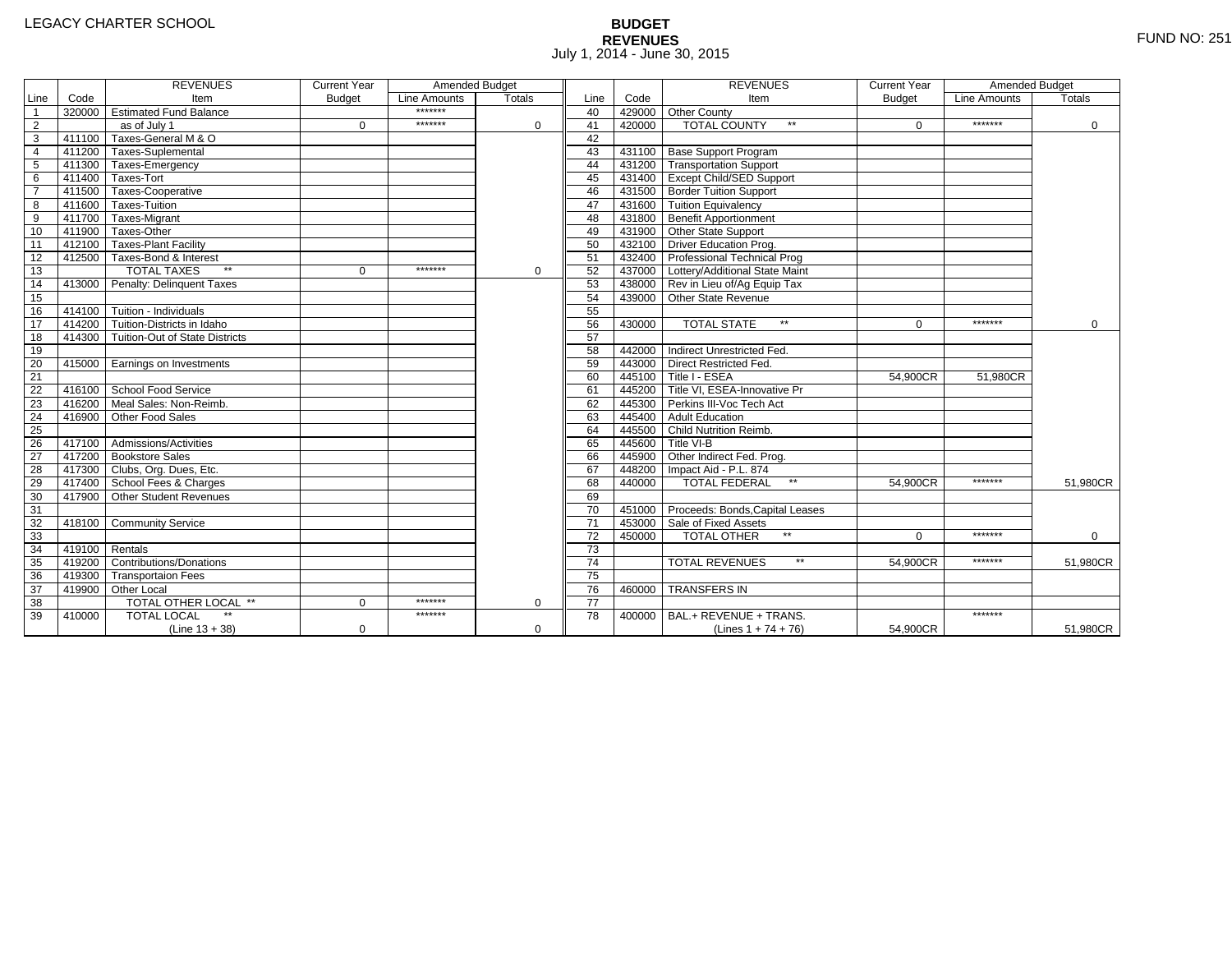# **BUDGET REVENUES** FUND NO: 251 July 1, 2014 - June 30, 2015

|                 |        | <b>REVENUES</b>                       | <b>Current Year</b> | Amended Budget |               |                 |        | <b>REVENUES</b>                        | <b>Current Year</b> | Amended Budget |             |
|-----------------|--------|---------------------------------------|---------------------|----------------|---------------|-----------------|--------|----------------------------------------|---------------------|----------------|-------------|
| Line            | Code   | Item                                  | <b>Budget</b>       | Line Amounts   | <b>Totals</b> | Line            | Code   | Item                                   | <b>Budget</b>       | Line Amounts   | Totals      |
| $\overline{1}$  |        | 320000 Estimated Fund Balance         |                     | *******        |               | 40              |        | 429000 Other County                    |                     |                |             |
| $\overline{2}$  |        | as of July 1                          | $\Omega$            | *******        | $\Omega$      | 41              | 420000 | $**$<br><b>TOTAL COUNTY</b>            | $\Omega$            | *******        | 0           |
| $\overline{3}$  |        | 411100 Taxes-General M & O            |                     |                |               | 42              |        |                                        |                     |                |             |
| $\overline{4}$  |        | 411200 Taxes-Suplemental              |                     |                |               | 43              |        | 431100 Base Support Program            |                     |                |             |
| $\overline{5}$  |        | 411300 Taxes-Emergency                |                     |                |               | 44              |        | 431200 Transportation Support          |                     |                |             |
| 6               | 411400 | Taxes-Tort                            |                     |                |               | 45              |        | 431400 Except Child/SED Support        |                     |                |             |
| $\overline{7}$  |        | 411500 Taxes-Cooperative              |                     |                |               | 46              |        | 431500 Border Tuition Support          |                     |                |             |
| 8               |        | 411600 Taxes-Tuition                  |                     |                |               | 47              |        | 431600 Tuition Equivalency             |                     |                |             |
| $\overline{9}$  |        | 411700 Taxes-Migrant                  |                     |                |               | 48              |        | 431800 Benefit Apportionment           |                     |                |             |
| 10              |        | 411900 Taxes-Other                    |                     |                |               | 49              |        | 431900 Other State Support             |                     |                |             |
| 11              |        | 412100 Taxes-Plant Facility           |                     |                |               | 50              |        | 432100 Driver Education Prog.          |                     |                |             |
| 12              |        | 412500 Taxes-Bond & Interest          |                     |                |               | 51              |        | 432400 Professional Technical Prog     |                     |                |             |
| 13              |        | $**$<br><b>TOTAL TAXES</b>            | $\Omega$            | *******        | $\Omega$      | 52              |        | 437000 Lottery/Additional State Maint  |                     |                |             |
| 14              |        | 413000 Penalty: Delinquent Taxes      |                     |                |               | 53              |        | 438000 Rev in Lieu of/Ag Equip Tax     |                     |                |             |
| 15              |        |                                       |                     |                |               | 54              |        | 439000 Other State Revenue             |                     |                |             |
| 16              |        | 414100 Tuition - Individuals          |                     |                |               | 55              |        |                                        |                     |                |             |
| 17              |        | 414200 Tuition-Districts in Idaho     |                     |                |               | 56              | 430000 | <b>TOTAL STATE</b><br>$\star\star$     | $\Omega$            | *******        | $\mathbf 0$ |
| 18              |        | 414300 Tuition-Out of State Districts |                     |                |               | 57              |        |                                        |                     |                |             |
| 19              |        |                                       |                     |                |               | 58              |        | 442000 Indirect Unrestricted Fed.      |                     |                |             |
| 20              |        | 415000 Earnings on Investments        |                     |                |               | 59              |        | 443000 Direct Restricted Fed.          |                     |                |             |
| $\overline{21}$ |        |                                       |                     |                |               | 60              |        | 445100 Title I - ESEA                  | 54,900CR            | 51,980CR       |             |
| 22              |        | 416100 School Food Service            |                     |                |               | 61              |        | 445200 Title VI. ESEA-Innovative Pr    |                     |                |             |
| 23              | 416200 | Meal Sales: Non-Reimb.                |                     |                |               | 62              |        | 445300 Perkins III-Voc Tech Act        |                     |                |             |
| $\overline{24}$ | 416900 | Other Food Sales                      |                     |                |               | 63              |        | 445400 Adult Education                 |                     |                |             |
| 25              |        |                                       |                     |                |               | 64              |        | 445500 Child Nutrition Reimb.          |                     |                |             |
| 26              |        | 417100 Admissions/Activities          |                     |                |               | 65              |        | 445600 Title VI-B                      |                     |                |             |
| $\overline{27}$ |        | 417200 Bookstore Sales                |                     |                |               | 66              |        | 445900 Other Indirect Fed. Prog.       |                     |                |             |
| 28              |        | 417300 Clubs, Org. Dues, Etc.         |                     |                |               | 67              |        | 448200   Impact Aid - P.L. 874         |                     |                |             |
| 29              |        | 417400 School Fees & Charges          |                     |                |               | 68              | 440000 | <b>TOTAL FEDERAL</b><br>$\star\star$   | 54,900CR            | *******        | 51,980CR    |
| 30              |        | 417900 Other Student Revenues         |                     |                |               | 69              |        |                                        |                     |                |             |
| 31              |        |                                       |                     |                |               | 70              |        | 451000 Proceeds: Bonds, Capital Leases |                     |                |             |
| 32              |        | 418100 Community Service              |                     |                |               | 71              |        | 453000 Sale of Fixed Assets            |                     |                |             |
| 33              |        |                                       |                     |                |               | 72              | 450000 | <b>TOTAL OTHER</b>                     | $\Omega$            | *******        | $\Omega$    |
| 34              | 419100 | Rentals                               |                     |                |               | $\overline{73}$ |        |                                        |                     |                |             |
| 35              | 419200 | Contributions/Donations               |                     |                |               | $\overline{74}$ |        | $**$<br><b>TOTAL REVENUES</b>          | 54.900CR            | *******        | 51,980CR    |
| 36              |        | 419300 Transportaion Fees             |                     |                |               | 75              |        |                                        |                     |                |             |
| 37              |        | 419900 Other Local                    |                     |                |               | 76              | 460000 | <b>TRANSFERS IN</b>                    |                     |                |             |
| 38              |        | TOTAL OTHER LOCAL **                  | $\Omega$            | *******        | $\Omega$      | $\overline{77}$ |        |                                        |                     |                |             |
| 39              | 410000 | <b>TOTAL LOCAL</b>                    |                     | *******        |               | 78              | 400000 | BAL.+ REVENUE + TRANS.                 |                     | *******        |             |
|                 |        | $(Line 13 + 38)$                      | $\mathbf 0$         |                | 0             |                 |        | (Lines $1 + 74 + 76$ )                 | 54,900CR            |                | 51,980CR    |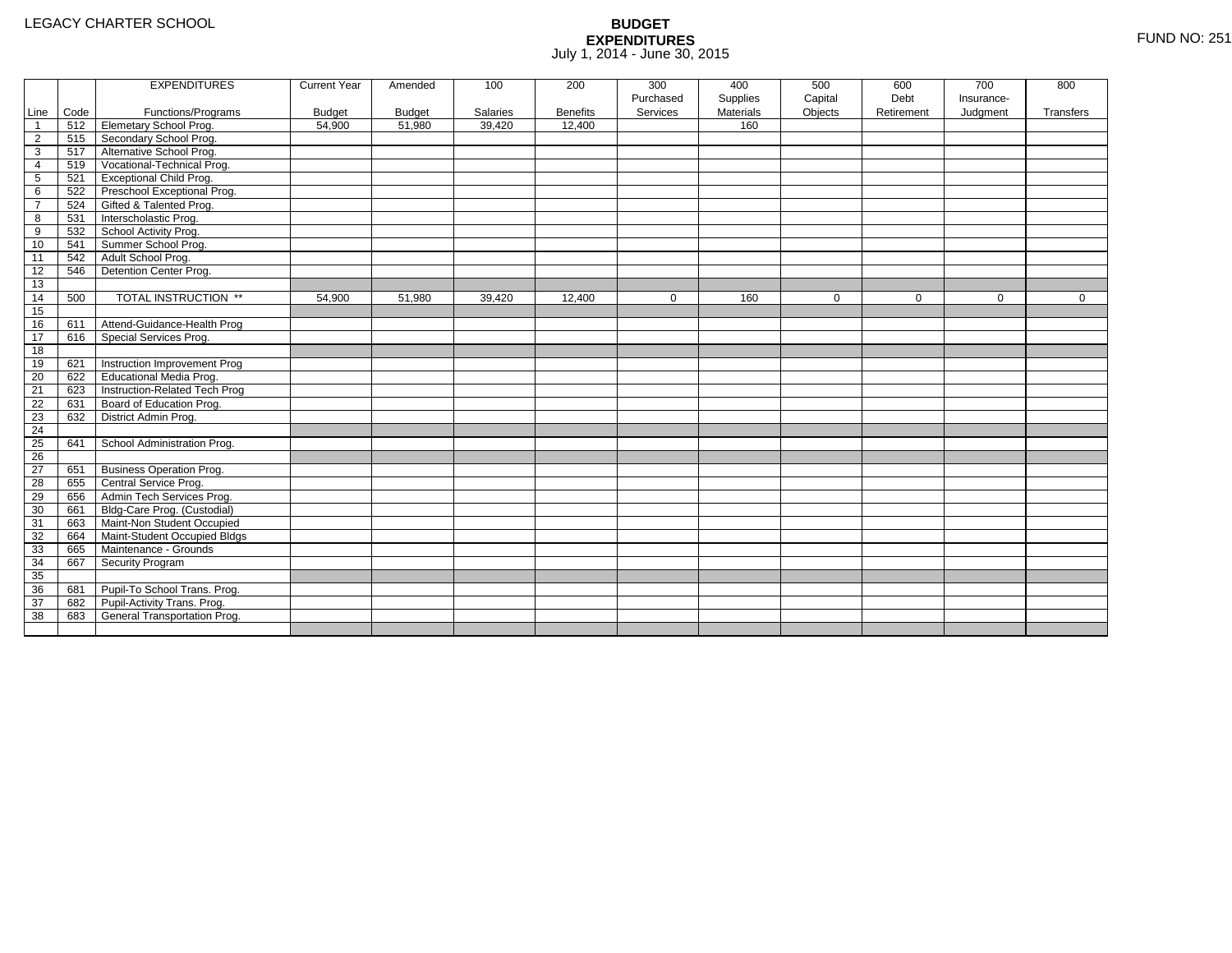|                 |      | <b>EXPENDITURES</b>                 | <b>Current Year</b> | Amended       | 100      | 200             | 300         | 400              | 500         | 600         | 700         | 800         |
|-----------------|------|-------------------------------------|---------------------|---------------|----------|-----------------|-------------|------------------|-------------|-------------|-------------|-------------|
|                 |      |                                     |                     |               |          |                 | Purchased   | Supplies         | Capital     | Debt        | Insurance-  |             |
| Line            | Code | Functions/Programs                  | <b>Budget</b>       | <b>Budget</b> | Salaries | <b>Benefits</b> | Services    | <b>Materials</b> | Objects     | Retirement  | Judgment    | Transfers   |
| $\mathbf{1}$    | 512  | <b>Elemetary School Prog.</b>       | 54,900              | 51,980        | 39,420   | 12,400          |             | 160              |             |             |             |             |
| $\overline{2}$  | 515  | Secondary School Prog.              |                     |               |          |                 |             |                  |             |             |             |             |
| 3               | 517  | Alternative School Prog.            |                     |               |          |                 |             |                  |             |             |             |             |
| 4               | 519  | Vocational-Technical Prog.          |                     |               |          |                 |             |                  |             |             |             |             |
| 5               | 521  | <b>Exceptional Child Prog.</b>      |                     |               |          |                 |             |                  |             |             |             |             |
| 6               | 522  | Preschool Exceptional Prog.         |                     |               |          |                 |             |                  |             |             |             |             |
| $\overline{7}$  | 524  | Gifted & Talented Prog.             |                     |               |          |                 |             |                  |             |             |             |             |
| 8               | 531  | Interscholastic Prog.               |                     |               |          |                 |             |                  |             |             |             |             |
| 9               | 532  | School Activity Prog.               |                     |               |          |                 |             |                  |             |             |             |             |
| 10              | 541  | Summer School Prog.                 |                     |               |          |                 |             |                  |             |             |             |             |
| 11              | 542  | Adult School Prog.                  |                     |               |          |                 |             |                  |             |             |             |             |
| 12              | 546  | Detention Center Prog.              |                     |               |          |                 |             |                  |             |             |             |             |
| 13              |      |                                     |                     |               |          |                 |             |                  |             |             |             |             |
| 14              | 500  | TOTAL INSTRUCTION **                | 54,900              | 51,980        | 39,420   | 12,400          | $\mathbf 0$ | 160              | $\mathbf 0$ | $\mathbf 0$ | $\mathbf 0$ | $\mathbf 0$ |
| 15              |      |                                     |                     |               |          |                 |             |                  |             |             |             |             |
| 16              | 611  | Attend-Guidance-Health Prog         |                     |               |          |                 |             |                  |             |             |             |             |
| 17              | 616  | Special Services Prog.              |                     |               |          |                 |             |                  |             |             |             |             |
| 18              |      |                                     |                     |               |          |                 |             |                  |             |             |             |             |
| 19              | 621  | <b>Instruction Improvement Prog</b> |                     |               |          |                 |             |                  |             |             |             |             |
| 20              | 622  | <b>Educational Media Prog.</b>      |                     |               |          |                 |             |                  |             |             |             |             |
| 21              | 623  | Instruction-Related Tech Prog       |                     |               |          |                 |             |                  |             |             |             |             |
| 22              | 631  | Board of Education Prog.            |                     |               |          |                 |             |                  |             |             |             |             |
| 23              | 632  | District Admin Prog.                |                     |               |          |                 |             |                  |             |             |             |             |
| 24              |      |                                     |                     |               |          |                 |             |                  |             |             |             |             |
| 25              | 641  | School Administration Prog.         |                     |               |          |                 |             |                  |             |             |             |             |
| $\overline{26}$ |      |                                     |                     |               |          |                 |             |                  |             |             |             |             |
| 27              | 651  | <b>Business Operation Prog.</b>     |                     |               |          |                 |             |                  |             |             |             |             |
| 28              | 655  | Central Service Prog.               |                     |               |          |                 |             |                  |             |             |             |             |
| 29              | 656  | Admin Tech Services Prog.           |                     |               |          |                 |             |                  |             |             |             |             |
| 30              | 661  | Bldg-Care Prog. (Custodial)         |                     |               |          |                 |             |                  |             |             |             |             |
| 31              | 663  | Maint-Non Student Occupied          |                     |               |          |                 |             |                  |             |             |             |             |
| 32              | 664  | Maint-Student Occupied Bldgs        |                     |               |          |                 |             |                  |             |             |             |             |
| 33              | 665  | Maintenance - Grounds               |                     |               |          |                 |             |                  |             |             |             |             |
| 34              | 667  | Security Program                    |                     |               |          |                 |             |                  |             |             |             |             |
| 35              |      |                                     |                     |               |          |                 |             |                  |             |             |             |             |
| 36              | 681  | Pupil-To School Trans. Prog.        |                     |               |          |                 |             |                  |             |             |             |             |
| 37              | 682  | Pupil-Activity Trans. Prog.         |                     |               |          |                 |             |                  |             |             |             |             |
| 38              | 683  | General Transportation Prog.        |                     |               |          |                 |             |                  |             |             |             |             |
|                 |      |                                     |                     |               |          |                 |             |                  |             |             |             |             |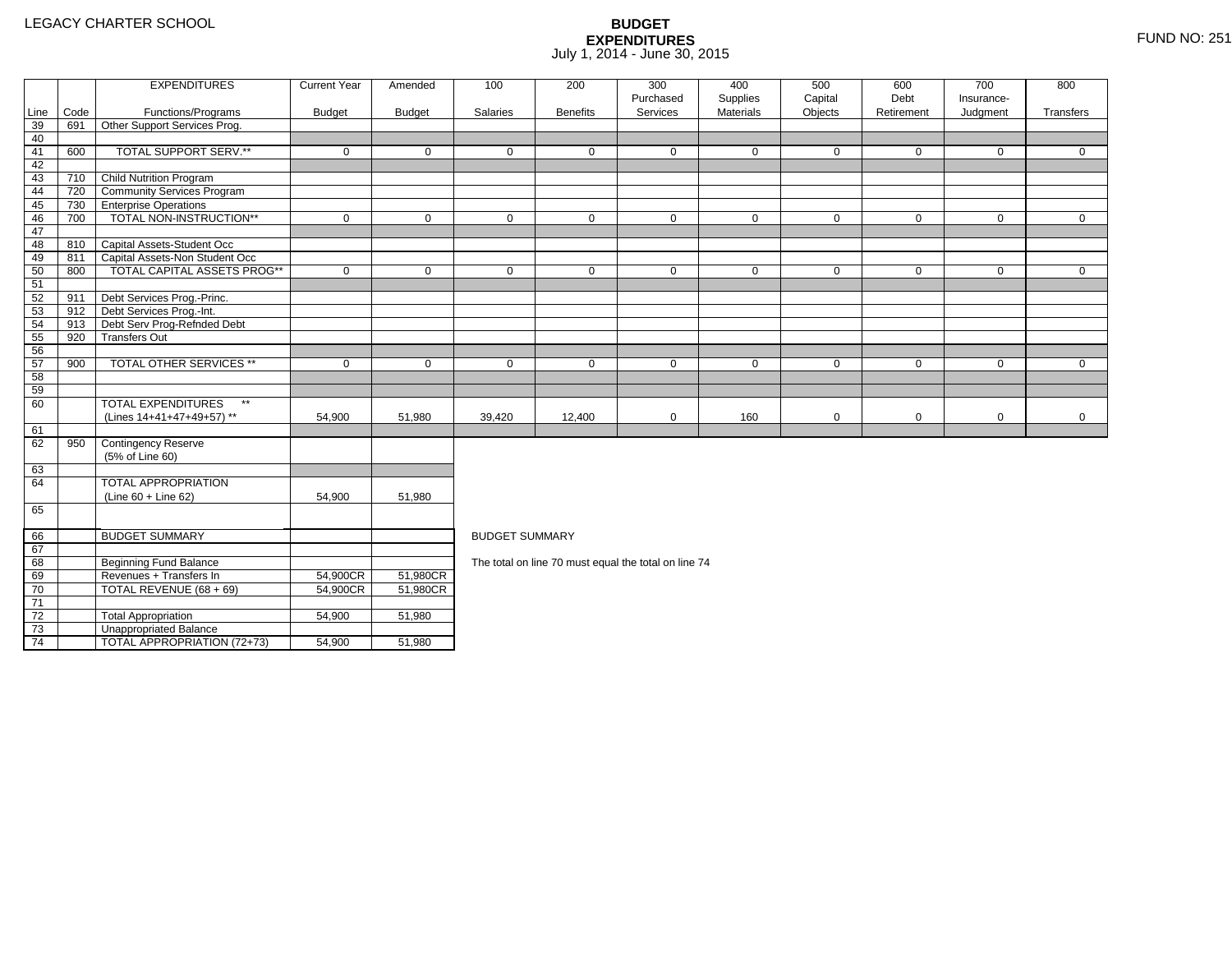73

74

3 **Unappropriated Balance** 

2 Total Appropriation 1 54,900 51,980

4 | TOTAL APPROPRIATION (72+73) | 54,900 <u>|</u> 51,980

|      |      | <b>EXPENDITURES</b>                       | <b>Current Year</b> | Amended       | 100                   | 200             | 300                                                  | 400                   | 500                | 600                | 700                    | 800         |
|------|------|-------------------------------------------|---------------------|---------------|-----------------------|-----------------|------------------------------------------------------|-----------------------|--------------------|--------------------|------------------------|-------------|
| Line | Code | Functions/Programs                        | <b>Budget</b>       | <b>Budget</b> | Salaries              | <b>Benefits</b> | Purchased<br>Services                                | Supplies<br>Materials | Capital<br>Objects | Debt<br>Retirement | Insurance-<br>Judgment | Transfers   |
| 39   | 691  | Other Support Services Prog.              |                     |               |                       |                 |                                                      |                       |                    |                    |                        |             |
| 40   |      |                                           |                     |               |                       |                 |                                                      |                       |                    |                    |                        |             |
| 41   | 600  | TOTAL SUPPORT SERV.**                     | $\mathbf 0$         | $\mathbf 0$   | $\mathbf 0$           | $\mathbf 0$     | $\mathbf 0$                                          | $\mathbf 0$           | $\mathbf 0$        | $\mathbf 0$        | $\mathbf 0$            | $\mathbf 0$ |
| 42   |      |                                           |                     |               |                       |                 |                                                      |                       |                    |                    |                        |             |
| 43   | 710  | <b>Child Nutrition Program</b>            |                     |               |                       |                 |                                                      |                       |                    |                    |                        |             |
| 44   | 720  | <b>Community Services Program</b>         |                     |               |                       |                 |                                                      |                       |                    |                    |                        |             |
| 45   | 730  | <b>Enterprise Operations</b>              |                     |               |                       |                 |                                                      |                       |                    |                    |                        |             |
| 46   | 700  | TOTAL NON-INSTRUCTION**                   | $\mathbf 0$         | $\Omega$      | $\Omega$              | 0               | $\mathbf 0$                                          | $\mathbf 0$           | $\mathbf 0$        | $\mathbf 0$        | $\mathbf 0$            | $\mathbf 0$ |
| 47   |      |                                           |                     |               |                       |                 |                                                      |                       |                    |                    |                        |             |
| 48   |      | 810 Capital Assets-Student Occ            |                     |               |                       |                 |                                                      |                       |                    |                    |                        |             |
| 49   | 811  | Capital Assets-Non Student Occ            |                     |               |                       |                 |                                                      |                       |                    |                    |                        |             |
| 50   | 800  | <b>TOTAL CAPITAL ASSETS PROG**</b>        | $\mathbf 0$         | $\mathbf 0$   | $\mathbf 0$           | $\mathbf 0$     | $\mathbf 0$                                          | $\mathbf 0$           | $\mathbf 0$        | $\mathbf 0$        | $\mathbf 0$            | $\mathbf 0$ |
| 51   |      |                                           |                     |               |                       |                 |                                                      |                       |                    |                    |                        |             |
| 52   | 911  | Debt Services Prog.-Princ.                |                     |               |                       |                 |                                                      |                       |                    |                    |                        |             |
| 53   | 912  | Debt Services Prog.-Int.                  |                     |               |                       |                 |                                                      |                       |                    |                    |                        |             |
| 54   | 913  | Debt Serv Prog-Refnded Debt               |                     |               |                       |                 |                                                      |                       |                    |                    |                        |             |
| 55   | 920  | <b>Transfers Out</b>                      |                     |               |                       |                 |                                                      |                       |                    |                    |                        |             |
| 56   |      |                                           |                     |               |                       |                 |                                                      |                       |                    |                    |                        |             |
| 57   | 900  | <b>TOTAL OTHER SERVICES **</b>            | $\mathbf 0$         | $\mathbf 0$   | $\mathbf 0$           | $\mathbf 0$     | $\mathbf 0$                                          | $\mathbf 0$           | $\mathbf 0$        | $\mathbf 0$        | $\mathbf 0$            | $\mathbf 0$ |
| 58   |      |                                           |                     |               |                       |                 |                                                      |                       |                    |                    |                        |             |
| 59   |      |                                           |                     |               |                       |                 |                                                      |                       |                    |                    |                        |             |
| 60   |      | $\star\star$<br><b>TOTAL EXPENDITURES</b> |                     |               |                       |                 |                                                      |                       |                    |                    |                        |             |
|      |      | (Lines 14+41+47+49+57) **                 | 54,900              | 51,980        | 39,420                | 12,400          | $\mathbf 0$                                          | 160                   | $\mathbf 0$        | 0                  | $\mathbf 0$            | $\mathbf 0$ |
| 61   |      |                                           |                     |               |                       |                 |                                                      |                       |                    |                    |                        |             |
| 62   | 950  | Contingency Reserve                       |                     |               |                       |                 |                                                      |                       |                    |                    |                        |             |
|      |      | (5% of Line 60)                           |                     |               |                       |                 |                                                      |                       |                    |                    |                        |             |
| 63   |      |                                           |                     |               |                       |                 |                                                      |                       |                    |                    |                        |             |
| 64   |      | <b>TOTAL APPROPRIATION</b>                |                     |               |                       |                 |                                                      |                       |                    |                    |                        |             |
|      |      | $(Line 60 + Line 62)$                     | 54,900              | 51,980        |                       |                 |                                                      |                       |                    |                    |                        |             |
| 65   |      |                                           |                     |               |                       |                 |                                                      |                       |                    |                    |                        |             |
| 66   |      | <b>BUDGET SUMMARY</b>                     |                     |               | <b>BUDGET SUMMARY</b> |                 |                                                      |                       |                    |                    |                        |             |
| 67   |      |                                           |                     |               |                       |                 |                                                      |                       |                    |                    |                        |             |
| 68   |      | <b>Beginning Fund Balance</b>             |                     |               |                       |                 | The total on line 70 must equal the total on line 74 |                       |                    |                    |                        |             |
| 69   |      | Revenues + Transfers In                   | 54,900CR            | 51,980CR      |                       |                 |                                                      |                       |                    |                    |                        |             |
| 70   |      | TOTAL REVENUE (68 + 69)                   | 54,900CR            | 51,980CR      |                       |                 |                                                      |                       |                    |                    |                        |             |
| H    |      |                                           |                     |               |                       |                 |                                                      |                       |                    |                    |                        |             |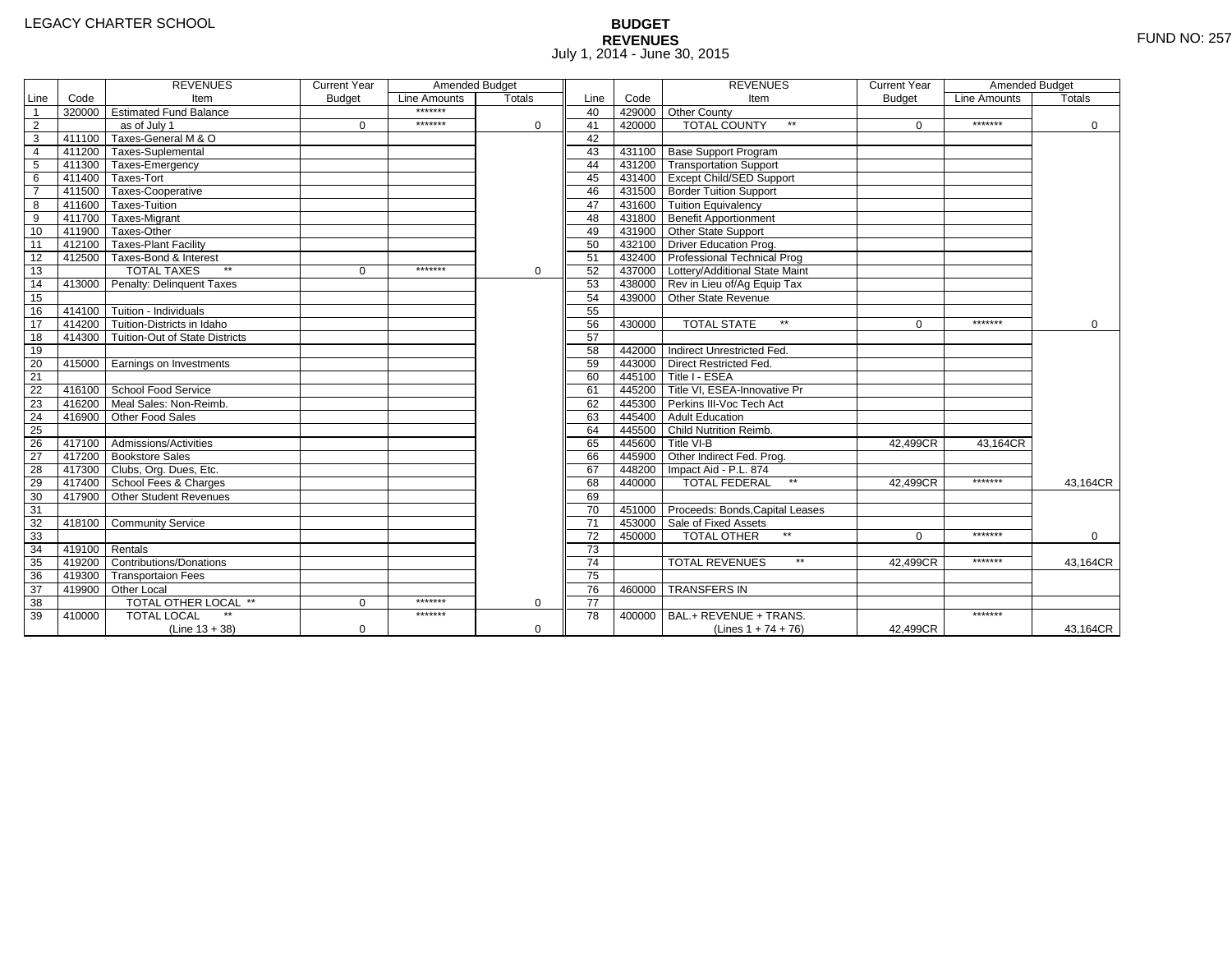# **BUDGET REVENUES** FUND NO: 257 July 1, 2014 - June 30, 2015

|                 |        | <b>REVENUES</b>                         | <b>Current Year</b> | Amended Budget |             |                 |        | <b>REVENUES</b>                        | <b>Current Year</b> | Amended Budget |          |
|-----------------|--------|-----------------------------------------|---------------------|----------------|-------------|-----------------|--------|----------------------------------------|---------------------|----------------|----------|
| Line            | Code   | Item                                    | <b>Budget</b>       | Line Amounts   | Totals      | Line            | Code   | Item                                   | <b>Budget</b>       | Line Amounts   | Totals   |
| $\mathbf{1}$    |        | 320000 Estimated Fund Balance           |                     | *******        |             | 40              |        | 429000 Other County                    |                     |                |          |
| $\overline{2}$  |        | as of July 1                            | $\mathbf 0$         | *******        | 0           | 41              | 420000 | <b>TOTAL COUNTY</b><br>$\star\star$    | $\Omega$            | *******        | 0        |
| $\overline{3}$  | 411100 | Taxes-General M & O                     |                     |                |             | 42              |        |                                        |                     |                |          |
| $\overline{4}$  |        | 411200 Taxes-Suplemental                |                     |                |             | 43              |        | 431100 Base Support Program            |                     |                |          |
| 5               |        | 411300 Taxes-Emergency                  |                     |                |             | 44              |        | 431200 Transportation Support          |                     |                |          |
| 6               |        | 411400 Taxes-Tort                       |                     |                |             | 45              |        | 431400 Except Child/SED Support        |                     |                |          |
| $\overline{7}$  |        | 411500 Taxes-Cooperative                |                     |                |             | 46              |        | 431500 Border Tuition Support          |                     |                |          |
| 8               |        | 411600 Taxes-Tuition                    |                     |                |             | 47              |        | 431600 Tuition Equivalency             |                     |                |          |
| $\overline{9}$  |        | 411700 Taxes-Migrant                    |                     |                |             | 48              |        | 431800 Benefit Apportionment           |                     |                |          |
| 10              |        | 411900 Taxes-Other                      |                     |                |             | 49              |        | 431900 Other State Support             |                     |                |          |
| $\overline{11}$ |        | 412100 Taxes-Plant Facility             |                     |                |             | 50              |        | 432100 Driver Education Prog.          |                     |                |          |
| 12              |        | 412500 Taxes-Bond & Interest            |                     |                |             | 51              |        | 432400 Professional Technical Prog     |                     |                |          |
| 13              |        | $**$<br><b>TOTAL TAXES</b>              | $\Omega$            | *******        | 0           | 52              |        | 437000 Lottery/Additional State Maint  |                     |                |          |
| 14              | 413000 | Penalty: Delinquent Taxes               |                     |                |             | 53              |        | 438000 Rev in Lieu of/Ag Equip Tax     |                     |                |          |
| 15              |        |                                         |                     |                |             | 54              |        | 439000 Other State Revenue             |                     |                |          |
| 16              |        | $414100$ Tuition - Individuals          |                     |                |             | 55              |        |                                        |                     |                |          |
| 17              |        | 414200 Tuition-Districts in Idaho       |                     |                |             | 56              | 430000 | <b>TOTAL STATE</b><br>$\star\star$     | $\Omega$            | *******        | $\Omega$ |
| 18              |        | 414300   Tuition-Out of State Districts |                     |                |             | 57              |        |                                        |                     |                |          |
| 19              |        |                                         |                     |                |             | 58              |        | 442000 Indirect Unrestricted Fed.      |                     |                |          |
| 20              |        | 415000 Earnings on Investments          |                     |                |             | 59              |        | 443000 Direct Restricted Fed.          |                     |                |          |
| 21              |        |                                         |                     |                |             | 60              |        | 445100 Title I - ESEA                  |                     |                |          |
| 22              |        | 416100 School Food Service              |                     |                |             | 61              |        | 445200 Title VI. ESEA-Innovative Pr    |                     |                |          |
| 23              | 416200 | Meal Sales: Non-Reimb.                  |                     |                |             | 62              |        | 445300 Perkins III-Voc Tech Act        |                     |                |          |
| $\overline{24}$ | 416900 | Other Food Sales                        |                     |                |             | 63              |        | 445400 Adult Education                 |                     |                |          |
| 25              |        |                                         |                     |                |             | 64              |        | 445500 Child Nutrition Reimb.          |                     |                |          |
| 26              |        | 417100 Admissions/Activities            |                     |                |             | 65              |        | 445600 Title VI-B                      | 42.499CR            | 43.164CR       |          |
| $\overline{27}$ |        | 417200 Bookstore Sales                  |                     |                |             | 66              |        | 445900 Other Indirect Fed. Prog.       |                     |                |          |
| 28              |        | 417300 Clubs, Org. Dues, Etc.           |                     |                |             | 67              |        | 448200   Impact Aid - P.L. 874         |                     |                |          |
| 29              |        | 417400 School Fees & Charges            |                     |                |             | 68              | 440000 | $\star\star$<br><b>TOTAL FEDERAL</b>   | 42.499CR            | *******        | 43.164CR |
| 30              | 417900 | Other Student Revenues                  |                     |                |             | 69              |        |                                        |                     |                |          |
| 31              |        |                                         |                     |                |             | 70              |        | 451000 Proceeds: Bonds, Capital Leases |                     |                |          |
| 32              | 418100 | <b>Community Service</b>                |                     |                |             | 71              |        | 453000 Sale of Fixed Assets            |                     |                |          |
| 33              |        |                                         |                     |                |             | 72              | 450000 | TOTAL OTHER                            | $\Omega$            | *******        | 0        |
| 34              | 419100 | Rentals                                 |                     |                |             | 73              |        |                                        |                     |                |          |
| $\overline{35}$ | 419200 | <b>Contributions/Donations</b>          |                     |                |             | 74              |        | $\star\star$<br><b>TOTAL REVENUES</b>  | 42.499CR            | *******        | 43,164CR |
| 36              | 419300 | <b>Transportaion Fees</b>               |                     |                |             | $\overline{75}$ |        |                                        |                     |                |          |
| 37              |        | 419900 Other Local                      |                     |                |             | 76              | 460000 | <b>TRANSFERS IN</b>                    |                     |                |          |
| 38              |        | <b>TOTAL OTHER LOCAL **</b>             | $\Omega$            | *******        | 0           | $\overline{77}$ |        |                                        |                     |                |          |
| 39              | 410000 | <b>TOTAL LOCAL</b>                      |                     | *******        |             | 78              | 400000 | BAL.+ REVENUE + TRANS.                 |                     | *******        |          |
|                 |        | $(Line 13 + 38)$                        | 0                   |                | $\mathbf 0$ |                 |        | (Lines $1 + 74 + 76$ )                 | 42,499CR            |                | 43,164CR |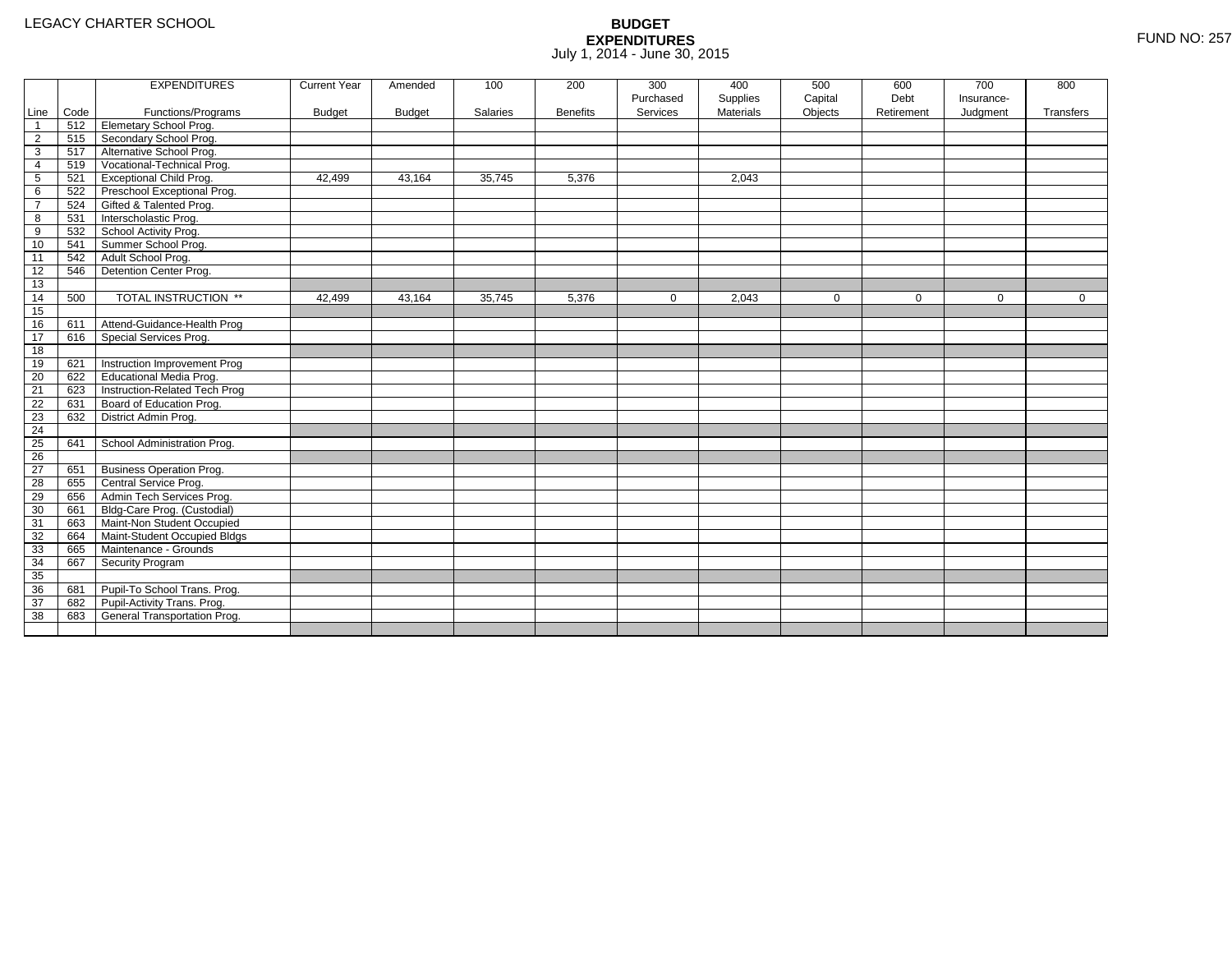|                 |      | <b>EXPENDITURES</b>             | <b>Current Year</b> | Amended       | 100      | 200             | 300          | 400              | 500         | 600         | 700        | 800       |
|-----------------|------|---------------------------------|---------------------|---------------|----------|-----------------|--------------|------------------|-------------|-------------|------------|-----------|
|                 |      |                                 |                     |               |          |                 | Purchased    | Supplies         | Capital     | Debt        | Insurance- |           |
| Line            | Code | Functions/Programs              | <b>Budget</b>       | <b>Budget</b> | Salaries | <b>Benefits</b> | Services     | <b>Materials</b> | Objects     | Retirement  | Judgment   | Transfers |
| $\overline{1}$  | 512  | <b>Elemetary School Prog.</b>   |                     |               |          |                 |              |                  |             |             |            |           |
| $\overline{2}$  | 515  | Secondary School Prog.          |                     |               |          |                 |              |                  |             |             |            |           |
| 3               | 517  | Alternative School Prog.        |                     |               |          |                 |              |                  |             |             |            |           |
| 4               | 519  | Vocational-Technical Prog.      |                     |               |          |                 |              |                  |             |             |            |           |
| $5\phantom{.0}$ | 521  | <b>Exceptional Child Prog.</b>  | 42,499              | 43,164        | 35,745   | 5,376           |              | 2,043            |             |             |            |           |
| 6               | 522  | Preschool Exceptional Prog.     |                     |               |          |                 |              |                  |             |             |            |           |
| $\overline{7}$  | 524  | Gifted & Talented Prog.         |                     |               |          |                 |              |                  |             |             |            |           |
| 8               | 531  | Interscholastic Prog.           |                     |               |          |                 |              |                  |             |             |            |           |
| 9               | 532  | School Activity Prog.           |                     |               |          |                 |              |                  |             |             |            |           |
| 10              | 541  | Summer School Prog.             |                     |               |          |                 |              |                  |             |             |            |           |
| 11              | 542  | Adult School Prog.              |                     |               |          |                 |              |                  |             |             |            |           |
| $\overline{12}$ | 546  | Detention Center Prog.          |                     |               |          |                 |              |                  |             |             |            |           |
| 13              |      |                                 |                     |               |          |                 |              |                  |             |             |            |           |
| 14              | 500  | TOTAL INSTRUCTION **            | 42,499              | 43,164        | 35,745   | 5,376           | $\mathbf{0}$ | 2,043            | $\mathbf 0$ | $\mathbf 0$ | 0          | 0         |
| 15              |      |                                 |                     |               |          |                 |              |                  |             |             |            |           |
| 16              | 611  | Attend-Guidance-Health Prog     |                     |               |          |                 |              |                  |             |             |            |           |
| 17              | 616  | Special Services Prog.          |                     |               |          |                 |              |                  |             |             |            |           |
| 18              |      |                                 |                     |               |          |                 |              |                  |             |             |            |           |
| 19              | 621  | Instruction Improvement Prog    |                     |               |          |                 |              |                  |             |             |            |           |
| $\overline{20}$ | 622  | <b>Educational Media Prog.</b>  |                     |               |          |                 |              |                  |             |             |            |           |
| 21              | 623  | Instruction-Related Tech Prog   |                     |               |          |                 |              |                  |             |             |            |           |
| $\overline{22}$ | 631  | Board of Education Prog.        |                     |               |          |                 |              |                  |             |             |            |           |
| $\overline{23}$ | 632  | District Admin Prog.            |                     |               |          |                 |              |                  |             |             |            |           |
| 24              |      |                                 |                     |               |          |                 |              |                  |             |             |            |           |
| 25              | 641  | School Administration Prog.     |                     |               |          |                 |              |                  |             |             |            |           |
| 26              |      |                                 |                     |               |          |                 |              |                  |             |             |            |           |
| $\overline{27}$ | 651  | <b>Business Operation Prog.</b> |                     |               |          |                 |              |                  |             |             |            |           |
| 28              | 655  | Central Service Prog.           |                     |               |          |                 |              |                  |             |             |            |           |
| 29              | 656  | Admin Tech Services Prog.       |                     |               |          |                 |              |                  |             |             |            |           |
| 30              | 661  | Bldg-Care Prog. (Custodial)     |                     |               |          |                 |              |                  |             |             |            |           |
| 31              | 663  | Maint-Non Student Occupied      |                     |               |          |                 |              |                  |             |             |            |           |
| 32              | 664  | Maint-Student Occupied Bldgs    |                     |               |          |                 |              |                  |             |             |            |           |
| 33              | 665  | Maintenance - Grounds           |                     |               |          |                 |              |                  |             |             |            |           |
| 34              | 667  | Security Program                |                     |               |          |                 |              |                  |             |             |            |           |
| 35              |      |                                 |                     |               |          |                 |              |                  |             |             |            |           |
| 36              | 681  | Pupil-To School Trans. Prog.    |                     |               |          |                 |              |                  |             |             |            |           |
| $\overline{37}$ | 682  | Pupil-Activity Trans. Prog.     |                     |               |          |                 |              |                  |             |             |            |           |
| $\overline{38}$ | 683  | General Transportation Prog.    |                     |               |          |                 |              |                  |             |             |            |           |
|                 |      |                                 |                     |               |          |                 |              |                  |             |             |            |           |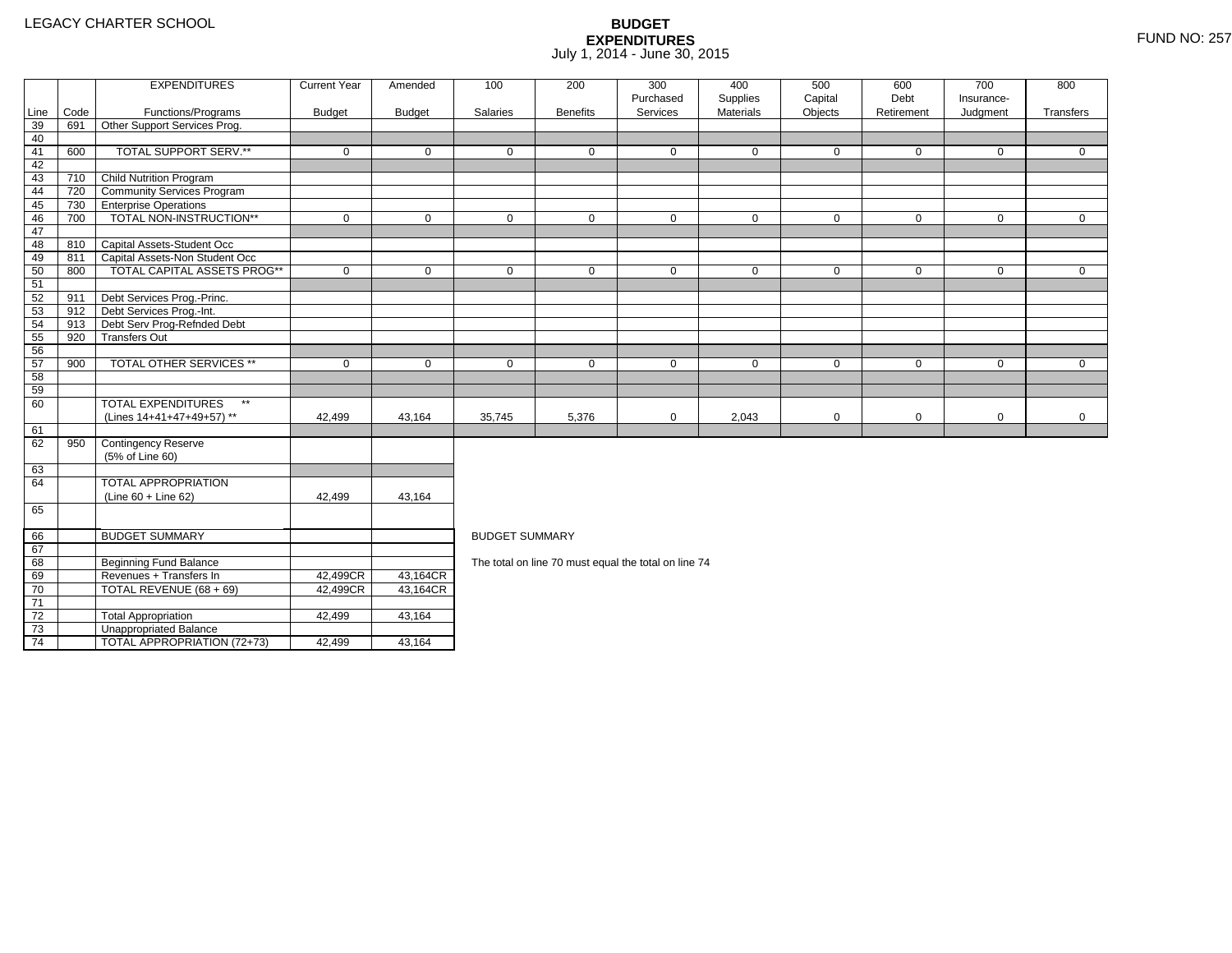73

74

3 **Unappropriated Balance** 

2 Total Appropriation 142,499 43,164

4 | TOTAL APPROPRIATION (72+73) | 42,499 <u>|</u> 43,164

|         |      | <b>EXPENDITURES</b>                       | <b>Current Year</b> | Amended       | 100                   | 200                                                  | 300                   | 400                   | 500                | 600                | 700                    | 800         |
|---------|------|-------------------------------------------|---------------------|---------------|-----------------------|------------------------------------------------------|-----------------------|-----------------------|--------------------|--------------------|------------------------|-------------|
| Line    | Code | Functions/Programs                        | <b>Budget</b>       | <b>Budget</b> | Salaries              | <b>Benefits</b>                                      | Purchased<br>Services | Supplies<br>Materials | Capital<br>Objects | Debt<br>Retirement | Insurance-<br>Judgment | Transfers   |
| 39      | 691  | Other Support Services Prog.              |                     |               |                       |                                                      |                       |                       |                    |                    |                        |             |
| 40      |      |                                           |                     |               |                       |                                                      |                       |                       |                    |                    |                        |             |
| 41      | 600  | TOTAL SUPPORT SERV.**                     | $\mathbf 0$         | $\mathbf 0$   | $\mathbf 0$           | $\mathbf 0$                                          | $\mathbf 0$           | $\mathbf 0$           | $\mathbf 0$        | $\mathbf 0$        | $\mathbf 0$            | $\mathbf 0$ |
| 42      |      |                                           |                     |               |                       |                                                      |                       |                       |                    |                    |                        |             |
| 43      | 710  | <b>Child Nutrition Program</b>            |                     |               |                       |                                                      |                       |                       |                    |                    |                        |             |
| 44      | 720  | <b>Community Services Program</b>         |                     |               |                       |                                                      |                       |                       |                    |                    |                        |             |
| 45      | 730  | <b>Enterprise Operations</b>              |                     |               |                       |                                                      |                       |                       |                    |                    |                        |             |
| 46      | 700  | TOTAL NON-INSTRUCTION**                   | $\mathbf 0$         | $\Omega$      | $\Omega$              | 0                                                    | $\mathbf 0$           | $\mathbf 0$           | $\mathbf 0$        | $\mathbf 0$        | $\mathbf 0$            | $\mathbf 0$ |
| 47      |      |                                           |                     |               |                       |                                                      |                       |                       |                    |                    |                        |             |
| 48      |      | 810 Capital Assets-Student Occ            |                     |               |                       |                                                      |                       |                       |                    |                    |                        |             |
| 49      | 811  | Capital Assets-Non Student Occ            |                     |               |                       |                                                      |                       |                       |                    |                    |                        |             |
| 50      | 800  | <b>TOTAL CAPITAL ASSETS PROG**</b>        | $\mathbf 0$         | $\mathbf 0$   | $\mathbf 0$           | $\mathbf 0$                                          | $\mathbf 0$           | $\mathbf 0$           | $\mathbf 0$        | $\mathbf 0$        | $\mathbf 0$            | $\mathbf 0$ |
| 51      |      |                                           |                     |               |                       |                                                      |                       |                       |                    |                    |                        |             |
| 52      | 911  | Debt Services Prog.-Princ.                |                     |               |                       |                                                      |                       |                       |                    |                    |                        |             |
| 53      | 912  | Debt Services Prog.-Int.                  |                     |               |                       |                                                      |                       |                       |                    |                    |                        |             |
| 54      | 913  | Debt Serv Prog-Refnded Debt               |                     |               |                       |                                                      |                       |                       |                    |                    |                        |             |
| 55      | 920  | <b>Transfers Out</b>                      |                     |               |                       |                                                      |                       |                       |                    |                    |                        |             |
| 56      |      |                                           |                     |               |                       |                                                      |                       |                       |                    |                    |                        |             |
| 57      | 900  | <b>TOTAL OTHER SERVICES **</b>            | $\mathbf 0$         | $\mathbf 0$   | $\mathbf 0$           | $\mathbf 0$                                          | $\mathbf 0$           | $\mathbf 0$           | $\mathbf 0$        | $\mathbf 0$        | $\mathbf 0$            | $\mathbf 0$ |
| 58      |      |                                           |                     |               |                       |                                                      |                       |                       |                    |                    |                        |             |
| 59      |      |                                           |                     |               |                       |                                                      |                       |                       |                    |                    |                        |             |
| 60      |      | $\star\star$<br><b>TOTAL EXPENDITURES</b> |                     |               |                       |                                                      |                       |                       |                    |                    |                        |             |
|         |      | (Lines 14+41+47+49+57) **                 | 42,499              | 43,164        | 35,745                | 5,376                                                | $\mathbf 0$           | 2,043                 | $\mathbf 0$        | 0                  | $\mathbf 0$            | $\mathbf 0$ |
| 61      |      |                                           |                     |               |                       |                                                      |                       |                       |                    |                    |                        |             |
| 62      | 950  | Contingency Reserve                       |                     |               |                       |                                                      |                       |                       |                    |                    |                        |             |
|         |      | (5% of Line 60)                           |                     |               |                       |                                                      |                       |                       |                    |                    |                        |             |
| 63      |      |                                           |                     |               |                       |                                                      |                       |                       |                    |                    |                        |             |
| 64      |      | <b>TOTAL APPROPRIATION</b>                |                     |               |                       |                                                      |                       |                       |                    |                    |                        |             |
|         |      | $(Line 60 + Line 62)$                     | 42,499              | 43,164        |                       |                                                      |                       |                       |                    |                    |                        |             |
| 65      |      |                                           |                     |               |                       |                                                      |                       |                       |                    |                    |                        |             |
|         |      |                                           |                     |               |                       |                                                      |                       |                       |                    |                    |                        |             |
| 66      |      | <b>BUDGET SUMMARY</b>                     |                     |               | <b>BUDGET SUMMARY</b> |                                                      |                       |                       |                    |                    |                        |             |
| 67      |      |                                           |                     |               |                       |                                                      |                       |                       |                    |                    |                        |             |
| 68      |      | <b>Beginning Fund Balance</b>             |                     |               |                       | The total on line 70 must equal the total on line 74 |                       |                       |                    |                    |                        |             |
| 69      |      | Revenues + Transfers In                   | 42,499CR            | 43,164CR      |                       |                                                      |                       |                       |                    |                    |                        |             |
| 70<br>H |      | TOTAL REVENUE (68 + 69)                   | 42,499CR            | 43,164CR      |                       |                                                      |                       |                       |                    |                    |                        |             |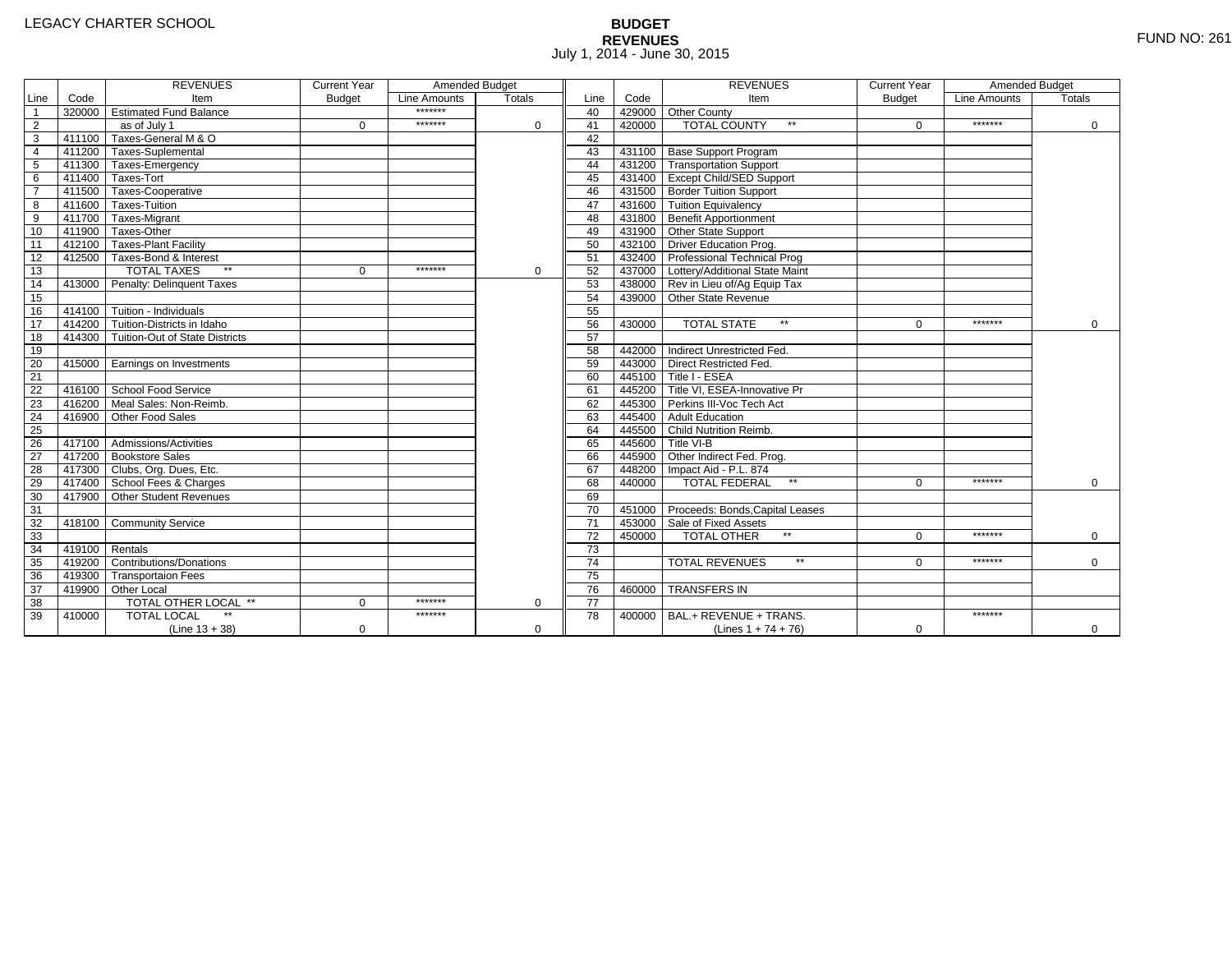# **BUDGET REVENUES** FUND NO: 261 July 1, 2014 - June 30, 2015

|                         |                | <b>REVENUES</b>                       | <b>Current Year</b> | Amended Budget |               |                 |        | <b>REVENUES</b>                        | <b>Current Year</b> | Amended Budget |               |
|-------------------------|----------------|---------------------------------------|---------------------|----------------|---------------|-----------------|--------|----------------------------------------|---------------------|----------------|---------------|
| Line                    | Code           | Item                                  | <b>Budget</b>       | Line Amounts   | <b>Totals</b> | Line            | Code   | Item                                   | <b>Budget</b>       | Line Amounts   | <b>Totals</b> |
| $\overline{1}$          |                | 320000 Estimated Fund Balance         |                     | *******        |               | 40              |        | 429000 Other County                    |                     |                |               |
| $\overline{2}$          |                | as of July 1                          | $\Omega$            | *******        | $\Omega$      | 41              | 420000 | <b>TOTAL COUNTY</b><br>$\star\star$    | $\Omega$            | *******        | $\mathbf 0$   |
| $\overline{3}$          |                | 411100 Taxes-General M & O            |                     |                |               | 42              |        |                                        |                     |                |               |
| $\overline{4}$          |                | 411200 Taxes-Suplemental              |                     |                |               | 43              |        | 431100 Base Support Program            |                     |                |               |
| $\overline{5}$          |                | 411300 Taxes-Emergency                |                     |                |               | 44              |        | 431200 Transportation Support          |                     |                |               |
| $\overline{6}$          |                | 411400 Taxes-Tort                     |                     |                |               | 45              |        | 431400 Except Child/SED Support        |                     |                |               |
| $\overline{\mathbf{7}}$ |                | 411500 Taxes-Cooperative              |                     |                |               | 46              |        | 431500 Border Tuition Support          |                     |                |               |
| 8                       |                | 411600 Taxes-Tuition                  |                     |                |               | 47              |        | 431600 Tuition Equivalency             |                     |                |               |
| $\overline{9}$          |                | 411700 Taxes-Migrant                  |                     |                |               | 48              |        | 431800 Benefit Apportionment           |                     |                |               |
| 10                      |                | 411900 Taxes-Other                    |                     |                |               | 49              |        | 431900 Other State Support             |                     |                |               |
| 11                      |                | 412100 Taxes-Plant Facility           |                     |                |               | 50              |        | 432100 Driver Education Prog.          |                     |                |               |
| 12                      |                | 412500 Taxes-Bond & Interest          |                     |                |               | 51              |        | 432400 Professional Technical Prog     |                     |                |               |
| $\overline{13}$         |                | <b>TOTAL TAXES</b><br>$**$            | $\mathbf 0$         | *******        | $\mathbf 0$   | 52              |        | 437000 Lottery/Additional State Maint  |                     |                |               |
| 14                      |                | 413000 Penalty: Delinquent Taxes      |                     |                |               | 53              |        | 438000 Rev in Lieu of/Ag Equip Tax     |                     |                |               |
| 15                      |                |                                       |                     |                |               | 54              |        | 439000 Other State Revenue             |                     |                |               |
| 16                      |                | $414100$ Tuition - Individuals        |                     |                |               | 55              |        |                                        |                     |                |               |
| 17                      |                | 414200 Tuition-Districts in Idaho     |                     |                |               | 56              | 430000 | <b>TOTAL STATE</b><br>$\star\star$     | $\Omega$            | *******        | $\Omega$      |
| 18                      |                | 414300 Tuition-Out of State Districts |                     |                |               | $\overline{57}$ |        |                                        |                     |                |               |
| 19                      |                |                                       |                     |                |               | 58              |        | 442000 Indirect Unrestricted Fed.      |                     |                |               |
| 20                      |                | 415000 Earnings on Investments        |                     |                |               | 59              |        | 443000 Direct Restricted Fed.          |                     |                |               |
| $\overline{21}$         |                |                                       |                     |                |               | 60              |        | 445100 Title I - ESEA                  |                     |                |               |
| 22                      |                | 416100 School Food Service            |                     |                |               | 61              |        | 445200 Title VI. ESEA-Innovative Pr    |                     |                |               |
| 23                      |                | 416200 Meal Sales: Non-Reimb.         |                     |                |               | 62              |        | 445300 Perkins III-Voc Tech Act        |                     |                |               |
| $\overline{24}$         |                | 416900 Other Food Sales               |                     |                |               | 63              |        | 445400 Adult Education                 |                     |                |               |
| 25                      |                |                                       |                     |                |               | 64              |        | 445500 Child Nutrition Reimb.          |                     |                |               |
| 26                      |                | 417100 Admissions/Activities          |                     |                |               | 65              |        | 445600 Title VI-B                      |                     |                |               |
| $\overline{27}$         |                | 417200 Bookstore Sales                |                     |                |               | 66              |        | 445900 Other Indirect Fed. Prog.       |                     |                |               |
| 28                      |                | 417300 Clubs, Org. Dues, Etc.         |                     |                |               | 67              |        | 448200 Impact Aid - P.L. 874           |                     |                |               |
| 29                      |                | 417400 School Fees & Charges          |                     |                |               | 68              | 440000 | <b>TOTAL FEDERAL</b><br>$\star\star$   | $\Omega$            | *******        | $\Omega$      |
| 30                      |                | 417900 Other Student Revenues         |                     |                |               | 69              |        |                                        |                     |                |               |
| 31                      |                |                                       |                     |                |               | 70              |        | 451000 Proceeds: Bonds, Capital Leases |                     |                |               |
| 32                      |                | 418100 Community Service              |                     |                |               | $\overline{71}$ |        | 453000 Sale of Fixed Assets            |                     |                |               |
| 33                      |                |                                       |                     |                |               | 72              | 450000 | <b>TOTAL OTHER</b>                     | $\Omega$            | *******        | $\mathbf 0$   |
| 34                      | 419100 Rentals |                                       |                     |                |               | $\overline{73}$ |        |                                        |                     |                |               |
| 35                      |                | 419200 Contributions/Donations        |                     |                |               | $\overline{74}$ |        | <b>TOTAL REVENUES</b><br>$\star\star$  | O                   | *******        | $\mathbf 0$   |
| 36                      |                | 419300 Transportaion Fees             |                     |                |               | 75              |        |                                        |                     |                |               |
| 37                      |                | 419900 Other Local                    |                     |                |               | 76              | 460000 | <b>TRANSFERS IN</b>                    |                     |                |               |
| 38                      |                | TOTAL OTHER LOCAL **                  | $\Omega$            | *******        | $\Omega$      | $\overline{77}$ |        |                                        |                     |                |               |
| 39                      | 410000         | <b>TOTAL LOCAL</b>                    |                     | *******        |               | 78              | 400000 | BAL.+ REVENUE + TRANS.                 |                     | *******        |               |
|                         |                | $(Line 13 + 38)$                      | 0                   |                | 0             |                 |        | (Lines $1 + 74 + 76$ )                 | 0                   |                | $\mathbf{0}$  |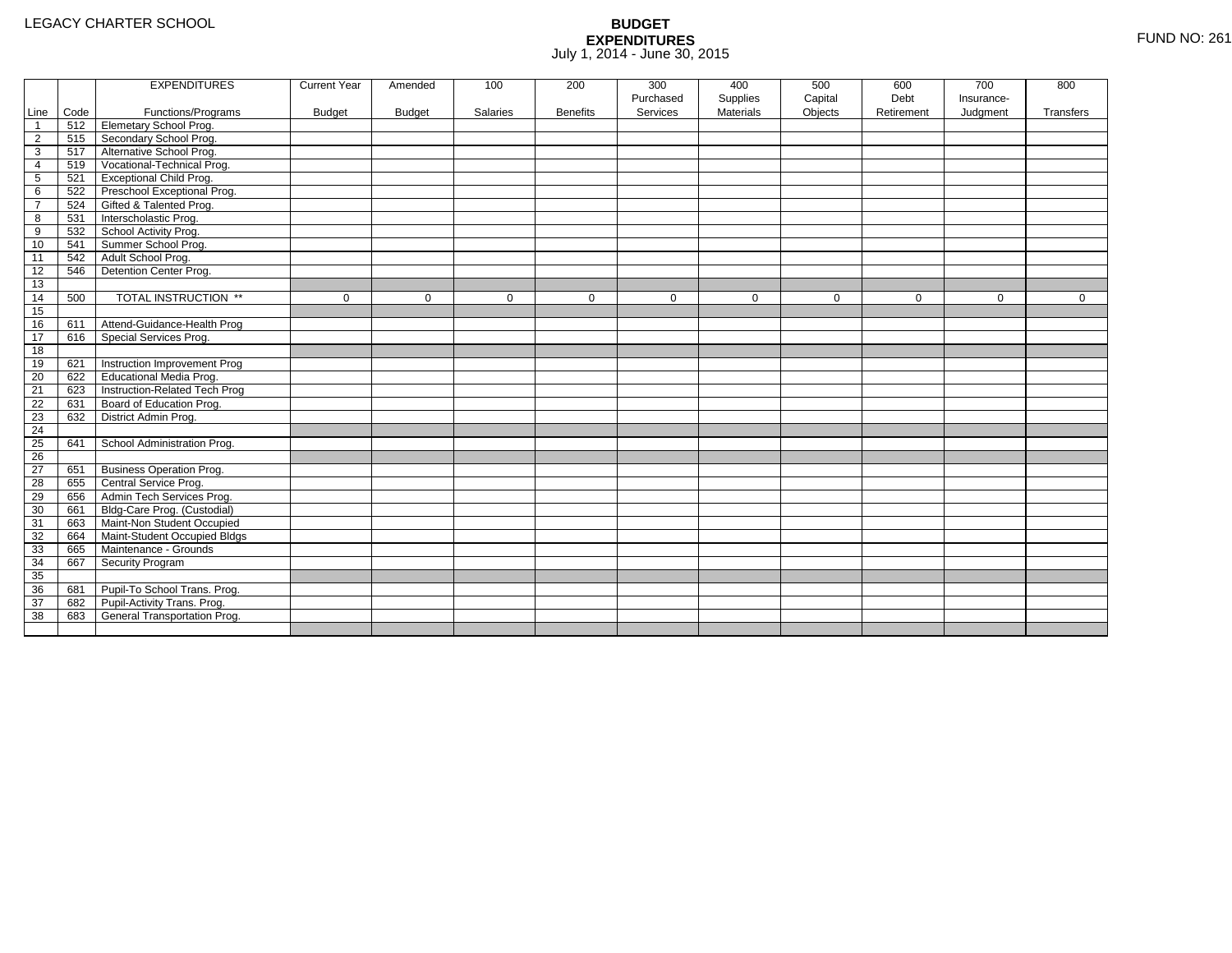|                |      | <b>EXPENDITURES</b>             | <b>Current Year</b> | Amended       | 100      | 200             | 300       | 400              | 500         | 600         | 700        | 800         |
|----------------|------|---------------------------------|---------------------|---------------|----------|-----------------|-----------|------------------|-------------|-------------|------------|-------------|
|                |      |                                 |                     |               |          |                 | Purchased | Supplies         | Capital     | Debt        | Insurance- |             |
| Line           | Code | Functions/Programs              | <b>Budget</b>       | <b>Budget</b> | Salaries | <b>Benefits</b> | Services  | <b>Materials</b> | Objects     | Retirement  | Judgment   | Transfers   |
| $\mathbf{1}$   | 512  | <b>Elemetary School Prog.</b>   |                     |               |          |                 |           |                  |             |             |            |             |
| $\overline{2}$ | 515  | Secondary School Prog.          |                     |               |          |                 |           |                  |             |             |            |             |
| 3              | 517  | Alternative School Prog.        |                     |               |          |                 |           |                  |             |             |            |             |
| 4              | 519  | Vocational-Technical Prog.      |                     |               |          |                 |           |                  |             |             |            |             |
| 5              | 521  | <b>Exceptional Child Prog.</b>  |                     |               |          |                 |           |                  |             |             |            |             |
| 6              | 522  | Preschool Exceptional Prog.     |                     |               |          |                 |           |                  |             |             |            |             |
| $\overline{7}$ | 524  | Gifted & Talented Prog.         |                     |               |          |                 |           |                  |             |             |            |             |
| 8              | 531  | Interscholastic Prog.           |                     |               |          |                 |           |                  |             |             |            |             |
| 9              | 532  | School Activity Prog.           |                     |               |          |                 |           |                  |             |             |            |             |
| 10             | 541  | Summer School Prog.             |                     |               |          |                 |           |                  |             |             |            |             |
| 11             | 542  | Adult School Prog.              |                     |               |          |                 |           |                  |             |             |            |             |
| 12             | 546  | Detention Center Prog.          |                     |               |          |                 |           |                  |             |             |            |             |
| 13             |      |                                 |                     |               |          |                 |           |                  |             |             |            |             |
| 14             | 500  | TOTAL INSTRUCTION **            | $\mathbf 0$         | $\mathbf 0$   | 0        | $\mathbf 0$     | 0         | $\mathbf 0$      | $\mathbf 0$ | $\mathbf 0$ | 0          | $\mathbf 0$ |
| 15             |      |                                 |                     |               |          |                 |           |                  |             |             |            |             |
| 16             | 611  | Attend-Guidance-Health Prog     |                     |               |          |                 |           |                  |             |             |            |             |
| 17             | 616  | Special Services Prog.          |                     |               |          |                 |           |                  |             |             |            |             |
| 18             |      |                                 |                     |               |          |                 |           |                  |             |             |            |             |
| 19             | 621  | Instruction Improvement Prog    |                     |               |          |                 |           |                  |             |             |            |             |
| 20             | 622  | Educational Media Prog.         |                     |               |          |                 |           |                  |             |             |            |             |
| 21             | 623  | Instruction-Related Tech Prog   |                     |               |          |                 |           |                  |             |             |            |             |
| 22             | 631  | Board of Education Prog.        |                     |               |          |                 |           |                  |             |             |            |             |
| 23             | 632  | District Admin Prog.            |                     |               |          |                 |           |                  |             |             |            |             |
| 24             |      |                                 |                     |               |          |                 |           |                  |             |             |            |             |
| 25             | 641  | School Administration Prog.     |                     |               |          |                 |           |                  |             |             |            |             |
| 26             |      |                                 |                     |               |          |                 |           |                  |             |             |            |             |
| 27             | 651  | <b>Business Operation Prog.</b> |                     |               |          |                 |           |                  |             |             |            |             |
| 28             | 655  | Central Service Prog.           |                     |               |          |                 |           |                  |             |             |            |             |
| 29             | 656  | Admin Tech Services Prog.       |                     |               |          |                 |           |                  |             |             |            |             |
| 30             | 661  | Bldg-Care Prog. (Custodial)     |                     |               |          |                 |           |                  |             |             |            |             |
| 31             | 663  | Maint-Non Student Occupied      |                     |               |          |                 |           |                  |             |             |            |             |
| 32             | 664  | Maint-Student Occupied Bldgs    |                     |               |          |                 |           |                  |             |             |            |             |
| 33             | 665  | Maintenance - Grounds           |                     |               |          |                 |           |                  |             |             |            |             |
| 34             | 667  | Security Program                |                     |               |          |                 |           |                  |             |             |            |             |
| 35             |      |                                 |                     |               |          |                 |           |                  |             |             |            |             |
| 36             | 681  | Pupil-To School Trans. Prog.    |                     |               |          |                 |           |                  |             |             |            |             |
| 37             | 682  | Pupil-Activity Trans. Prog.     |                     |               |          |                 |           |                  |             |             |            |             |
| 38             | 683  | General Transportation Prog.    |                     |               |          |                 |           |                  |             |             |            |             |
|                |      |                                 |                     |               |          |                 |           |                  |             |             |            |             |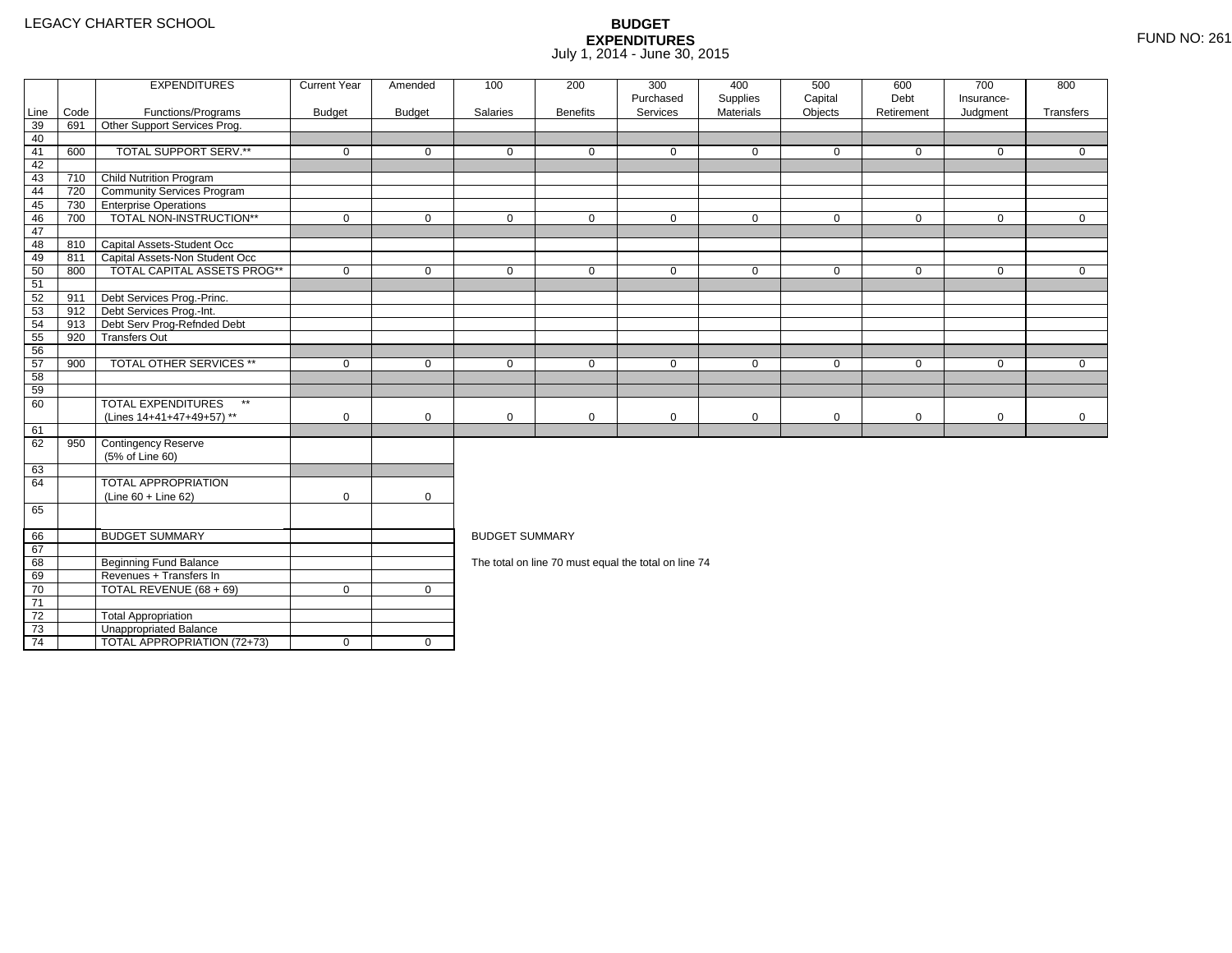4 | TOTAL APPROPRIATION (72+73) | 0 | 0

|      |      | <b>EXPENDITURES</b>                       | <b>Current Year</b> | Amended       | 100                   | 200             | 300<br>Purchased                                     | 400                   | 500                | 600<br>Debt | 700<br>Insurance- | 800          |
|------|------|-------------------------------------------|---------------------|---------------|-----------------------|-----------------|------------------------------------------------------|-----------------------|--------------------|-------------|-------------------|--------------|
| Line | Code | Functions/Programs                        | <b>Budget</b>       | <b>Budget</b> | Salaries              | <b>Benefits</b> | Services                                             | Supplies<br>Materials | Capital<br>Objects | Retirement  | Judgment          | Transfers    |
| 39   | 691  | Other Support Services Prog.              |                     |               |                       |                 |                                                      |                       |                    |             |                   |              |
| 40   |      |                                           |                     |               |                       |                 |                                                      |                       |                    |             |                   |              |
| 41   | 600  | TOTAL SUPPORT SERV.**                     | $\mathbf 0$         | $\mathbf 0$   | $\mathbf 0$           | $\mathbf 0$     | $\mathbf 0$                                          | $\mathbf 0$           | $\mathbf 0$        | $\mathbf 0$ | $\mathbf 0$       | $\mathbf{0}$ |
| 42   |      |                                           |                     |               |                       |                 |                                                      |                       |                    |             |                   |              |
| 43   | 710  | <b>Child Nutrition Program</b>            |                     |               |                       |                 |                                                      |                       |                    |             |                   |              |
| 44   | 720  | <b>Community Services Program</b>         |                     |               |                       |                 |                                                      |                       |                    |             |                   |              |
| 45   | 730  | <b>TEnterprise Operations</b>             |                     |               |                       |                 |                                                      |                       |                    |             |                   |              |
| 46   | 700  | TOTAL NON-INSTRUCTION**                   | $\mathbf 0$         | $\mathbf 0$   | $\mathbf 0$           | $\mathbf{0}$    | $\mathbf 0$                                          | $\mathbf 0$           | $\mathbf 0$        | $\mathbf 0$ | $\overline{0}$    | $\mathbf{0}$ |
| 47   |      |                                           |                     |               |                       |                 |                                                      |                       |                    |             |                   |              |
| 48   |      | 810 Capital Assets-Student Occ            |                     |               |                       |                 |                                                      |                       |                    |             |                   |              |
| 49   | 811  | Capital Assets-Non Student Occ            |                     |               |                       |                 |                                                      |                       |                    |             |                   |              |
| 50   | 800  | <b>TOTAL CAPITAL ASSETS PROG**</b>        | $\mathbf 0$         | $\mathbf 0$   | $\mathbf 0$           | $\mathbf 0$     | $\mathbf 0$                                          | $\mathbf 0$           | $\mathbf 0$        | $\mathbf 0$ | $\mathbf 0$       | $\mathbf{0}$ |
| 51   |      |                                           |                     |               |                       |                 |                                                      |                       |                    |             |                   |              |
| 52   | 911  | Debt Services Prog.-Princ.                |                     |               |                       |                 |                                                      |                       |                    |             |                   |              |
| 53   | 912  | Debt Services Prog.-Int.                  |                     |               |                       |                 |                                                      |                       |                    |             |                   |              |
| 54   | 913  | Debt Serv Prog-Refnded Debt               |                     |               |                       |                 |                                                      |                       |                    |             |                   |              |
| 55   | 920  | <b>Transfers Out</b>                      |                     |               |                       |                 |                                                      |                       |                    |             |                   |              |
| 56   |      |                                           |                     |               |                       |                 |                                                      |                       |                    |             |                   |              |
| 57   | 900  | <b>TOTAL OTHER SERVICES **</b>            | $\mathbf 0$         | $\mathbf 0$   | $\mathbf 0$           | $\mathbf{0}$    | $\mathbf 0$                                          | $\mathbf 0$           | $\mathbf 0$        | $\mathbf 0$ | $\mathbf 0$       | $\Omega$     |
| 58   |      |                                           |                     |               |                       |                 |                                                      |                       |                    |             |                   |              |
| 59   |      |                                           |                     |               |                       |                 |                                                      |                       |                    |             |                   |              |
| 60   |      | <b>TOTAL EXPENDITURES</b><br>$\star\star$ |                     |               |                       |                 |                                                      |                       |                    |             |                   |              |
|      |      | (Lines 14+41+47+49+57) **                 | $\mathbf 0$         | $\mathbf 0$   | 0                     | 0               | $\mathbf 0$                                          | 0                     | $\mathbf 0$        | $\mathbf 0$ | $\mathbf 0$       | $\mathbf 0$  |
| 61   |      |                                           |                     |               |                       |                 |                                                      |                       |                    |             |                   |              |
| 62   | 950  | Contingency Reserve                       |                     |               |                       |                 |                                                      |                       |                    |             |                   |              |
|      |      | (5% of Line 60)                           |                     |               |                       |                 |                                                      |                       |                    |             |                   |              |
| 63   |      |                                           |                     |               |                       |                 |                                                      |                       |                    |             |                   |              |
| 64   |      | TOTAL APPROPRIATION                       |                     |               |                       |                 |                                                      |                       |                    |             |                   |              |
|      |      | $(Line 60 + Line 62)$                     | $\mathbf 0$         | $\mathbf 0$   |                       |                 |                                                      |                       |                    |             |                   |              |
| 65   |      |                                           |                     |               |                       |                 |                                                      |                       |                    |             |                   |              |
| 66   |      | <b>BUDGET SUMMARY</b>                     |                     |               | <b>BUDGET SUMMARY</b> |                 |                                                      |                       |                    |             |                   |              |
| 67   |      |                                           |                     |               |                       |                 |                                                      |                       |                    |             |                   |              |
| 68   |      | <b>Beginning Fund Balance</b>             |                     |               |                       |                 | The total on line 70 must equal the total on line 74 |                       |                    |             |                   |              |
| 69   |      | Revenues + Transfers In                   |                     |               |                       |                 |                                                      |                       |                    |             |                   |              |
| 70   |      | TOTAL REVENUE (68 + 69)                   | $\mathbf 0$         | $\mathbf{0}$  |                       |                 |                                                      |                       |                    |             |                   |              |
| 71   |      |                                           |                     |               |                       |                 |                                                      |                       |                    |             |                   |              |
| 72   |      | <b>Total Appropriation</b>                |                     |               |                       |                 |                                                      |                       |                    |             |                   |              |
| 73   |      | Unappropriated Balance                    |                     |               |                       |                 |                                                      |                       |                    |             |                   |              |
|      |      |                                           |                     |               |                       |                 |                                                      |                       |                    |             |                   |              |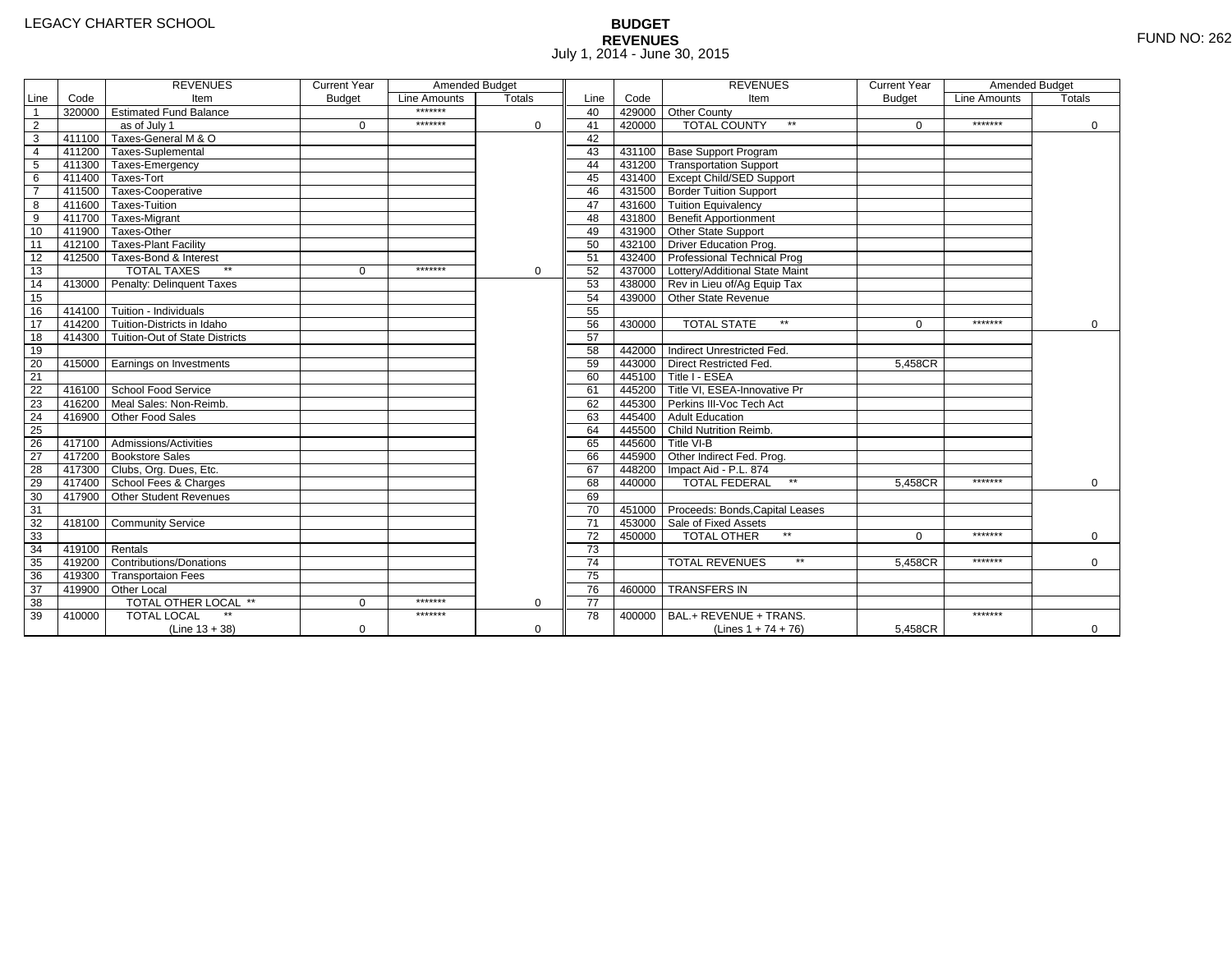# **BUDGET REVENUES** FUND NO: 262 July 1, 2014 - June 30, 2015

|                 |        | <b>REVENUES</b>                       | <b>Current Year</b> | Amended Budget |               |                 |        | <b>REVENUES</b>                        | <b>Current Year</b> | Amended Budget |             |
|-----------------|--------|---------------------------------------|---------------------|----------------|---------------|-----------------|--------|----------------------------------------|---------------------|----------------|-------------|
| Line            | Code   | Item                                  | <b>Budget</b>       | Line Amounts   | <b>Totals</b> | Line            | Code   | Item                                   | <b>Budget</b>       | Line Amounts   | Totals      |
| $\overline{1}$  |        | 320000 Estimated Fund Balance         |                     | *******        |               | 40              |        | 429000 Other County                    |                     |                |             |
| $\overline{2}$  |        | as of July 1                          | $\Omega$            | *******        | $\Omega$      | 41              | 420000 | $**$<br><b>TOTAL COUNTY</b>            | $\Omega$            | *******        | 0           |
| $\overline{3}$  |        | 411100 Taxes-General M & O            |                     |                |               | 42              |        |                                        |                     |                |             |
| $\overline{4}$  |        | 411200 Taxes-Suplemental              |                     |                |               | 43              |        | 431100 Base Support Program            |                     |                |             |
| $\overline{5}$  |        | 411300 Taxes-Emergency                |                     |                |               | 44              |        | 431200 Transportation Support          |                     |                |             |
| 6               |        | 411400 Taxes-Tort                     |                     |                |               | 45              |        | 431400 Except Child/SED Support        |                     |                |             |
| $\overline{7}$  |        | 411500 Taxes-Cooperative              |                     |                |               | 46              |        | 431500 Border Tuition Support          |                     |                |             |
| 8               |        | 411600 Taxes-Tuition                  |                     |                |               | 47              |        | 431600 Tuition Equivalency             |                     |                |             |
| $\overline{9}$  |        | 411700 Taxes-Migrant                  |                     |                |               | 48              |        | 431800 Benefit Apportionment           |                     |                |             |
| 10              |        | 411900 Taxes-Other                    |                     |                |               | 49              |        | 431900 Other State Support             |                     |                |             |
| 11              |        | 412100 Taxes-Plant Facility           |                     |                |               | 50              |        | 432100 Driver Education Prog.          |                     |                |             |
| 12              |        | 412500 Taxes-Bond & Interest          |                     |                |               | 51              |        | 432400 Professional Technical Prog     |                     |                |             |
| 13              |        | $**$<br><b>TOTAL TAXES</b>            | $\Omega$            | *******        | $\Omega$      | 52              |        | 437000 Lottery/Additional State Maint  |                     |                |             |
| 14              |        | 413000 Penalty: Delinguent Taxes      |                     |                |               | 53              |        | 438000 Rev in Lieu of/Ag Equip Tax     |                     |                |             |
| 15              |        |                                       |                     |                |               | 54              |        | 439000 Other State Revenue             |                     |                |             |
| 16              |        | 414100 Tuition - Individuals          |                     |                |               | 55              |        |                                        |                     |                |             |
| 17              |        | 414200 Tuition-Districts in Idaho     |                     |                |               | 56              | 430000 | <b>TOTAL STATE</b><br>$\star\star$     | $\Omega$            | *******        | $\Omega$    |
| 18              |        | 414300 Tuition-Out of State Districts |                     |                |               | 57              |        |                                        |                     |                |             |
| 19              |        |                                       |                     |                |               | 58              |        | 442000 Indirect Unrestricted Fed.      |                     |                |             |
| 20              |        | 415000 Earnings on Investments        |                     |                |               | 59              |        | 443000 Direct Restricted Fed.          | 5.458CR             |                |             |
| $\overline{21}$ |        |                                       |                     |                |               | 60              |        | 445100 Title I - ESEA                  |                     |                |             |
| 22              |        | 416100 School Food Service            |                     |                |               | 61              |        | 445200 Title VI. ESEA-Innovative Pr    |                     |                |             |
| 23              | 416200 | Meal Sales: Non-Reimb.                |                     |                |               | 62              |        | 445300 Perkins III-Voc Tech Act        |                     |                |             |
| $\overline{24}$ | 416900 | Other Food Sales                      |                     |                |               | 63              |        | 445400 Adult Education                 |                     |                |             |
| 25              |        |                                       |                     |                |               | 64              |        | 445500 Child Nutrition Reimb.          |                     |                |             |
| 26              |        | 417100 Admissions/Activities          |                     |                |               | 65              |        | 445600 Title VI-B                      |                     |                |             |
| $\overline{27}$ |        | 417200 Bookstore Sales                |                     |                |               | 66              |        | 445900 Other Indirect Fed. Prog.       |                     |                |             |
| 28              |        | 417300 Clubs, Org. Dues, Etc.         |                     |                |               | 67              |        | 448200   Impact Aid - P.L. 874         |                     |                |             |
| 29              |        | 417400 School Fees & Charges          |                     |                |               | 68              | 440000 | <b>TOTAL FEDERAL</b><br>$\star\star$   | 5,458CR             | *******        | 0           |
| 30              |        | 417900 Other Student Revenues         |                     |                |               | 69              |        |                                        |                     |                |             |
| 31              |        |                                       |                     |                |               | 70              |        | 451000 Proceeds: Bonds, Capital Leases |                     |                |             |
| 32              |        | 418100 Community Service              |                     |                |               | 71              |        | 453000 Sale of Fixed Assets            |                     |                |             |
| 33              |        |                                       |                     |                |               | 72              | 450000 | <b>TOTAL OTHER</b>                     | $\Omega$            | *******        | $\Omega$    |
| 34              | 419100 | Rentals                               |                     |                |               | $\overline{73}$ |        |                                        |                     |                |             |
| 35              |        | 419200 Contributions/Donations        |                     |                |               | $\overline{74}$ |        | $**$<br><b>TOTAL REVENUES</b>          | 5.458CR             | *******        | 0           |
| 36              |        | 419300 Transportaion Fees             |                     |                |               | 75              |        |                                        |                     |                |             |
| 37              |        | 419900 Other Local                    |                     |                |               | 76              | 460000 | <b>TRANSFERS IN</b>                    |                     |                |             |
| 38              |        | TOTAL OTHER LOCAL **                  | $\Omega$            | *******        | $\Omega$      | $\overline{77}$ |        |                                        |                     |                |             |
| 39              | 410000 | <b>TOTAL LOCAL</b>                    |                     | *******        |               | 78              | 400000 | BAL.+ REVENUE + TRANS.                 |                     | *******        |             |
|                 |        | $(Line 13 + 38)$                      | $\mathbf 0$         |                | 0             |                 |        | (Lines $1 + 74 + 76$ )                 | 5,458CR             |                | $\mathbf 0$ |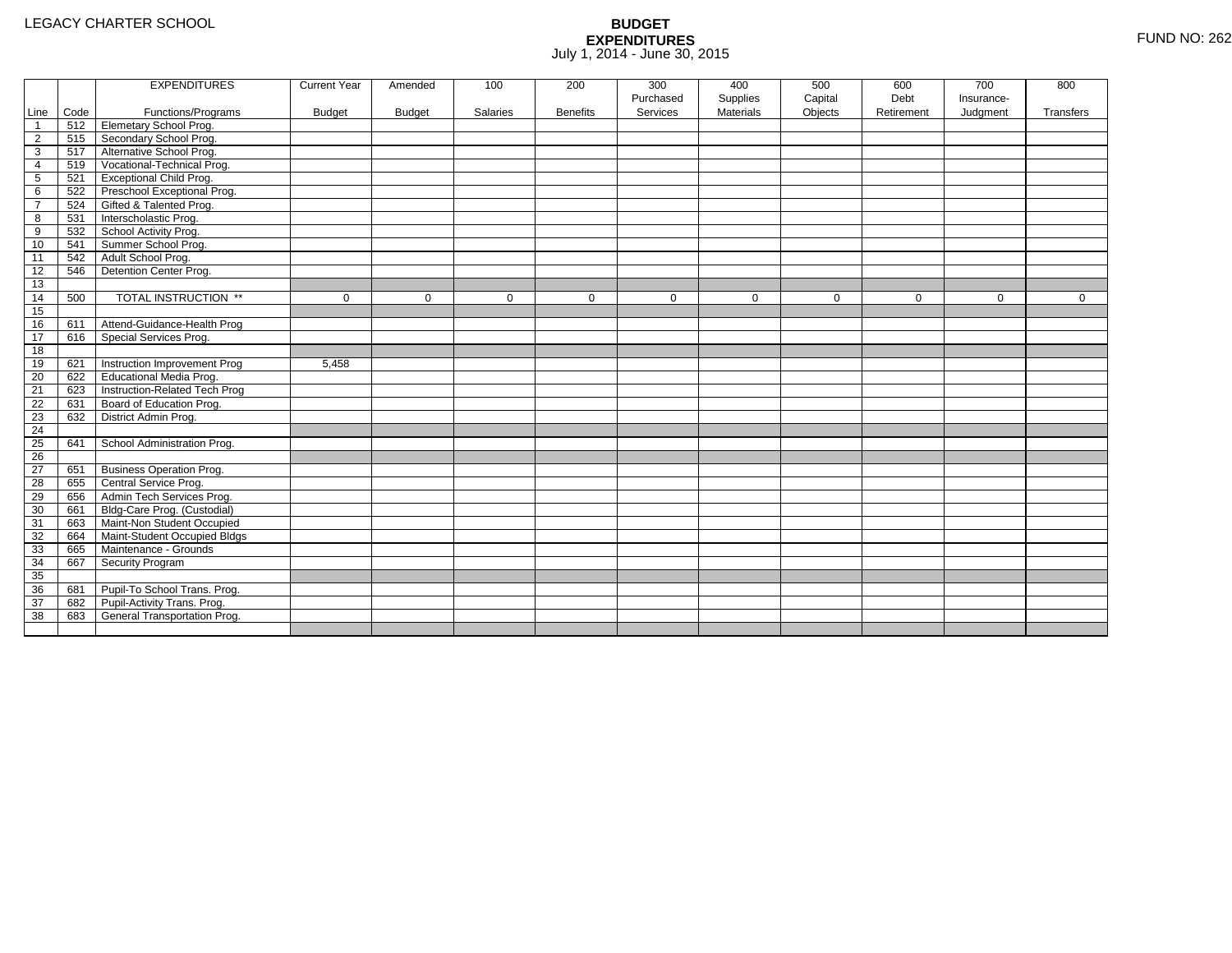|                 |      | <b>EXPENDITURES</b>             | <b>Current Year</b> | Amended       | 100         | 200             | 300         | 400              | 500         | 600         | 700         | 800          |
|-----------------|------|---------------------------------|---------------------|---------------|-------------|-----------------|-------------|------------------|-------------|-------------|-------------|--------------|
|                 |      |                                 |                     |               |             |                 | Purchased   | Supplies         | Capital     | Debt        | Insurance-  |              |
| Line            | Code | Functions/Programs              | <b>Budget</b>       | <b>Budget</b> | Salaries    | <b>Benefits</b> | Services    | <b>Materials</b> | Objects     | Retirement  | Judgment    | Transfers    |
| $\overline{1}$  | 512  | <b>Elemetary School Prog.</b>   |                     |               |             |                 |             |                  |             |             |             |              |
| $\overline{2}$  | 515  | Secondary School Prog.          |                     |               |             |                 |             |                  |             |             |             |              |
| 3               | 517  | Alternative School Prog.        |                     |               |             |                 |             |                  |             |             |             |              |
| 4               | 519  | Vocational-Technical Prog.      |                     |               |             |                 |             |                  |             |             |             |              |
| $5\phantom{.0}$ | 521  | <b>Exceptional Child Prog.</b>  |                     |               |             |                 |             |                  |             |             |             |              |
| 6               | 522  | Preschool Exceptional Prog.     |                     |               |             |                 |             |                  |             |             |             |              |
| $\overline{7}$  | 524  | Gifted & Talented Prog.         |                     |               |             |                 |             |                  |             |             |             |              |
| 8               | 531  | Interscholastic Prog.           |                     |               |             |                 |             |                  |             |             |             |              |
| 9               | 532  | School Activity Prog.           |                     |               |             |                 |             |                  |             |             |             |              |
| 10              | 541  | Summer School Prog.             |                     |               |             |                 |             |                  |             |             |             |              |
| 11              | 542  | Adult School Prog.              |                     |               |             |                 |             |                  |             |             |             |              |
| 12              | 546  | Detention Center Prog.          |                     |               |             |                 |             |                  |             |             |             |              |
| 13              |      |                                 |                     |               |             |                 |             |                  |             |             |             |              |
| 14              | 500  | TOTAL INSTRUCTION **            | $\mathbf 0$         | $\Omega$      | $\mathbf 0$ | $\mathbf 0$     | $\mathbf 0$ | $\mathbf 0$      | $\mathbf 0$ | $\mathbf 0$ | $\mathbf 0$ | $\mathbf{0}$ |
| 15              |      |                                 |                     |               |             |                 |             |                  |             |             |             |              |
| 16              | 611  | Attend-Guidance-Health Prog     |                     |               |             |                 |             |                  |             |             |             |              |
| 17              | 616  | Special Services Prog.          |                     |               |             |                 |             |                  |             |             |             |              |
| 18              |      |                                 |                     |               |             |                 |             |                  |             |             |             |              |
| 19              | 621  | Instruction Improvement Prog    | 5.458               |               |             |                 |             |                  |             |             |             |              |
| 20              | 622  | Educational Media Prog.         |                     |               |             |                 |             |                  |             |             |             |              |
| 21              | 623  | Instruction-Related Tech Prog   |                     |               |             |                 |             |                  |             |             |             |              |
| 22              | 631  | Board of Education Prog.        |                     |               |             |                 |             |                  |             |             |             |              |
| 23              | 632  | District Admin Prog.            |                     |               |             |                 |             |                  |             |             |             |              |
| 24              |      |                                 |                     |               |             |                 |             |                  |             |             |             |              |
| 25              | 641  | School Administration Prog.     |                     |               |             |                 |             |                  |             |             |             |              |
| $\overline{26}$ |      |                                 |                     |               |             |                 |             |                  |             |             |             |              |
| 27              | 651  | <b>Business Operation Prog.</b> |                     |               |             |                 |             |                  |             |             |             |              |
| 28              | 655  | Central Service Prog.           |                     |               |             |                 |             |                  |             |             |             |              |
| 29              | 656  | Admin Tech Services Prog.       |                     |               |             |                 |             |                  |             |             |             |              |
| 30              | 661  | Bldg-Care Prog. (Custodial)     |                     |               |             |                 |             |                  |             |             |             |              |
| 31              | 663  | Maint-Non Student Occupied      |                     |               |             |                 |             |                  |             |             |             |              |
| 32              | 664  | Maint-Student Occupied Bldgs    |                     |               |             |                 |             |                  |             |             |             |              |
| 33              | 665  | Maintenance - Grounds           |                     |               |             |                 |             |                  |             |             |             |              |
| 34              | 667  | Security Program                |                     |               |             |                 |             |                  |             |             |             |              |
| 35              |      |                                 |                     |               |             |                 |             |                  |             |             |             |              |
| 36              | 681  | Pupil-To School Trans. Prog.    |                     |               |             |                 |             |                  |             |             |             |              |
| 37              | 682  | Pupil-Activity Trans. Prog.     |                     |               |             |                 |             |                  |             |             |             |              |
| 38              | 683  | General Transportation Prog.    |                     |               |             |                 |             |                  |             |             |             |              |
|                 |      |                                 |                     |               |             |                 |             |                  |             |             |             |              |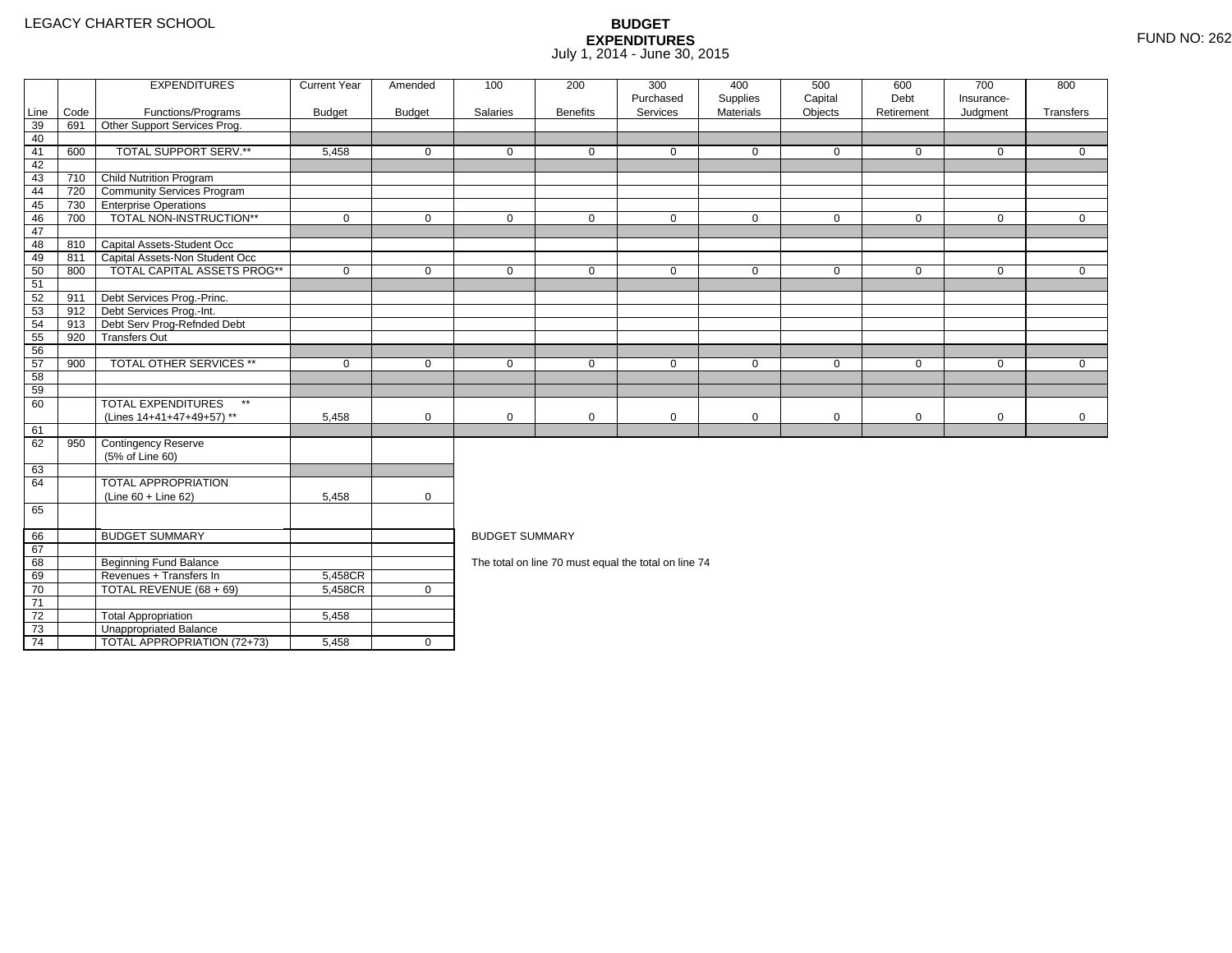2 Total Appropriation 15,458

4 | TOTAL APPROPRIATION (72+73) | 5,458 <u>|</u> 0

3 **Unappropriated Balance** 

73

74

|                 |      | <b>EXPENDITURES</b>                       | <b>Current Year</b> | Amended        | 100                   | 200             | 300                                                  | 400         | 500            | 600          | 700          | 800          |
|-----------------|------|-------------------------------------------|---------------------|----------------|-----------------------|-----------------|------------------------------------------------------|-------------|----------------|--------------|--------------|--------------|
|                 |      |                                           |                     |                |                       |                 | Purchased                                            | Supplies    | Capital        | Debt         | Insurance-   |              |
| Line            | Code | Functions/Programs                        | <b>Budget</b>       | <b>Budget</b>  | Salaries              | <b>Benefits</b> | Services                                             | Materials   | Objects        | Retirement   | Judgment     | Transfers    |
| 39              | 691  | Other Support Services Prog.              |                     |                |                       |                 |                                                      |             |                |              |              |              |
| 40              |      |                                           |                     |                |                       |                 |                                                      |             |                |              |              |              |
| 41              | 600  | TOTAL SUPPORT SERV.**                     | 5,458               | $\Omega$       | $\Omega$              | $\Omega$        | $\Omega$                                             | $\mathbf 0$ | $\mathbf{0}$   | $\mathbf{0}$ | $\mathbf{0}$ | $\Omega$     |
| 42              |      |                                           |                     |                |                       |                 |                                                      |             |                |              |              |              |
| 43              | 710  | <b>Child Nutrition Program</b>            |                     |                |                       |                 |                                                      |             |                |              |              |              |
| 44              | 720  | Community Services Program                |                     |                |                       |                 |                                                      |             |                |              |              |              |
| 45              | 730  | <b>Enterprise Operations</b>              |                     |                |                       |                 |                                                      |             |                |              |              |              |
| 46              | 700  | TOTAL NON-INSTRUCTION**                   | $\mathbf 0$         | $\Omega$       | $\Omega$              | $\mathbf 0$     | $\mathbf 0$                                          | $\mathbf 0$ | $\overline{0}$ | $\mathbf 0$  | $\mathbf{0}$ | $\mathbf 0$  |
| 47              |      |                                           |                     |                |                       |                 |                                                      |             |                |              |              |              |
| 48              | 810  | Capital Assets-Student Occ                |                     |                |                       |                 |                                                      |             |                |              |              |              |
| 49              | 811  | Capital Assets-Non Student Occ            |                     |                |                       |                 |                                                      |             |                |              |              |              |
| 50              | 800  | TOTAL CAPITAL ASSETS PROG**               | $\mathbf 0$         | $\mathbf 0$    | $\mathbf 0$           | $\mathbf 0$     | $\mathbf 0$                                          | $\mathbf 0$ | $\mathbf 0$    | $\mathbf 0$  | $\mathbf 0$  | $\mathbf 0$  |
| 51              |      |                                           |                     |                |                       |                 |                                                      |             |                |              |              |              |
| 52              | 911  | Debt Services Prog.-Princ.                |                     |                |                       |                 |                                                      |             |                |              |              |              |
| 53              | 912  | Debt Services Prog.-Int.                  |                     |                |                       |                 |                                                      |             |                |              |              |              |
| 54              | 913  | Debt Serv Prog-Refnded Debt               |                     |                |                       |                 |                                                      |             |                |              |              |              |
| 55              | 920  | <b>Transfers Out</b>                      |                     |                |                       |                 |                                                      |             |                |              |              |              |
| 56              |      |                                           |                     |                |                       |                 |                                                      |             |                |              |              |              |
| 57              | 900  | <b>TOTAL OTHER SERVICES **</b>            | $\mathbf 0$         | 0              | $\mathbf 0$           | 0               | 0                                                    | $\mathbf 0$ | 0              | 0            | 0            | $\mathbf{0}$ |
| 58              |      |                                           |                     |                |                       |                 |                                                      |             |                |              |              |              |
| 59              |      |                                           |                     |                |                       |                 |                                                      |             |                |              |              |              |
| 60              |      | <b>TOTAL EXPENDITURES</b><br>$\star\star$ |                     |                |                       |                 |                                                      |             |                |              |              |              |
|                 |      | (Lines 14+41+47+49+57) **                 | 5,458               | $\mathbf 0$    | $\mathbf 0$           | 0               | $\mathbf 0$                                          | $\mathbf 0$ | 0              | $\mathbf 0$  | $\mathbf 0$  | $\mathbf{0}$ |
| 61              |      |                                           |                     |                |                       |                 |                                                      |             |                |              |              |              |
| 62              | 950  | <b>Contingency Reserve</b>                |                     |                |                       |                 |                                                      |             |                |              |              |              |
|                 |      | (5% of Line 60)                           |                     |                |                       |                 |                                                      |             |                |              |              |              |
| 63              |      |                                           |                     |                |                       |                 |                                                      |             |                |              |              |              |
| 64              |      | <b>TOTAL APPROPRIATION</b>                |                     |                |                       |                 |                                                      |             |                |              |              |              |
|                 |      | (Line 60 + Line 62)                       | 5,458               | 0              |                       |                 |                                                      |             |                |              |              |              |
| 65              |      |                                           |                     |                |                       |                 |                                                      |             |                |              |              |              |
|                 |      |                                           |                     |                |                       |                 |                                                      |             |                |              |              |              |
| 66              |      | <b>BUDGET SUMMARY</b>                     |                     |                | <b>BUDGET SUMMARY</b> |                 |                                                      |             |                |              |              |              |
| 67              |      |                                           |                     |                |                       |                 |                                                      |             |                |              |              |              |
| 68              |      | Beginning Fund Balance                    |                     |                |                       |                 | The total on line 70 must equal the total on line 74 |             |                |              |              |              |
| 69              |      | Revenues + Transfers In                   | 5,458CR             |                |                       |                 |                                                      |             |                |              |              |              |
| 70              |      | TOTAL REVENUE (68 + 69)                   | 5,458CR             | $\overline{0}$ |                       |                 |                                                      |             |                |              |              |              |
| $\overline{71}$ |      |                                           |                     |                |                       |                 |                                                      |             |                |              |              |              |
| $\overline{72}$ |      | <b>Total Appropriation</b>                | 5.458               |                |                       |                 |                                                      |             |                |              |              |              |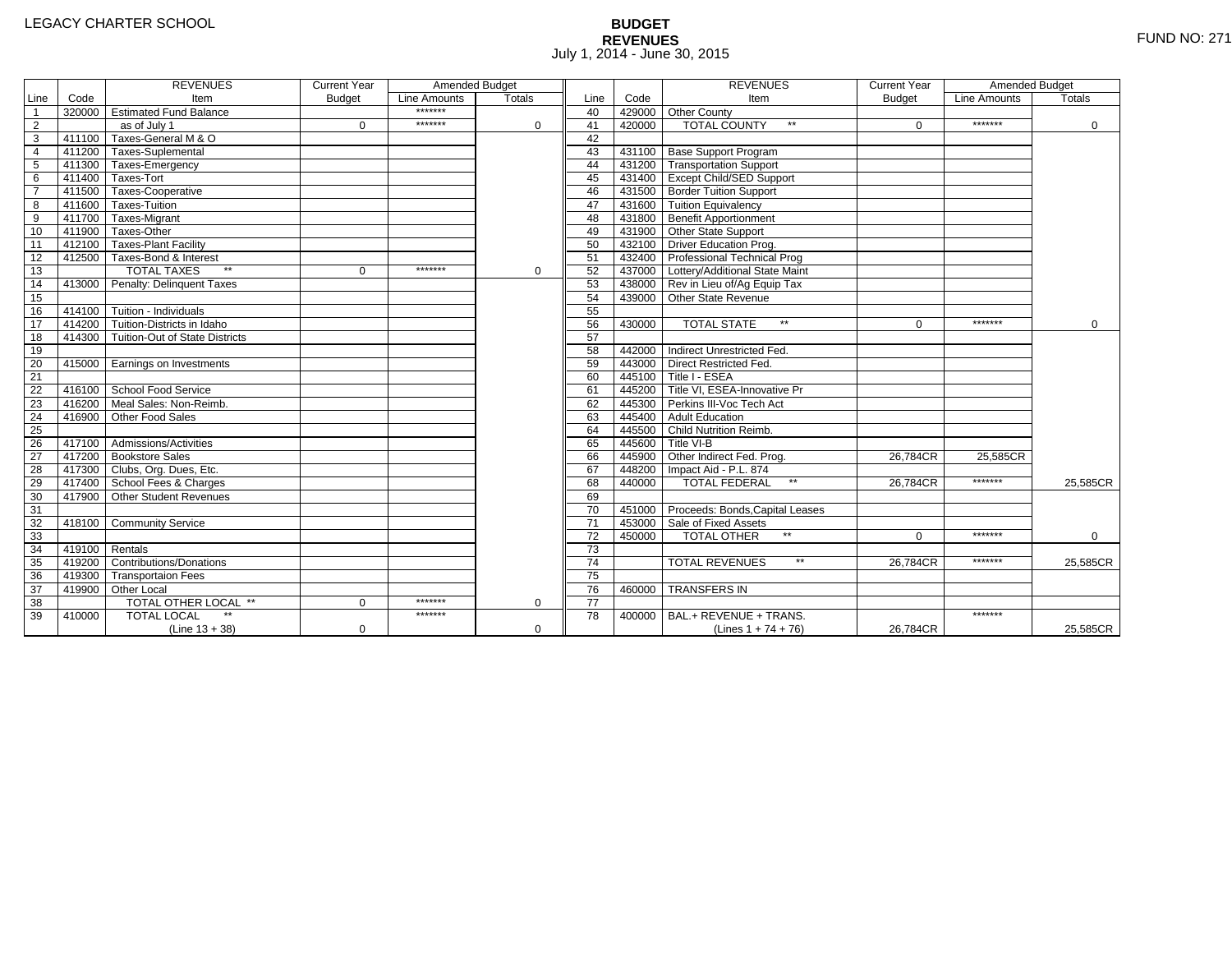# **BUDGET REVENUES** FUND NO: 271 July 1, 2014 - June 30, 2015

|                |        | <b>REVENUES</b>                         | <b>Current Year</b> | Amended Budget |               |                 |        | <b>REVENUES</b>                        | <b>Current Year</b> | Amended Budget |             |
|----------------|--------|-----------------------------------------|---------------------|----------------|---------------|-----------------|--------|----------------------------------------|---------------------|----------------|-------------|
| Line           | Code   | Item                                    | <b>Budget</b>       | Line Amounts   | <b>Totals</b> | Line            | Code   | Item                                   | <b>Budget</b>       | Line Amounts   | Totals      |
| $\mathbf{1}$   |        | 320000 Estimated Fund Balance           |                     | *******        |               | 40              |        | 429000 Other County                    |                     |                |             |
| $\overline{2}$ |        | as of July 1                            | $\mathbf 0$         | *******        | 0             | 41              | 420000 | <b>TOTAL COUNTY</b><br>$\star\star$    | $\Omega$            | *******        | 0           |
| 3              |        | 411100 Taxes-General M & O              |                     |                |               | 42              |        |                                        |                     |                |             |
| $\overline{4}$ |        | 411200 Taxes-Suplemental                |                     |                |               | 43              |        | 431100 Base Support Program            |                     |                |             |
| 5              |        | 411300 Taxes-Emergency                  |                     |                |               | 44              |        | 431200 Transportation Support          |                     |                |             |
| 6              |        | 411400 Taxes-Tort                       |                     |                |               | 45              |        | 431400 Except Child/SED Support        |                     |                |             |
| $\overline{7}$ |        | 411500 Taxes-Cooperative                |                     |                |               | 46              |        | 431500 Border Tuition Support          |                     |                |             |
| 8              |        | 411600 Taxes-Tuition                    |                     |                |               | 47              |        | 431600 Tuition Equivalency             |                     |                |             |
| $\overline{9}$ |        | 411700 Taxes-Migrant                    |                     |                |               | 48              |        | 431800 Benefit Apportionment           |                     |                |             |
| 10             |        | 411900 Taxes-Other                      |                     |                |               | 49              |        | 431900 Other State Support             |                     |                |             |
| 11             |        | 412100   Taxes-Plant Facility           |                     |                |               | 50              |        | 432100 Driver Education Prog.          |                     |                |             |
| 12             |        | 412500 Taxes-Bond & Interest            |                     |                |               | 51              |        | 432400 Professional Technical Prog     |                     |                |             |
| 13             |        | <b>TOTAL TAXES</b><br>$\star\star$      | $\Omega$            | *******        | 0             | 52              |        | 437000 Lottery/Additional State Maint  |                     |                |             |
| 14             |        | 413000 Penalty: Delinquent Taxes        |                     |                |               | 53              |        | 438000 Rev in Lieu of/Ag Equip Tax     |                     |                |             |
| 15             |        |                                         |                     |                |               | 54              |        | 439000 Other State Revenue             |                     |                |             |
| 16             |        | $-414100$ Tuition - Individuals         |                     |                |               | 55              |        |                                        |                     |                |             |
| 17             |        | 414200 Tuition-Districts in Idaho       |                     |                |               | 56              | 430000 | <b>TOTAL STATE</b><br>$**$             | $\Omega$            | *******        | $\Omega$    |
| 18             |        | 414300   Tuition-Out of State Districts |                     |                |               | 57              |        |                                        |                     |                |             |
| 19             |        |                                         |                     |                |               | 58              |        | 442000 Indirect Unrestricted Fed.      |                     |                |             |
| 20             |        | 415000 Earnings on Investments          |                     |                |               | 59              |        | 443000 Direct Restricted Fed.          |                     |                |             |
| 21             |        |                                         |                     |                |               | 60              |        | 445100 Title I - ESEA                  |                     |                |             |
| 22             |        | 416100 School Food Service              |                     |                |               | 61              |        | 445200 Title VI, ESEA-Innovative Pr    |                     |                |             |
| 23             | 416200 | Meal Sales: Non-Reimb.                  |                     |                |               | 62              |        | 445300 Perkins III-Voc Tech Act        |                     |                |             |
| 24             | 416900 | Other Food Sales                        |                     |                |               | 63              |        | 445400 Adult Education                 |                     |                |             |
| 25             |        |                                         |                     |                |               | 64              |        | 445500 Child Nutrition Reimb.          |                     |                |             |
| 26             |        | 417100 Admissions/Activities            |                     |                |               | 65              |        | 445600 Title VI-B                      |                     |                |             |
| 27             |        | 417200 Bookstore Sales                  |                     |                |               | 66              |        | 445900 Other Indirect Fed. Prog.       | 26.784CR            | 25.585CR       |             |
| 28             |        | 417300 Clubs, Org. Dues, Etc.           |                     |                |               | 67              |        | 448200   Impact Aid - P.L. 874         |                     |                |             |
| 29             |        | 417400 School Fees & Charges            |                     |                |               | 68              | 440000 | <b>TOTAL FEDERAL</b><br>$\star\star$   | 26.784CR            | *******        | 25,585CR    |
| 30             |        | 417900 Other Student Revenues           |                     |                |               | 69              |        |                                        |                     |                |             |
| 31             |        |                                         |                     |                |               | 70              |        | 451000 Proceeds: Bonds, Capital Leases |                     |                |             |
| 32             |        | 418100 Community Service                |                     |                |               | 71              |        | 453000 Sale of Fixed Assets            |                     |                |             |
| 33             |        |                                         |                     |                |               | 72              | 450000 | TOTAL OTHER                            | $\Omega$            | *******        | $\mathbf 0$ |
| 34             | 419100 | Rentals                                 |                     |                |               | 73              |        |                                        |                     |                |             |
| 35             |        | 419200 Contributions/Donations          |                     |                |               | 74              |        | $\star\star$<br><b>TOTAL REVENUES</b>  | 26,784CR            | *******        | 25,585CR    |
| 36             |        | 419300 Transportaion Fees               |                     |                |               | 75              |        |                                        |                     |                |             |
| 37             |        | 419900 Other Local                      |                     |                |               | 76              | 460000 | <b>TRANSFERS IN</b>                    |                     |                |             |
| 38             |        | TOTAL OTHER LOCAL **                    | $\Omega$            | *******        | 0             | $\overline{77}$ |        |                                        |                     |                |             |
| 39             | 410000 | <b>TOTAL LOCAL</b>                      |                     | *******        |               | 78              | 400000 | BAL.+ REVENUE + TRANS.                 |                     | *******        |             |
|                |        | $(Line 13 + 38)$                        | 0                   |                | 0             |                 |        | (Lines $1 + 74 + 76$ )                 | 26,784CR            |                | 25,585CR    |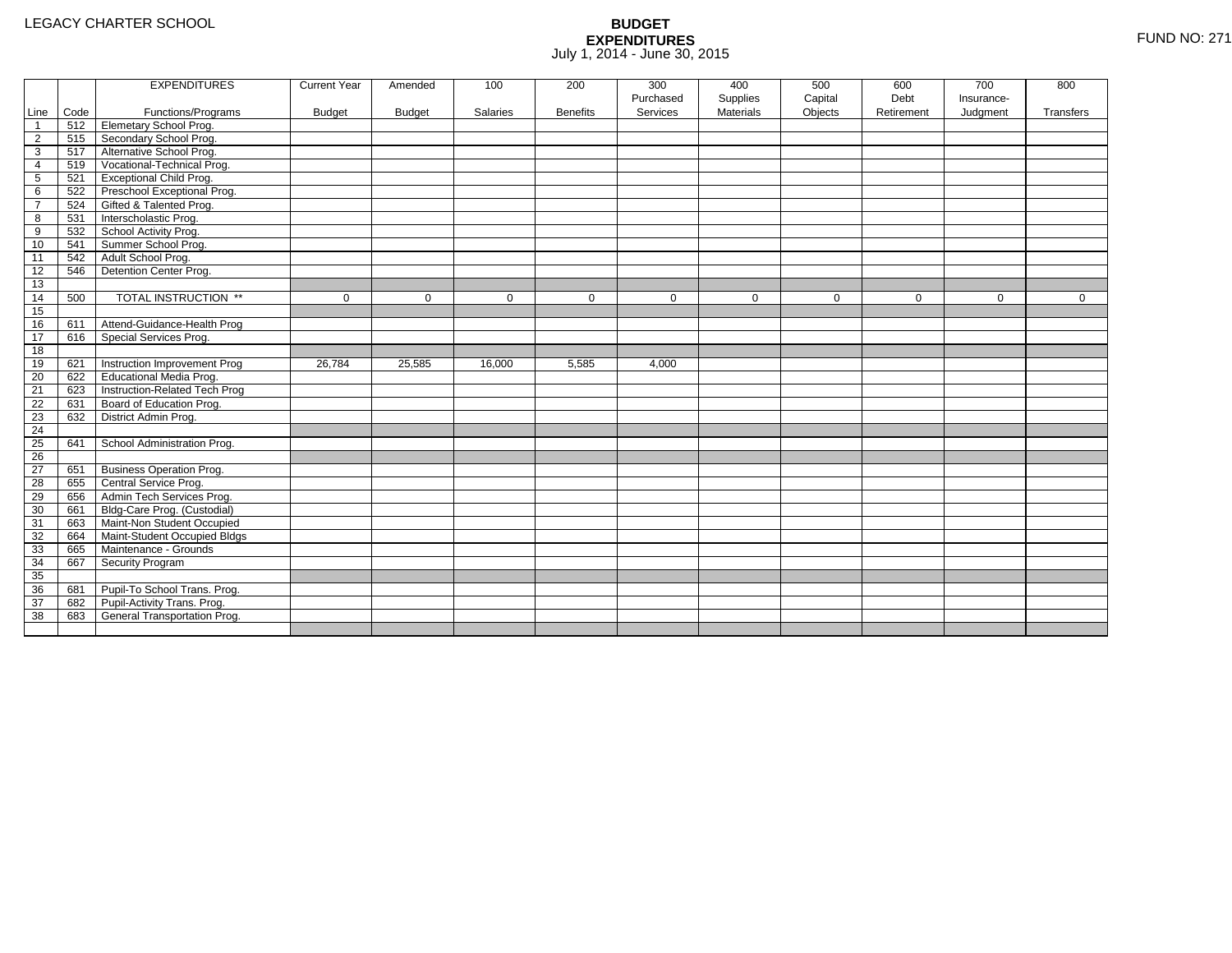|                 |      | <b>EXPENDITURES</b>             | <b>Current Year</b> | Amended       | 100         | 200             | 300         | 400              | 500     | 600         | 700         | 800          |
|-----------------|------|---------------------------------|---------------------|---------------|-------------|-----------------|-------------|------------------|---------|-------------|-------------|--------------|
|                 |      |                                 |                     |               |             |                 | Purchased   | Supplies         | Capital | Debt        | Insurance-  |              |
| Line            | Code | Functions/Programs              | <b>Budget</b>       | <b>Budget</b> | Salaries    | <b>Benefits</b> | Services    | <b>Materials</b> | Objects | Retirement  | Judgment    | Transfers    |
| -1              | 512  | Elemetary School Prog.          |                     |               |             |                 |             |                  |         |             |             |              |
| $\overline{2}$  | 515  | Secondary School Prog.          |                     |               |             |                 |             |                  |         |             |             |              |
| 3               | 517  | Alternative School Prog.        |                     |               |             |                 |             |                  |         |             |             |              |
| 4               | 519  | Vocational-Technical Prog.      |                     |               |             |                 |             |                  |         |             |             |              |
| $5\phantom{.0}$ | 521  | <b>Exceptional Child Prog.</b>  |                     |               |             |                 |             |                  |         |             |             |              |
| 6               | 522  | Preschool Exceptional Prog.     |                     |               |             |                 |             |                  |         |             |             |              |
| $\overline{7}$  | 524  | Gifted & Talented Prog.         |                     |               |             |                 |             |                  |         |             |             |              |
| 8               | 531  | Interscholastic Prog.           |                     |               |             |                 |             |                  |         |             |             |              |
| 9               | 532  | School Activity Prog.           |                     |               |             |                 |             |                  |         |             |             |              |
| 10              | 541  | Summer School Prog.             |                     |               |             |                 |             |                  |         |             |             |              |
| 11              | 542  | Adult School Prog.              |                     |               |             |                 |             |                  |         |             |             |              |
| 12              | 546  | Detention Center Prog.          |                     |               |             |                 |             |                  |         |             |             |              |
| 13              |      |                                 |                     |               |             |                 |             |                  |         |             |             |              |
| 14              | 500  | TOTAL INSTRUCTION **            | 0                   | $\mathbf 0$   | $\mathbf 0$ | $\mathbf{0}$    | $\mathbf 0$ | $\mathbf 0$      | 0       | $\mathbf 0$ | $\mathbf 0$ | $\mathbf{0}$ |
| 15              |      |                                 |                     |               |             |                 |             |                  |         |             |             |              |
| 16              | 611  | Attend-Guidance-Health Prog     |                     |               |             |                 |             |                  |         |             |             |              |
| 17              | 616  | Special Services Prog.          |                     |               |             |                 |             |                  |         |             |             |              |
| 18              |      |                                 |                     |               |             |                 |             |                  |         |             |             |              |
| 19              | 621  | Instruction Improvement Prog    | 26,784              | 25,585        | 16,000      | 5,585           | 4.000       |                  |         |             |             |              |
| 20              | 622  | Educational Media Prog.         |                     |               |             |                 |             |                  |         |             |             |              |
| 21              | 623  | Instruction-Related Tech Prog   |                     |               |             |                 |             |                  |         |             |             |              |
| 22              | 631  | Board of Education Prog.        |                     |               |             |                 |             |                  |         |             |             |              |
| 23              | 632  | District Admin Prog.            |                     |               |             |                 |             |                  |         |             |             |              |
| 24              |      |                                 |                     |               |             |                 |             |                  |         |             |             |              |
| 25              | 641  | School Administration Prog.     |                     |               |             |                 |             |                  |         |             |             |              |
| $\overline{26}$ |      |                                 |                     |               |             |                 |             |                  |         |             |             |              |
| 27              | 651  | <b>Business Operation Prog.</b> |                     |               |             |                 |             |                  |         |             |             |              |
| 28              | 655  | Central Service Prog.           |                     |               |             |                 |             |                  |         |             |             |              |
| 29              | 656  | Admin Tech Services Prog.       |                     |               |             |                 |             |                  |         |             |             |              |
| 30              | 661  | Bldg-Care Prog. (Custodial)     |                     |               |             |                 |             |                  |         |             |             |              |
| 31              | 663  | Maint-Non Student Occupied      |                     |               |             |                 |             |                  |         |             |             |              |
| 32              | 664  | Maint-Student Occupied Bldgs    |                     |               |             |                 |             |                  |         |             |             |              |
| 33              | 665  | Maintenance - Grounds           |                     |               |             |                 |             |                  |         |             |             |              |
| 34              | 667  | Security Program                |                     |               |             |                 |             |                  |         |             |             |              |
| 35              |      |                                 |                     |               |             |                 |             |                  |         |             |             |              |
| 36              | 681  | Pupil-To School Trans. Prog.    |                     |               |             |                 |             |                  |         |             |             |              |
| 37              | 682  | Pupil-Activity Trans. Prog.     |                     |               |             |                 |             |                  |         |             |             |              |
| 38              | 683  | General Transportation Prog.    |                     |               |             |                 |             |                  |         |             |             |              |
|                 |      |                                 |                     |               |             |                 |             |                  |         |             |             |              |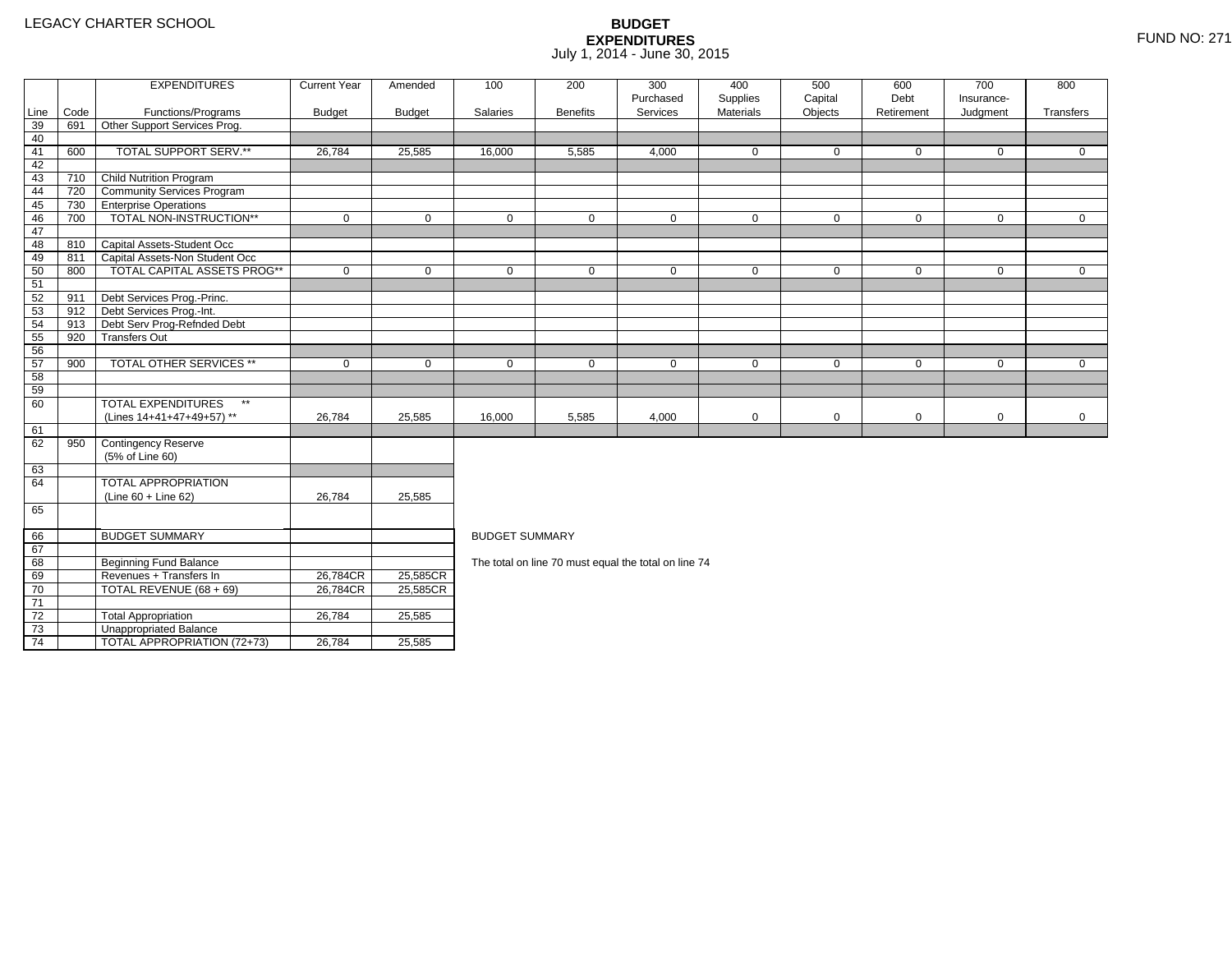71 72

73

74

TOTAL REVENUE (68 + 69) 26,784CR

3 **Unappropriated Balance** 

2 Total Appropriation 1 26,784 25,585

TOTAL APPROPRIATION (72+73) 26,784 25,585

25,585CR

|          |            | <b>EXPENDITURES</b>                                                  | <b>Current Year</b> | Amended       | 100                   | 200             | 300                                                  | 400          | 500          | 600         | 700          | 800          |  |  |  |
|----------|------------|----------------------------------------------------------------------|---------------------|---------------|-----------------------|-----------------|------------------------------------------------------|--------------|--------------|-------------|--------------|--------------|--|--|--|
|          |            |                                                                      |                     |               |                       |                 | Purchased                                            | Supplies     | Capital      | Debt        | Insurance-   |              |  |  |  |
| Line     | Code       | Functions/Programs                                                   | <b>Budget</b>       | <b>Budget</b> | Salaries              | <b>Benefits</b> | Services                                             | Materials    | Objects      | Retirement  | Judgment     | Transfers    |  |  |  |
| 39       | 691        | Other Support Services Prog.                                         |                     |               |                       |                 |                                                      |              |              |             |              |              |  |  |  |
| 40       |            |                                                                      |                     |               |                       |                 |                                                      |              |              |             |              |              |  |  |  |
| 41       | 600        | TOTAL SUPPORT SERV.**                                                | 26,784              | 25,585        | 16,000                | 5,585           | 4,000                                                | $\mathbf{0}$ | $\Omega$     | $\mathbf 0$ | $\mathbf{0}$ | $\mathbf{0}$ |  |  |  |
| 42       |            |                                                                      |                     |               |                       |                 |                                                      |              |              |             |              |              |  |  |  |
| 43       | 710        | <b>Child Nutrition Program</b>                                       |                     |               |                       |                 |                                                      |              |              |             |              |              |  |  |  |
| 44       | 720        | <b>Community Services Program</b>                                    |                     |               |                       |                 |                                                      |              |              |             |              |              |  |  |  |
| 45       | 730        | <b>Enterprise Operations</b><br>TOTAL NON-INSTRUCTION**              |                     |               |                       |                 |                                                      |              |              |             |              |              |  |  |  |
| 46       | 700        |                                                                      | $\mathbf 0$         | 0             | $\mathbf 0$           | 0               | $\mathbf 0$                                          | $\mathbf 0$  | $\mathbf 0$  | $\mathbf 0$ | $\mathbf 0$  | $\mathbf 0$  |  |  |  |
| 47       |            |                                                                      |                     |               |                       |                 |                                                      |              |              |             |              |              |  |  |  |
| 48       | 810<br>811 | Capital Assets-Student Occ                                           |                     |               |                       |                 |                                                      |              |              |             |              |              |  |  |  |
| 49       | 800        | Capital Assets-Non Student Occ<br><b>TOTAL CAPITAL ASSETS PROG**</b> | $\mathbf 0$         | 0             | $\mathbf 0$           | 0               | 0                                                    | $\mathbf 0$  | $\mathbf{0}$ | $\mathbf 0$ | $\mathbf{0}$ | $\mathbf 0$  |  |  |  |
| 50<br>51 |            |                                                                      |                     |               |                       |                 |                                                      |              |              |             |              |              |  |  |  |
| 52       | 911        |                                                                      |                     |               |                       |                 |                                                      |              |              |             |              |              |  |  |  |
|          | 912        | Debt Services Prog.-Princ.<br>Debt Services Prog.-Int.               |                     |               |                       |                 |                                                      |              |              |             |              |              |  |  |  |
| 53<br>54 | 913        | Debt Serv Prog-Refnded Debt                                          |                     |               |                       |                 |                                                      |              |              |             |              |              |  |  |  |
| 55       | 920        | <b>Transfers Out</b>                                                 |                     |               |                       |                 |                                                      |              |              |             |              |              |  |  |  |
| 56       |            |                                                                      |                     |               |                       |                 |                                                      |              |              |             |              |              |  |  |  |
| 57       | 900        | <b>TOTAL OTHER SERVICES **</b>                                       | $\mathbf 0$         | $\mathbf 0$   | $\mathbf{0}$          | $\mathbf 0$     | $\mathbf 0$                                          | $\mathbf 0$  | $\mathbf 0$  | $\mathbf 0$ | $\mathbf 0$  | $\mathbf 0$  |  |  |  |
| 58       |            |                                                                      |                     |               |                       |                 |                                                      |              |              |             |              |              |  |  |  |
| 59       |            |                                                                      |                     |               |                       |                 |                                                      |              |              |             |              |              |  |  |  |
| 60       |            | <b>TOTAL EXPENDITURES</b><br>$\star\star$                            |                     |               |                       |                 |                                                      |              |              |             |              |              |  |  |  |
|          |            | (Lines 14+41+47+49+57) **                                            | 26,784              | 25,585        | 16,000                | 5,585           | 4,000                                                | 0            | $\mathbf 0$  | $\mathbf 0$ | $\mathbf 0$  | $\mathbf 0$  |  |  |  |
| 61       |            |                                                                      |                     |               |                       |                 |                                                      |              |              |             |              |              |  |  |  |
| 62       | 950        | <b>Contingency Reserve</b>                                           |                     |               |                       |                 |                                                      |              |              |             |              |              |  |  |  |
|          |            | (5% of Line 60)                                                      |                     |               |                       |                 |                                                      |              |              |             |              |              |  |  |  |
| 63       |            |                                                                      |                     |               |                       |                 |                                                      |              |              |             |              |              |  |  |  |
| 64       |            | TOTAL APPROPRIATION                                                  |                     |               |                       |                 |                                                      |              |              |             |              |              |  |  |  |
|          |            | (Line 60 + Line 62)                                                  | 26,784              | 25,585        |                       |                 |                                                      |              |              |             |              |              |  |  |  |
| 65       |            |                                                                      |                     |               |                       |                 |                                                      |              |              |             |              |              |  |  |  |
|          |            |                                                                      |                     |               |                       |                 |                                                      |              |              |             |              |              |  |  |  |
| 66       |            | <b>BUDGET SUMMARY</b>                                                |                     |               | <b>BUDGET SUMMARY</b> |                 |                                                      |              |              |             |              |              |  |  |  |
| 67       |            |                                                                      |                     |               |                       |                 |                                                      |              |              |             |              |              |  |  |  |
| 68       |            | Beginning Fund Balance                                               |                     |               |                       |                 | The total on line 70 must equal the total on line 74 |              |              |             |              |              |  |  |  |
| 69       |            | Revenues + Transfers In                                              | 26,784CR            | 25,585CR      |                       |                 |                                                      |              |              |             |              |              |  |  |  |
|          |            | $\frac{1}{2}$                                                        |                     | $- - - - - -$ |                       |                 |                                                      |              |              |             |              |              |  |  |  |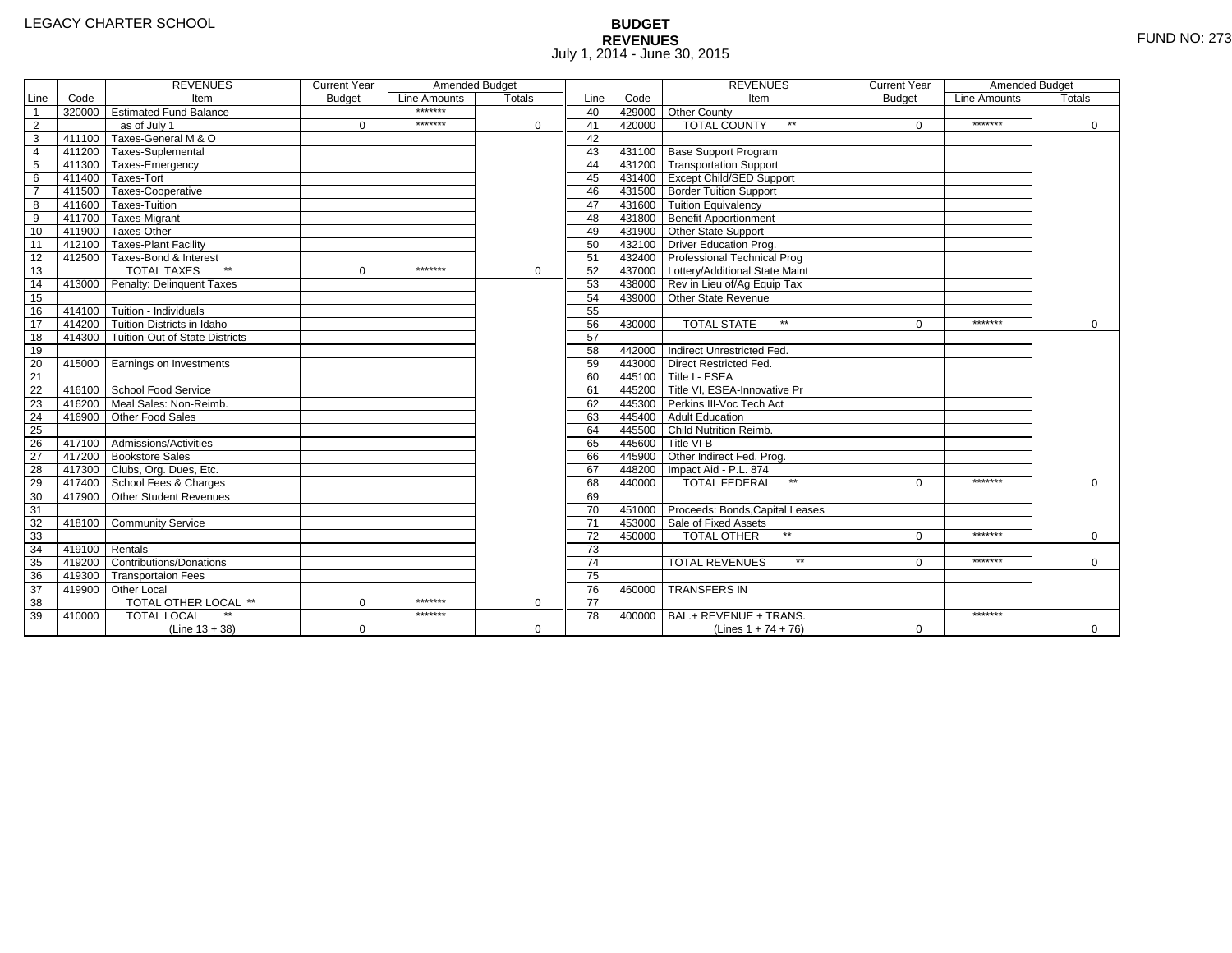# **BUDGET REVENUES** FUND NO: 273 July 1, 2014 - June 30, 2015

|                 |        | <b>REVENUES</b>                       | <b>Current Year</b> | Amended Budget |               |                 |        | <b>REVENUES</b>                        | <b>Current Year</b> | Amended Budget |               |
|-----------------|--------|---------------------------------------|---------------------|----------------|---------------|-----------------|--------|----------------------------------------|---------------------|----------------|---------------|
| Line            | Code   | Item                                  | <b>Budget</b>       | Line Amounts   | <b>Totals</b> | Line            | Code   | Item                                   | <b>Budget</b>       | Line Amounts   | <b>Totals</b> |
| $\overline{1}$  |        | 320000 Estimated Fund Balance         |                     | *******        |               | 40              |        | 429000 Other County                    |                     |                |               |
| $\overline{2}$  |        | as of July 1                          | $\Omega$            | *******        | $\Omega$      | 41              | 420000 | <b>TOTAL COUNTY</b><br>$\star\star$    | $\Omega$            | *******        | 0             |
| $\overline{3}$  |        | 411100 Taxes-General M & O            |                     |                |               | 42              |        |                                        |                     |                |               |
| $\overline{4}$  |        | 411200 Taxes-Suplemental              |                     |                |               | 43              |        | 431100 Base Support Program            |                     |                |               |
| 5               |        | 411300 Taxes-Emergency                |                     |                |               | 44              |        | 431200 Transportation Support          |                     |                |               |
| 6               |        | 411400 Taxes-Tort                     |                     |                |               | 45              |        | 431400 Except Child/SED Support        |                     |                |               |
| $\overline{7}$  |        | 411500 Taxes-Cooperative              |                     |                |               | 46              |        | 431500 Border Tuition Support          |                     |                |               |
| 8               |        | 411600 Taxes-Tuition                  |                     |                |               | 47              |        | 431600 Tuition Equivalency             |                     |                |               |
| $\overline{9}$  |        | 411700 Taxes-Migrant                  |                     |                |               | 48              |        | 431800 Benefit Apportionment           |                     |                |               |
| 10              |        | 411900 Taxes-Other                    |                     |                |               | 49              |        | 431900 Other State Support             |                     |                |               |
| 11              |        | 412100 Taxes-Plant Facility           |                     |                |               | 50              |        | 432100 Driver Education Prog.          |                     |                |               |
| 12              |        | 412500 Taxes-Bond & Interest          |                     |                |               | 51              |        | 432400 Professional Technical Prog     |                     |                |               |
| 13              |        | $**$<br><b>TOTAL TAXES</b>            | $\mathbf{0}$        | *******        | $\mathbf 0$   | 52              |        | 437000 Lottery/Additional State Maint  |                     |                |               |
| 14              |        | 413000 Penalty: Delinquent Taxes      |                     |                |               | 53              |        | 438000 Rev in Lieu of/Ag Equip Tax     |                     |                |               |
| 15              |        |                                       |                     |                |               | 54              |        | 439000 Other State Revenue             |                     |                |               |
| 16              |        | 414100 Tuition - Individuals          |                     |                |               | 55              |        |                                        |                     |                |               |
| 17              |        | 414200 Tuition-Districts in Idaho     |                     |                |               | 56              | 430000 | <b>TOTAL STATE</b><br>$**$             | $\Omega$            | *******        | $\Omega$      |
| 18              |        | 414300 Tuition-Out of State Districts |                     |                |               | 57              |        |                                        |                     |                |               |
| 19              |        |                                       |                     |                |               | 58              |        | 442000 Indirect Unrestricted Fed.      |                     |                |               |
| 20              |        | 415000 Earnings on Investments        |                     |                |               | 59              |        | 443000 Direct Restricted Fed.          |                     |                |               |
| $\overline{21}$ |        |                                       |                     |                |               | 60              |        | 445100 Title I - ESEA                  |                     |                |               |
| 22              |        | 416100 School Food Service            |                     |                |               | 61              |        | 445200 Title VI. ESEA-Innovative Pr    |                     |                |               |
| 23              | 416200 | Meal Sales: Non-Reimb.                |                     |                |               | 62              |        | 445300 Perkins III-Voc Tech Act        |                     |                |               |
| 24              | 416900 | Other Food Sales                      |                     |                |               | 63              |        | 445400 Adult Education                 |                     |                |               |
| 25              |        |                                       |                     |                |               | 64              |        | 445500 Child Nutrition Reimb.          |                     |                |               |
| 26              |        | 417100 Admissions/Activities          |                     |                |               | 65              |        | 445600 Title VI-B                      |                     |                |               |
| $\overline{27}$ |        | 417200 Bookstore Sales                |                     |                |               | 66              |        | 445900 Other Indirect Fed. Prog.       |                     |                |               |
| 28              |        | 417300 Clubs, Org. Dues, Etc.         |                     |                |               | 67              |        | 448200   Impact Aid - P.L. 874         |                     |                |               |
| 29              |        | 417400 School Fees & Charges          |                     |                |               | 68              | 440000 | <b>TOTAL FEDERAL</b><br>$\star\star$   | $\Omega$            | *******        | $\Omega$      |
| 30              |        | 417900 Other Student Revenues         |                     |                |               | 69              |        |                                        |                     |                |               |
| 31              |        |                                       |                     |                |               | 70              |        | 451000 Proceeds: Bonds, Capital Leases |                     |                |               |
| 32              |        | 418100 Community Service              |                     |                |               | $\overline{71}$ |        | 453000 Sale of Fixed Assets            |                     |                |               |
| 33              |        |                                       |                     |                |               | 72              | 450000 | TOTAL OTHER                            | $\Omega$            | *******        | $\Omega$      |
| 34              | 419100 | Rentals                               |                     |                |               | $\overline{73}$ |        |                                        |                     |                |               |
| 35              | 419200 | <b>Contributions/Donations</b>        |                     |                |               | $\overline{74}$ |        | <b>TOTAL REVENUES</b><br>$\star\star$  | U                   | *******        | $\mathbf 0$   |
| 36              |        | 419300 Transportaion Fees             |                     |                |               | 75              |        |                                        |                     |                |               |
| 37              |        | 419900 Other Local                    |                     |                |               | 76              | 460000 | <b>TRANSFERS IN</b>                    |                     |                |               |
| $\overline{38}$ |        | TOTAL OTHER LOCAL **                  | $\Omega$            | *******        | $\Omega$      | $\overline{77}$ |        |                                        |                     |                |               |
| 39              | 410000 | <b>TOTAL LOCAL</b>                    |                     | *******        |               | 78              | 400000 | BAL.+ REVENUE + TRANS.                 |                     | *******        |               |
|                 |        | $(Line 13 + 38)$                      | 0                   |                | $\Omega$      |                 |        | (Lines $1 + 74 + 76$ )                 | 0                   |                | $\mathbf{0}$  |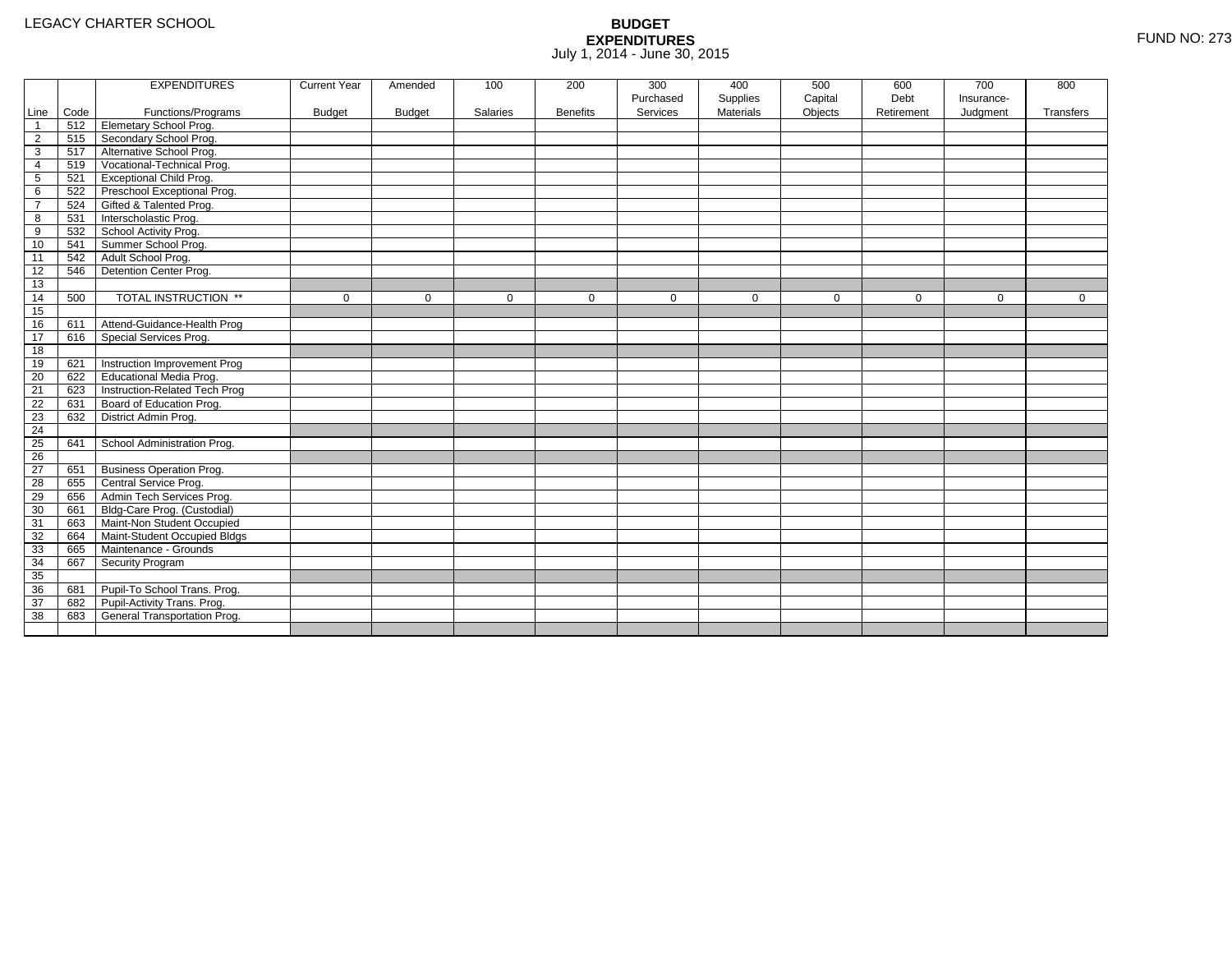|                 |      | <b>EXPENDITURES</b>             | <b>Current Year</b> | Amended       | 100         | 200             | 300         | 400              | 500         | 600         | 700         | 800          |
|-----------------|------|---------------------------------|---------------------|---------------|-------------|-----------------|-------------|------------------|-------------|-------------|-------------|--------------|
|                 |      |                                 |                     |               |             |                 | Purchased   | Supplies         | Capital     | Debt        | Insurance-  |              |
| Line            | Code | Functions/Programs              | <b>Budget</b>       | <b>Budget</b> | Salaries    | <b>Benefits</b> | Services    | <b>Materials</b> | Objects     | Retirement  | Judgment    | Transfers    |
| $\overline{1}$  | 512  | <b>Elemetary School Prog.</b>   |                     |               |             |                 |             |                  |             |             |             |              |
| $\overline{2}$  | 515  | Secondary School Prog.          |                     |               |             |                 |             |                  |             |             |             |              |
| 3               | 517  | Alternative School Prog.        |                     |               |             |                 |             |                  |             |             |             |              |
| 4               | 519  | Vocational-Technical Prog.      |                     |               |             |                 |             |                  |             |             |             |              |
| $5\phantom{.0}$ | 521  | <b>Exceptional Child Prog.</b>  |                     |               |             |                 |             |                  |             |             |             |              |
| 6               | 522  | Preschool Exceptional Prog.     |                     |               |             |                 |             |                  |             |             |             |              |
| $\overline{7}$  | 524  | Gifted & Talented Prog.         |                     |               |             |                 |             |                  |             |             |             |              |
| 8               | 531  | Interscholastic Prog.           |                     |               |             |                 |             |                  |             |             |             |              |
| 9               | 532  | School Activity Prog.           |                     |               |             |                 |             |                  |             |             |             |              |
| 10              | 541  | Summer School Prog.             |                     |               |             |                 |             |                  |             |             |             |              |
| 11              | 542  | Adult School Prog.              |                     |               |             |                 |             |                  |             |             |             |              |
| 12              | 546  | Detention Center Prog.          |                     |               |             |                 |             |                  |             |             |             |              |
| 13              |      |                                 |                     |               |             |                 |             |                  |             |             |             |              |
| 14              | 500  | TOTAL INSTRUCTION **            | $\mathbf 0$         | $\Omega$      | $\mathbf 0$ | $\mathbf 0$     | $\mathbf 0$ | $\mathbf 0$      | $\mathbf 0$ | $\mathbf 0$ | $\mathbf 0$ | $\mathbf{0}$ |
| 15              |      |                                 |                     |               |             |                 |             |                  |             |             |             |              |
| 16              | 611  | Attend-Guidance-Health Prog     |                     |               |             |                 |             |                  |             |             |             |              |
| 17              | 616  | Special Services Prog.          |                     |               |             |                 |             |                  |             |             |             |              |
| 18              |      |                                 |                     |               |             |                 |             |                  |             |             |             |              |
| 19              | 621  | Instruction Improvement Prog    |                     |               |             |                 |             |                  |             |             |             |              |
| 20              | 622  | Educational Media Prog.         |                     |               |             |                 |             |                  |             |             |             |              |
| 21              | 623  | Instruction-Related Tech Prog   |                     |               |             |                 |             |                  |             |             |             |              |
| 22              | 631  | Board of Education Prog.        |                     |               |             |                 |             |                  |             |             |             |              |
| 23              | 632  | District Admin Prog.            |                     |               |             |                 |             |                  |             |             |             |              |
| 24              |      |                                 |                     |               |             |                 |             |                  |             |             |             |              |
| 25              | 641  | School Administration Prog.     |                     |               |             |                 |             |                  |             |             |             |              |
| $\overline{26}$ |      |                                 |                     |               |             |                 |             |                  |             |             |             |              |
| 27              | 651  | <b>Business Operation Prog.</b> |                     |               |             |                 |             |                  |             |             |             |              |
| 28              | 655  | Central Service Prog.           |                     |               |             |                 |             |                  |             |             |             |              |
| 29              | 656  | Admin Tech Services Prog.       |                     |               |             |                 |             |                  |             |             |             |              |
| 30              | 661  | Bldg-Care Prog. (Custodial)     |                     |               |             |                 |             |                  |             |             |             |              |
| 31              | 663  | Maint-Non Student Occupied      |                     |               |             |                 |             |                  |             |             |             |              |
| 32              | 664  | Maint-Student Occupied Bldgs    |                     |               |             |                 |             |                  |             |             |             |              |
| 33              | 665  | Maintenance - Grounds           |                     |               |             |                 |             |                  |             |             |             |              |
| 34              | 667  | Security Program                |                     |               |             |                 |             |                  |             |             |             |              |
| 35              |      |                                 |                     |               |             |                 |             |                  |             |             |             |              |
| 36              | 681  | Pupil-To School Trans. Prog.    |                     |               |             |                 |             |                  |             |             |             |              |
| 37              | 682  | Pupil-Activity Trans. Prog.     |                     |               |             |                 |             |                  |             |             |             |              |
| 38              | 683  | General Transportation Prog.    |                     |               |             |                 |             |                  |             |             |             |              |
|                 |      |                                 |                     |               |             |                 |             |                  |             |             |             |              |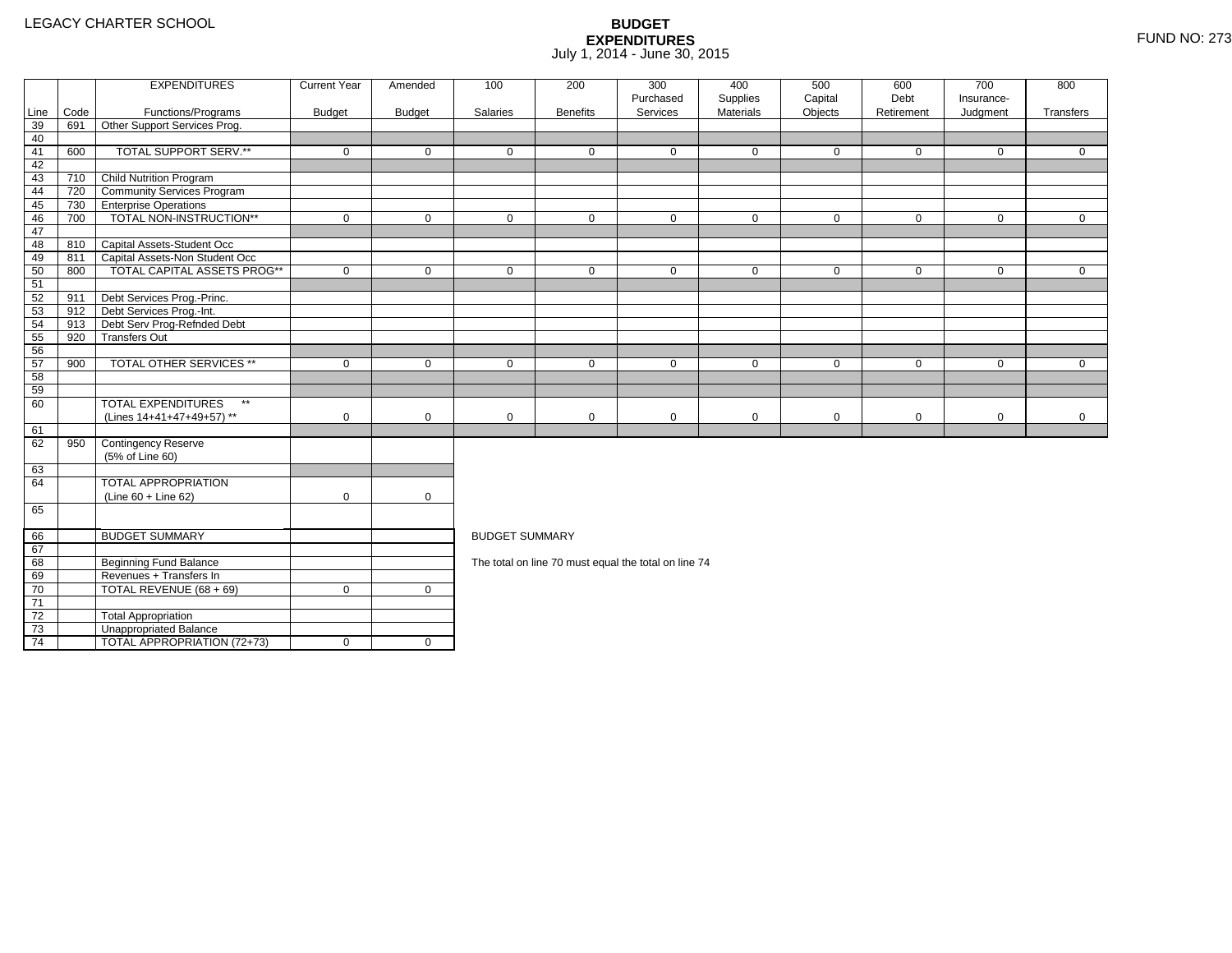4 | TOTAL APPROPRIATION (72+73) | 0 | 0

|      |      | <b>EXPENDITURES</b>                       | <b>Current Year</b> | Amended       | 100                   | 200             | 300<br>Purchased                                     | 400                   | 500                | 600<br>Debt | 700<br>Insurance- | 800          |
|------|------|-------------------------------------------|---------------------|---------------|-----------------------|-----------------|------------------------------------------------------|-----------------------|--------------------|-------------|-------------------|--------------|
| Line | Code | Functions/Programs                        | <b>Budget</b>       | <b>Budget</b> | Salaries              | <b>Benefits</b> | Services                                             | Supplies<br>Materials | Capital<br>Objects | Retirement  | Judgment          | Transfers    |
| 39   | 691  | Other Support Services Prog.              |                     |               |                       |                 |                                                      |                       |                    |             |                   |              |
| 40   |      |                                           |                     |               |                       |                 |                                                      |                       |                    |             |                   |              |
| 41   | 600  | TOTAL SUPPORT SERV.**                     | $\mathbf 0$         | $\mathbf 0$   | $\mathbf 0$           | $\mathbf 0$     | $\mathbf 0$                                          | $\mathbf 0$           | $\mathbf 0$        | $\mathbf 0$ | $\mathbf 0$       | $\mathbf{0}$ |
| 42   |      |                                           |                     |               |                       |                 |                                                      |                       |                    |             |                   |              |
| 43   | 710  | <b>Child Nutrition Program</b>            |                     |               |                       |                 |                                                      |                       |                    |             |                   |              |
| 44   | 720  | <b>Community Services Program</b>         |                     |               |                       |                 |                                                      |                       |                    |             |                   |              |
| 45   | 730  | <b>TEnterprise Operations</b>             |                     |               |                       |                 |                                                      |                       |                    |             |                   |              |
| 46   | 700  | TOTAL NON-INSTRUCTION**                   | $\mathbf 0$         | $\mathbf 0$   | $\mathbf 0$           | $\mathbf{0}$    | $\mathbf 0$                                          | $\mathbf 0$           | $\mathbf 0$        | $\mathbf 0$ | $\overline{0}$    | $\mathbf{0}$ |
| 47   |      |                                           |                     |               |                       |                 |                                                      |                       |                    |             |                   |              |
| 48   |      | 810 Capital Assets-Student Occ            |                     |               |                       |                 |                                                      |                       |                    |             |                   |              |
| 49   | 811  | Capital Assets-Non Student Occ            |                     |               |                       |                 |                                                      |                       |                    |             |                   |              |
| 50   | 800  | <b>TOTAL CAPITAL ASSETS PROG**</b>        | $\mathbf 0$         | $\mathbf 0$   | $\mathbf 0$           | $\mathbf 0$     | $\mathbf 0$                                          | $\mathbf 0$           | $\mathbf 0$        | $\mathbf 0$ | $\mathbf 0$       | $\mathbf{0}$ |
| 51   |      |                                           |                     |               |                       |                 |                                                      |                       |                    |             |                   |              |
| 52   | 911  | Debt Services Prog.-Princ.                |                     |               |                       |                 |                                                      |                       |                    |             |                   |              |
| 53   | 912  | Debt Services Prog.-Int.                  |                     |               |                       |                 |                                                      |                       |                    |             |                   |              |
| 54   | 913  | Debt Serv Prog-Refnded Debt               |                     |               |                       |                 |                                                      |                       |                    |             |                   |              |
| 55   | 920  | <b>Transfers Out</b>                      |                     |               |                       |                 |                                                      |                       |                    |             |                   |              |
| 56   |      |                                           |                     |               |                       |                 |                                                      |                       |                    |             |                   |              |
| 57   | 900  | <b>TOTAL OTHER SERVICES **</b>            | $\mathbf 0$         | $\mathbf 0$   | $\mathbf 0$           | $\mathbf{0}$    | $\mathbf 0$                                          | $\mathbf 0$           | $\mathbf 0$        | $\mathbf 0$ | $\mathbf 0$       | $\Omega$     |
| 58   |      |                                           |                     |               |                       |                 |                                                      |                       |                    |             |                   |              |
| 59   |      |                                           |                     |               |                       |                 |                                                      |                       |                    |             |                   |              |
| 60   |      | <b>TOTAL EXPENDITURES</b><br>$\star\star$ |                     |               |                       |                 |                                                      |                       |                    |             |                   |              |
|      |      | (Lines 14+41+47+49+57) **                 | $\mathbf 0$         | $\mathbf 0$   | 0                     | 0               | $\mathbf 0$                                          | 0                     | $\mathbf 0$        | $\mathbf 0$ | $\mathbf 0$       | $\mathbf 0$  |
| 61   |      |                                           |                     |               |                       |                 |                                                      |                       |                    |             |                   |              |
| 62   | 950  | Contingency Reserve                       |                     |               |                       |                 |                                                      |                       |                    |             |                   |              |
|      |      | (5% of Line 60)                           |                     |               |                       |                 |                                                      |                       |                    |             |                   |              |
| 63   |      |                                           |                     |               |                       |                 |                                                      |                       |                    |             |                   |              |
| 64   |      | TOTAL APPROPRIATION                       |                     |               |                       |                 |                                                      |                       |                    |             |                   |              |
|      |      | $(Line 60 + Line 62)$                     | $\mathbf 0$         | $\mathbf 0$   |                       |                 |                                                      |                       |                    |             |                   |              |
| 65   |      |                                           |                     |               |                       |                 |                                                      |                       |                    |             |                   |              |
| 66   |      | <b>BUDGET SUMMARY</b>                     |                     |               | <b>BUDGET SUMMARY</b> |                 |                                                      |                       |                    |             |                   |              |
| 67   |      |                                           |                     |               |                       |                 |                                                      |                       |                    |             |                   |              |
| 68   |      | <b>Beginning Fund Balance</b>             |                     |               |                       |                 | The total on line 70 must equal the total on line 74 |                       |                    |             |                   |              |
| 69   |      | Revenues + Transfers In                   |                     |               |                       |                 |                                                      |                       |                    |             |                   |              |
| 70   |      | TOTAL REVENUE (68 + 69)                   | $\mathbf 0$         | $\mathbf{0}$  |                       |                 |                                                      |                       |                    |             |                   |              |
| 71   |      |                                           |                     |               |                       |                 |                                                      |                       |                    |             |                   |              |
| 72   |      | <b>Total Appropriation</b>                |                     |               |                       |                 |                                                      |                       |                    |             |                   |              |
| 73   |      | Unappropriated Balance                    |                     |               |                       |                 |                                                      |                       |                    |             |                   |              |
|      |      |                                           |                     |               |                       |                 |                                                      |                       |                    |             |                   |              |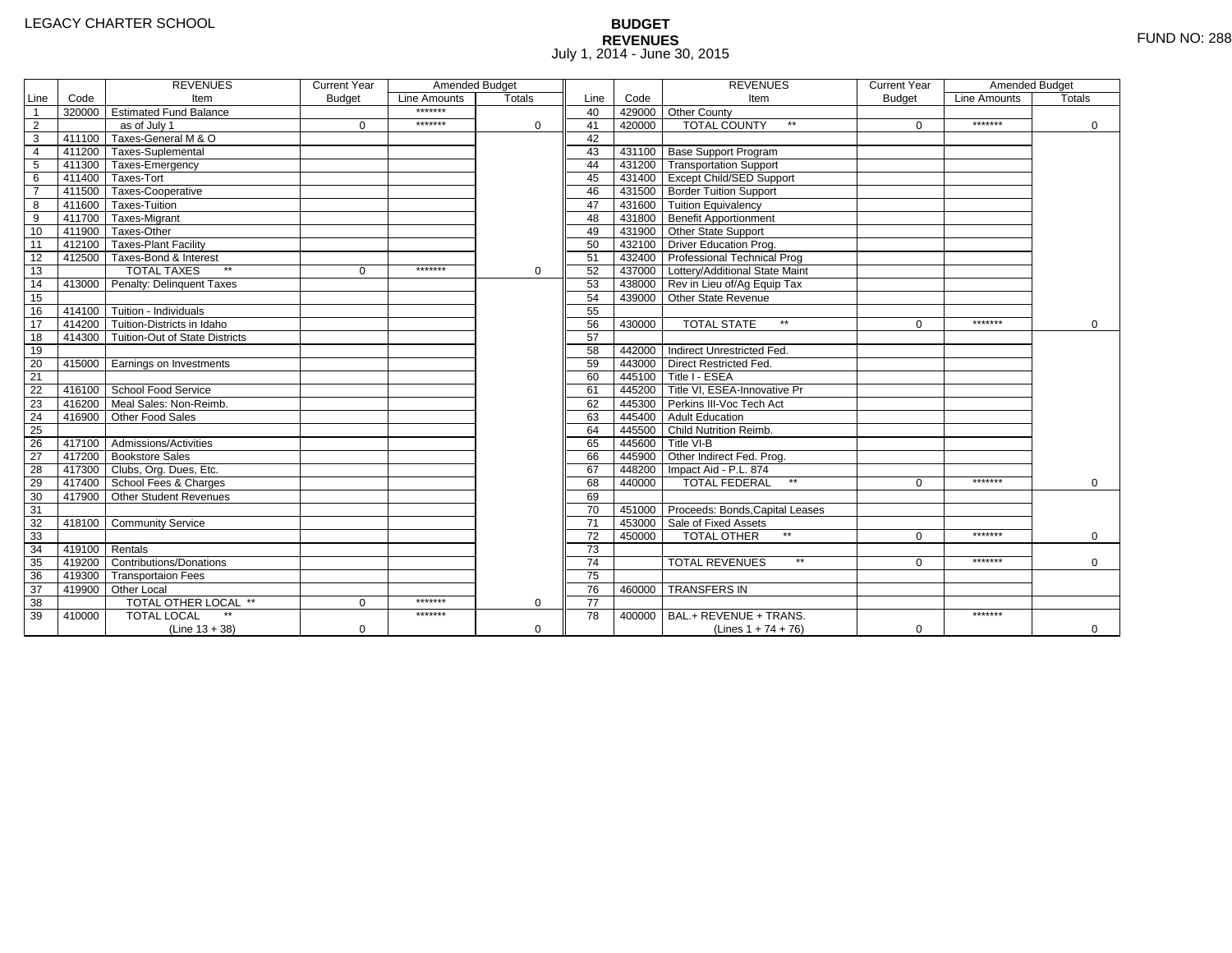# **BUDGET REVENUES** FUND NO: 288 July 1, 2014 - June 30, 2015

|                 |        | <b>REVENUES</b>                       | <b>Current Year</b> | Amended Budget |               |                 |        | <b>REVENUES</b>                        | <b>Current Year</b> | Amended Budget |               |
|-----------------|--------|---------------------------------------|---------------------|----------------|---------------|-----------------|--------|----------------------------------------|---------------------|----------------|---------------|
| Line            | Code   | Item                                  | <b>Budget</b>       | Line Amounts   | <b>Totals</b> | Line            | Code   | Item                                   | <b>Budget</b>       | Line Amounts   | <b>Totals</b> |
| $\overline{1}$  |        | 320000 Estimated Fund Balance         |                     | *******        |               | 40              |        | 429000 Other County                    |                     |                |               |
| $\overline{2}$  |        | as of July 1                          | $\Omega$            | *******        | $\Omega$      | 41              | 420000 | <b>TOTAL COUNTY</b><br>$\star\star$    | $\Omega$            | *******        | 0             |
| $\overline{3}$  |        | 411100 Taxes-General M & O            |                     |                |               | 42              |        |                                        |                     |                |               |
| $\overline{4}$  |        | 411200 Taxes-Suplemental              |                     |                |               | 43              |        | 431100 Base Support Program            |                     |                |               |
| 5               |        | 411300 Taxes-Emergency                |                     |                |               | 44              |        | 431200 Transportation Support          |                     |                |               |
| 6               |        | 411400 Taxes-Tort                     |                     |                |               | 45              |        | 431400 Except Child/SED Support        |                     |                |               |
| $\overline{7}$  |        | 411500 Taxes-Cooperative              |                     |                |               | 46              |        | 431500 Border Tuition Support          |                     |                |               |
| 8               |        | 411600 Taxes-Tuition                  |                     |                |               | 47              |        | 431600 Tuition Equivalency             |                     |                |               |
| $\overline{9}$  |        | 411700 Taxes-Migrant                  |                     |                |               | 48              |        | 431800 Benefit Apportionment           |                     |                |               |
| 10              |        | 411900 Taxes-Other                    |                     |                |               | 49              |        | 431900 Other State Support             |                     |                |               |
| 11              |        | 412100 Taxes-Plant Facility           |                     |                |               | 50              |        | 432100 Driver Education Prog.          |                     |                |               |
| 12              |        | 412500 Taxes-Bond & Interest          |                     |                |               | 51              |        | 432400 Professional Technical Prog     |                     |                |               |
| 13              |        | $**$<br><b>TOTAL TAXES</b>            | $\mathbf{0}$        | *******        | $\mathbf 0$   | 52              |        | 437000 Lottery/Additional State Maint  |                     |                |               |
| 14              |        | 413000 Penalty: Delinquent Taxes      |                     |                |               | 53              |        | 438000 Rev in Lieu of/Ag Equip Tax     |                     |                |               |
| 15              |        |                                       |                     |                |               | 54              |        | 439000 Other State Revenue             |                     |                |               |
| 16              |        | 414100 Tuition - Individuals          |                     |                |               | 55              |        |                                        |                     |                |               |
| 17              |        | 414200 Tuition-Districts in Idaho     |                     |                |               | 56              | 430000 | <b>TOTAL STATE</b><br>$**$             | $\Omega$            | *******        | $\Omega$      |
| 18              |        | 414300 Tuition-Out of State Districts |                     |                |               | 57              |        |                                        |                     |                |               |
| 19              |        |                                       |                     |                |               | 58              |        | 442000 Indirect Unrestricted Fed.      |                     |                |               |
| 20              |        | 415000 Earnings on Investments        |                     |                |               | 59              |        | 443000 Direct Restricted Fed.          |                     |                |               |
| $\overline{21}$ |        |                                       |                     |                |               | 60              |        | 445100 Title I - ESEA                  |                     |                |               |
| 22              |        | 416100 School Food Service            |                     |                |               | 61              |        | 445200 Title VI. ESEA-Innovative Pr    |                     |                |               |
| 23              | 416200 | Meal Sales: Non-Reimb.                |                     |                |               | 62              |        | 445300 Perkins III-Voc Tech Act        |                     |                |               |
| 24              | 416900 | Other Food Sales                      |                     |                |               | 63              |        | 445400 Adult Education                 |                     |                |               |
| 25              |        |                                       |                     |                |               | 64              |        | 445500 Child Nutrition Reimb.          |                     |                |               |
| 26              |        | 417100 Admissions/Activities          |                     |                |               | 65              |        | 445600 Title VI-B                      |                     |                |               |
| $\overline{27}$ |        | 417200 Bookstore Sales                |                     |                |               | 66              |        | 445900 Other Indirect Fed. Prog.       |                     |                |               |
| 28              |        | 417300 Clubs, Org. Dues, Etc.         |                     |                |               | 67              |        | 448200   Impact Aid - P.L. 874         |                     |                |               |
| 29              |        | 417400 School Fees & Charges          |                     |                |               | 68              | 440000 | <b>TOTAL FEDERAL</b><br>$\star\star$   | $\Omega$            | *******        | $\Omega$      |
| 30              |        | 417900 Other Student Revenues         |                     |                |               | 69              |        |                                        |                     |                |               |
| 31              |        |                                       |                     |                |               | 70              |        | 451000 Proceeds: Bonds, Capital Leases |                     |                |               |
| 32              |        | 418100 Community Service              |                     |                |               | $\overline{71}$ |        | 453000 Sale of Fixed Assets            |                     |                |               |
| 33              |        |                                       |                     |                |               | 72              | 450000 | TOTAL OTHER                            | $\Omega$            | *******        | $\Omega$      |
| 34              | 419100 | Rentals                               |                     |                |               | $\overline{73}$ |        |                                        |                     |                |               |
| 35              | 419200 | <b>Contributions/Donations</b>        |                     |                |               | $\overline{74}$ |        | <b>TOTAL REVENUES</b><br>$\star\star$  | U                   | *******        | $\mathbf 0$   |
| 36              |        | 419300 Transportaion Fees             |                     |                |               | 75              |        |                                        |                     |                |               |
| 37              |        | 419900 Other Local                    |                     |                |               | 76              | 460000 | <b>TRANSFERS IN</b>                    |                     |                |               |
| $\overline{38}$ |        | TOTAL OTHER LOCAL **                  | $\Omega$            | *******        | $\Omega$      | $\overline{77}$ |        |                                        |                     |                |               |
| 39              | 410000 | <b>TOTAL LOCAL</b>                    |                     | *******        |               | 78              | 400000 | BAL.+ REVENUE + TRANS.                 |                     | *******        |               |
|                 |        | $(Line 13 + 38)$                      | 0                   |                | $\Omega$      |                 |        | (Lines $1 + 74 + 76$ )                 | 0                   |                | $\mathbf{0}$  |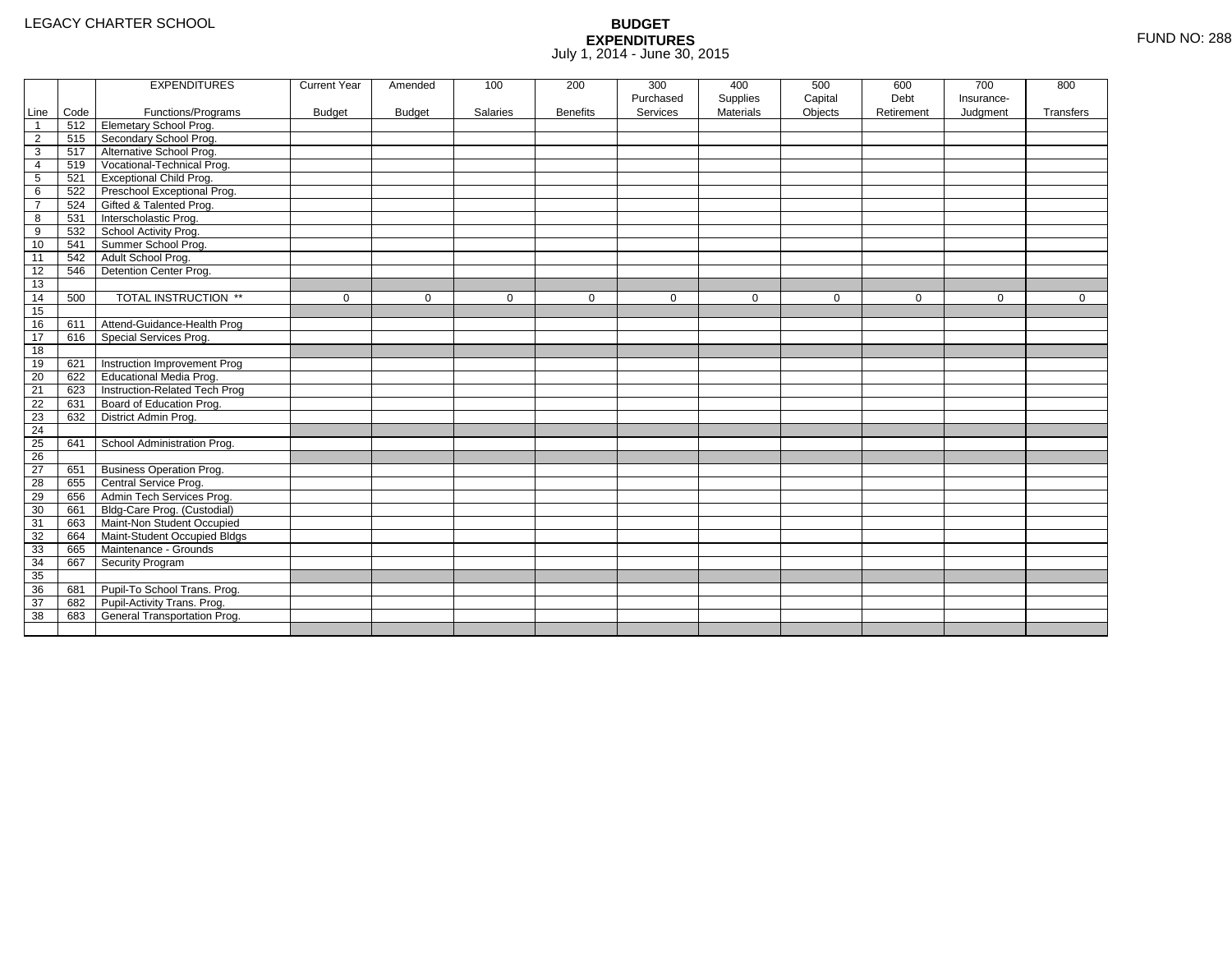|                |      | <b>EXPENDITURES</b>             | <b>Current Year</b> | Amended       | 100         | 200             | 300       | 400       | 500     | 600         | 700        | 800         |
|----------------|------|---------------------------------|---------------------|---------------|-------------|-----------------|-----------|-----------|---------|-------------|------------|-------------|
|                |      |                                 |                     |               |             |                 | Purchased | Supplies  | Capital | Debt        | Insurance- |             |
| Line           | Code | Functions/Programs              | <b>Budget</b>       | <b>Budget</b> | Salaries    | <b>Benefits</b> | Services  | Materials | Objects | Retirement  | Judgment   | Transfers   |
| $\mathbf{1}$   | 512  | <b>Elemetary School Prog.</b>   |                     |               |             |                 |           |           |         |             |            |             |
| $\overline{2}$ | 515  | Secondary School Prog.          |                     |               |             |                 |           |           |         |             |            |             |
| 3              | 517  | Alternative School Prog.        |                     |               |             |                 |           |           |         |             |            |             |
| 4              | 519  | Vocational-Technical Prog.      |                     |               |             |                 |           |           |         |             |            |             |
| 5              | 521  | <b>Exceptional Child Prog.</b>  |                     |               |             |                 |           |           |         |             |            |             |
| 6              | 522  | Preschool Exceptional Prog.     |                     |               |             |                 |           |           |         |             |            |             |
| $\overline{7}$ | 524  | Gifted & Talented Prog.         |                     |               |             |                 |           |           |         |             |            |             |
| 8              | 531  | Interscholastic Prog.           |                     |               |             |                 |           |           |         |             |            |             |
| 9              | 532  | School Activity Prog.           |                     |               |             |                 |           |           |         |             |            |             |
| 10             | 541  | Summer School Prog.             |                     |               |             |                 |           |           |         |             |            |             |
| 11             | 542  | Adult School Prog.              |                     |               |             |                 |           |           |         |             |            |             |
| 12             | 546  | Detention Center Prog.          |                     |               |             |                 |           |           |         |             |            |             |
| 13             |      |                                 |                     |               |             |                 |           |           |         |             |            |             |
| 14             | 500  | TOTAL INSTRUCTION **            | $\mathbf 0$         | $\mathbf 0$   | $\mathbf 0$ | 0               | 0         | 0         | 0       | $\mathbf 0$ | 0          | $\mathbf 0$ |
| 15             |      |                                 |                     |               |             |                 |           |           |         |             |            |             |
| 16             | 611  | Attend-Guidance-Health Prog     |                     |               |             |                 |           |           |         |             |            |             |
| 17             | 616  | Special Services Prog.          |                     |               |             |                 |           |           |         |             |            |             |
| 18             |      |                                 |                     |               |             |                 |           |           |         |             |            |             |
| 19             | 621  | Instruction Improvement Prog    |                     |               |             |                 |           |           |         |             |            |             |
| 20             | 622  | <b>Educational Media Prog.</b>  |                     |               |             |                 |           |           |         |             |            |             |
| 21             | 623  | Instruction-Related Tech Prog   |                     |               |             |                 |           |           |         |             |            |             |
| 22             | 631  | Board of Education Prog.        |                     |               |             |                 |           |           |         |             |            |             |
| 23             | 632  | District Admin Prog.            |                     |               |             |                 |           |           |         |             |            |             |
| 24             |      |                                 |                     |               |             |                 |           |           |         |             |            |             |
| 25             | 641  | School Administration Prog.     |                     |               |             |                 |           |           |         |             |            |             |
| 26             |      |                                 |                     |               |             |                 |           |           |         |             |            |             |
| 27             | 651  | <b>Business Operation Prog.</b> |                     |               |             |                 |           |           |         |             |            |             |
| 28             | 655  | Central Service Prog.           |                     |               |             |                 |           |           |         |             |            |             |
| 29             | 656  | Admin Tech Services Prog.       |                     |               |             |                 |           |           |         |             |            |             |
| 30             | 661  | Bldg-Care Prog. (Custodial)     |                     |               |             |                 |           |           |         |             |            |             |
| 31             | 663  | Maint-Non Student Occupied      |                     |               |             |                 |           |           |         |             |            |             |
| 32             | 664  | Maint-Student Occupied Bldgs    |                     |               |             |                 |           |           |         |             |            |             |
| 33             | 665  | Maintenance - Grounds           |                     |               |             |                 |           |           |         |             |            |             |
| 34             | 667  | Security Program                |                     |               |             |                 |           |           |         |             |            |             |
| 35             |      |                                 |                     |               |             |                 |           |           |         |             |            |             |
| 36             | 681  | Pupil-To School Trans. Prog.    |                     |               |             |                 |           |           |         |             |            |             |
| 37             | 682  | Pupil-Activity Trans. Prog.     |                     |               |             |                 |           |           |         |             |            |             |
| 38             | 683  | General Transportation Prog.    |                     |               |             |                 |           |           |         |             |            |             |
|                |      |                                 |                     |               |             |                 |           |           |         |             |            |             |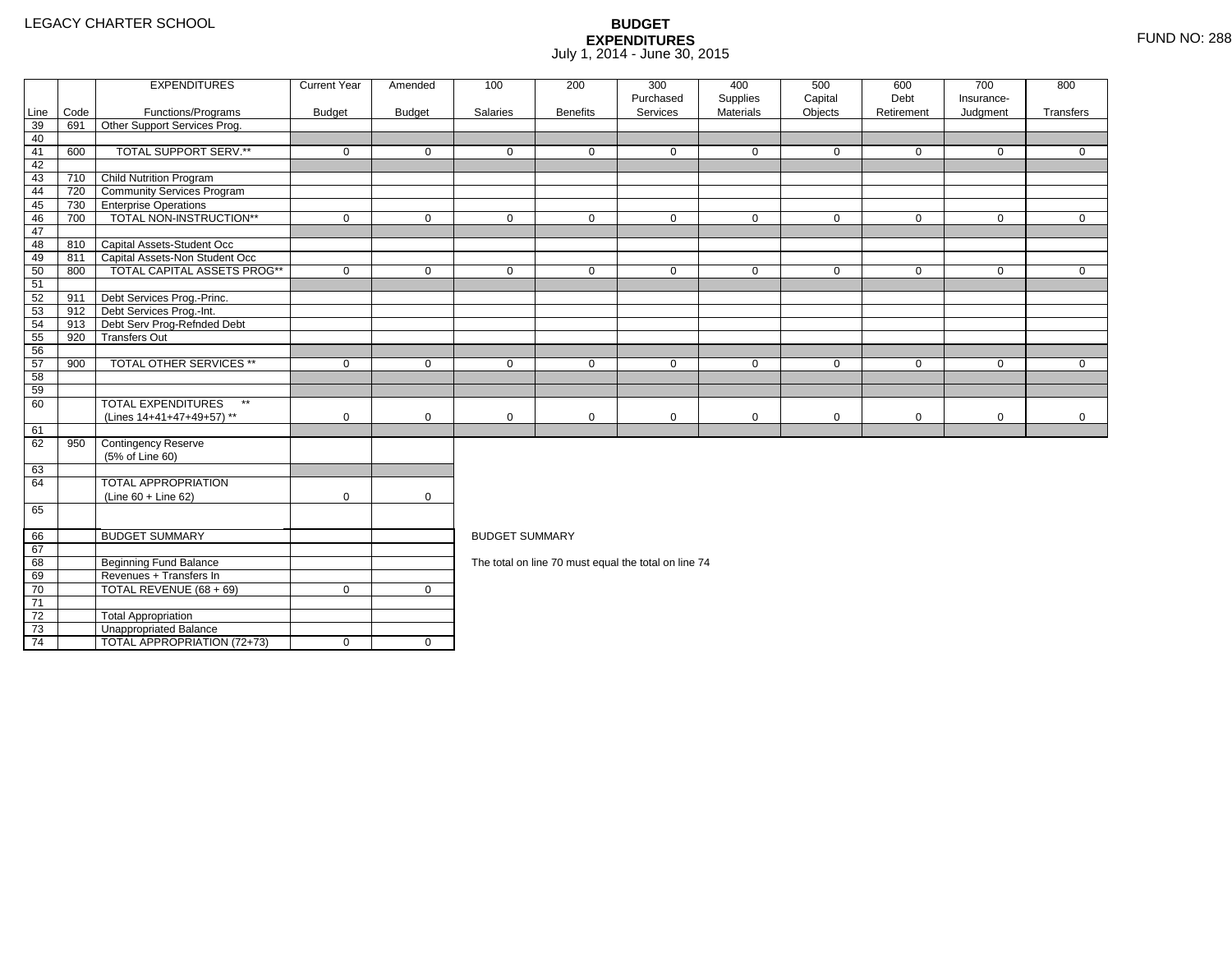4 | TOTAL APPROPRIATION (72+73) | 0 | 0

|                 |      | <b>EXPENDITURES</b>                       | <b>Current Year</b> | Amended       | 100                   | 200             | 300<br>Purchased                                     | 400<br>Supplies | 500<br>Capital | 600<br>Debt | 700<br>Insurance- | 800          |
|-----------------|------|-------------------------------------------|---------------------|---------------|-----------------------|-----------------|------------------------------------------------------|-----------------|----------------|-------------|-------------------|--------------|
| Line            | Code | Functions/Programs                        | <b>Budget</b>       | <b>Budget</b> | Salaries              | <b>Benefits</b> | Services                                             | Materials       | Objects        | Retirement  | Judgment          | Transfers    |
| 39              | 691  | Other Support Services Prog.              |                     |               |                       |                 |                                                      |                 |                |             |                   |              |
| 40              |      |                                           |                     |               |                       |                 |                                                      |                 |                |             |                   |              |
| 41              | 600  | TOTAL SUPPORT SERV.**                     | $\mathbf 0$         | $\mathbf 0$   | $\mathbf 0$           | $\mathbf{0}$    | $\mathbf 0$                                          | $\mathbf 0$     | $\mathbf 0$    | $\mathbf 0$ | $\mathbf 0$       | $\mathbf{0}$ |
| 42              |      |                                           |                     |               |                       |                 |                                                      |                 |                |             |                   |              |
| 43              | 710  | Child Nutrition Program                   |                     |               |                       |                 |                                                      |                 |                |             |                   |              |
| 44              | 720  | <b>Community Services Program</b>         |                     |               |                       |                 |                                                      |                 |                |             |                   |              |
| 45              | 730  | <b>TEnterprise Operations</b>             |                     |               |                       |                 |                                                      |                 |                |             |                   |              |
| 46              | 700  | TOTAL NON-INSTRUCTION**                   | $\mathbf 0$         | $\mathbf 0$   | $\mathbf 0$           | $\mathbf 0$     | $\mathbf 0$                                          | $\mathbf 0$     | $\mathbf 0$    | $\mathbf 0$ | $\overline{0}$    | $\mathbf{0}$ |
| 47              |      |                                           |                     |               |                       |                 |                                                      |                 |                |             |                   |              |
| 48              |      | 810 Capital Assets-Student Occ            |                     |               |                       |                 |                                                      |                 |                |             |                   |              |
| 49              | 811  | Capital Assets-Non Student Occ            |                     |               |                       |                 |                                                      |                 |                |             |                   |              |
| 50              | 800  | <b>TOTAL CAPITAL ASSETS PROG**</b>        | $\mathbf 0$         | $\mathbf 0$   | $\mathbf 0$           | $\mathbf 0$     | $\mathbf 0$                                          | $\mathbf 0$     | $\mathbf 0$    | $\mathbf 0$ | $\mathbf 0$       | $\mathbf{0}$ |
| 51              |      |                                           |                     |               |                       |                 |                                                      |                 |                |             |                   |              |
| 52              | 911  | Debt Services Prog.-Princ.                |                     |               |                       |                 |                                                      |                 |                |             |                   |              |
| 53              |      | 912 Debt Services Prog.-Int.              |                     |               |                       |                 |                                                      |                 |                |             |                   |              |
| 54              | 913  | Debt Serv Prog-Refnded Debt               |                     |               |                       |                 |                                                      |                 |                |             |                   |              |
| 55              | 920  | <b>Transfers Out</b>                      |                     |               |                       |                 |                                                      |                 |                |             |                   |              |
| 56              |      |                                           |                     |               |                       |                 |                                                      |                 |                |             |                   |              |
| 57              | 900  | <b>TOTAL OTHER SERVICES **</b>            | $\mathbf 0$         | $\mathbf 0$   | $\mathbf 0$           | $\mathbf{0}$    | $\mathbf 0$                                          | $\mathbf 0$     | $\mathbf 0$    | $\mathbf 0$ | $\mathbf 0$       | $\Omega$     |
| 58              |      |                                           |                     |               |                       |                 |                                                      |                 |                |             |                   |              |
| 59              |      |                                           |                     |               |                       |                 |                                                      |                 |                |             |                   |              |
| 60              |      | <b>TOTAL EXPENDITURES</b><br>$\star\star$ |                     |               |                       |                 |                                                      |                 |                |             |                   |              |
|                 |      | (Lines 14+41+47+49+57) **                 | $\mathbf 0$         | $\mathbf 0$   | $\mathbf 0$           | $\mathbf 0$     | $\mathbf 0$                                          | $\mathbf 0$     | $\mathbf 0$    | $\mathbf 0$ | $\mathbf 0$       | $\mathbf 0$  |
| 61              |      |                                           |                     |               |                       |                 |                                                      |                 |                |             |                   |              |
| 62              | 950  | Contingency Reserve                       |                     |               |                       |                 |                                                      |                 |                |             |                   |              |
|                 |      | (5% of Line 60)                           |                     |               |                       |                 |                                                      |                 |                |             |                   |              |
| 63              |      |                                           |                     |               |                       |                 |                                                      |                 |                |             |                   |              |
| 64              |      | <b>TOTAL APPROPRIATION</b>                |                     |               |                       |                 |                                                      |                 |                |             |                   |              |
|                 |      | $(Line 60 + Line 62)$                     | $\mathbf 0$         | $\mathbf 0$   |                       |                 |                                                      |                 |                |             |                   |              |
| 65              |      |                                           |                     |               |                       |                 |                                                      |                 |                |             |                   |              |
| 66              |      | <b>BUDGET SUMMARY</b>                     |                     |               | <b>BUDGET SUMMARY</b> |                 |                                                      |                 |                |             |                   |              |
| 67              |      |                                           |                     |               |                       |                 |                                                      |                 |                |             |                   |              |
| 68              |      | <b>Beginning Fund Balance</b>             |                     |               |                       |                 | The total on line 70 must equal the total on line 74 |                 |                |             |                   |              |
| 69              |      | Revenues + Transfers In                   |                     |               |                       |                 |                                                      |                 |                |             |                   |              |
| 70              |      | TOTAL REVENUE (68 + 69)                   | $\mathbf 0$         | $\mathbf 0$   |                       |                 |                                                      |                 |                |             |                   |              |
| $\overline{71}$ |      |                                           |                     |               |                       |                 |                                                      |                 |                |             |                   |              |
| 72              |      | <b>Total Appropriation</b>                |                     |               |                       |                 |                                                      |                 |                |             |                   |              |
| 73              |      | Unappropriated Balance                    |                     |               |                       |                 |                                                      |                 |                |             |                   |              |
|                 |      |                                           |                     |               |                       |                 |                                                      |                 |                |             |                   |              |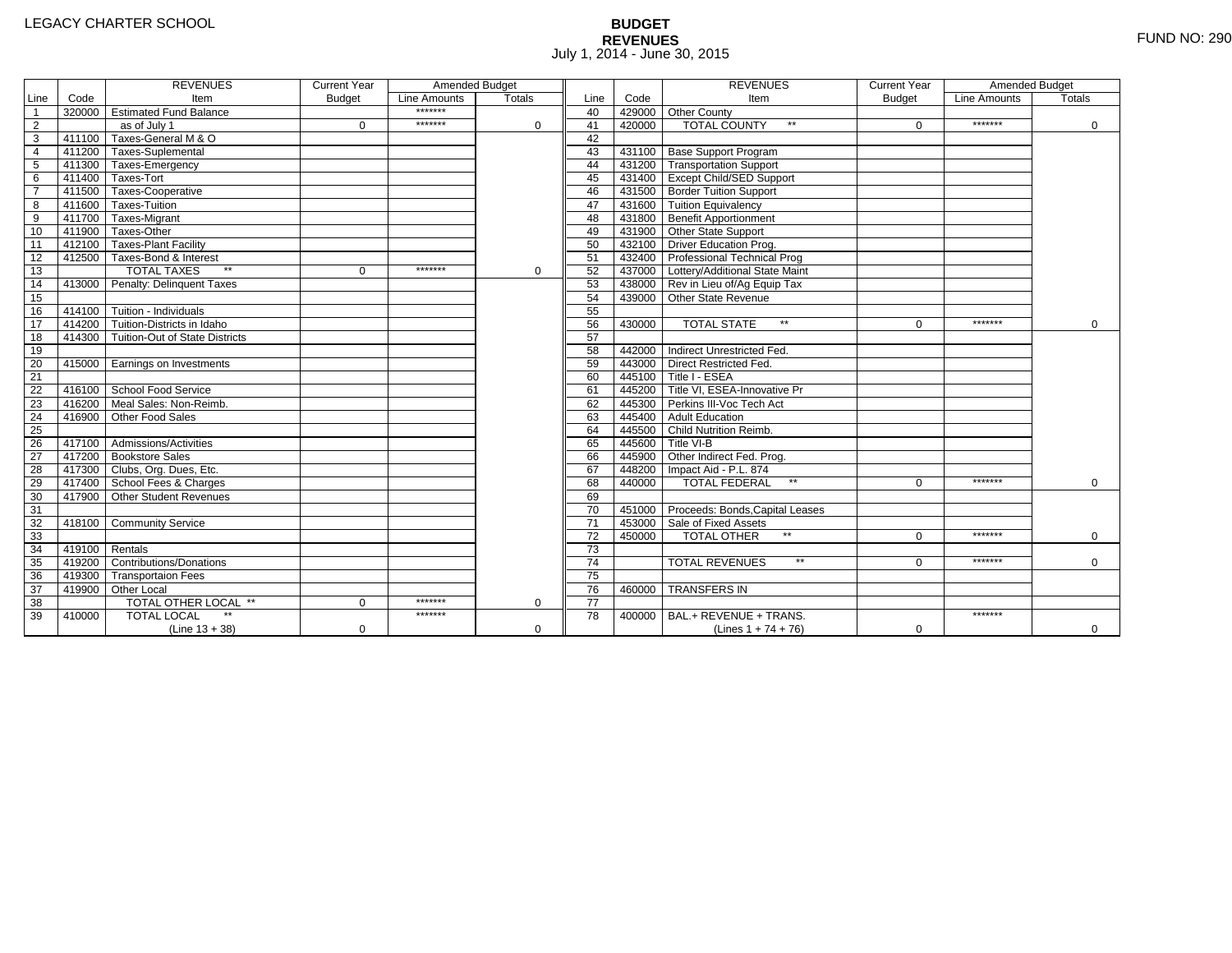# **BUDGET REVENUES** FUND NO: 290 July 1, 2014 - June 30, 2015

|                 |        | <b>REVENUES</b>                       | <b>Current Year</b> | Amended Budget |               |                 |        | <b>REVENUES</b>                        | <b>Current Year</b> | Amended Budget |               |
|-----------------|--------|---------------------------------------|---------------------|----------------|---------------|-----------------|--------|----------------------------------------|---------------------|----------------|---------------|
| Line            | Code   | Item                                  | <b>Budget</b>       | Line Amounts   | <b>Totals</b> | Line            | Code   | Item                                   | <b>Budget</b>       | Line Amounts   | <b>Totals</b> |
| $\overline{1}$  |        | 320000 Estimated Fund Balance         |                     | *******        |               | 40              |        | 429000 Other County                    |                     |                |               |
| $\overline{2}$  |        | as of July 1                          | $\Omega$            | *******        | $\Omega$      | 41              | 420000 | <b>TOTAL COUNTY</b><br>$\star\star$    | $\Omega$            | *******        | 0             |
| $\overline{3}$  |        | 411100 Taxes-General M & O            |                     |                |               | 42              |        |                                        |                     |                |               |
| $\overline{4}$  |        | 411200 Taxes-Suplemental              |                     |                |               | 43              |        | 431100 Base Support Program            |                     |                |               |
| 5               |        | 411300 Taxes-Emergency                |                     |                |               | 44              |        | 431200 Transportation Support          |                     |                |               |
| 6               |        | 411400 Taxes-Tort                     |                     |                |               | 45              |        | 431400 Except Child/SED Support        |                     |                |               |
| $\overline{7}$  |        | 411500 Taxes-Cooperative              |                     |                |               | 46              |        | 431500 Border Tuition Support          |                     |                |               |
| 8               |        | 411600 Taxes-Tuition                  |                     |                |               | 47              |        | 431600 Tuition Equivalency             |                     |                |               |
| $\overline{9}$  |        | 411700 Taxes-Migrant                  |                     |                |               | 48              |        | 431800 Benefit Apportionment           |                     |                |               |
| 10              |        | 411900 Taxes-Other                    |                     |                |               | 49              |        | 431900 Other State Support             |                     |                |               |
| 11              |        | 412100 Taxes-Plant Facility           |                     |                |               | 50              |        | 432100 Driver Education Prog.          |                     |                |               |
| 12              |        | 412500 Taxes-Bond & Interest          |                     |                |               | 51              |        | 432400 Professional Technical Prog     |                     |                |               |
| 13              |        | $**$<br><b>TOTAL TAXES</b>            | $\mathbf{0}$        | *******        | $\mathbf 0$   | 52              |        | 437000 Lottery/Additional State Maint  |                     |                |               |
| 14              |        | 413000 Penalty: Delinquent Taxes      |                     |                |               | 53              |        | 438000 Rev in Lieu of/Ag Equip Tax     |                     |                |               |
| 15              |        |                                       |                     |                |               | 54              |        | 439000 Other State Revenue             |                     |                |               |
| 16              |        | 414100 Tuition - Individuals          |                     |                |               | 55              |        |                                        |                     |                |               |
| 17              |        | 414200 Tuition-Districts in Idaho     |                     |                |               | 56              | 430000 | <b>TOTAL STATE</b><br>$**$             | $\Omega$            | *******        | $\Omega$      |
| 18              |        | 414300 Tuition-Out of State Districts |                     |                |               | 57              |        |                                        |                     |                |               |
| 19              |        |                                       |                     |                |               | 58              |        | 442000 Indirect Unrestricted Fed.      |                     |                |               |
| 20              |        | 415000 Earnings on Investments        |                     |                |               | 59              |        | 443000 Direct Restricted Fed.          |                     |                |               |
| $\overline{21}$ |        |                                       |                     |                |               | 60              |        | 445100 Title I - ESEA                  |                     |                |               |
| 22              |        | 416100 School Food Service            |                     |                |               | 61              |        | 445200 Title VI. ESEA-Innovative Pr    |                     |                |               |
| 23              | 416200 | Meal Sales: Non-Reimb.                |                     |                |               | 62              |        | 445300 Perkins III-Voc Tech Act        |                     |                |               |
| 24              | 416900 | Other Food Sales                      |                     |                |               | 63              |        | 445400 Adult Education                 |                     |                |               |
| 25              |        |                                       |                     |                |               | 64              |        | 445500 Child Nutrition Reimb.          |                     |                |               |
| 26              |        | 417100 Admissions/Activities          |                     |                |               | 65              |        | 445600 Title VI-B                      |                     |                |               |
| $\overline{27}$ |        | 417200 Bookstore Sales                |                     |                |               | 66              |        | 445900 Other Indirect Fed. Prog.       |                     |                |               |
| 28              |        | 417300 Clubs, Org. Dues, Etc.         |                     |                |               | 67              |        | 448200   Impact Aid - P.L. 874         |                     |                |               |
| 29              |        | 417400 School Fees & Charges          |                     |                |               | 68              | 440000 | <b>TOTAL FEDERAL</b><br>$\star\star$   | $\Omega$            | *******        | $\Omega$      |
| 30              |        | 417900 Other Student Revenues         |                     |                |               | 69              |        |                                        |                     |                |               |
| 31              |        |                                       |                     |                |               | 70              |        | 451000 Proceeds: Bonds, Capital Leases |                     |                |               |
| 32              |        | 418100 Community Service              |                     |                |               | $\overline{71}$ |        | 453000 Sale of Fixed Assets            |                     |                |               |
| 33              |        |                                       |                     |                |               | 72              | 450000 | TOTAL OTHER                            | $\Omega$            | *******        | $\Omega$      |
| 34              | 419100 | Rentals                               |                     |                |               | $\overline{73}$ |        |                                        |                     |                |               |
| 35              | 419200 | <b>Contributions/Donations</b>        |                     |                |               | $\overline{74}$ |        | <b>TOTAL REVENUES</b><br>$\star\star$  | U                   | *******        | $\mathbf 0$   |
| 36              |        | 419300 Transportaion Fees             |                     |                |               | 75              |        |                                        |                     |                |               |
| 37              |        | 419900 Other Local                    |                     |                |               | 76              | 460000 | <b>TRANSFERS IN</b>                    |                     |                |               |
| $\overline{38}$ |        | TOTAL OTHER LOCAL **                  | $\Omega$            | *******        | $\Omega$      | $\overline{77}$ |        |                                        |                     |                |               |
| 39              | 410000 | <b>TOTAL LOCAL</b>                    |                     | *******        |               | 78              | 400000 | BAL.+ REVENUE + TRANS.                 |                     | *******        |               |
|                 |        | $(Line 13 + 38)$                      | 0                   |                | $\Omega$      |                 |        | (Lines $1 + 74 + 76$ )                 | 0                   |                | $\mathbf{0}$  |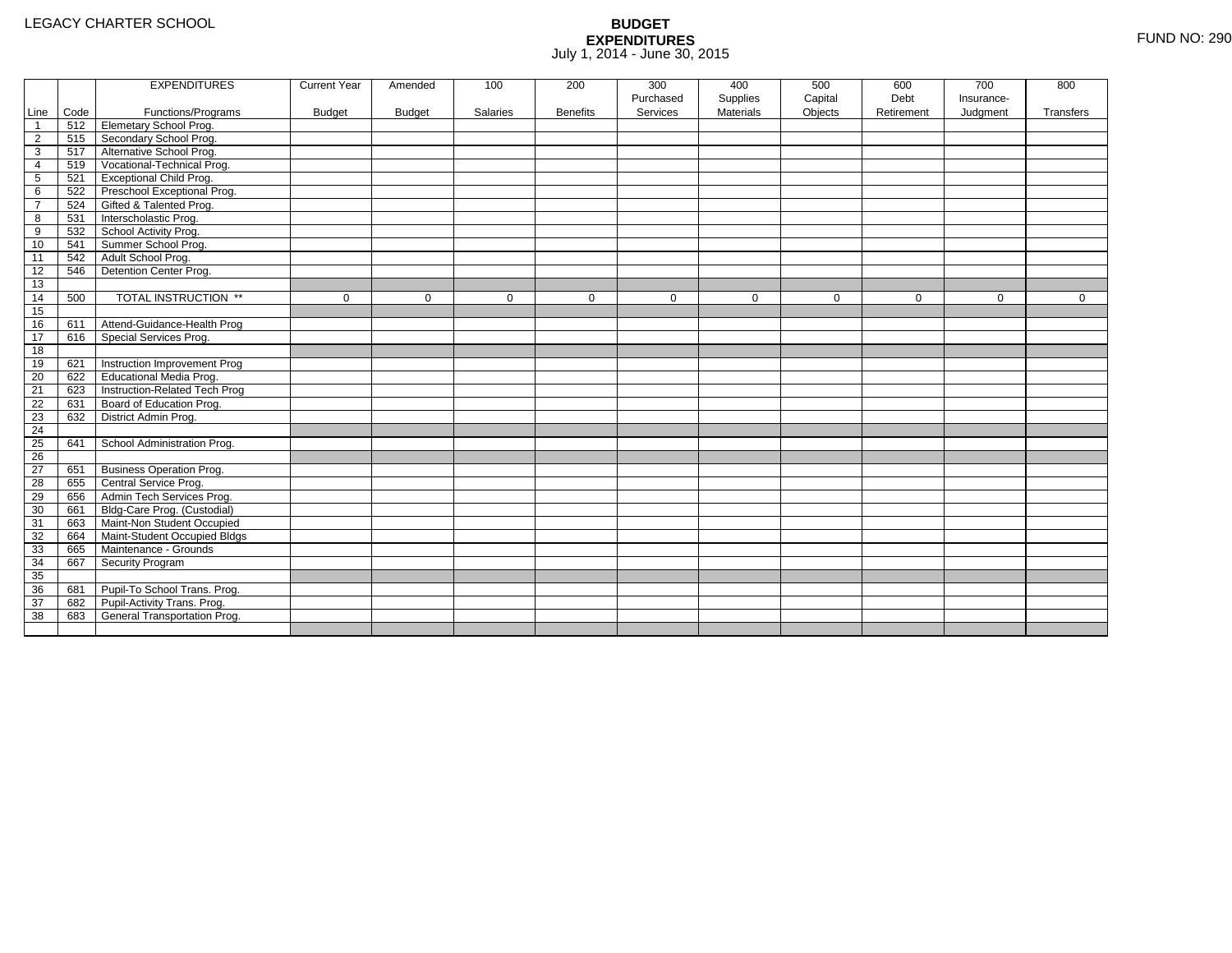|                |      | <b>EXPENDITURES</b>             | <b>Current Year</b> | Amended       | 100      | 200             | 300       | 400              | 500         | 600         | 700         | 800         |
|----------------|------|---------------------------------|---------------------|---------------|----------|-----------------|-----------|------------------|-------------|-------------|-------------|-------------|
|                |      |                                 |                     |               |          |                 | Purchased | Supplies         | Capital     | Debt        | Insurance-  |             |
| Line           | Code | Functions/Programs              | <b>Budget</b>       | <b>Budget</b> | Salaries | <b>Benefits</b> | Services  | <b>Materials</b> | Objects     | Retirement  | Judgment    | Transfers   |
| $\mathbf{1}$   | 512  | <b>Elemetary School Prog.</b>   |                     |               |          |                 |           |                  |             |             |             |             |
| $\overline{2}$ | 515  | Secondary School Prog.          |                     |               |          |                 |           |                  |             |             |             |             |
| 3              | 517  | Alternative School Prog.        |                     |               |          |                 |           |                  |             |             |             |             |
| 4              | 519  | Vocational-Technical Prog.      |                     |               |          |                 |           |                  |             |             |             |             |
| 5              | 521  | Exceptional Child Prog.         |                     |               |          |                 |           |                  |             |             |             |             |
| 6              | 522  | Preschool Exceptional Prog.     |                     |               |          |                 |           |                  |             |             |             |             |
| $\overline{7}$ | 524  | Gifted & Talented Prog.         |                     |               |          |                 |           |                  |             |             |             |             |
| 8              | 531  | Interscholastic Prog.           |                     |               |          |                 |           |                  |             |             |             |             |
| 9              | 532  | School Activity Prog.           |                     |               |          |                 |           |                  |             |             |             |             |
| 10             | 541  | Summer School Prog.             |                     |               |          |                 |           |                  |             |             |             |             |
| 11             | 542  | Adult School Prog.              |                     |               |          |                 |           |                  |             |             |             |             |
| 12             | 546  | Detention Center Prog.          |                     |               |          |                 |           |                  |             |             |             |             |
| 13             |      |                                 |                     |               |          |                 |           |                  |             |             |             |             |
| 14             | 500  | TOTAL INSTRUCTION **            | $\mathbf{0}$        | $\Omega$      | 0        | $\mathbf 0$     | 0         | $\mathbf{0}$     | $\mathbf 0$ | $\mathbf 0$ | $\mathbf 0$ | $\mathbf 0$ |
| 15             |      |                                 |                     |               |          |                 |           |                  |             |             |             |             |
| 16             | 611  | Attend-Guidance-Health Prog     |                     |               |          |                 |           |                  |             |             |             |             |
| 17             | 616  | Special Services Prog.          |                     |               |          |                 |           |                  |             |             |             |             |
| 18             |      |                                 |                     |               |          |                 |           |                  |             |             |             |             |
| 19             | 621  | Instruction Improvement Prog    |                     |               |          |                 |           |                  |             |             |             |             |
| 20             | 622  | <b>Educational Media Prog.</b>  |                     |               |          |                 |           |                  |             |             |             |             |
| 21             | 623  | Instruction-Related Tech Prog   |                     |               |          |                 |           |                  |             |             |             |             |
| 22             | 631  | Board of Education Prog.        |                     |               |          |                 |           |                  |             |             |             |             |
| 23             | 632  | District Admin Prog.            |                     |               |          |                 |           |                  |             |             |             |             |
| 24             |      |                                 |                     |               |          |                 |           |                  |             |             |             |             |
| 25             | 641  | School Administration Prog.     |                     |               |          |                 |           |                  |             |             |             |             |
| 26             |      |                                 |                     |               |          |                 |           |                  |             |             |             |             |
| 27             | 651  | <b>Business Operation Prog.</b> |                     |               |          |                 |           |                  |             |             |             |             |
| 28             | 655  | Central Service Prog.           |                     |               |          |                 |           |                  |             |             |             |             |
| 29             | 656  | Admin Tech Services Prog.       |                     |               |          |                 |           |                  |             |             |             |             |
| 30             | 661  | Bldg-Care Prog. (Custodial)     |                     |               |          |                 |           |                  |             |             |             |             |
| 31             | 663  | Maint-Non Student Occupied      |                     |               |          |                 |           |                  |             |             |             |             |
| 32             | 664  | Maint-Student Occupied Bldgs    |                     |               |          |                 |           |                  |             |             |             |             |
| 33             | 665  | Maintenance - Grounds           |                     |               |          |                 |           |                  |             |             |             |             |
| 34             | 667  | Security Program                |                     |               |          |                 |           |                  |             |             |             |             |
| 35             |      |                                 |                     |               |          |                 |           |                  |             |             |             |             |
| 36             | 681  | Pupil-To School Trans. Prog.    |                     |               |          |                 |           |                  |             |             |             |             |
| 37             | 682  | Pupil-Activity Trans. Prog.     |                     |               |          |                 |           |                  |             |             |             |             |
| 38             | 683  | General Transportation Prog.    |                     |               |          |                 |           |                  |             |             |             |             |
|                |      |                                 |                     |               |          |                 |           |                  |             |             |             |             |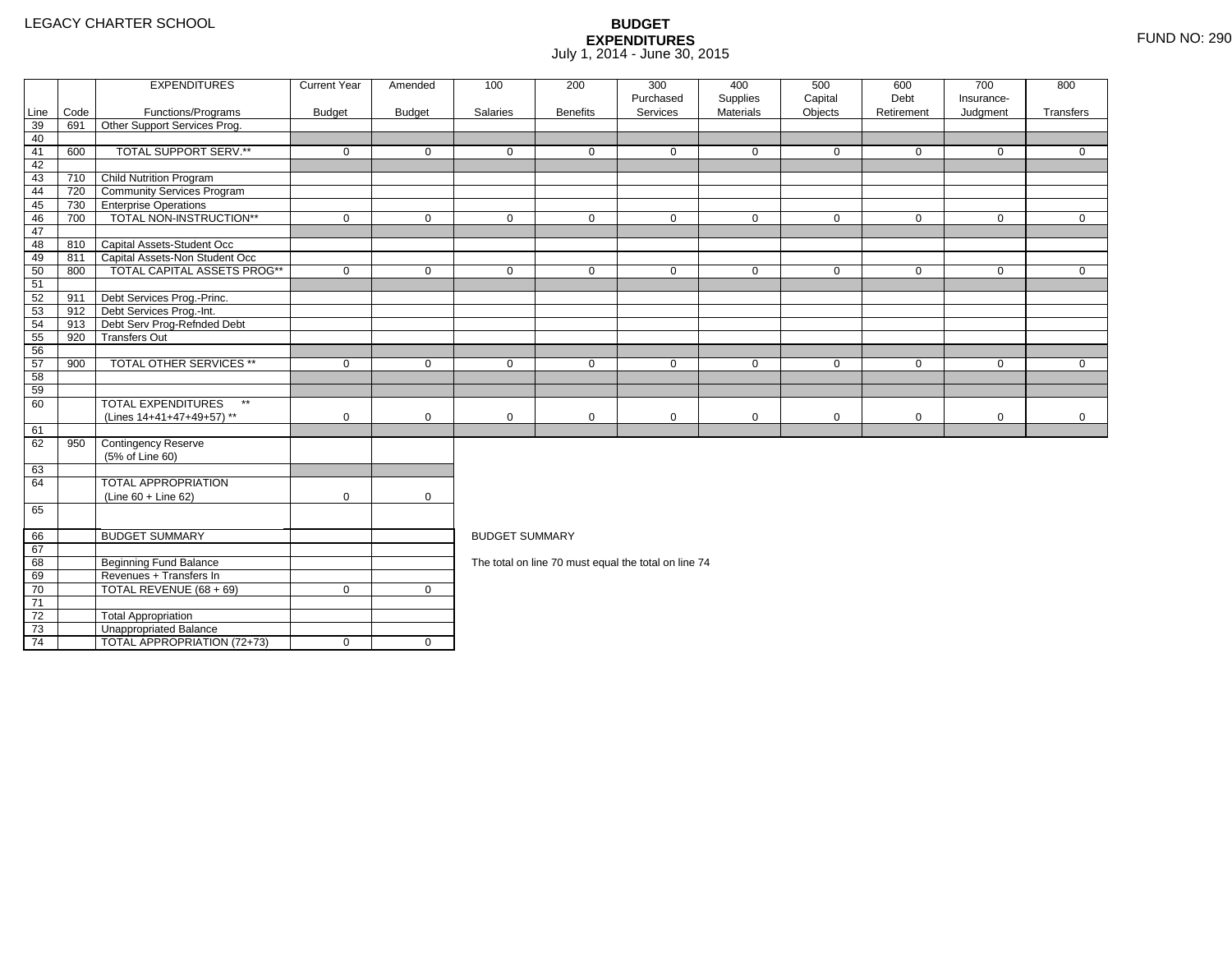4 | TOTAL APPROPRIATION (72+73) | 0 | 0

|                 |      | <b>EXPENDITURES</b>                       | <b>Current Year</b> | Amended       | 100                   | 200             | 300<br>Purchased                                     | 400<br>Supplies | 500<br>Capital | 600<br>Debt | 700<br>Insurance- | 800          |
|-----------------|------|-------------------------------------------|---------------------|---------------|-----------------------|-----------------|------------------------------------------------------|-----------------|----------------|-------------|-------------------|--------------|
| Line            | Code | Functions/Programs                        | <b>Budget</b>       | <b>Budget</b> | Salaries              | <b>Benefits</b> | Services                                             | Materials       | Objects        | Retirement  | Judgment          | Transfers    |
| 39              | 691  | Other Support Services Prog.              |                     |               |                       |                 |                                                      |                 |                |             |                   |              |
| 40              |      |                                           |                     |               |                       |                 |                                                      |                 |                |             |                   |              |
| 41              | 600  | TOTAL SUPPORT SERV.**                     | $\mathbf 0$         | $\mathbf 0$   | $\mathbf 0$           | $\mathbf{0}$    | $\mathbf 0$                                          | $\mathbf 0$     | $\mathbf 0$    | $\mathbf 0$ | $\mathbf 0$       | $\mathbf{0}$ |
| 42              |      |                                           |                     |               |                       |                 |                                                      |                 |                |             |                   |              |
| 43              | 710  | Child Nutrition Program                   |                     |               |                       |                 |                                                      |                 |                |             |                   |              |
| 44              | 720  | <b>Community Services Program</b>         |                     |               |                       |                 |                                                      |                 |                |             |                   |              |
| 45              | 730  | <b>TEnterprise Operations</b>             |                     |               |                       |                 |                                                      |                 |                |             |                   |              |
| 46              | 700  | TOTAL NON-INSTRUCTION**                   | $\mathbf 0$         | $\mathbf 0$   | $\mathbf 0$           | $\mathbf 0$     | $\mathbf 0$                                          | $\mathbf 0$     | $\mathbf 0$    | $\mathbf 0$ | $\overline{0}$    | $\mathbf{0}$ |
| 47              |      |                                           |                     |               |                       |                 |                                                      |                 |                |             |                   |              |
| 48              |      | 810 Capital Assets-Student Occ            |                     |               |                       |                 |                                                      |                 |                |             |                   |              |
| 49              | 811  | Capital Assets-Non Student Occ            |                     |               |                       |                 |                                                      |                 |                |             |                   |              |
| 50              | 800  | <b>TOTAL CAPITAL ASSETS PROG**</b>        | $\mathbf 0$         | $\mathbf 0$   | $\mathbf 0$           | $\mathbf 0$     | $\mathbf 0$                                          | $\mathbf 0$     | $\mathbf 0$    | $\mathbf 0$ | $\mathbf 0$       | $\mathbf{0}$ |
| 51              |      |                                           |                     |               |                       |                 |                                                      |                 |                |             |                   |              |
| 52              | 911  | Debt Services Prog.-Princ.                |                     |               |                       |                 |                                                      |                 |                |             |                   |              |
| 53              |      | 912 Debt Services Prog.-Int.              |                     |               |                       |                 |                                                      |                 |                |             |                   |              |
| 54              | 913  | Debt Serv Prog-Refnded Debt               |                     |               |                       |                 |                                                      |                 |                |             |                   |              |
| 55              | 920  | <b>Transfers Out</b>                      |                     |               |                       |                 |                                                      |                 |                |             |                   |              |
| 56              |      |                                           |                     |               |                       |                 |                                                      |                 |                |             |                   |              |
| 57              | 900  | <b>TOTAL OTHER SERVICES **</b>            | $\mathbf 0$         | $\mathbf 0$   | $\mathbf 0$           | $\mathbf{0}$    | $\mathbf 0$                                          | $\mathbf 0$     | $\mathbf 0$    | $\mathbf 0$ | $\mathbf 0$       | $\Omega$     |
| 58              |      |                                           |                     |               |                       |                 |                                                      |                 |                |             |                   |              |
| 59              |      |                                           |                     |               |                       |                 |                                                      |                 |                |             |                   |              |
| 60              |      | <b>TOTAL EXPENDITURES</b><br>$\star\star$ |                     |               |                       |                 |                                                      |                 |                |             |                   |              |
|                 |      | (Lines 14+41+47+49+57) **                 | $\mathbf 0$         | $\mathbf 0$   | $\mathbf 0$           | $\mathbf 0$     | $\mathbf 0$                                          | $\mathbf 0$     | $\mathbf 0$    | $\mathbf 0$ | $\mathbf 0$       | $\mathbf 0$  |
| 61              |      |                                           |                     |               |                       |                 |                                                      |                 |                |             |                   |              |
| 62              | 950  | Contingency Reserve                       |                     |               |                       |                 |                                                      |                 |                |             |                   |              |
|                 |      | (5% of Line 60)                           |                     |               |                       |                 |                                                      |                 |                |             |                   |              |
| 63              |      |                                           |                     |               |                       |                 |                                                      |                 |                |             |                   |              |
| 64              |      | <b>TOTAL APPROPRIATION</b>                |                     |               |                       |                 |                                                      |                 |                |             |                   |              |
|                 |      | $(Line 60 + Line 62)$                     | $\mathbf 0$         | $\mathbf 0$   |                       |                 |                                                      |                 |                |             |                   |              |
| 65              |      |                                           |                     |               |                       |                 |                                                      |                 |                |             |                   |              |
| 66              |      | <b>BUDGET SUMMARY</b>                     |                     |               | <b>BUDGET SUMMARY</b> |                 |                                                      |                 |                |             |                   |              |
| 67              |      |                                           |                     |               |                       |                 |                                                      |                 |                |             |                   |              |
| 68              |      | <b>Beginning Fund Balance</b>             |                     |               |                       |                 | The total on line 70 must equal the total on line 74 |                 |                |             |                   |              |
| 69              |      | Revenues + Transfers In                   |                     |               |                       |                 |                                                      |                 |                |             |                   |              |
| 70              |      | TOTAL REVENUE (68 + 69)                   | $\mathbf 0$         | $\mathbf 0$   |                       |                 |                                                      |                 |                |             |                   |              |
| $\overline{71}$ |      |                                           |                     |               |                       |                 |                                                      |                 |                |             |                   |              |
| 72              |      | <b>Total Appropriation</b>                |                     |               |                       |                 |                                                      |                 |                |             |                   |              |
| 73              |      | Unappropriated Balance                    |                     |               |                       |                 |                                                      |                 |                |             |                   |              |
|                 |      |                                           |                     |               |                       |                 |                                                      |                 |                |             |                   |              |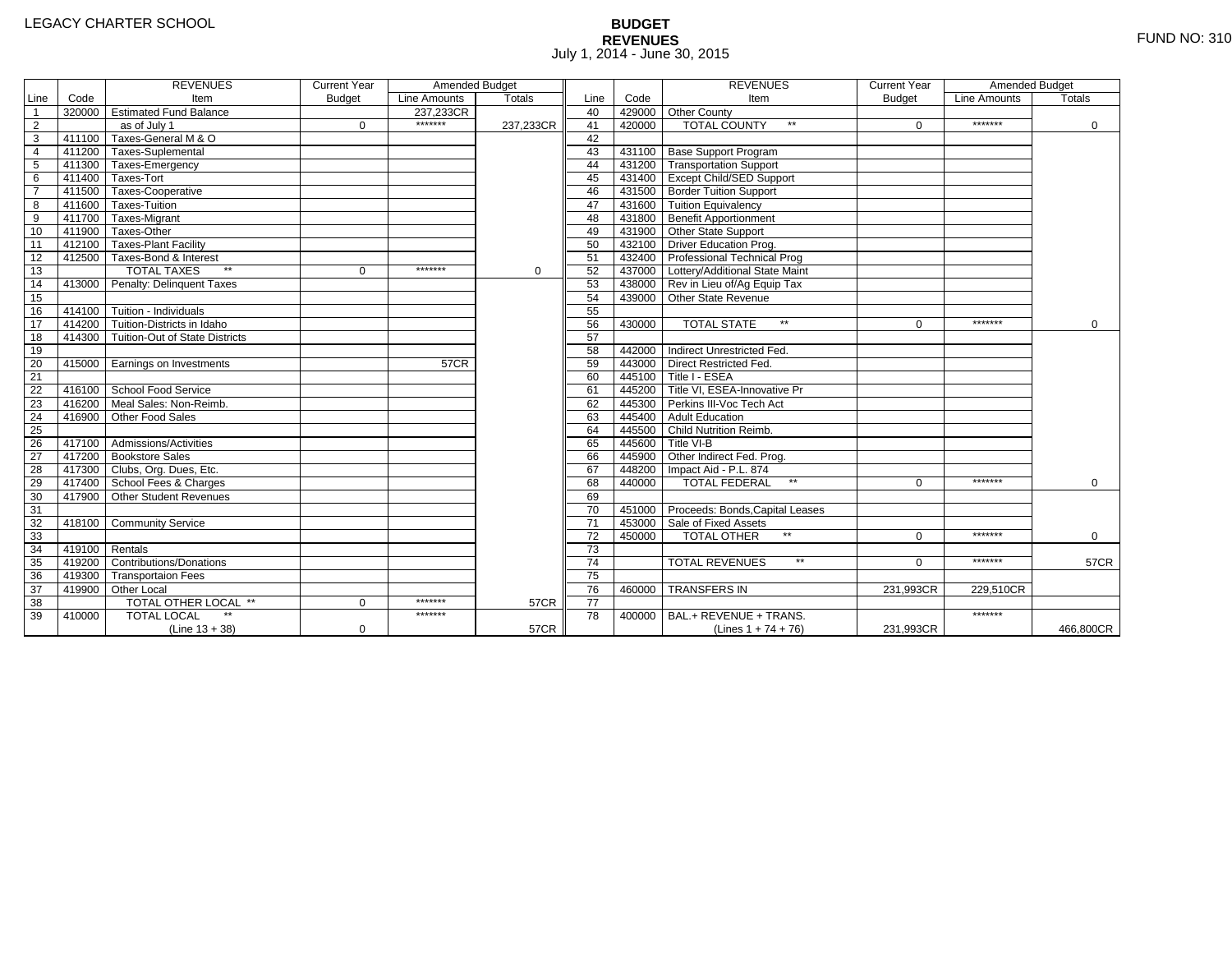# **BUDGET REVENUES** FUND NO: 310 July 1, 2014 - June 30, 2015

|                 |                | <b>REVENUES</b>                         | <b>Current Year</b> | Amended Budget |               |                 |        | <b>REVENUES</b>                        | <b>Current Year</b> | Amended Budget |               |
|-----------------|----------------|-----------------------------------------|---------------------|----------------|---------------|-----------------|--------|----------------------------------------|---------------------|----------------|---------------|
| Line            | Code           | Item                                    | <b>Budget</b>       | Line Amounts   | <b>Totals</b> | Line            | Code   | Item                                   | <b>Budget</b>       | Line Amounts   | <b>Totals</b> |
| $\mathbf{1}$    |                | 320000 Estimated Fund Balance           |                     | 237.233CR      |               | 40              |        | 429000 Other County                    |                     |                |               |
| $\overline{2}$  |                | as of July 1                            | $\Omega$            | *******        | 237.233CR     | 41              | 420000 | <b>TOTAL COUNTY</b><br>$**$            | $\Omega$            | *******        | $\Omega$      |
| 3               | 411100         | Taxes-General M & O                     |                     |                |               | 42              |        |                                        |                     |                |               |
| $\overline{4}$  |                | 411200 Taxes-Suplemental                |                     |                |               | 43              |        | 431100 Base Support Program            |                     |                |               |
| 5               | 411300         | Taxes-Emergency                         |                     |                |               | 44              |        | 431200 Transportation Support          |                     |                |               |
| 6               |                | 411400 Taxes-Tort                       |                     |                |               | 45              |        | 431400 Except Child/SED Support        |                     |                |               |
|                 |                | 411500 Taxes-Cooperative                |                     |                |               | 46              |        | 431500 Border Tuition Support          |                     |                |               |
| 8               |                | 411600 Taxes-Tuition                    |                     |                |               | 47              |        | 431600 Tuition Equivalency             |                     |                |               |
| 9               | 411700         | Taxes-Migrant                           |                     |                |               | 48              |        | 431800 Benefit Apportionment           |                     |                |               |
| 10              | 411900         | Taxes-Other                             |                     |                |               | 49              |        | 431900 Other State Support             |                     |                |               |
| 11              |                | 412100 Taxes-Plant Facility             |                     |                |               | 50              |        | 432100 Driver Education Prog.          |                     |                |               |
| 12              |                | 412500 Taxes-Bond & Interest            |                     |                |               | 51              |        | 432400 Professional Technical Prog     |                     |                |               |
| 13              |                | <b>TOTAL TAXES</b><br>$\star\star$      | 0                   | *******        | $\mathbf 0$   | 52              |        | 437000 Lottery/Additional State Maint  |                     |                |               |
| 14              |                | 413000 Penalty: Delinquent Taxes        |                     |                |               | 53              |        | 438000 Rev in Lieu of/Ag Equip Tax     |                     |                |               |
| 15              |                |                                         |                     |                |               | 54              |        | 439000 Other State Revenue             |                     |                |               |
| 16              |                | $414100$ Tuition - Individuals          |                     |                |               | 55              |        |                                        |                     |                |               |
| 17              | 414200         | Tuition-Districts in Idaho              |                     |                |               | 56              | 430000 | $**$<br><b>TOTAL STATE</b>             | $\Omega$            | *******        | $\Omega$      |
| 18              |                | 414300   Tuition-Out of State Districts |                     |                |               | 57              |        |                                        |                     |                |               |
| 19              |                |                                         |                     |                |               | 58              | 442000 | Indirect Unrestricted Fed.             |                     |                |               |
| 20              |                | 415000 Earnings on Investments          |                     | 57CR           |               | 59              | 443000 | Direct Restricted Fed.                 |                     |                |               |
| 21              |                |                                         |                     |                |               | 60              |        | 445100 Title I - ESEA                  |                     |                |               |
| 22              |                | 416100 School Food Service              |                     |                |               | 61              |        | 445200 Title VI. ESEA-Innovative Pr    |                     |                |               |
| 23              |                | 416200 Meal Sales: Non-Reimb.           |                     |                |               | 62              |        | 445300 Perkins III-Voc Tech Act        |                     |                |               |
| $\overline{24}$ | 416900         | Other Food Sales                        |                     |                |               | 63              |        | 445400 Adult Education                 |                     |                |               |
| $\overline{25}$ |                |                                         |                     |                |               | 64              |        | 445500 Child Nutrition Reimb.          |                     |                |               |
| 26              |                | 417100 Admissions/Activities            |                     |                |               | 65              |        | 445600 Title VI-B                      |                     |                |               |
| $\overline{27}$ |                | 417200 Bookstore Sales                  |                     |                |               | 66              |        | 445900 Other Indirect Fed. Prog.       |                     |                |               |
| $\overline{28}$ |                | 417300 Clubs, Org. Dues, Etc.           |                     |                |               | 67              |        | 448200   Impact Aid - P.L. 874         |                     |                |               |
| 29              |                | 417400 School Fees & Charges            |                     |                |               | 68              | 440000 | <b>TOTAL FEDERAL</b><br>$\star\star$   | $\Omega$            | *******        | $\mathbf 0$   |
| 30              |                | 417900 Other Student Revenues           |                     |                |               | 69              |        |                                        |                     |                |               |
| 31              |                |                                         |                     |                |               | 70              |        | 451000 Proceeds: Bonds, Capital Leases |                     |                |               |
| 32              |                | 418100 Community Service                |                     |                |               | $\overline{71}$ |        | 453000 Sale of Fixed Assets            |                     |                |               |
| 33              |                |                                         |                     |                |               | 72              | 450000 | <b>TOTAL OTHER</b>                     | $\Omega$            | *******        | 0             |
| 34              | 419100 Rentals |                                         |                     |                |               | $\overline{73}$ |        |                                        |                     |                |               |
| 35              |                | 419200 Contributions/Donations          |                     |                |               | 74              |        | <b>TOTAL REVENUES</b><br>$\star\star$  | $\Omega$            | *******        | <b>57CR</b>   |
| 36              |                | 419300 Transportaion Fees               |                     |                |               | 75              |        |                                        |                     |                |               |
| 37              |                | 419900 Other Local                      |                     |                |               | 76              | 460000 | <b>TRANSFERS IN</b>                    | 231,993CR           | 229,510CR      |               |
| 38              |                | <b>TOTAL OTHER LOCAL **</b>             | $\Omega$            | *******        | <b>57CR</b>   | $\overline{77}$ |        |                                        |                     |                |               |
| 39              | 410000         | <b>TOTAL LOCAL</b>                      |                     | *******        |               | 78              | 400000 | BAL.+ REVENUE + TRANS.                 |                     | *******        |               |
|                 |                | $(Line 13 + 38)$                        | $\mathbf 0$         |                | <b>57CR</b>   |                 |        | (Lines $1 + 74 + 76$ )                 | 231,993CR           |                | 466,800CR     |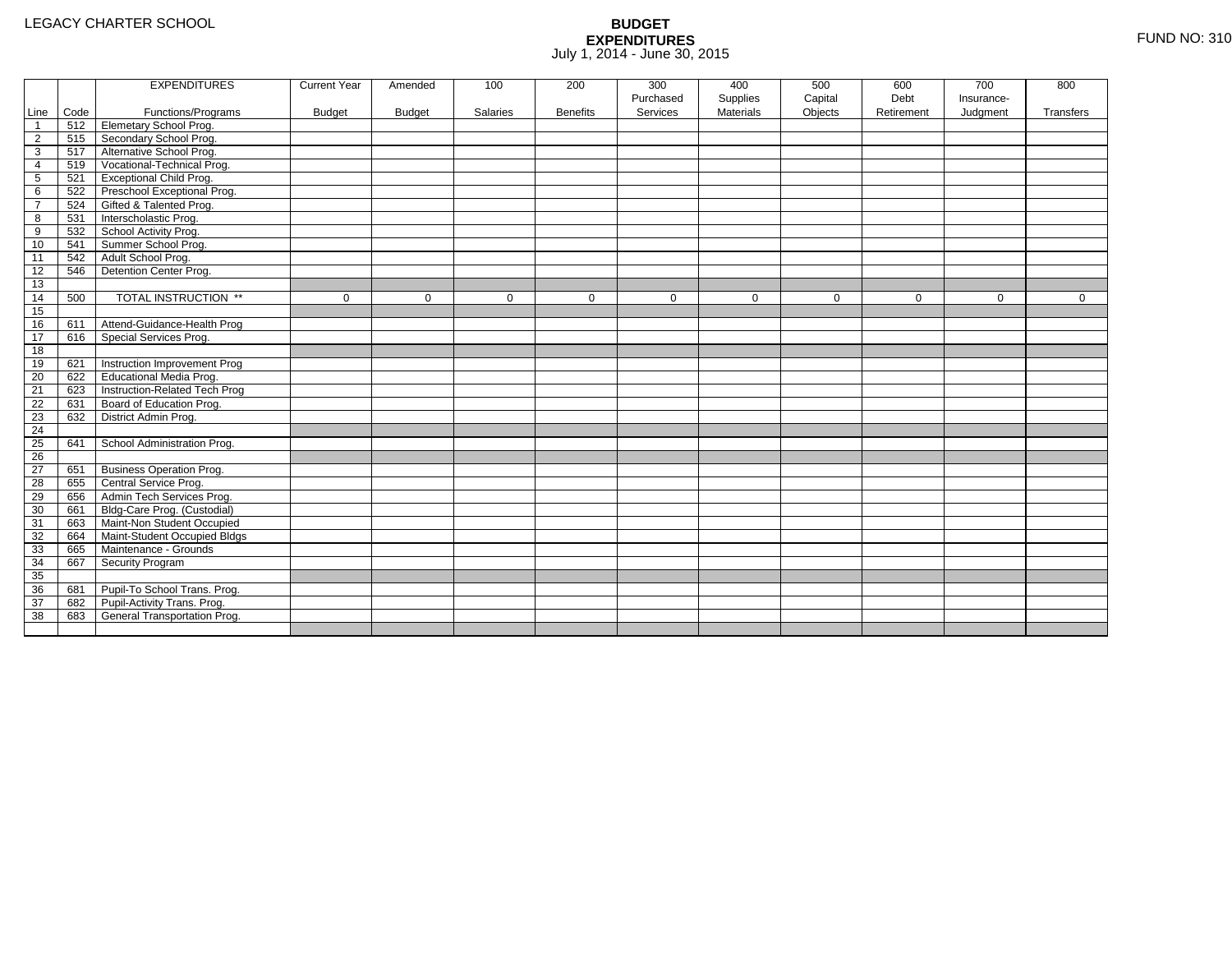|                 |      | <b>EXPENDITURES</b>             | <b>Current Year</b> | Amended       | 100         | 200             | 300         | 400              | 500         | 600         | 700         | 800          |
|-----------------|------|---------------------------------|---------------------|---------------|-------------|-----------------|-------------|------------------|-------------|-------------|-------------|--------------|
|                 |      |                                 |                     |               |             |                 | Purchased   | Supplies         | Capital     | Debt        | Insurance-  |              |
| Line            | Code | Functions/Programs              | <b>Budget</b>       | <b>Budget</b> | Salaries    | <b>Benefits</b> | Services    | <b>Materials</b> | Objects     | Retirement  | Judgment    | Transfers    |
| $\overline{1}$  | 512  | <b>Elemetary School Prog.</b>   |                     |               |             |                 |             |                  |             |             |             |              |
| $\overline{2}$  | 515  | Secondary School Prog.          |                     |               |             |                 |             |                  |             |             |             |              |
| 3               | 517  | Alternative School Prog.        |                     |               |             |                 |             |                  |             |             |             |              |
| 4               | 519  | Vocational-Technical Prog.      |                     |               |             |                 |             |                  |             |             |             |              |
| $5\phantom{.0}$ | 521  | <b>Exceptional Child Prog.</b>  |                     |               |             |                 |             |                  |             |             |             |              |
| 6               | 522  | Preschool Exceptional Prog.     |                     |               |             |                 |             |                  |             |             |             |              |
| $\overline{7}$  | 524  | Gifted & Talented Prog.         |                     |               |             |                 |             |                  |             |             |             |              |
| 8               | 531  | Interscholastic Prog.           |                     |               |             |                 |             |                  |             |             |             |              |
| 9               | 532  | School Activity Prog.           |                     |               |             |                 |             |                  |             |             |             |              |
| 10              | 541  | Summer School Prog.             |                     |               |             |                 |             |                  |             |             |             |              |
| 11              | 542  | Adult School Prog.              |                     |               |             |                 |             |                  |             |             |             |              |
| 12              | 546  | Detention Center Prog.          |                     |               |             |                 |             |                  |             |             |             |              |
| 13              |      |                                 |                     |               |             |                 |             |                  |             |             |             |              |
| 14              | 500  | TOTAL INSTRUCTION **            | $\mathbf 0$         | $\Omega$      | $\mathbf 0$ | $\mathbf 0$     | $\mathbf 0$ | $\mathbf 0$      | $\mathbf 0$ | $\mathbf 0$ | $\mathbf 0$ | $\mathbf{0}$ |
| 15              |      |                                 |                     |               |             |                 |             |                  |             |             |             |              |
| 16              | 611  | Attend-Guidance-Health Prog     |                     |               |             |                 |             |                  |             |             |             |              |
| 17              | 616  | Special Services Prog.          |                     |               |             |                 |             |                  |             |             |             |              |
| 18              |      |                                 |                     |               |             |                 |             |                  |             |             |             |              |
| 19              | 621  | Instruction Improvement Prog    |                     |               |             |                 |             |                  |             |             |             |              |
| 20              | 622  | Educational Media Prog.         |                     |               |             |                 |             |                  |             |             |             |              |
| 21              | 623  | Instruction-Related Tech Prog   |                     |               |             |                 |             |                  |             |             |             |              |
| 22              | 631  | Board of Education Prog.        |                     |               |             |                 |             |                  |             |             |             |              |
| 23              | 632  | District Admin Prog.            |                     |               |             |                 |             |                  |             |             |             |              |
| 24              |      |                                 |                     |               |             |                 |             |                  |             |             |             |              |
| 25              | 641  | School Administration Prog.     |                     |               |             |                 |             |                  |             |             |             |              |
| $\overline{26}$ |      |                                 |                     |               |             |                 |             |                  |             |             |             |              |
| 27              | 651  | <b>Business Operation Prog.</b> |                     |               |             |                 |             |                  |             |             |             |              |
| 28              | 655  | Central Service Prog.           |                     |               |             |                 |             |                  |             |             |             |              |
| 29              | 656  | Admin Tech Services Prog.       |                     |               |             |                 |             |                  |             |             |             |              |
| 30              | 661  | Bldg-Care Prog. (Custodial)     |                     |               |             |                 |             |                  |             |             |             |              |
| 31              | 663  | Maint-Non Student Occupied      |                     |               |             |                 |             |                  |             |             |             |              |
| 32              | 664  | Maint-Student Occupied Bldgs    |                     |               |             |                 |             |                  |             |             |             |              |
| 33              | 665  | Maintenance - Grounds           |                     |               |             |                 |             |                  |             |             |             |              |
| 34              | 667  | Security Program                |                     |               |             |                 |             |                  |             |             |             |              |
| 35              |      |                                 |                     |               |             |                 |             |                  |             |             |             |              |
| 36              | 681  | Pupil-To School Trans. Prog.    |                     |               |             |                 |             |                  |             |             |             |              |
| 37              | 682  | Pupil-Activity Trans. Prog.     |                     |               |             |                 |             |                  |             |             |             |              |
| 38              | 683  | General Transportation Prog.    |                     |               |             |                 |             |                  |             |             |             |              |
|                 |      |                                 |                     |               |             |                 |             |                  |             |             |             |              |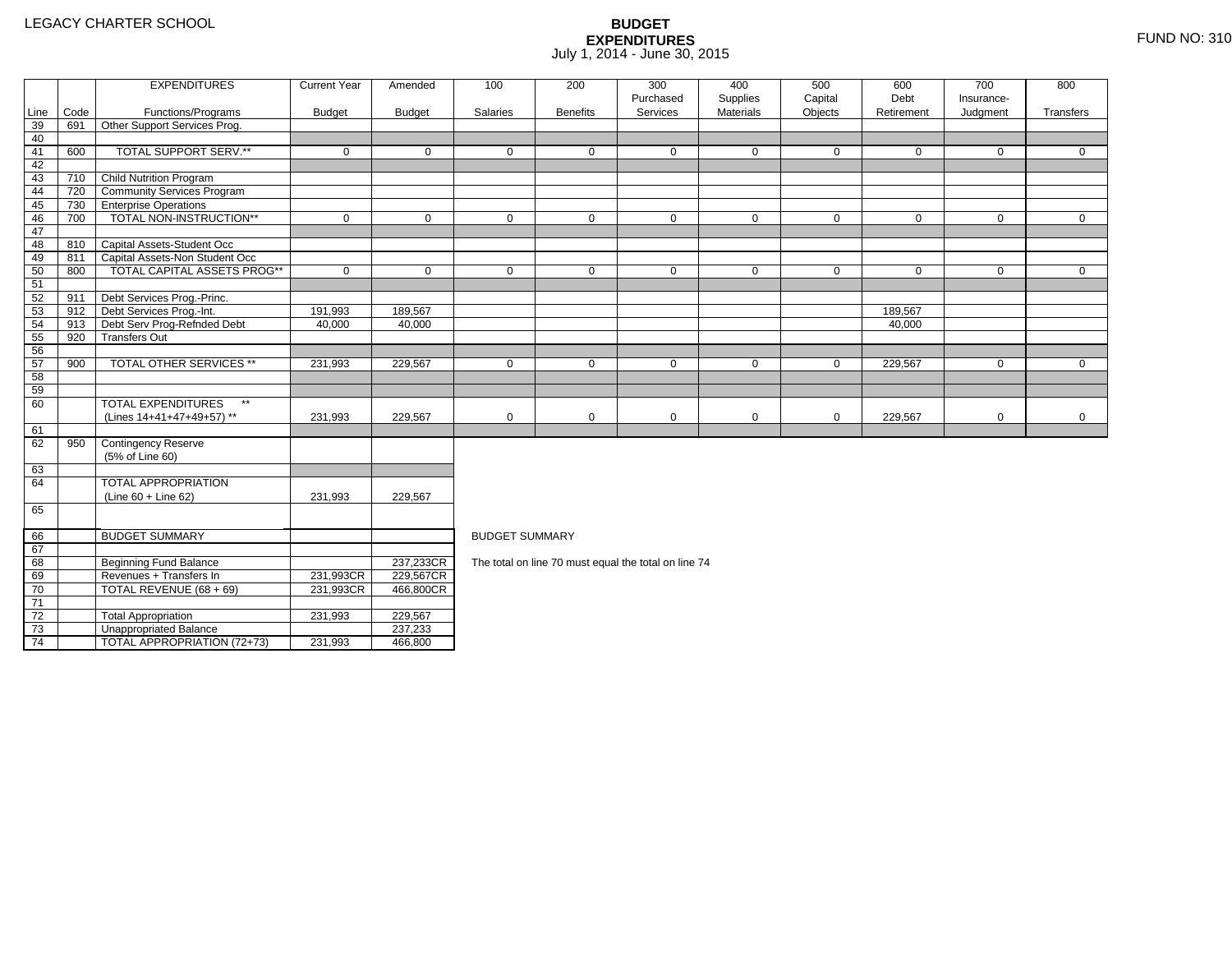71 72

73

74

TOTAL REVENUE (68 + 69) 231,993CR

2 Total Appropriation 1 231,993 229,567

3 | Unappropriated Balance | 237,233

Total Appropriation<br>
Unappropriated Balance<br>
TOTAL APPROPRIATION (72+73) 231,993 466,800

466,800CR

|      |      | <b>EXPENDITURES</b>                           | <b>Current Year</b>                              | Amended                            | 100                   | 200             | 300                                                  | 400          | 500         | 600          | 700         | 800         |  |  |  |
|------|------|-----------------------------------------------|--------------------------------------------------|------------------------------------|-----------------------|-----------------|------------------------------------------------------|--------------|-------------|--------------|-------------|-------------|--|--|--|
|      |      |                                               |                                                  |                                    |                       |                 | Purchased                                            | Supplies     | Capital     | Debt         | Insurance-  |             |  |  |  |
| Line | Code | Functions/Programs                            | <b>Budget</b>                                    | <b>Budget</b>                      | Salaries              | <b>Benefits</b> | Services                                             | Materials    | Objects     | Retirement   | Judgment    | Transfers   |  |  |  |
| 39   | 691  | Other Support Services Prog.                  |                                                  |                                    |                       |                 |                                                      |              |             |              |             |             |  |  |  |
| 40   |      |                                               |                                                  |                                    |                       |                 |                                                      |              |             |              |             |             |  |  |  |
| 41   | 600  | TOTAL SUPPORT SERV.**                         | $\mathbf 0$                                      | $\mathbf 0$                        | $\mathbf 0$           | $\mathbf{0}$    | 0                                                    | $\mathbf{0}$ | $\Omega$    | $\Omega$     | 0           | 0           |  |  |  |
| 42   |      |                                               |                                                  |                                    |                       |                 |                                                      |              |             |              |             |             |  |  |  |
| 43   | 710  | <b>Child Nutrition Program</b>                |                                                  |                                    |                       |                 |                                                      |              |             |              |             |             |  |  |  |
| 44   | 720  | Community Services Program                    |                                                  |                                    |                       |                 |                                                      |              |             |              |             |             |  |  |  |
| 45   | 730  | <b>Enterprise Operations</b>                  |                                                  |                                    |                       |                 |                                                      |              |             |              |             |             |  |  |  |
| 46   | 700  | TOTAL NON-INSTRUCTION**                       | $\mathbf 0$                                      | $\mathbf 0$                        | $\mathbf{0}$          | $\mathbf 0$     | $\mathbf 0$                                          | $\mathbf 0$  | 0           | $\mathbf{0}$ | 0           | $\mathbf 0$ |  |  |  |
| 47   |      |                                               |                                                  |                                    |                       |                 |                                                      |              |             |              |             |             |  |  |  |
| 48   | 810  | Capital Assets-Student Occ                    |                                                  |                                    |                       |                 |                                                      |              |             |              |             |             |  |  |  |
| 49   | 811  | Capital Assets-Non Student Occ                |                                                  |                                    |                       |                 |                                                      |              |             |              |             |             |  |  |  |
| 50   | 800  | TOTAL CAPITAL ASSETS PROG**                   | $\mathbf 0$                                      | $\mathbf 0$                        | $\mathbf{0}$          | $\overline{0}$  | $\mathbf 0$                                          | $\mathbf 0$  | $\mathbf 0$ | $\mathbf{0}$ | 0           | $\mathbf 0$ |  |  |  |
| 51   |      |                                               |                                                  |                                    |                       |                 |                                                      |              |             |              |             |             |  |  |  |
| 52   | 911  | Debt Services Prog.-Princ.                    |                                                  |                                    |                       |                 |                                                      |              |             |              |             |             |  |  |  |
| 53   | 912  | Debt Services Prog.-Int.                      | 191,993                                          | 189,567                            |                       |                 |                                                      |              |             | 189,567      |             |             |  |  |  |
| 54   | 913  | Debt Serv Prog-Refnded Debt                   | 40,000                                           | 40,000                             |                       |                 |                                                      |              |             | 40,000       |             |             |  |  |  |
| 55   | 920  | <b>Transfers Out</b>                          |                                                  |                                    |                       |                 |                                                      |              |             |              |             |             |  |  |  |
| 56   |      |                                               |                                                  |                                    |                       |                 |                                                      |              |             |              |             |             |  |  |  |
| 57   | 900  | <b>TOTAL OTHER SERVICES **</b>                | 231,993                                          | 229,567                            | $\mathbf{0}$          | $\overline{0}$  | $\mathbf 0$                                          | $\mathbf 0$  | $\mathbf 0$ | 229,567      | $\mathbf 0$ | $\mathbf 0$ |  |  |  |
| 58   |      |                                               |                                                  |                                    |                       |                 |                                                      |              |             |              |             |             |  |  |  |
| 59   |      |                                               |                                                  |                                    |                       |                 |                                                      |              |             |              |             |             |  |  |  |
| 60   |      | TOTAL EXPENDITURES<br>$\star\star$            |                                                  |                                    |                       |                 |                                                      |              |             |              |             |             |  |  |  |
|      |      | (Lines 14+41+47+49+57) **                     | 231,993                                          | 229,567                            | $\mathbf 0$           | $\mathbf 0$     | 0                                                    | $\mathbf 0$  | $\mathbf 0$ | 229,567      | 0           | 0           |  |  |  |
| 61   |      |                                               |                                                  |                                    |                       |                 |                                                      |              |             |              |             |             |  |  |  |
| 62   | 950  | <b>Contingency Reserve</b>                    |                                                  |                                    |                       |                 |                                                      |              |             |              |             |             |  |  |  |
|      |      | (5% of Line 60)                               |                                                  |                                    |                       |                 |                                                      |              |             |              |             |             |  |  |  |
| 63   |      |                                               |                                                  |                                    |                       |                 |                                                      |              |             |              |             |             |  |  |  |
| 64   |      | TOTAL APPROPRIATION                           |                                                  |                                    |                       |                 |                                                      |              |             |              |             |             |  |  |  |
|      |      | $(Line 60 + Line 62)$                         | 231,993                                          | 229,567                            |                       |                 |                                                      |              |             |              |             |             |  |  |  |
| 65   |      |                                               |                                                  |                                    |                       |                 |                                                      |              |             |              |             |             |  |  |  |
| 66   |      | <b>BUDGET SUMMARY</b>                         |                                                  |                                    | <b>BUDGET SUMMARY</b> |                 |                                                      |              |             |              |             |             |  |  |  |
| 67   |      |                                               |                                                  |                                    |                       |                 |                                                      |              |             |              |             |             |  |  |  |
| 68   |      | <b>Beginning Fund Balance</b>                 |                                                  | 237,233CR                          |                       |                 | The total on line 70 must equal the total on line 74 |              |             |              |             |             |  |  |  |
| 69   |      | Revenues + Transfers In                       | 231,993CR                                        | 229,567CR                          |                       |                 |                                                      |              |             |              |             |             |  |  |  |
|      |      | $\pm 0.711$ $\pm 0.011$ $\pm 0.00$ $\pm 0.00$ | $\sim$ $\sim$ $\sim$ $\sim$ $\sim$ $\sim$ $\sim$ | $\sim$ $\sim$ $\sim$ $\sim$ $\sim$ |                       |                 |                                                      |              |             |              |             |             |  |  |  |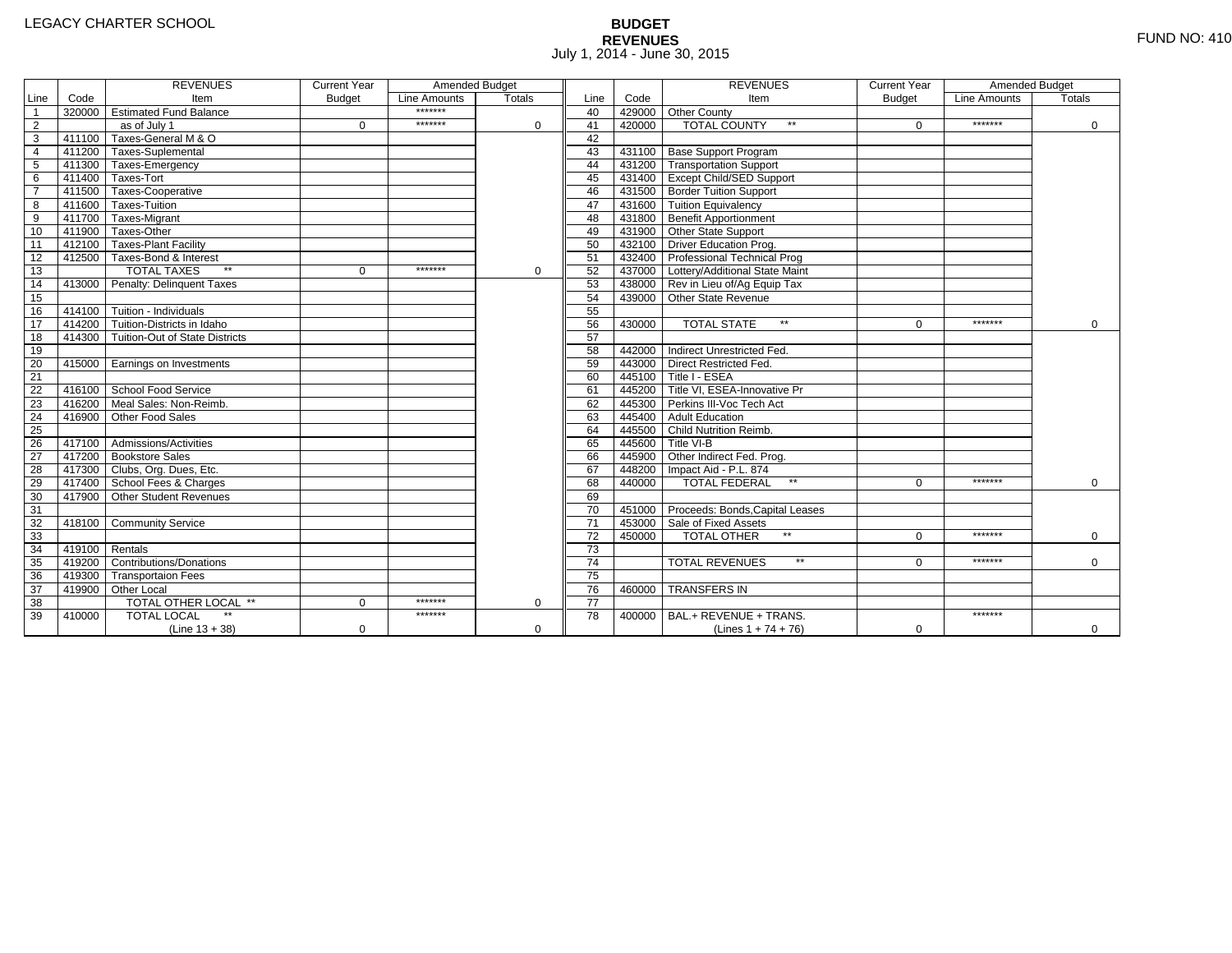# **BUDGET REVENUES** FUND NO: 410 July 1, 2014 - June 30, 2015

|                 |        | <b>REVENUES</b>                       | <b>Current Year</b> | Amended Budget |               |                 |        | <b>REVENUES</b>                        | <b>Current Year</b> | Amended Budget |               |
|-----------------|--------|---------------------------------------|---------------------|----------------|---------------|-----------------|--------|----------------------------------------|---------------------|----------------|---------------|
| Line            | Code   | Item                                  | <b>Budget</b>       | Line Amounts   | <b>Totals</b> | Line            | Code   | Item                                   | <b>Budget</b>       | Line Amounts   | <b>Totals</b> |
| $\overline{1}$  |        | 320000 Estimated Fund Balance         |                     | *******        |               | 40              |        | 429000 Other County                    |                     |                |               |
| $\overline{2}$  |        | as of July 1                          | $\Omega$            | *******        | $\Omega$      | 41              | 420000 | <b>TOTAL COUNTY</b><br>$\star\star$    | $\Omega$            | *******        | 0             |
| $\overline{3}$  |        | 411100 Taxes-General M & O            |                     |                |               | 42              |        |                                        |                     |                |               |
| $\overline{4}$  |        | 411200 Taxes-Suplemental              |                     |                |               | 43              |        | 431100 Base Support Program            |                     |                |               |
| 5               |        | 411300 Taxes-Emergency                |                     |                |               | 44              |        | 431200 Transportation Support          |                     |                |               |
| 6               |        | 411400 Taxes-Tort                     |                     |                |               | 45              |        | 431400 Except Child/SED Support        |                     |                |               |
| $\overline{7}$  |        | 411500 Taxes-Cooperative              |                     |                |               | 46              |        | 431500 Border Tuition Support          |                     |                |               |
| 8               |        | 411600 Taxes-Tuition                  |                     |                |               | 47              |        | 431600 Tuition Equivalency             |                     |                |               |
| $\overline{9}$  |        | 411700 Taxes-Migrant                  |                     |                |               | 48              |        | 431800 Benefit Apportionment           |                     |                |               |
| 10              |        | 411900 Taxes-Other                    |                     |                |               | 49              |        | 431900 Other State Support             |                     |                |               |
| 11              |        | 412100 Taxes-Plant Facility           |                     |                |               | 50              |        | 432100 Driver Education Prog.          |                     |                |               |
| 12              |        | 412500 Taxes-Bond & Interest          |                     |                |               | 51              |        | 432400 Professional Technical Prog     |                     |                |               |
| 13              |        | $**$<br><b>TOTAL TAXES</b>            | $\mathbf{0}$        | *******        | $\mathbf 0$   | 52              |        | 437000 Lottery/Additional State Maint  |                     |                |               |
| 14              |        | 413000 Penalty: Delinquent Taxes      |                     |                |               | 53              |        | 438000 Rev in Lieu of/Ag Equip Tax     |                     |                |               |
| 15              |        |                                       |                     |                |               | 54              |        | 439000 Other State Revenue             |                     |                |               |
| 16              |        | 414100 Tuition - Individuals          |                     |                |               | 55              |        |                                        |                     |                |               |
| 17              |        | 414200 Tuition-Districts in Idaho     |                     |                |               | 56              | 430000 | <b>TOTAL STATE</b><br>$**$             | $\Omega$            | *******        | $\Omega$      |
| 18              |        | 414300 Tuition-Out of State Districts |                     |                |               | 57              |        |                                        |                     |                |               |
| 19              |        |                                       |                     |                |               | 58              |        | 442000 Indirect Unrestricted Fed.      |                     |                |               |
| 20              |        | 415000 Earnings on Investments        |                     |                |               | 59              |        | 443000 Direct Restricted Fed.          |                     |                |               |
| $\overline{21}$ |        |                                       |                     |                |               | 60              |        | 445100 Title I - ESEA                  |                     |                |               |
| 22              |        | 416100 School Food Service            |                     |                |               | 61              |        | 445200 Title VI. ESEA-Innovative Pr    |                     |                |               |
| 23              | 416200 | Meal Sales: Non-Reimb.                |                     |                |               | 62              |        | 445300 Perkins III-Voc Tech Act        |                     |                |               |
| 24              | 416900 | Other Food Sales                      |                     |                |               | 63              |        | 445400 Adult Education                 |                     |                |               |
| 25              |        |                                       |                     |                |               | 64              |        | 445500 Child Nutrition Reimb.          |                     |                |               |
| 26              |        | 417100 Admissions/Activities          |                     |                |               | 65              |        | 445600 Title VI-B                      |                     |                |               |
| $\overline{27}$ |        | 417200 Bookstore Sales                |                     |                |               | 66              |        | 445900 Other Indirect Fed. Prog.       |                     |                |               |
| 28              |        | 417300 Clubs, Org. Dues, Etc.         |                     |                |               | 67              |        | 448200   Impact Aid - P.L. 874         |                     |                |               |
| 29              |        | 417400 School Fees & Charges          |                     |                |               | 68              | 440000 | <b>TOTAL FEDERAL</b><br>$\star\star$   | $\Omega$            | *******        | $\Omega$      |
| 30              |        | 417900 Other Student Revenues         |                     |                |               | 69              |        |                                        |                     |                |               |
| 31              |        |                                       |                     |                |               | 70              |        | 451000 Proceeds: Bonds, Capital Leases |                     |                |               |
| 32              |        | 418100 Community Service              |                     |                |               | $\overline{71}$ |        | 453000 Sale of Fixed Assets            |                     |                |               |
| 33              |        |                                       |                     |                |               | 72              | 450000 | TOTAL OTHER                            | $\Omega$            | *******        | $\Omega$      |
| 34              | 419100 | Rentals                               |                     |                |               | $\overline{73}$ |        |                                        |                     |                |               |
| 35              | 419200 | <b>Contributions/Donations</b>        |                     |                |               | $\overline{74}$ |        | <b>TOTAL REVENUES</b><br>$\star\star$  | U                   | *******        | $\mathbf 0$   |
| 36              |        | 419300 Transportaion Fees             |                     |                |               | 75              |        |                                        |                     |                |               |
| 37              |        | 419900 Other Local                    |                     |                |               | 76              | 460000 | <b>TRANSFERS IN</b>                    |                     |                |               |
| $\overline{38}$ |        | TOTAL OTHER LOCAL **                  | $\Omega$            | *******        | $\Omega$      | $\overline{77}$ |        |                                        |                     |                |               |
| 39              | 410000 | <b>TOTAL LOCAL</b>                    |                     | *******        |               | 78              | 400000 | BAL.+ REVENUE + TRANS.                 |                     | *******        |               |
|                 |        | $(Line 13 + 38)$                      | 0                   |                | $\Omega$      |                 |        | (Lines $1 + 74 + 76$ )                 | 0                   |                | $\mathbf{0}$  |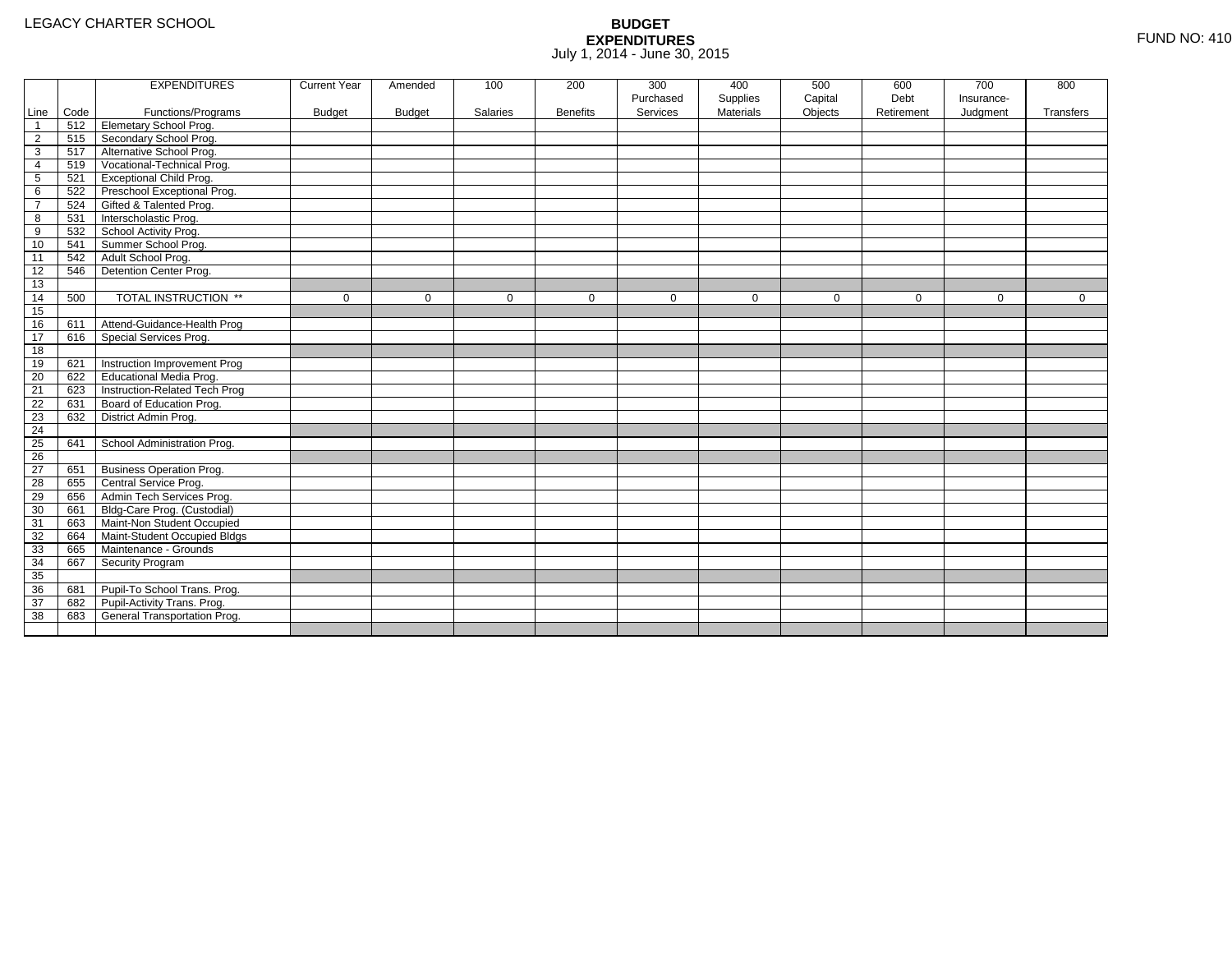|                |      | <b>EXPENDITURES</b>             | <b>Current Year</b> | Amended       | 100      | 200             | 300       | 400              | 500         | 600         | 700        | 800         |
|----------------|------|---------------------------------|---------------------|---------------|----------|-----------------|-----------|------------------|-------------|-------------|------------|-------------|
|                |      |                                 |                     |               |          |                 | Purchased | Supplies         | Capital     | Debt        | Insurance- |             |
| Line           | Code | Functions/Programs              | <b>Budget</b>       | <b>Budget</b> | Salaries | <b>Benefits</b> | Services  | <b>Materials</b> | Objects     | Retirement  | Judgment   | Transfers   |
| -1             | 512  | <b>Elemetary School Prog.</b>   |                     |               |          |                 |           |                  |             |             |            |             |
| $\overline{2}$ | 515  | Secondary School Prog.          |                     |               |          |                 |           |                  |             |             |            |             |
| 3              | 517  | Alternative School Prog.        |                     |               |          |                 |           |                  |             |             |            |             |
| 4              | 519  | Vocational-Technical Prog.      |                     |               |          |                 |           |                  |             |             |            |             |
| 5              | 521  | <b>Exceptional Child Prog.</b>  |                     |               |          |                 |           |                  |             |             |            |             |
| 6              | 522  | Preschool Exceptional Prog.     |                     |               |          |                 |           |                  |             |             |            |             |
| $\overline{7}$ | 524  | Gifted & Talented Prog.         |                     |               |          |                 |           |                  |             |             |            |             |
| 8              | 531  | Interscholastic Prog.           |                     |               |          |                 |           |                  |             |             |            |             |
| 9              | 532  | School Activity Prog.           |                     |               |          |                 |           |                  |             |             |            |             |
| 10             | 541  | Summer School Prog.             |                     |               |          |                 |           |                  |             |             |            |             |
| 11             | 542  | Adult School Prog.              |                     |               |          |                 |           |                  |             |             |            |             |
| 12             | 546  | Detention Center Prog.          |                     |               |          |                 |           |                  |             |             |            |             |
| 13             |      |                                 |                     |               |          |                 |           |                  |             |             |            |             |
| 14             | 500  | TOTAL INSTRUCTION **            | $\mathbf 0$         | $\Omega$      | $\Omega$ | $\mathbf 0$     | $\Omega$  | $\mathbf{0}$     | $\mathbf 0$ | $\mathbf 0$ | $\Omega$   | $\mathbf 0$ |
| 15             |      |                                 |                     |               |          |                 |           |                  |             |             |            |             |
| 16             | 611  | Attend-Guidance-Health Prog     |                     |               |          |                 |           |                  |             |             |            |             |
| 17             | 616  | Special Services Prog.          |                     |               |          |                 |           |                  |             |             |            |             |
| 18             |      |                                 |                     |               |          |                 |           |                  |             |             |            |             |
| 19             | 621  | Instruction Improvement Prog    |                     |               |          |                 |           |                  |             |             |            |             |
| 20             | 622  | <b>Educational Media Prog.</b>  |                     |               |          |                 |           |                  |             |             |            |             |
| 21             | 623  | Instruction-Related Tech Prog   |                     |               |          |                 |           |                  |             |             |            |             |
| 22             | 631  | Board of Education Prog.        |                     |               |          |                 |           |                  |             |             |            |             |
| 23             | 632  | District Admin Prog.            |                     |               |          |                 |           |                  |             |             |            |             |
| 24             |      |                                 |                     |               |          |                 |           |                  |             |             |            |             |
| 25             | 641  | School Administration Prog.     |                     |               |          |                 |           |                  |             |             |            |             |
| 26             |      |                                 |                     |               |          |                 |           |                  |             |             |            |             |
| 27             | 651  | <b>Business Operation Prog.</b> |                     |               |          |                 |           |                  |             |             |            |             |
| 28             | 655  | Central Service Prog.           |                     |               |          |                 |           |                  |             |             |            |             |
| 29             | 656  | Admin Tech Services Prog.       |                     |               |          |                 |           |                  |             |             |            |             |
| 30             | 661  | Bldg-Care Prog. (Custodial)     |                     |               |          |                 |           |                  |             |             |            |             |
| 31             | 663  | Maint-Non Student Occupied      |                     |               |          |                 |           |                  |             |             |            |             |
| 32             | 664  | Maint-Student Occupied Bldgs    |                     |               |          |                 |           |                  |             |             |            |             |
| 33             | 665  | Maintenance - Grounds           |                     |               |          |                 |           |                  |             |             |            |             |
| 34             | 667  | Security Program                |                     |               |          |                 |           |                  |             |             |            |             |
| 35             |      |                                 |                     |               |          |                 |           |                  |             |             |            |             |
| 36             | 681  | Pupil-To School Trans. Prog.    |                     |               |          |                 |           |                  |             |             |            |             |
| 37             | 682  | Pupil-Activity Trans. Prog.     |                     |               |          |                 |           |                  |             |             |            |             |
| 38             | 683  | General Transportation Prog.    |                     |               |          |                 |           |                  |             |             |            |             |
|                |      |                                 |                     |               |          |                 |           |                  |             |             |            |             |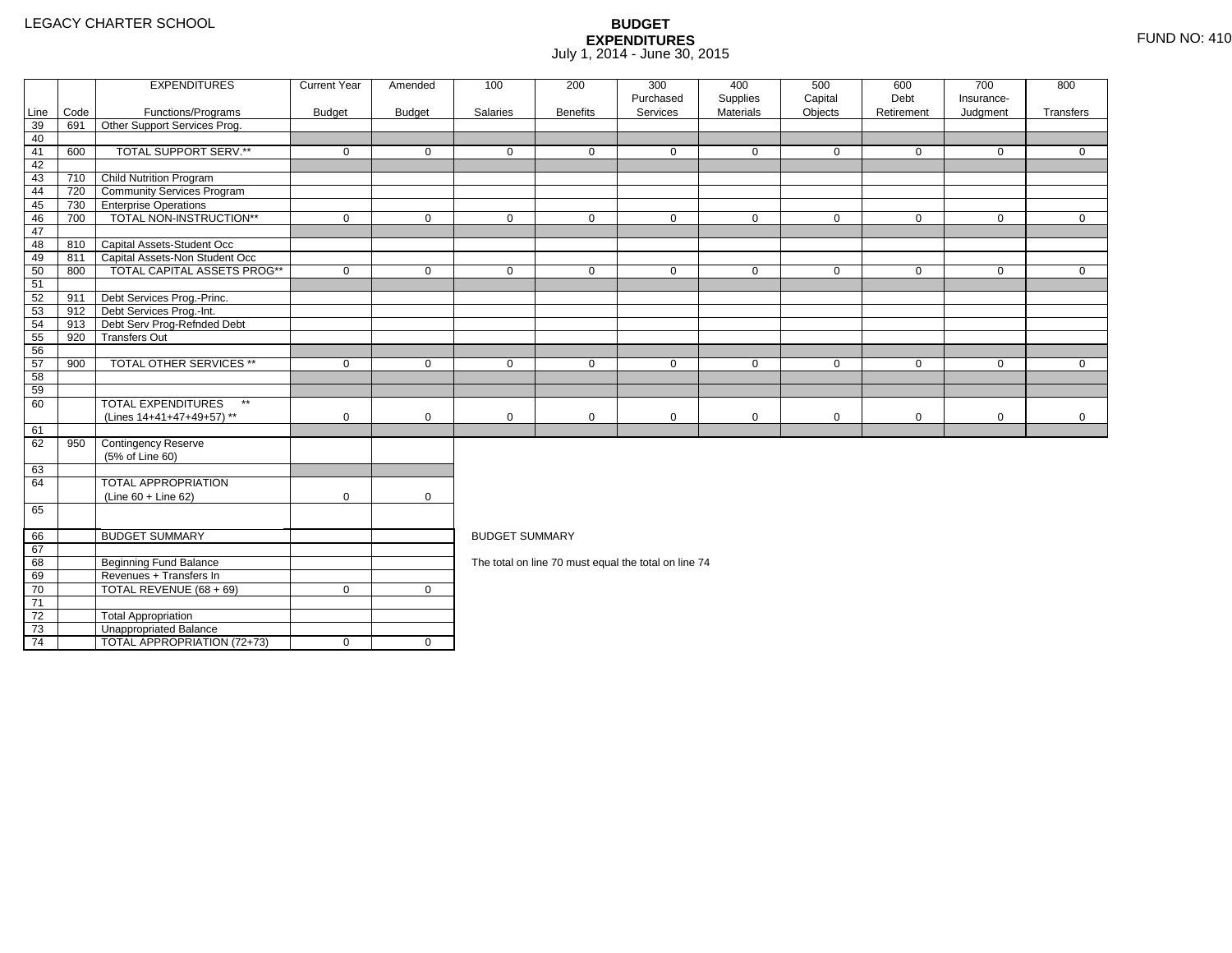4 | TOTAL APPROPRIATION (72+73) | 0 | 0

|                 |      | <b>EXPENDITURES</b>                       | <b>Current Year</b> | Amended       | 100                   | 200             | 300<br>Purchased                                     | 400<br>Supplies | 500<br>Capital | 600<br>Debt | 700<br>Insurance- | 800          |
|-----------------|------|-------------------------------------------|---------------------|---------------|-----------------------|-----------------|------------------------------------------------------|-----------------|----------------|-------------|-------------------|--------------|
| Line            | Code | Functions/Programs                        | <b>Budget</b>       | <b>Budget</b> | Salaries              | <b>Benefits</b> | Services                                             | Materials       | Objects        | Retirement  | Judgment          | Transfers    |
| 39              | 691  | Other Support Services Prog.              |                     |               |                       |                 |                                                      |                 |                |             |                   |              |
| 40              |      |                                           |                     |               |                       |                 |                                                      |                 |                |             |                   |              |
| 41              | 600  | TOTAL SUPPORT SERV.**                     | $\mathbf 0$         | $\mathbf 0$   | $\mathbf 0$           | $\mathbf{0}$    | $\mathbf 0$                                          | $\mathbf 0$     | $\mathbf 0$    | $\mathbf 0$ | $\mathbf 0$       | $\mathbf{0}$ |
| 42              |      |                                           |                     |               |                       |                 |                                                      |                 |                |             |                   |              |
| 43              | 710  | Child Nutrition Program                   |                     |               |                       |                 |                                                      |                 |                |             |                   |              |
| 44              | 720  | <b>Community Services Program</b>         |                     |               |                       |                 |                                                      |                 |                |             |                   |              |
| 45              | 730  | <b>TEnterprise Operations</b>             |                     |               |                       |                 |                                                      |                 |                |             |                   |              |
| 46              | 700  | TOTAL NON-INSTRUCTION**                   | $\mathbf 0$         | $\mathbf 0$   | $\mathbf 0$           | $\mathbf 0$     | $\mathbf 0$                                          | $\mathbf 0$     | $\mathbf 0$    | $\mathbf 0$ | $\overline{0}$    | $\mathbf{0}$ |
| 47              |      |                                           |                     |               |                       |                 |                                                      |                 |                |             |                   |              |
| 48              |      | 810 Capital Assets-Student Occ            |                     |               |                       |                 |                                                      |                 |                |             |                   |              |
| 49              | 811  | Capital Assets-Non Student Occ            |                     |               |                       |                 |                                                      |                 |                |             |                   |              |
| 50              | 800  | <b>TOTAL CAPITAL ASSETS PROG**</b>        | $\mathbf 0$         | $\mathbf 0$   | $\mathbf 0$           | $\mathbf 0$     | $\mathbf 0$                                          | $\mathbf 0$     | $\mathbf 0$    | $\mathbf 0$ | $\mathbf 0$       | $\mathbf{0}$ |
| 51              |      |                                           |                     |               |                       |                 |                                                      |                 |                |             |                   |              |
| 52              | 911  | Debt Services Prog.-Princ.                |                     |               |                       |                 |                                                      |                 |                |             |                   |              |
| 53              |      | 912 Debt Services Prog.-Int.              |                     |               |                       |                 |                                                      |                 |                |             |                   |              |
| 54              | 913  | Debt Serv Prog-Refnded Debt               |                     |               |                       |                 |                                                      |                 |                |             |                   |              |
| 55              | 920  | <b>Transfers Out</b>                      |                     |               |                       |                 |                                                      |                 |                |             |                   |              |
| 56              |      |                                           |                     |               |                       |                 |                                                      |                 |                |             |                   |              |
| 57              | 900  | <b>TOTAL OTHER SERVICES **</b>            | $\mathbf 0$         | $\mathbf 0$   | $\mathbf 0$           | $\mathbf{0}$    | $\mathbf 0$                                          | $\mathbf 0$     | $\mathbf 0$    | $\mathbf 0$ | $\mathbf 0$       | $\Omega$     |
| 58              |      |                                           |                     |               |                       |                 |                                                      |                 |                |             |                   |              |
| 59              |      |                                           |                     |               |                       |                 |                                                      |                 |                |             |                   |              |
| 60              |      | <b>TOTAL EXPENDITURES</b><br>$\star\star$ |                     |               |                       |                 |                                                      |                 |                |             |                   |              |
|                 |      | (Lines 14+41+47+49+57) **                 | $\mathbf 0$         | $\mathbf 0$   | $\mathbf 0$           | $\mathbf 0$     | 0                                                    | 0               | $\mathbf 0$    | $\mathbf 0$ | $\mathbf 0$       | $\mathbf 0$  |
| 61              |      |                                           |                     |               |                       |                 |                                                      |                 |                |             |                   |              |
| 62              | 950  | Contingency Reserve                       |                     |               |                       |                 |                                                      |                 |                |             |                   |              |
|                 |      | (5% of Line 60)                           |                     |               |                       |                 |                                                      |                 |                |             |                   |              |
| 63              |      |                                           |                     |               |                       |                 |                                                      |                 |                |             |                   |              |
| 64              |      | <b>TOTAL APPROPRIATION</b>                |                     |               |                       |                 |                                                      |                 |                |             |                   |              |
|                 |      | $(Line 60 + Line 62)$                     | $\mathbf 0$         | $\mathbf 0$   |                       |                 |                                                      |                 |                |             |                   |              |
| 65              |      |                                           |                     |               |                       |                 |                                                      |                 |                |             |                   |              |
| 66              |      | <b>BUDGET SUMMARY</b>                     |                     |               | <b>BUDGET SUMMARY</b> |                 |                                                      |                 |                |             |                   |              |
| 67              |      |                                           |                     |               |                       |                 |                                                      |                 |                |             |                   |              |
| 68              |      | <b>Beginning Fund Balance</b>             |                     |               |                       |                 | The total on line 70 must equal the total on line 74 |                 |                |             |                   |              |
| 69              |      | Revenues + Transfers In                   |                     |               |                       |                 |                                                      |                 |                |             |                   |              |
| 70              |      | TOTAL REVENUE (68 + 69)                   | $\mathbf 0$         | $\mathbf 0$   |                       |                 |                                                      |                 |                |             |                   |              |
| $\overline{71}$ |      |                                           |                     |               |                       |                 |                                                      |                 |                |             |                   |              |
| 72              |      | <b>Total Appropriation</b>                |                     |               |                       |                 |                                                      |                 |                |             |                   |              |
| 73              |      | Unappropriated Balance                    |                     |               |                       |                 |                                                      |                 |                |             |                   |              |
|                 |      |                                           |                     |               |                       |                 |                                                      |                 |                |             |                   |              |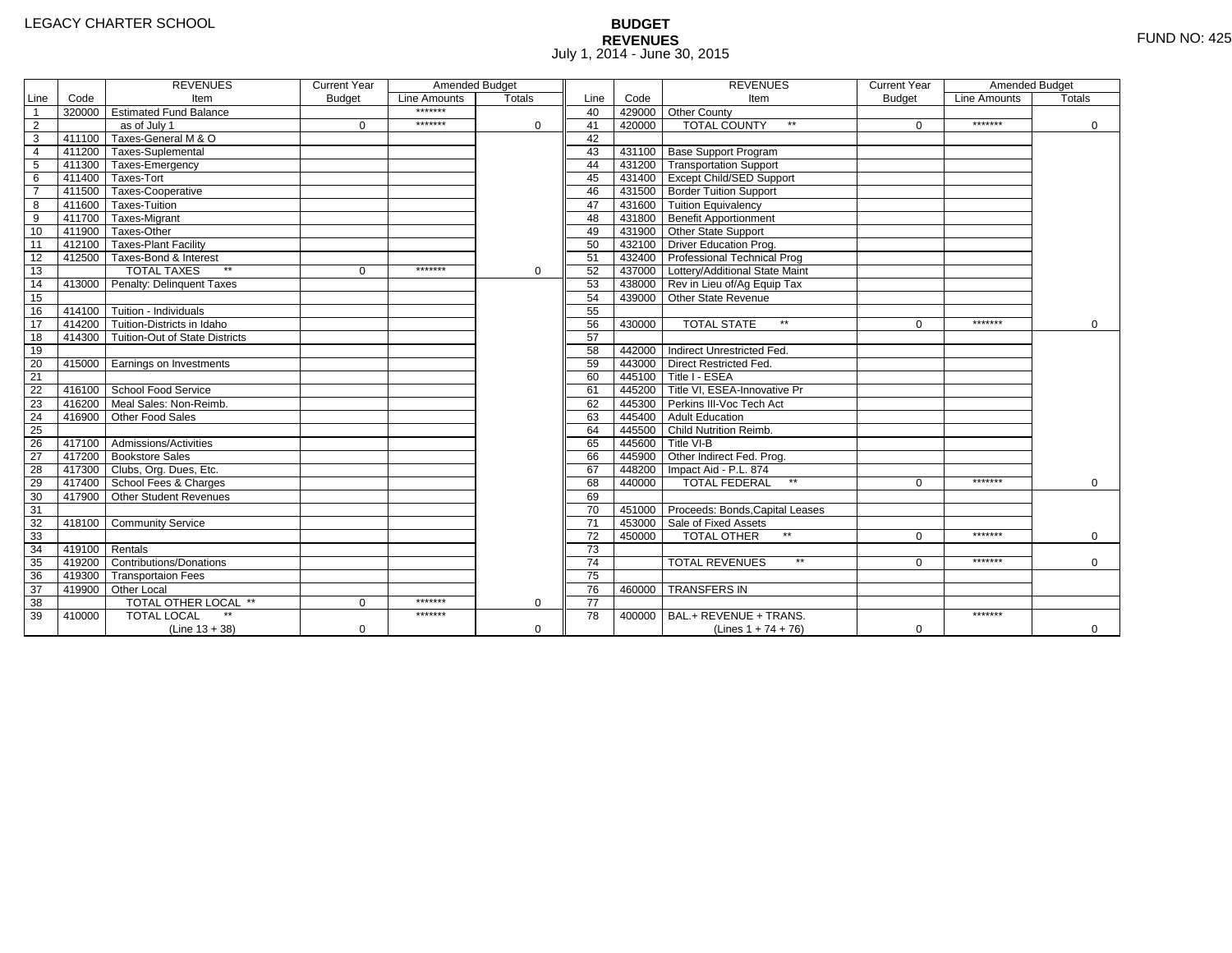# **BUDGET REVENUES** FUND NO: 425 July 1, 2014 - June 30, 2015

|                 |        | <b>REVENUES</b>                       | <b>Current Year</b> | Amended Budget |               |                 |        | <b>REVENUES</b>                        | <b>Current Year</b> | Amended Budget |               |
|-----------------|--------|---------------------------------------|---------------------|----------------|---------------|-----------------|--------|----------------------------------------|---------------------|----------------|---------------|
| Line            | Code   | Item                                  | <b>Budget</b>       | Line Amounts   | <b>Totals</b> | Line            | Code   | Item                                   | <b>Budget</b>       | Line Amounts   | <b>Totals</b> |
| $\overline{1}$  |        | 320000 Estimated Fund Balance         |                     | *******        |               | 40              |        | 429000 Other County                    |                     |                |               |
| $\overline{2}$  |        | as of July 1                          | $\Omega$            | *******        | $\Omega$      | 41              | 420000 | <b>TOTAL COUNTY</b><br>$\star\star$    | $\Omega$            | *******        | 0             |
| $\overline{3}$  |        | 411100 Taxes-General M & O            |                     |                |               | 42              |        |                                        |                     |                |               |
| $\overline{4}$  |        | 411200 Taxes-Suplemental              |                     |                |               | 43              |        | 431100 Base Support Program            |                     |                |               |
| 5               |        | 411300 Taxes-Emergency                |                     |                |               | 44              |        | 431200 Transportation Support          |                     |                |               |
| 6               |        | 411400 Taxes-Tort                     |                     |                |               | 45              |        | 431400 Except Child/SED Support        |                     |                |               |
| $\overline{7}$  |        | 411500 Taxes-Cooperative              |                     |                |               | 46              |        | 431500 Border Tuition Support          |                     |                |               |
| 8               |        | 411600 Taxes-Tuition                  |                     |                |               | 47              |        | 431600 Tuition Equivalency             |                     |                |               |
| $\overline{9}$  |        | 411700 Taxes-Migrant                  |                     |                |               | 48              |        | 431800 Benefit Apportionment           |                     |                |               |
| 10              |        | 411900 Taxes-Other                    |                     |                |               | 49              |        | 431900 Other State Support             |                     |                |               |
| 11              |        | 412100 Taxes-Plant Facility           |                     |                |               | 50              |        | 432100 Driver Education Prog.          |                     |                |               |
| 12              |        | 412500 Taxes-Bond & Interest          |                     |                |               | 51              |        | 432400 Professional Technical Prog     |                     |                |               |
| 13              |        | $**$<br><b>TOTAL TAXES</b>            | $\mathbf{0}$        | *******        | $\mathbf 0$   | 52              |        | 437000 Lottery/Additional State Maint  |                     |                |               |
| 14              |        | 413000 Penalty: Delinquent Taxes      |                     |                |               | 53              |        | 438000 Rev in Lieu of/Ag Equip Tax     |                     |                |               |
| 15              |        |                                       |                     |                |               | 54              |        | 439000 Other State Revenue             |                     |                |               |
| 16              |        | 414100 Tuition - Individuals          |                     |                |               | 55              |        |                                        |                     |                |               |
| 17              |        | 414200 Tuition-Districts in Idaho     |                     |                |               | 56              | 430000 | <b>TOTAL STATE</b><br>$**$             | $\Omega$            | *******        | $\Omega$      |
| 18              |        | 414300 Tuition-Out of State Districts |                     |                |               | 57              |        |                                        |                     |                |               |
| 19              |        |                                       |                     |                |               | 58              |        | 442000 Indirect Unrestricted Fed.      |                     |                |               |
| 20              |        | 415000 Earnings on Investments        |                     |                |               | 59              |        | 443000 Direct Restricted Fed.          |                     |                |               |
| $\overline{21}$ |        |                                       |                     |                |               | 60              |        | 445100 Title I - ESEA                  |                     |                |               |
| 22              |        | 416100 School Food Service            |                     |                |               | 61              |        | 445200 Title VI. ESEA-Innovative Pr    |                     |                |               |
| 23              | 416200 | Meal Sales: Non-Reimb.                |                     |                |               | 62              |        | 445300 Perkins III-Voc Tech Act        |                     |                |               |
| 24              | 416900 | Other Food Sales                      |                     |                |               | 63              |        | 445400 Adult Education                 |                     |                |               |
| 25              |        |                                       |                     |                |               | 64              |        | 445500 Child Nutrition Reimb.          |                     |                |               |
| 26              |        | 417100 Admissions/Activities          |                     |                |               | 65              |        | 445600 Title VI-B                      |                     |                |               |
| $\overline{27}$ |        | 417200 Bookstore Sales                |                     |                |               | 66              |        | 445900 Other Indirect Fed. Prog.       |                     |                |               |
| 28              |        | 417300 Clubs, Org. Dues, Etc.         |                     |                |               | 67              |        | 448200   Impact Aid - P.L. 874         |                     |                |               |
| 29              |        | 417400 School Fees & Charges          |                     |                |               | 68              | 440000 | <b>TOTAL FEDERAL</b><br>$\star\star$   | $\Omega$            | *******        | $\Omega$      |
| 30              |        | 417900 Other Student Revenues         |                     |                |               | 69              |        |                                        |                     |                |               |
| 31              |        |                                       |                     |                |               | 70              |        | 451000 Proceeds: Bonds, Capital Leases |                     |                |               |
| 32              |        | 418100 Community Service              |                     |                |               | $\overline{71}$ |        | 453000 Sale of Fixed Assets            |                     |                |               |
| 33              |        |                                       |                     |                |               | 72              | 450000 | TOTAL OTHER                            | $\Omega$            | *******        | $\Omega$      |
| 34              | 419100 | Rentals                               |                     |                |               | $\overline{73}$ |        |                                        |                     |                |               |
| 35              | 419200 | <b>Contributions/Donations</b>        |                     |                |               | $\overline{74}$ |        | <b>TOTAL REVENUES</b><br>$\star\star$  | U                   | *******        | $\mathbf 0$   |
| 36              |        | 419300 Transportaion Fees             |                     |                |               | 75              |        |                                        |                     |                |               |
| 37              |        | 419900 Other Local                    |                     |                |               | 76              | 460000 | <b>TRANSFERS IN</b>                    |                     |                |               |
| $\overline{38}$ |        | TOTAL OTHER LOCAL **                  | $\Omega$            | *******        | $\Omega$      | $\overline{77}$ |        |                                        |                     |                |               |
| 39              | 410000 | <b>TOTAL LOCAL</b>                    |                     | *******        |               | 78              | 400000 | BAL.+ REVENUE + TRANS.                 |                     | *******        |               |
|                 |        | $(Line 13 + 38)$                      | 0                   |                | $\Omega$      |                 |        | (Lines $1 + 74 + 76$ )                 | 0                   |                | $\mathbf{0}$  |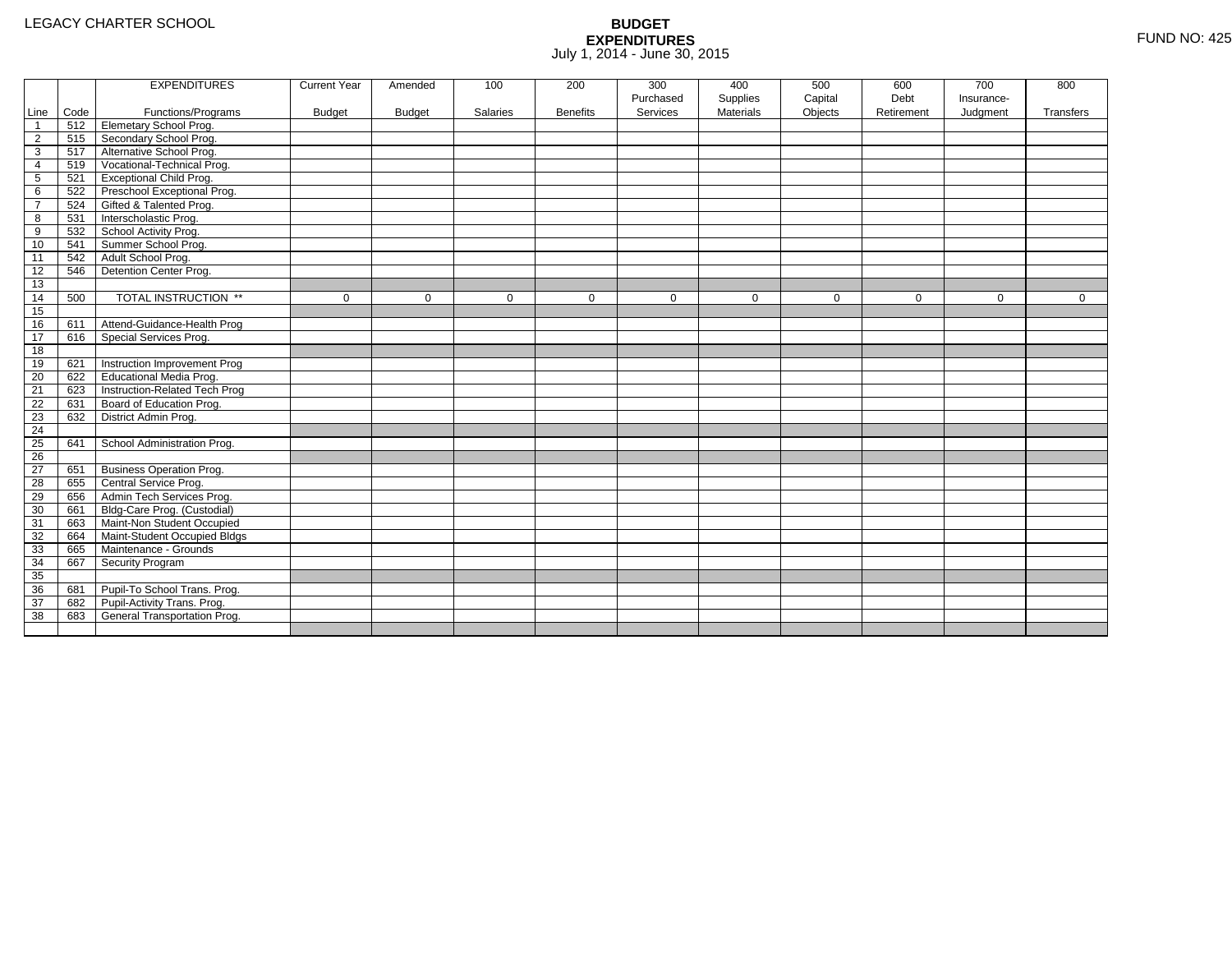|                 |      | <b>EXPENDITURES</b>             | <b>Current Year</b> | Amended       | 100         | 200             | 300         | 400              | 500         | 600         | 700         | 800          |
|-----------------|------|---------------------------------|---------------------|---------------|-------------|-----------------|-------------|------------------|-------------|-------------|-------------|--------------|
|                 |      |                                 |                     |               |             |                 | Purchased   | Supplies         | Capital     | Debt        | Insurance-  |              |
| Line            | Code | Functions/Programs              | <b>Budget</b>       | <b>Budget</b> | Salaries    | <b>Benefits</b> | Services    | <b>Materials</b> | Objects     | Retirement  | Judgment    | Transfers    |
| $\overline{1}$  | 512  | <b>Elemetary School Prog.</b>   |                     |               |             |                 |             |                  |             |             |             |              |
| $\overline{2}$  | 515  | Secondary School Prog.          |                     |               |             |                 |             |                  |             |             |             |              |
| 3               | 517  | Alternative School Prog.        |                     |               |             |                 |             |                  |             |             |             |              |
| 4               | 519  | Vocational-Technical Prog.      |                     |               |             |                 |             |                  |             |             |             |              |
| $5\phantom{.0}$ | 521  | <b>Exceptional Child Prog.</b>  |                     |               |             |                 |             |                  |             |             |             |              |
| 6               | 522  | Preschool Exceptional Prog.     |                     |               |             |                 |             |                  |             |             |             |              |
| $\overline{7}$  | 524  | Gifted & Talented Prog.         |                     |               |             |                 |             |                  |             |             |             |              |
| 8               | 531  | Interscholastic Prog.           |                     |               |             |                 |             |                  |             |             |             |              |
| 9               | 532  | School Activity Prog.           |                     |               |             |                 |             |                  |             |             |             |              |
| 10              | 541  | Summer School Prog.             |                     |               |             |                 |             |                  |             |             |             |              |
| 11              | 542  | Adult School Prog.              |                     |               |             |                 |             |                  |             |             |             |              |
| 12              | 546  | Detention Center Prog.          |                     |               |             |                 |             |                  |             |             |             |              |
| 13              |      |                                 |                     |               |             |                 |             |                  |             |             |             |              |
| 14              | 500  | TOTAL INSTRUCTION **            | $\mathbf 0$         | $\Omega$      | $\mathbf 0$ | $\mathbf 0$     | $\mathbf 0$ | $\mathbf 0$      | $\mathbf 0$ | $\mathbf 0$ | $\mathbf 0$ | $\mathbf{0}$ |
| 15              |      |                                 |                     |               |             |                 |             |                  |             |             |             |              |
| 16              | 611  | Attend-Guidance-Health Prog     |                     |               |             |                 |             |                  |             |             |             |              |
| 17              | 616  | Special Services Prog.          |                     |               |             |                 |             |                  |             |             |             |              |
| 18              |      |                                 |                     |               |             |                 |             |                  |             |             |             |              |
| 19              | 621  | Instruction Improvement Prog    |                     |               |             |                 |             |                  |             |             |             |              |
| 20              | 622  | Educational Media Prog.         |                     |               |             |                 |             |                  |             |             |             |              |
| 21              | 623  | Instruction-Related Tech Prog   |                     |               |             |                 |             |                  |             |             |             |              |
| 22              | 631  | Board of Education Prog.        |                     |               |             |                 |             |                  |             |             |             |              |
| 23              | 632  | District Admin Prog.            |                     |               |             |                 |             |                  |             |             |             |              |
| 24              |      |                                 |                     |               |             |                 |             |                  |             |             |             |              |
| 25              | 641  | School Administration Prog.     |                     |               |             |                 |             |                  |             |             |             |              |
| $\overline{26}$ |      |                                 |                     |               |             |                 |             |                  |             |             |             |              |
| 27              | 651  | <b>Business Operation Prog.</b> |                     |               |             |                 |             |                  |             |             |             |              |
| 28              | 655  | Central Service Prog.           |                     |               |             |                 |             |                  |             |             |             |              |
| 29              | 656  | Admin Tech Services Prog.       |                     |               |             |                 |             |                  |             |             |             |              |
| 30              | 661  | Bldg-Care Prog. (Custodial)     |                     |               |             |                 |             |                  |             |             |             |              |
| 31              | 663  | Maint-Non Student Occupied      |                     |               |             |                 |             |                  |             |             |             |              |
| 32              | 664  | Maint-Student Occupied Bldgs    |                     |               |             |                 |             |                  |             |             |             |              |
| 33              | 665  | Maintenance - Grounds           |                     |               |             |                 |             |                  |             |             |             |              |
| 34              | 667  | Security Program                |                     |               |             |                 |             |                  |             |             |             |              |
| 35              |      |                                 |                     |               |             |                 |             |                  |             |             |             |              |
| 36              | 681  | Pupil-To School Trans. Prog.    |                     |               |             |                 |             |                  |             |             |             |              |
| 37              | 682  | Pupil-Activity Trans. Prog.     |                     |               |             |                 |             |                  |             |             |             |              |
| 38              | 683  | General Transportation Prog.    |                     |               |             |                 |             |                  |             |             |             |              |
|                 |      |                                 |                     |               |             |                 |             |                  |             |             |             |              |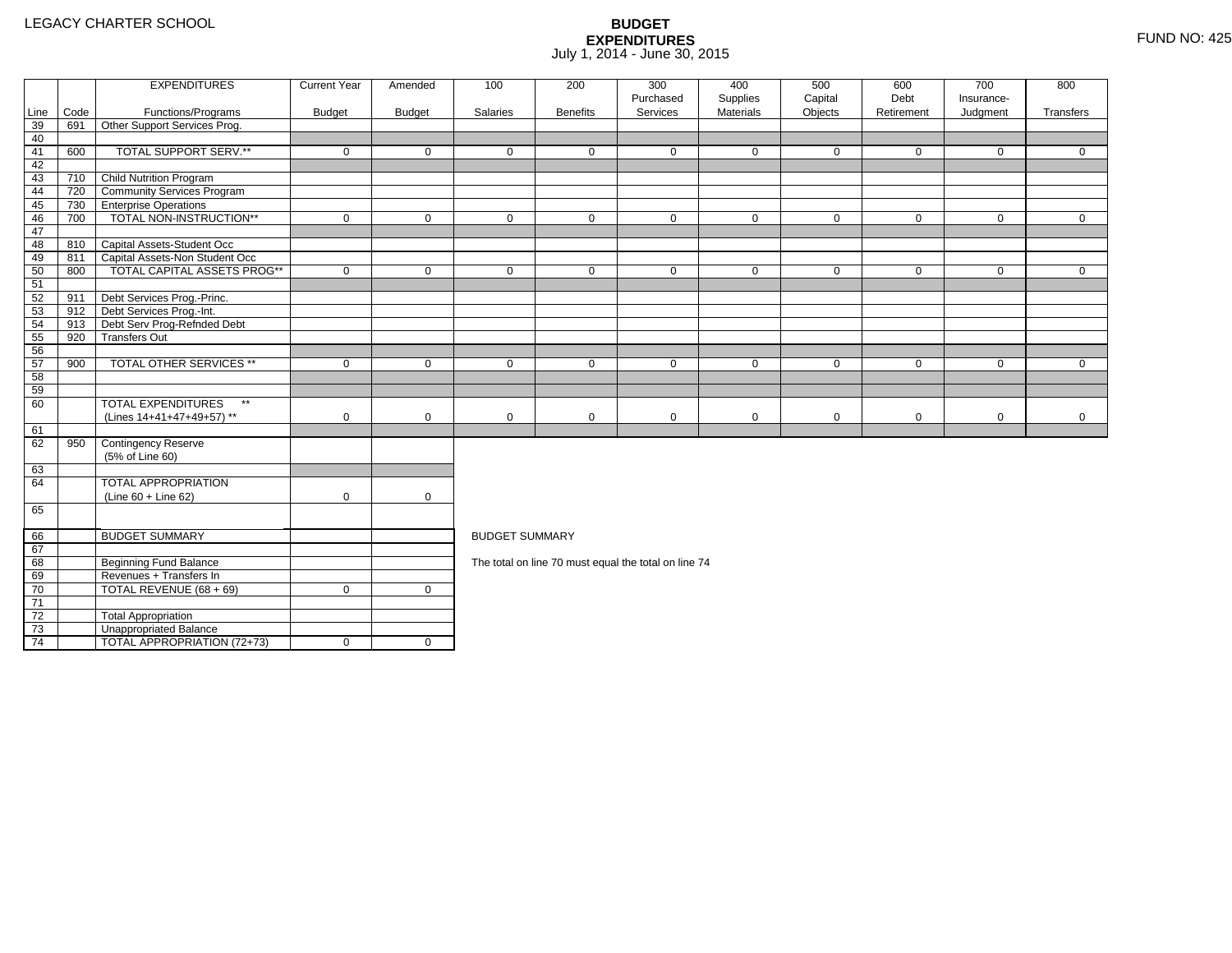4 | TOTAL APPROPRIATION (72+73) | 0 | 0

|      |      | <b>EXPENDITURES</b>                       | <b>Current Year</b> | Amended       | 100                   | 200             | 300<br>Purchased                                     | 400                   | 500                | 600<br>Debt | 700<br>Insurance- | 800          |
|------|------|-------------------------------------------|---------------------|---------------|-----------------------|-----------------|------------------------------------------------------|-----------------------|--------------------|-------------|-------------------|--------------|
| Line | Code | Functions/Programs                        | <b>Budget</b>       | <b>Budget</b> | Salaries              | <b>Benefits</b> | Services                                             | Supplies<br>Materials | Capital<br>Objects | Retirement  | Judgment          | Transfers    |
| 39   | 691  | Other Support Services Prog.              |                     |               |                       |                 |                                                      |                       |                    |             |                   |              |
| 40   |      |                                           |                     |               |                       |                 |                                                      |                       |                    |             |                   |              |
| 41   | 600  | TOTAL SUPPORT SERV.**                     | $\mathbf 0$         | $\mathbf 0$   | $\mathbf 0$           | $\mathbf 0$     | $\mathbf 0$                                          | $\mathbf 0$           | $\mathbf 0$        | $\mathbf 0$ | $\mathbf 0$       | $\mathbf{0}$ |
| 42   |      |                                           |                     |               |                       |                 |                                                      |                       |                    |             |                   |              |
| 43   | 710  | <b>Child Nutrition Program</b>            |                     |               |                       |                 |                                                      |                       |                    |             |                   |              |
| 44   | 720  | <b>Community Services Program</b>         |                     |               |                       |                 |                                                      |                       |                    |             |                   |              |
| 45   | 730  | <b>TEnterprise Operations</b>             |                     |               |                       |                 |                                                      |                       |                    |             |                   |              |
| 46   | 700  | TOTAL NON-INSTRUCTION**                   | $\mathbf 0$         | $\mathbf 0$   | $\mathbf 0$           | $\mathbf{0}$    | $\mathbf 0$                                          | $\mathbf 0$           | $\mathbf 0$        | $\mathbf 0$ | $\overline{0}$    | $\mathbf{0}$ |
| 47   |      |                                           |                     |               |                       |                 |                                                      |                       |                    |             |                   |              |
| 48   |      | 810 Capital Assets-Student Occ            |                     |               |                       |                 |                                                      |                       |                    |             |                   |              |
| 49   | 811  | Capital Assets-Non Student Occ            |                     |               |                       |                 |                                                      |                       |                    |             |                   |              |
| 50   | 800  | <b>TOTAL CAPITAL ASSETS PROG**</b>        | $\mathbf 0$         | $\mathbf 0$   | $\mathbf 0$           | $\mathbf 0$     | $\mathbf 0$                                          | $\mathbf 0$           | $\mathbf 0$        | $\mathbf 0$ | $\mathbf 0$       | $\mathbf{0}$ |
| 51   |      |                                           |                     |               |                       |                 |                                                      |                       |                    |             |                   |              |
| 52   | 911  | Debt Services Prog.-Princ.                |                     |               |                       |                 |                                                      |                       |                    |             |                   |              |
| 53   | 912  | Debt Services Prog.-Int.                  |                     |               |                       |                 |                                                      |                       |                    |             |                   |              |
| 54   | 913  | Debt Serv Prog-Refnded Debt               |                     |               |                       |                 |                                                      |                       |                    |             |                   |              |
| 55   | 920  | <b>Transfers Out</b>                      |                     |               |                       |                 |                                                      |                       |                    |             |                   |              |
| 56   |      |                                           |                     |               |                       |                 |                                                      |                       |                    |             |                   |              |
| 57   | 900  | <b>TOTAL OTHER SERVICES **</b>            | $\mathbf 0$         | $\mathbf 0$   | $\mathbf 0$           | $\mathbf{0}$    | $\mathbf 0$                                          | $\mathbf 0$           | $\mathbf 0$        | $\mathbf 0$ | $\mathbf 0$       | $\Omega$     |
| 58   |      |                                           |                     |               |                       |                 |                                                      |                       |                    |             |                   |              |
| 59   |      |                                           |                     |               |                       |                 |                                                      |                       |                    |             |                   |              |
| 60   |      | <b>TOTAL EXPENDITURES</b><br>$\star\star$ |                     |               |                       |                 |                                                      |                       |                    |             |                   |              |
|      |      | (Lines 14+41+47+49+57) **                 | $\mathbf 0$         | $\mathbf 0$   | 0                     | 0               | $\mathbf 0$                                          | 0                     | $\mathbf 0$        | $\mathbf 0$ | $\mathbf 0$       | $\mathbf 0$  |
| 61   |      |                                           |                     |               |                       |                 |                                                      |                       |                    |             |                   |              |
| 62   | 950  | Contingency Reserve                       |                     |               |                       |                 |                                                      |                       |                    |             |                   |              |
|      |      | (5% of Line 60)                           |                     |               |                       |                 |                                                      |                       |                    |             |                   |              |
| 63   |      |                                           |                     |               |                       |                 |                                                      |                       |                    |             |                   |              |
| 64   |      | TOTAL APPROPRIATION                       |                     |               |                       |                 |                                                      |                       |                    |             |                   |              |
|      |      | $(Line 60 + Line 62)$                     | $\mathbf 0$         | $\mathbf 0$   |                       |                 |                                                      |                       |                    |             |                   |              |
| 65   |      |                                           |                     |               |                       |                 |                                                      |                       |                    |             |                   |              |
| 66   |      | <b>BUDGET SUMMARY</b>                     |                     |               | <b>BUDGET SUMMARY</b> |                 |                                                      |                       |                    |             |                   |              |
| 67   |      |                                           |                     |               |                       |                 |                                                      |                       |                    |             |                   |              |
| 68   |      | <b>Beginning Fund Balance</b>             |                     |               |                       |                 | The total on line 70 must equal the total on line 74 |                       |                    |             |                   |              |
| 69   |      | Revenues + Transfers In                   |                     |               |                       |                 |                                                      |                       |                    |             |                   |              |
| 70   |      | TOTAL REVENUE (68 + 69)                   | $\mathbf 0$         | $\mathbf{0}$  |                       |                 |                                                      |                       |                    |             |                   |              |
| 71   |      |                                           |                     |               |                       |                 |                                                      |                       |                    |             |                   |              |
| 72   |      | <b>Total Appropriation</b>                |                     |               |                       |                 |                                                      |                       |                    |             |                   |              |
| 73   |      | Unappropriated Balance                    |                     |               |                       |                 |                                                      |                       |                    |             |                   |              |
|      |      |                                           |                     |               |                       |                 |                                                      |                       |                    |             |                   |              |